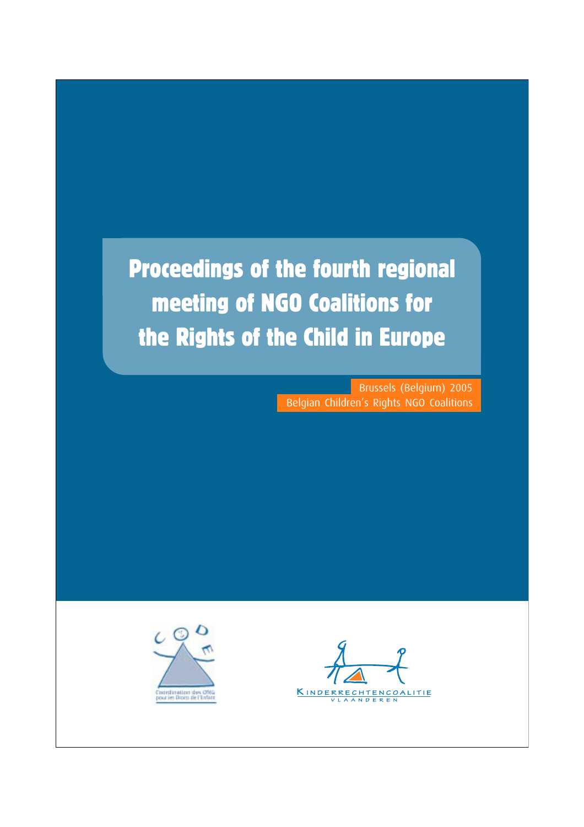## Proceedings of the fourth regional meeting of NGO Coalitions for the Rights of the Child in Europe

Brussels (Belgium) 2005 Belgian Children's Rights NGO Coalitions



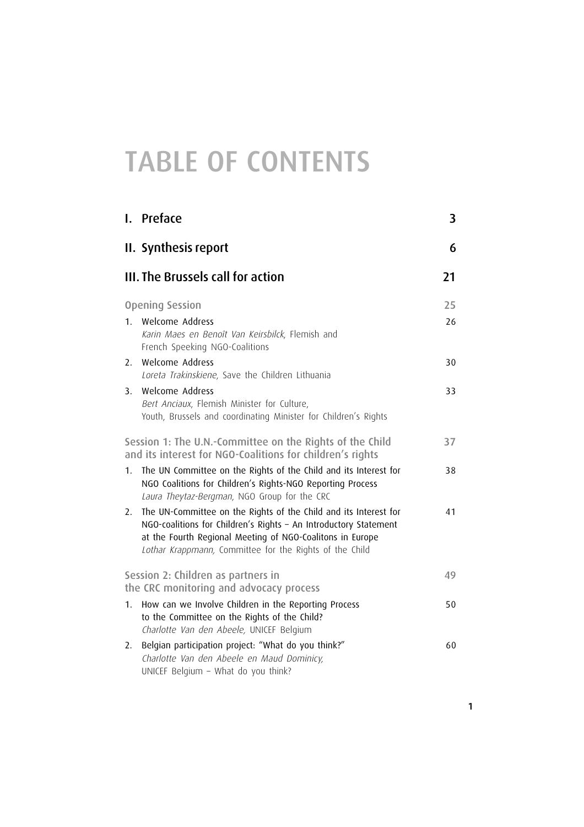## TABLE OF CONTENTS

|                                                                                                                       | I. Preface                                                                                                                                                                                                                                                   | 3  |
|-----------------------------------------------------------------------------------------------------------------------|--------------------------------------------------------------------------------------------------------------------------------------------------------------------------------------------------------------------------------------------------------------|----|
|                                                                                                                       | II. Synthesis report                                                                                                                                                                                                                                         | 6  |
|                                                                                                                       | III. The Brussels call for action                                                                                                                                                                                                                            | 21 |
|                                                                                                                       | <b>Opening Session</b>                                                                                                                                                                                                                                       | 25 |
| $1_{-}$                                                                                                               | Welcome Address<br>Karin Maes en Benoît Van Keirsbilck, Flemish and<br>French Speeking NGO-Coalitions                                                                                                                                                        | 26 |
| 2.                                                                                                                    | Welcome Address<br>Loreta Trakinskiene, Save the Children Lithuania                                                                                                                                                                                          | 30 |
| 3.                                                                                                                    | Welcome Address<br>Bert Anciaux, Flemish Minister for Culture,<br>Youth, Brussels and coordinating Minister for Children's Rights                                                                                                                            | 33 |
| Session 1: The U.N.-Committee on the Rights of the Child<br>and its interest for NGO-Coalitions for children's rights |                                                                                                                                                                                                                                                              |    |
| 1.                                                                                                                    | The UN Committee on the Rights of the Child and its Interest for<br>NGO Coalitions for Children's Rights-NGO Reporting Process<br>Laura Theytaz-Bergman, NGO Group for the CRC                                                                               | 38 |
| 2.                                                                                                                    | The UN-Committee on the Rights of the Child and its Interest for<br>NGO-coalitions for Children's Rights - An Introductory Statement<br>at the Fourth Regional Meeting of NGO-Coalitons in Europe<br>Lothar Krappmann, Committee for the Rights of the Child | 41 |
| Session 2: Children as partners in<br>the CRC monitoring and advocacy process                                         |                                                                                                                                                                                                                                                              | 49 |
| 1.                                                                                                                    | How can we Involve Children in the Reporting Process<br>to the Committee on the Rights of the Child?<br>Charlotte Van den Abeele, UNICEF Belgium                                                                                                             | 50 |
| 2.                                                                                                                    | Belgian participation project: "What do you think?"<br>Charlotte Van den Abeele en Maud Dominicy,<br>UNICEF Belgium - What do you think?                                                                                                                     | 60 |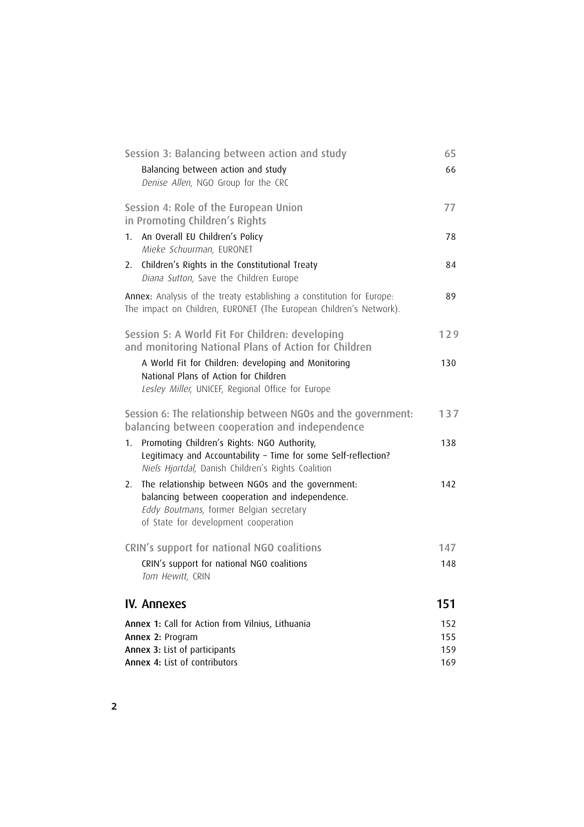| Session 3: Balancing between action and study                                                                                                                                                 | 65  |
|-----------------------------------------------------------------------------------------------------------------------------------------------------------------------------------------------|-----|
| Balancing between action and study<br>Denise Allen, NGO Group for the CRC                                                                                                                     | 66  |
| Session 4: Role of the European Union<br>in Promoting Children's Rights                                                                                                                       | 77  |
| An Overall EU Children's Policy<br>1.<br>Mieke Schuurman, EURONET                                                                                                                             | 78  |
| Children's Rights in the Constitutional Treaty<br>2.<br>Diana Sutton, Save the Children Europe                                                                                                | 84  |
| Annex: Analysis of the treaty establishing a constitution for Europe:<br>The impact on Children, EURONET (The European Children's Network).                                                   | 89  |
| Session 5: A World Fit For Children: developing<br>and monitoring National Plans of Action for Children                                                                                       | 129 |
| A World Fit for Children: developing and Monitoring<br>National Plans of Action for Children<br>Lesley Miller, UNICEF, Regional Office for Europe                                             | 130 |
| Session 6: The relationship between NGOs and the government:<br>balancing between cooperation and independence                                                                                | 137 |
| Promoting Children's Rights: NGO Authority,<br>1.<br>Legitimacy and Accountability - Time for some Self-reflection?<br>Niels Hjortdal, Danish Children's Rights Coalition                     | 138 |
| The relationship between NGOs and the government:<br>2.<br>balancing between cooperation and independence.<br>Eddy Boutmans, former Belgian secretary<br>of State for development cooperation | 142 |
| CRIN's support for national NGO coalitions                                                                                                                                                    | 147 |
| CRIN's support for national NGO coalitions<br>Tom Hewitt, CRIN                                                                                                                                | 148 |
| <b>IV. Annexes</b>                                                                                                                                                                            | 151 |
| Annex 1: Call for Action from Vilnius, Lithuania                                                                                                                                              | 152 |
| Annex 2: Program                                                                                                                                                                              | 155 |
| Annex 3: List of participants<br>Annex 4: List of contributors                                                                                                                                | 159 |
|                                                                                                                                                                                               | 169 |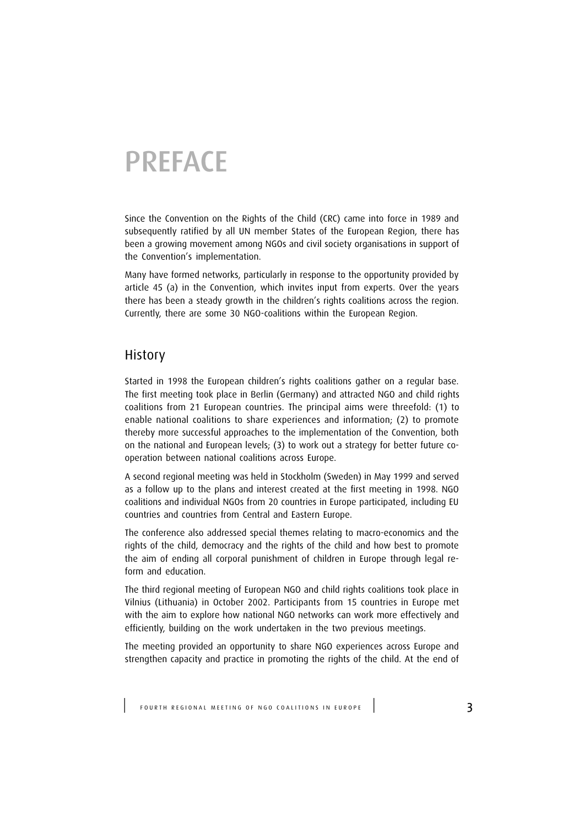## **PREFACE**

Since the Convention on the Rights of the Child (CRC) came into force in 1989 and subsequently ratified by all UN member States of the European Region, there has been a growing movement among NGOs and civil society organisations in support of the Convention's implementation.

Many have formed networks, particularly in response to the opportunity provided by article 45 (a) in the Convention, which invites input from experts. Over the years there has been a steady growth in the children's rights coalitions across the region. Currently, there are some 30 NGO-coalitions within the European Region.

#### History

Started in 1998 the European children's rights coalitions gather on a regular base. The first meeting took place in Berlin (Germany) and attracted NGO and child rights coalitions from 21 European countries. The principal aims were threefold: (1) to enable national coalitions to share experiences and information; (2) to promote thereby more successful approaches to the implementation of the Convention, both on the national and European levels; (3) to work out a strategy for better future cooperation between national coalitions across Europe.

A second regional meeting was held in Stockholm (Sweden) in May 1999 and served as a follow up to the plans and interest created at the first meeting in 1998. NGO coalitions and individual NGOs from 20 countries in Europe participated, including EU countries and countries from Central and Eastern Europe.

The conference also addressed special themes relating to macro-economics and the rights of the child, democracy and the rights of the child and how best to promote the aim of ending all corporal punishment of children in Europe through legal reform and education.

The third regional meeting of European NGO and child rights coalitions took place in Vilnius (Lithuania) in October 2002. Participants from 15 countries in Europe met with the aim to explore how national NGO networks can work more effectively and efficiently, building on the work undertaken in the two previous meetings.

The meeting provided an opportunity to share NGO experiences across Europe and strengthen capacity and practice in promoting the rights of the child. At the end of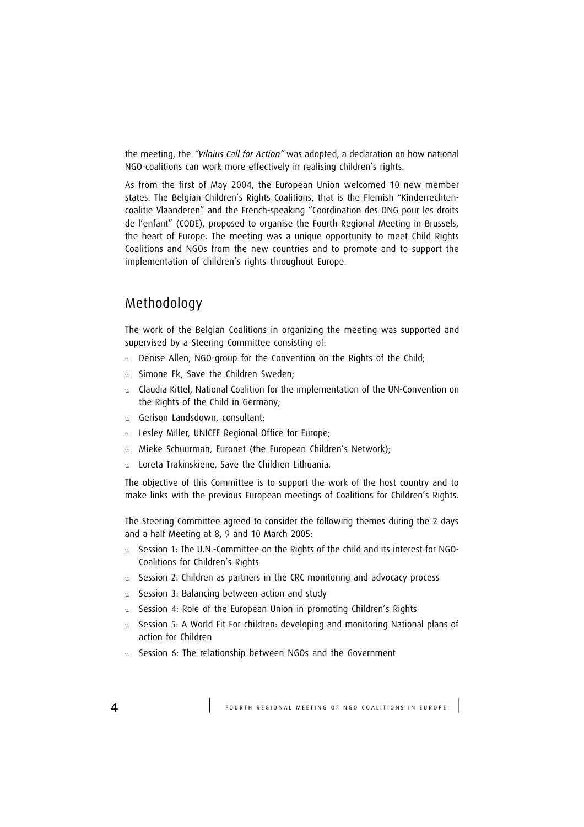the meeting, the "Vilnius Call for Action" was adopted, a declaration on how national NGO-coalitions can work more effectively in realising children's rights.

As from the first of May 2004, the European Union welcomed 10 new member states. The Belgian Children's Rights Coalitions, that is the Flemish "Kinderrechtencoalitie Vlaanderen" and the French-speaking "Coordination des ONG pour les droits de l'enfant" (CODE), proposed to organise the Fourth Regional Meeting in Brussels, the heart of Europe. The meeting was a unique opportunity to meet Child Rights Coalitions and NGOs from the new countries and to promote and to support the implementation of children's rights throughout Europe.

## Methodology

The work of the Belgian Coalitions in organizing the meeting was supported and supervised by a Steering Committee consisting of:

- u Denise Allen, NGO-group for the Convention on the Rights of the Child;
- u Simone Ek, Save the Children Sweden;
- u Claudia Kittel, National Coalition for the implementation of the UN-Convention on the Rights of the Child in Germany;
- Gerison Landsdown, consultant;
- u Lesley Miller, UNICEF Regional Office for Europe;
- u Mieke Schuurman, Euronet (the European Children's Network);
- u Loreta Trakinskiene, Save the Children Lithuania.

The objective of this Committee is to support the work of the host country and to make links with the previous European meetings of Coalitions for Children's Rights.

The Steering Committee agreed to consider the following themes during the 2 days and a half Meeting at 8, 9 and 10 March 2005:

- u Session 1: The U.N.-Committee on the Rights of the child and its interest for NGO-Coalitions for Children's Rights
- u Session 2: Children as partners in the CRC monitoring and advocacy process
- u Session 3: Balancing between action and study
- u Session 4: Role of the European Union in promoting Children's Rights
- u Session 5: A World Fit For children: developing and monitoring National plans of action for Children
- u Session 6: The relationship between NGOs and the Government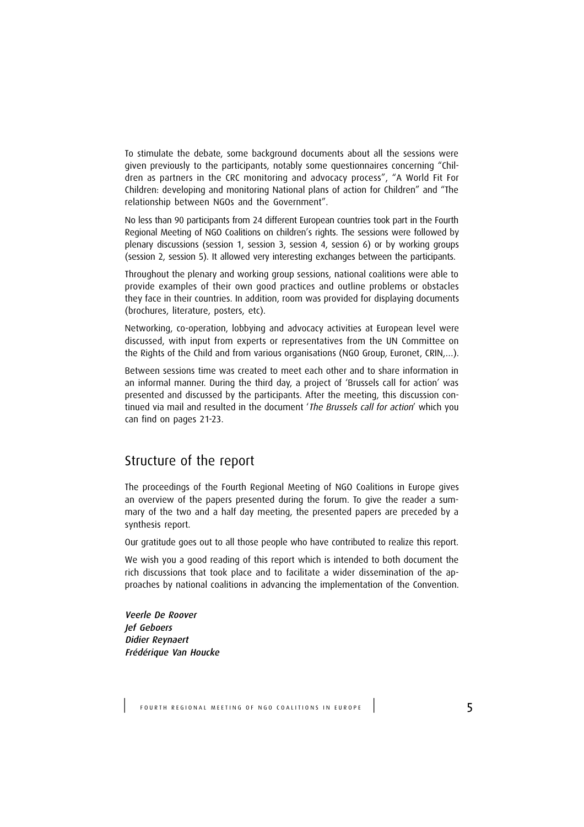To stimulate the debate, some background documents about all the sessions were given previously to the participants, notably some questionnaires concerning "Children as partners in the CRC monitoring and advocacy process", "A World Fit For Children: developing and monitoring National plans of action for Children" and "The relationship between NGOs and the Government".

No less than 90 participants from 24 different European countries took part in the Fourth Regional Meeting of NGO Coalitions on children's rights. The sessions were followed by plenary discussions (session 1, session 3, session 4, session 6) or by working groups (session 2, session 5). It allowed very interesting exchanges between the participants.

Throughout the plenary and working group sessions, national coalitions were able to provide examples of their own good practices and outline problems or obstacles they face in their countries. In addition, room was provided for displaying documents (brochures, literature, posters, etc).

Networking, co-operation, lobbying and advocacy activities at European level were discussed, with input from experts or representatives from the UN Committee on the Rights of the Child and from various organisations (NGO Group, Euronet, CRIN,…).

Between sessions time was created to meet each other and to share information in an informal manner. During the third day, a project of 'Brussels call for action' was presented and discussed by the participants. After the meeting, this discussion continued via mail and resulted in the document 'The Brussels call for action' which you can find on pages 21-23.

### Structure of the report

The proceedings of the Fourth Regional Meeting of NGO Coalitions in Europe gives an overview of the papers presented during the forum. To give the reader a summary of the two and a half day meeting, the presented papers are preceded by a synthesis report.

Our gratitude goes out to all those people who have contributed to realize this report.

We wish you a good reading of this report which is intended to both document the rich discussions that took place and to facilitate a wider dissemination of the approaches by national coalitions in advancing the implementation of the Convention.

Veerle De Roover Jef Geboers Didier Reynaert Frédérique Van Houcke

FOURTH REGIONAL MEETING OF NGO COALITIONS IN EUROPE | 5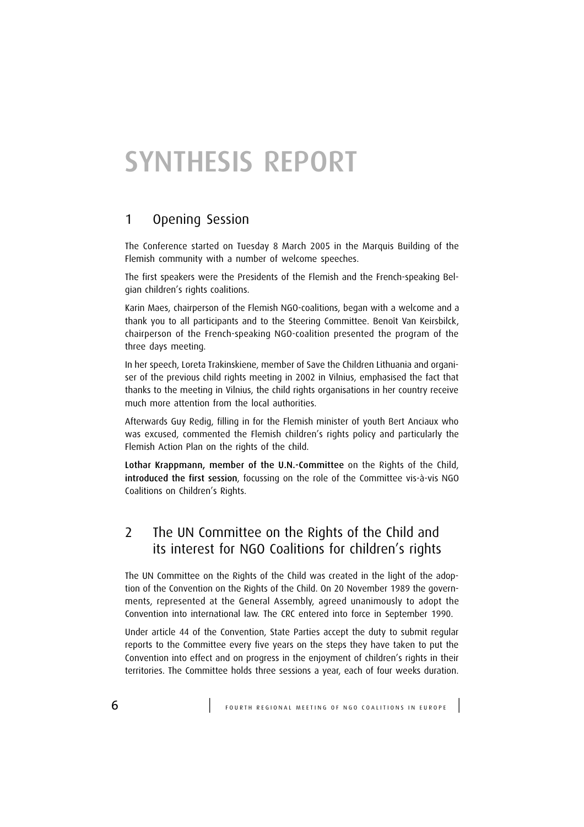## SYNTHESIS REPORT

## 1 Opening Session

The Conference started on Tuesday 8 March 2005 in the Marquis Building of the Flemish community with a number of welcome speeches.

The first speakers were the Presidents of the Flemish and the French-speaking Belgian children's rights coalitions.

Karin Maes, chairperson of the Flemish NGO-coalitions, began with a welcome and a thank you to all participants and to the Steering Committee. Benoît Van Keirsbilck, chairperson of the French-speaking NGO-coalition presented the program of the three days meeting.

In her speech, Loreta Trakinskiene, member of Save the Children Lithuania and organiser of the previous child rights meeting in 2002 in Vilnius, emphasised the fact that thanks to the meeting in Vilnius, the child rights organisations in her country receive much more attention from the local authorities.

Afterwards Guy Redig, filling in for the Flemish minister of youth Bert Anciaux who was excused, commented the Flemish children's rights policy and particularly the Flemish Action Plan on the rights of the child.

Lothar Krappmann, member of the U.N.-Committee on the Rights of the Child, introduced the first session, focussing on the role of the Committee vis-à-vis NGO Coalitions on Children's Rights.

## 2 The UN Committee on the Rights of the Child and its interest for NGO Coalitions for children's rights

The UN Committee on the Rights of the Child was created in the light of the adoption of the Convention on the Rights of the Child. On 20 November 1989 the governments, represented at the General Assembly, agreed unanimously to adopt the Convention into international law. The CRC entered into force in September 1990.

Under article 44 of the Convention, State Parties accept the duty to submit regular reports to the Committee every five years on the steps they have taken to put the Convention into effect and on progress in the enjoyment of children's rights in their territories. The Committee holds three sessions a year, each of four weeks duration.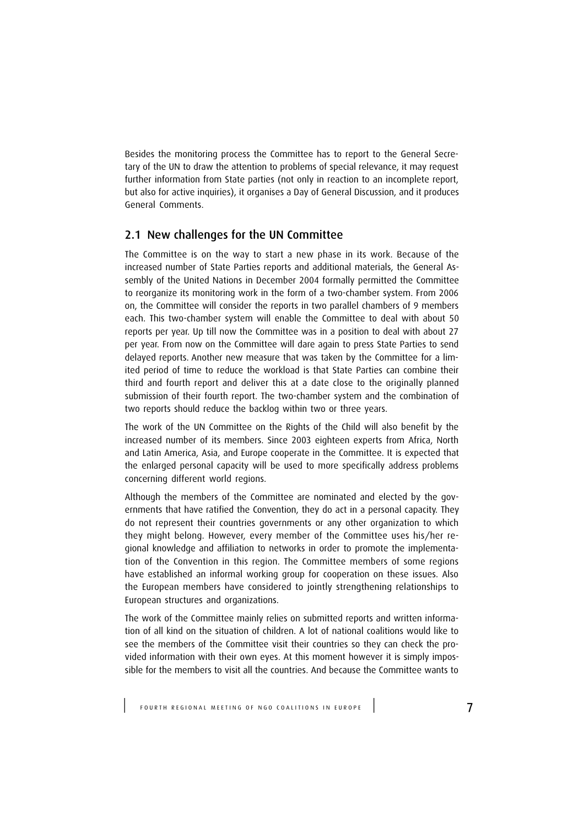Besides the monitoring process the Committee has to report to the General Secretary of the UN to draw the attention to problems of special relevance, it may request further information from State parties (not only in reaction to an incomplete report, but also for active inquiries), it organises a Day of General Discussion, and it produces General Comments.

#### 2.1 New challenges for the UN Committee

The Committee is on the way to start a new phase in its work. Because of the increased number of State Parties reports and additional materials, the General Assembly of the United Nations in December 2004 formally permitted the Committee to reorganize its monitoring work in the form of a two-chamber system. From 2006 on, the Committee will consider the reports in two parallel chambers of 9 members each. This two-chamber system will enable the Committee to deal with about 50 reports per year. Up till now the Committee was in a position to deal with about 27 per year. From now on the Committee will dare again to press State Parties to send delayed reports. Another new measure that was taken by the Committee for a limited period of time to reduce the workload is that State Parties can combine their third and fourth report and deliver this at a date close to the originally planned submission of their fourth report. The two-chamber system and the combination of two reports should reduce the backlog within two or three years.

The work of the UN Committee on the Rights of the Child will also benefit by the increased number of its members. Since 2003 eighteen experts from Africa, North and Latin America, Asia, and Europe cooperate in the Committee. It is expected that the enlarged personal capacity will be used to more specifically address problems concerning different world regions.

Although the members of the Committee are nominated and elected by the governments that have ratified the Convention, they do act in a personal capacity. They do not represent their countries governments or any other organization to which they might belong. However, every member of the Committee uses his/her regional knowledge and affiliation to networks in order to promote the implementation of the Convention in this region. The Committee members of some regions have established an informal working group for cooperation on these issues. Also the European members have considered to jointly strengthening relationships to European structures and organizations.

The work of the Committee mainly relies on submitted reports and written information of all kind on the situation of children. A lot of national coalitions would like to see the members of the Committee visit their countries so they can check the provided information with their own eyes. At this moment however it is simply impossible for the members to visit all the countries. And because the Committee wants to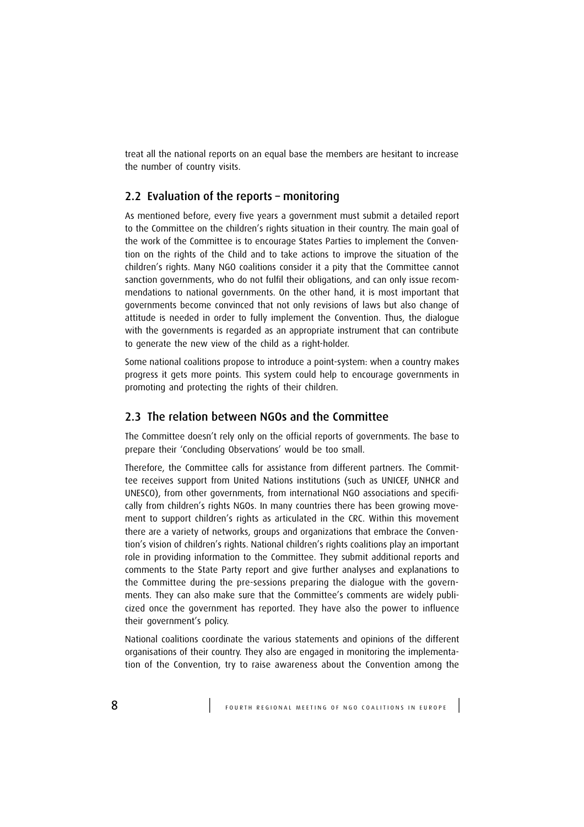treat all the national reports on an equal base the members are hesitant to increase the number of country visits.

#### 2.2 Evaluation of the reports – monitoring

As mentioned before, every five years a government must submit a detailed report to the Committee on the children's rights situation in their country. The main goal of the work of the Committee is to encourage States Parties to implement the Convention on the rights of the Child and to take actions to improve the situation of the children's rights. Many NGO coalitions consider it a pity that the Committee cannot sanction governments, who do not fulfil their obligations, and can only issue recommendations to national governments. On the other hand, it is most important that governments become convinced that not only revisions of laws but also change of attitude is needed in order to fully implement the Convention. Thus, the dialogue with the governments is regarded as an appropriate instrument that can contribute to generate the new view of the child as a right-holder.

Some national coalitions propose to introduce a point-system: when a country makes progress it gets more points. This system could help to encourage governments in promoting and protecting the rights of their children.

#### 2.3 The relation between NGOs and the Committee

The Committee doesn't rely only on the official reports of governments. The base to prepare their 'Concluding Observations' would be too small.

Therefore, the Committee calls for assistance from different partners. The Committee receives support from United Nations institutions (such as UNICEF, UNHCR and UNESCO), from other governments, from international NGO associations and specifically from children's rights NGOs. In many countries there has been growing movement to support children's rights as articulated in the CRC. Within this movement there are a variety of networks, groups and organizations that embrace the Convention's vision of children's rights. National children's rights coalitions play an important role in providing information to the Committee. They submit additional reports and comments to the State Party report and give further analyses and explanations to the Committee during the pre-sessions preparing the dialogue with the governments. They can also make sure that the Committee's comments are widely publicized once the government has reported. They have also the power to influence their government's policy.

National coalitions coordinate the various statements and opinions of the different organisations of their country. They also are engaged in monitoring the implementation of the Convention, try to raise awareness about the Convention among the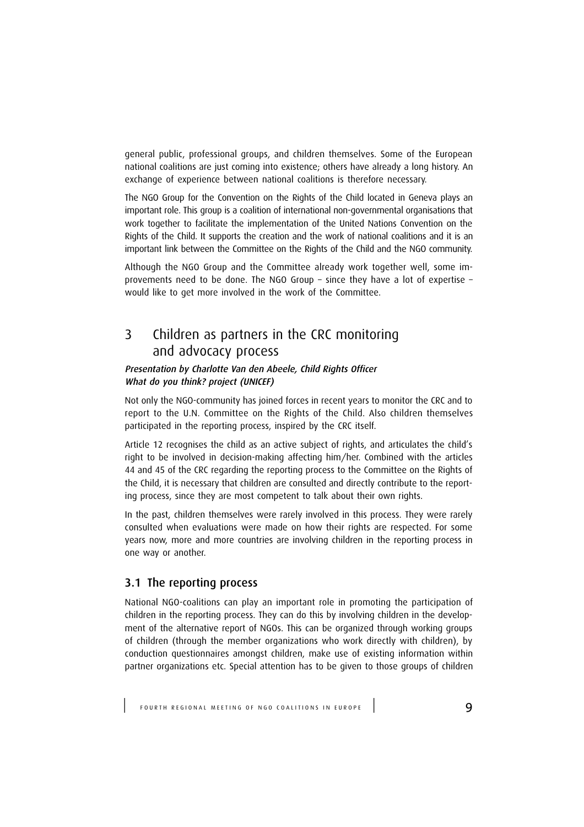general public, professional groups, and children themselves. Some of the European national coalitions are just coming into existence; others have already a long history. An exchange of experience between national coalitions is therefore necessary.

The NGO Group for the Convention on the Rights of the Child located in Geneva plays an important role. This group is a coalition of international non-governmental organisations that work together to facilitate the implementation of the United Nations Convention on the Rights of the Child. It supports the creation and the work of national coalitions and it is an important link between the Committee on the Rights of the Child and the NGO community.

Although the NGO Group and the Committee already work together well, some improvements need to be done. The NGO Group – since they have a lot of expertise – would like to get more involved in the work of the Committee.

## 3 Children as partners in the CRC monitoring and advocacy process

#### Presentation by Charlotte Van den Abeele, Child Rights Officer What do you think? project (UNICEF)

Not only the NGO-community has joined forces in recent years to monitor the CRC and to report to the U.N. Committee on the Rights of the Child. Also children themselves participated in the reporting process, inspired by the CRC itself.

Article 12 recognises the child as an active subject of rights, and articulates the child's right to be involved in decision-making affecting him/her. Combined with the articles 44 and 45 of the CRC regarding the reporting process to the Committee on the Rights of the Child, it is necessary that children are consulted and directly contribute to the reporting process, since they are most competent to talk about their own rights.

In the past, children themselves were rarely involved in this process. They were rarely consulted when evaluations were made on how their rights are respected. For some years now, more and more countries are involving children in the reporting process in one way or another.

#### 3.1 The reporting process

National NGO-coalitions can play an important role in promoting the participation of children in the reporting process. They can do this by involving children in the development of the alternative report of NGOs. This can be organized through working groups of children (through the member organizations who work directly with children), by conduction questionnaires amongst children, make use of existing information within partner organizations etc. Special attention has to be given to those groups of children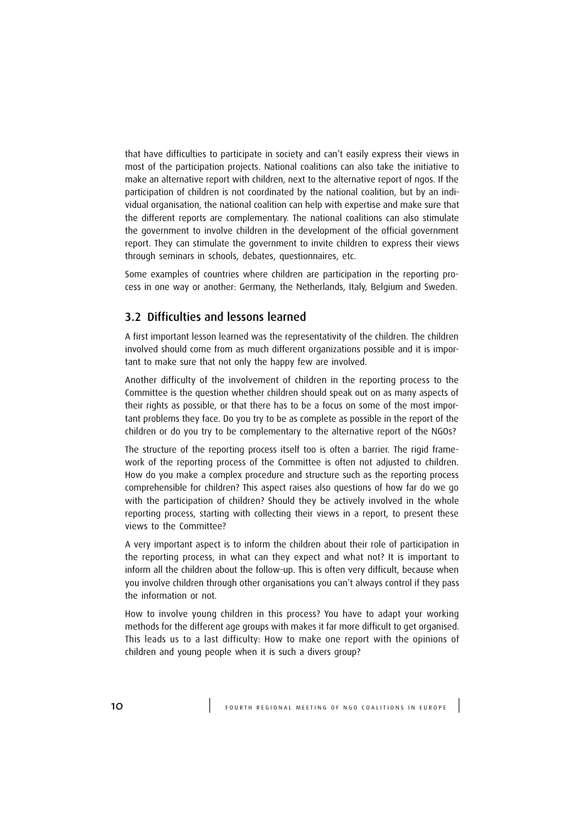that have difficulties to participate in society and can't easily express their views in most of the participation projects. National coalitions can also take the initiative to make an alternative report with children, next to the alternative report of ngos. If the participation of children is not coordinated by the national coalition, but by an individual organisation, the national coalition can help with expertise and make sure that the different reports are complementary. The national coalitions can also stimulate the government to involve children in the development of the official government report. They can stimulate the government to invite children to express their views through seminars in schools, debates, questionnaires, etc.

Some examples of countries where children are participation in the reporting process in one way or another: Germany, the Netherlands, Italy, Belgium and Sweden.

#### 3.2 Difficulties and lessons learned

A first important lesson learned was the representativity of the children. The children involved should come from as much different organizations possible and it is important to make sure that not only the happy few are involved.

Another difficulty of the involvement of children in the reporting process to the Committee is the question whether children should speak out on as many aspects of their rights as possible, or that there has to be a focus on some of the most important problems they face. Do you try to be as complete as possible in the report of the children or do you try to be complementary to the alternative report of the NGOs?

The structure of the reporting process itself too is often a barrier. The rigid framework of the reporting process of the Committee is often not adjusted to children. How do you make a complex procedure and structure such as the reporting process comprehensible for children? This aspect raises also questions of how far do we go with the participation of children? Should they be actively involved in the whole reporting process, starting with collecting their views in a report, to present these views to the Committee?

A very important aspect is to inform the children about their role of participation in the reporting process, in what can they expect and what not? It is important to inform all the children about the follow-up. This is often very difficult, because when you involve children through other organisations you can't always control if they pass the information or not.

How to involve young children in this process? You have to adapt your working methods for the different age groups with makes it far more difficult to get organised. This leads us to a last difficulty: How to make one report with the opinions of children and young people when it is such a divers group?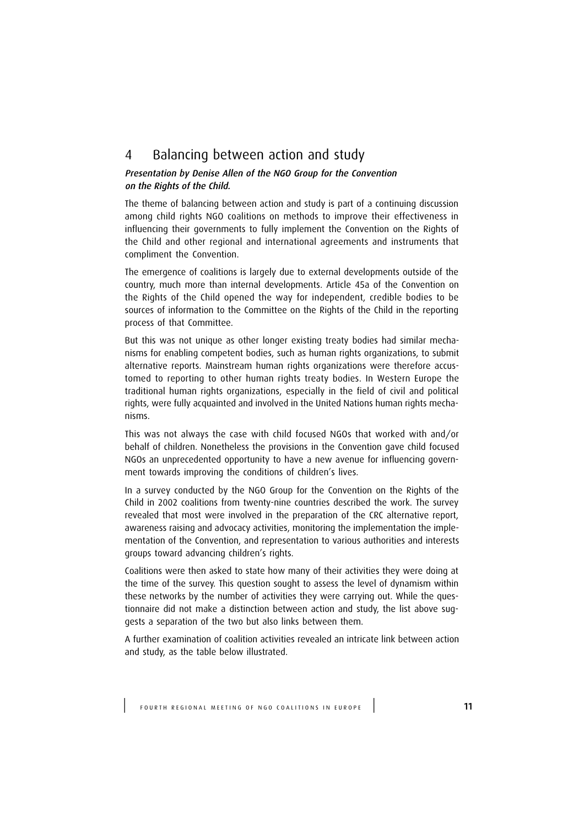## 4 Balancing between action and study

#### Presentation by Denise Allen of the NGO Group for the Convention on the Rights of the Child.

The theme of balancing between action and study is part of a continuing discussion among child rights NGO coalitions on methods to improve their effectiveness in influencing their governments to fully implement the Convention on the Rights of the Child and other regional and international agreements and instruments that compliment the Convention.

The emergence of coalitions is largely due to external developments outside of the country, much more than internal developments. Article 45a of the Convention on the Rights of the Child opened the way for independent, credible bodies to be sources of information to the Committee on the Rights of the Child in the reporting process of that Committee.

But this was not unique as other longer existing treaty bodies had similar mechanisms for enabling competent bodies, such as human rights organizations, to submit alternative reports. Mainstream human rights organizations were therefore accustomed to reporting to other human rights treaty bodies. In Western Europe the traditional human rights organizations, especially in the field of civil and political rights, were fully acquainted and involved in the United Nations human rights mechanisms.

This was not always the case with child focused NGOs that worked with and/or behalf of children. Nonetheless the provisions in the Convention gave child focused NGOs an unprecedented opportunity to have a new avenue for influencing government towards improving the conditions of children's lives.

In a survey conducted by the NGO Group for the Convention on the Rights of the Child in 2002 coalitions from twenty-nine countries described the work. The survey revealed that most were involved in the preparation of the CRC alternative report, awareness raising and advocacy activities, monitoring the implementation the implementation of the Convention, and representation to various authorities and interests groups toward advancing children's rights.

Coalitions were then asked to state how many of their activities they were doing at the time of the survey. This question sought to assess the level of dynamism within these networks by the number of activities they were carrying out. While the questionnaire did not make a distinction between action and study, the list above suggests a separation of the two but also links between them.

A further examination of coalition activities revealed an intricate link between action and study, as the table below illustrated.

FOURTH REGIONAL MEETING OF NGO COALITIONS IN EUROPE | 11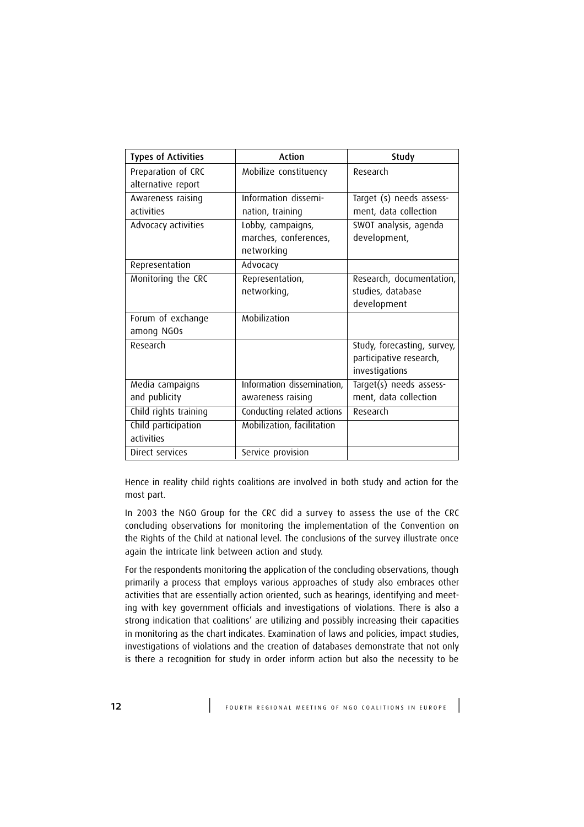| <b>Types of Activities</b> | Action                     | Study                       |
|----------------------------|----------------------------|-----------------------------|
| Preparation of CRC         | Mobilize constituency      | Research                    |
| alternative report         |                            |                             |
| Awareness raising          | Information dissemi-       | Target (s) needs assess-    |
| activities                 | nation, training           | ment, data collection       |
| Advocacy activities        | Lobby, campaigns,          | SWOT analysis, agenda       |
|                            | marches, conferences,      | development,                |
|                            | networking                 |                             |
| Representation             | Advocacy                   |                             |
| Monitoring the CRC         | Representation,            | Research, documentation,    |
|                            | networking,                | studies, database           |
|                            |                            | development                 |
| Forum of exchange          | Mobilization               |                             |
| among NGOs                 |                            |                             |
| Research                   |                            | Study, forecasting, survey, |
|                            |                            | participative research,     |
|                            |                            | investigations              |
| Media campaigns            | Information dissemination, | Target(s) needs assess-     |
| and publicity              | awareness raising          | ment, data collection       |
| Child rights training      | Conducting related actions | Research                    |
| Child participation        | Mobilization, facilitation |                             |
| activities                 |                            |                             |
| Direct services            | Service provision          |                             |

Hence in reality child rights coalitions are involved in both study and action for the most part.

In 2003 the NGO Group for the CRC did a survey to assess the use of the CRC concluding observations for monitoring the implementation of the Convention on the Rights of the Child at national level. The conclusions of the survey illustrate once again the intricate link between action and study.

For the respondents monitoring the application of the concluding observations, though primarily a process that employs various approaches of study also embraces other activities that are essentially action oriented, such as hearings, identifying and meeting with key government officials and investigations of violations. There is also a strong indication that coalitions' are utilizing and possibly increasing their capacities in monitoring as the chart indicates. Examination of laws and policies, impact studies, investigations of violations and the creation of databases demonstrate that not only is there a recognition for study in order inform action but also the necessity to be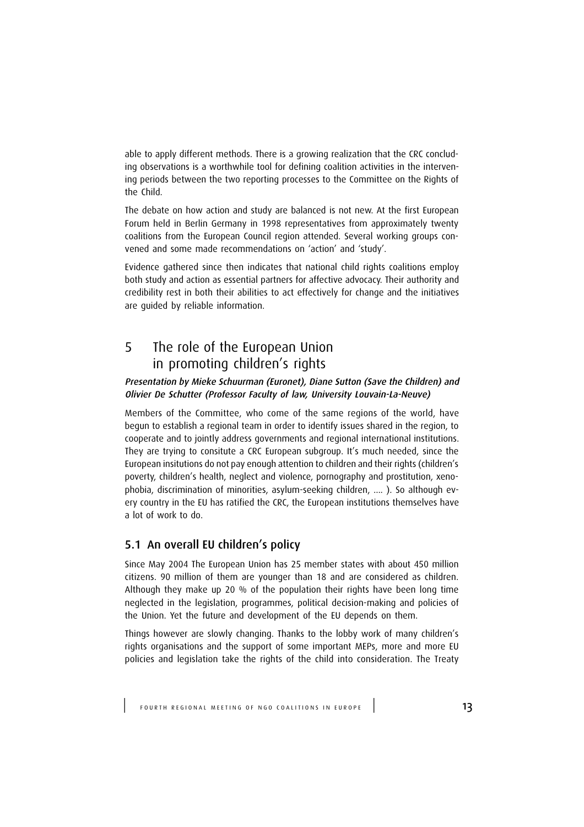able to apply different methods. There is a growing realization that the CRC concluding observations is a worthwhile tool for defining coalition activities in the intervening periods between the two reporting processes to the Committee on the Rights of the Child.

The debate on how action and study are balanced is not new. At the first European Forum held in Berlin Germany in 1998 representatives from approximately twenty coalitions from the European Council region attended. Several working groups convened and some made recommendations on 'action' and 'study'.

Evidence gathered since then indicates that national child rights coalitions employ both study and action as essential partners for affective advocacy. Their authority and credibility rest in both their abilities to act effectively for change and the initiatives are guided by reliable information.

## 5 The role of the European Union in promoting children's rights

#### Presentation by Mieke Schuurman (Euronet), Diane Sutton (Save the Children) and Olivier De Schutter (Professor Faculty of law, University Louvain-La-Neuve)

Members of the Committee, who come of the same regions of the world, have begun to establish a regional team in order to identify issues shared in the region, to cooperate and to jointly address governments and regional international institutions. They are trying to consitute a CRC European subgroup. It's much needed, since the European insitutions do not pay enough attention to children and their rights (children's poverty, children's health, neglect and violence, pornography and prostitution, xenophobia, discrimination of minorities, asylum-seeking children, .... ). So although every country in the EU has ratified the CRC, the European institutions themselves have a lot of work to do.

#### 5.1 An overall EU children's policy

Since May 2004 The European Union has 25 member states with about 450 million citizens. 90 million of them are younger than 18 and are considered as children. Although they make up 20 % of the population their rights have been long time neglected in the legislation, programmes, political decision-making and policies of the Union. Yet the future and development of the EU depends on them.

Things however are slowly changing. Thanks to the lobby work of many children's rights organisations and the support of some important MEPs, more and more EU policies and legislation take the rights of the child into consideration. The Treaty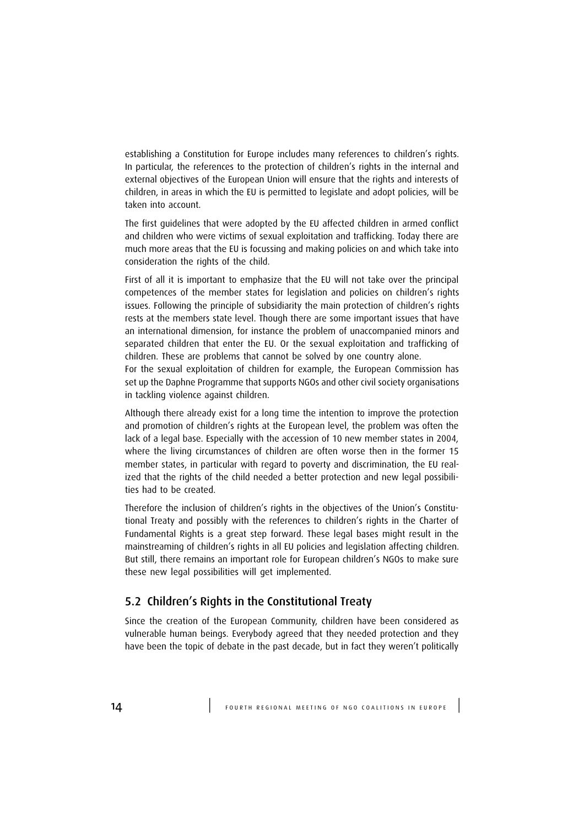establishing a Constitution for Europe includes many references to children's rights. In particular, the references to the protection of children's rights in the internal and external objectives of the European Union will ensure that the rights and interests of children, in areas in which the EU is permitted to legislate and adopt policies, will be taken into account.

The first guidelines that were adopted by the EU affected children in armed conflict and children who were victims of sexual exploitation and trafficking. Today there are much more areas that the EU is focussing and making policies on and which take into consideration the rights of the child.

First of all it is important to emphasize that the EU will not take over the principal competences of the member states for legislation and policies on children's rights issues. Following the principle of subsidiarity the main protection of children's rights rests at the members state level. Though there are some important issues that have an international dimension, for instance the problem of unaccompanied minors and separated children that enter the EU. Or the sexual exploitation and trafficking of children. These are problems that cannot be solved by one country alone.

For the sexual exploitation of children for example, the European Commission has set up the Daphne Programme that supports NGOs and other civil society organisations in tackling violence against children.

Although there already exist for a long time the intention to improve the protection and promotion of children's rights at the European level, the problem was often the lack of a legal base. Especially with the accession of 10 new member states in 2004, where the living circumstances of children are often worse then in the former 15 member states, in particular with regard to poverty and discrimination, the EU realized that the rights of the child needed a better protection and new legal possibilities had to be created.

Therefore the inclusion of children's rights in the objectives of the Union's Constitutional Treaty and possibly with the references to children's rights in the Charter of Fundamental Rights is a great step forward. These legal bases might result in the mainstreaming of children's rights in all EU policies and legislation affecting children. But still, there remains an important role for European children's NGOs to make sure these new legal possibilities will get implemented.

#### 5.2 Children's Rights in the Constitutional Treaty

Since the creation of the European Community, children have been considered as vulnerable human beings. Everybody agreed that they needed protection and they have been the topic of debate in the past decade, but in fact they weren't politically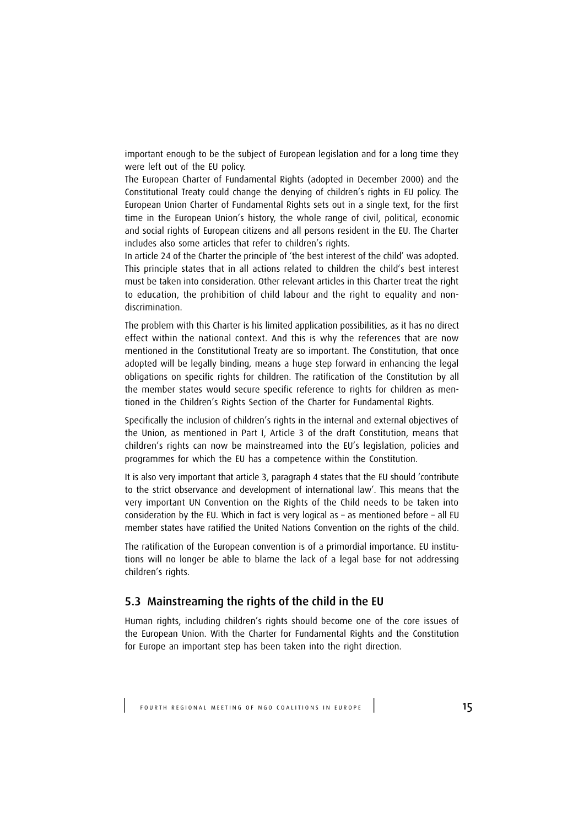important enough to be the subject of European legislation and for a long time they were left out of the EU policy.

The European Charter of Fundamental Rights (adopted in December 2000) and the Constitutional Treaty could change the denying of children's rights in EU policy. The European Union Charter of Fundamental Rights sets out in a single text, for the first time in the European Union's history, the whole range of civil, political, economic and social rights of European citizens and all persons resident in the EU. The Charter includes also some articles that refer to children's rights.

In article 24 of the Charter the principle of 'the best interest of the child' was adopted. This principle states that in all actions related to children the child's best interest must be taken into consideration. Other relevant articles in this Charter treat the right to education, the prohibition of child labour and the right to equality and nondiscrimination.

The problem with this Charter is his limited application possibilities, as it has no direct effect within the national context. And this is why the references that are now mentioned in the Constitutional Treaty are so important. The Constitution, that once adopted will be legally binding, means a huge step forward in enhancing the legal obligations on specific rights for children. The ratification of the Constitution by all the member states would secure specific reference to rights for children as mentioned in the Children's Rights Section of the Charter for Fundamental Rights.

Specifically the inclusion of children's rights in the internal and external objectives of the Union, as mentioned in Part I, Article 3 of the draft Constitution, means that children's rights can now be mainstreamed into the EU's legislation, policies and programmes for which the EU has a competence within the Constitution.

It is also very important that article 3, paragraph 4 states that the EU should 'contribute to the strict observance and development of international law'. This means that the very important UN Convention on the Rights of the Child needs to be taken into consideration by the EU. Which in fact is very logical as – as mentioned before – all EU member states have ratified the United Nations Convention on the rights of the child.

The ratification of the European convention is of a primordial importance. EU institutions will no longer be able to blame the lack of a legal base for not addressing children's rights.

#### 5.3 Mainstreaming the rights of the child in the EU

Human rights, including children's rights should become one of the core issues of the European Union. With the Charter for Fundamental Rights and the Constitution for Europe an important step has been taken into the right direction.

FOURTH REGIONAL MEETING OF NGO COALITIONS IN EUROPE | 15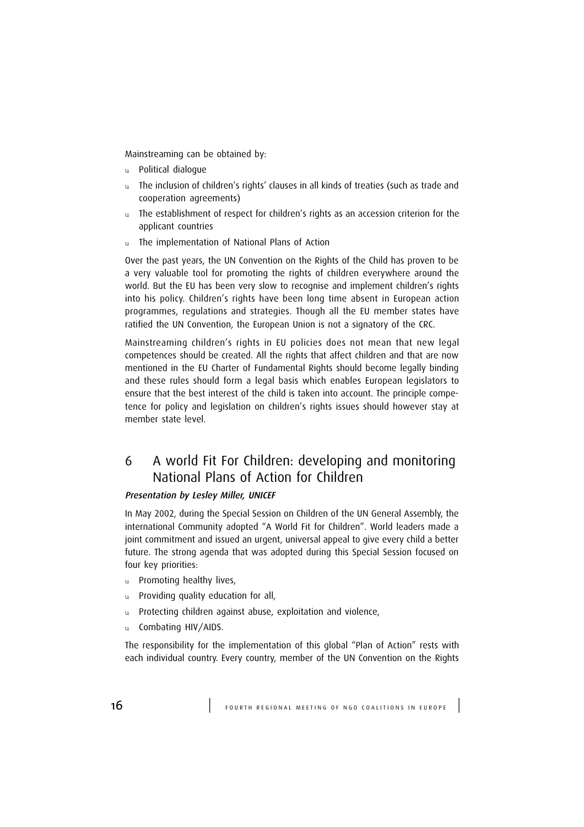Mainstreaming can be obtained by:

- u Political dialogue
- u The inclusion of children's rights' clauses in all kinds of treaties (such as trade and cooperation agreements)
- u The establishment of respect for children's rights as an accession criterion for the applicant countries
- u The implementation of National Plans of Action

Over the past years, the UN Convention on the Rights of the Child has proven to be a very valuable tool for promoting the rights of children everywhere around the world. But the EU has been very slow to recognise and implement children's rights into his policy. Children's rights have been long time absent in European action programmes, regulations and strategies. Though all the EU member states have ratified the UN Convention, the European Union is not a signatory of the CRC.

Mainstreaming children's rights in EU policies does not mean that new legal competences should be created. All the rights that affect children and that are now mentioned in the EU Charter of Fundamental Rights should become legally binding and these rules should form a legal basis which enables European legislators to ensure that the best interest of the child is taken into account. The principle competence for policy and legislation on children's rights issues should however stay at member state level.

## 6 A world Fit For Children: developing and monitoring National Plans of Action for Children

#### Presentation by Lesley Miller, UNICEF

In May 2002, during the Special Session on Children of the UN General Assembly, the international Community adopted "A World Fit for Children". World leaders made a joint commitment and issued an urgent, universal appeal to give every child a better future. The strong agenda that was adopted during this Special Session focused on four key priorities:

- u Promoting healthy lives,
- u Providing quality education for all,
- u Protecting children against abuse, exploitation and violence,
- u Combating HIV/AIDS.

The responsibility for the implementation of this global "Plan of Action" rests with each individual country. Every country, member of the UN Convention on the Rights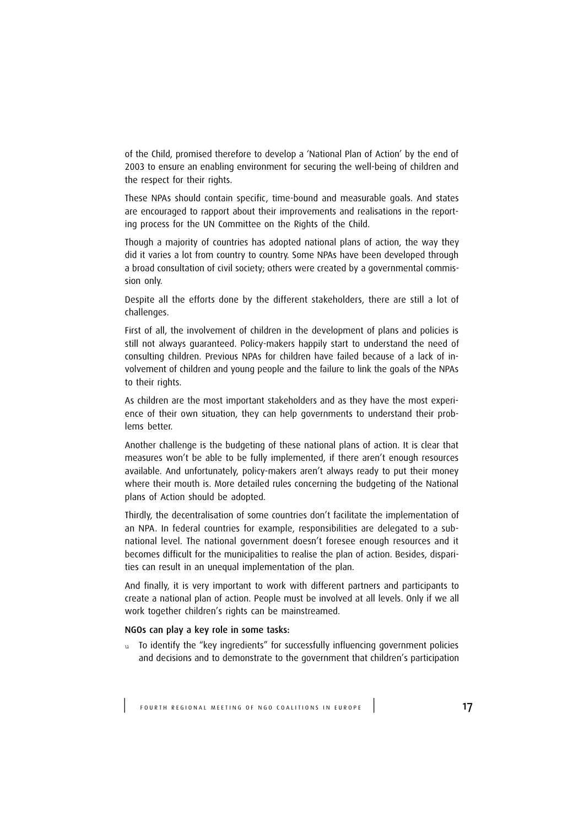of the Child, promised therefore to develop a 'National Plan of Action' by the end of 2003 to ensure an enabling environment for securing the well-being of children and the respect for their rights.

These NPAs should contain specific, time-bound and measurable goals. And states are encouraged to rapport about their improvements and realisations in the reporting process for the UN Committee on the Rights of the Child.

Though a majority of countries has adopted national plans of action, the way they did it varies a lot from country to country. Some NPAs have been developed through a broad consultation of civil society; others were created by a governmental commission only.

Despite all the efforts done by the different stakeholders, there are still a lot of challenges.

First of all, the involvement of children in the development of plans and policies is still not always guaranteed. Policy-makers happily start to understand the need of consulting children. Previous NPAs for children have failed because of a lack of involvement of children and young people and the failure to link the goals of the NPAs to their rights.

As children are the most important stakeholders and as they have the most experience of their own situation, they can help governments to understand their problems better.

Another challenge is the budgeting of these national plans of action. It is clear that measures won't be able to be fully implemented, if there aren't enough resources available. And unfortunately, policy-makers aren't always ready to put their money where their mouth is. More detailed rules concerning the budgeting of the National plans of Action should be adopted.

Thirdly, the decentralisation of some countries don't facilitate the implementation of an NPA. In federal countries for example, responsibilities are delegated to a subnational level. The national government doesn't foresee enough resources and it becomes difficult for the municipalities to realise the plan of action. Besides, disparities can result in an unequal implementation of the plan.

And finally, it is very important to work with different partners and participants to create a national plan of action. People must be involved at all levels. Only if we all work together children's rights can be mainstreamed.

#### NGOs can play a key role in some tasks:

u To identify the "key ingredients" for successfully influencing government policies and decisions and to demonstrate to the government that children's participation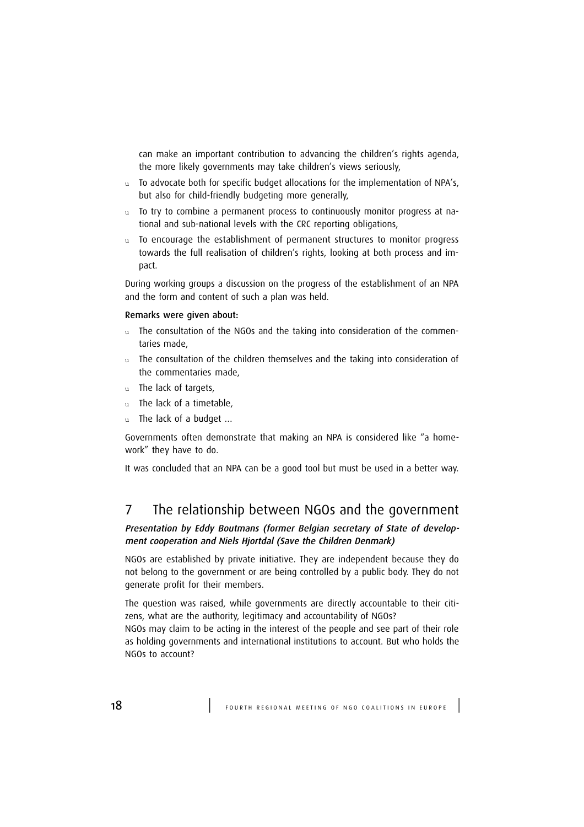can make an important contribution to advancing the children's rights agenda, the more likely governments may take children's views seriously,

- u To advocate both for specific budget allocations for the implementation of NPA's, but also for child-friendly budgeting more generally,
- u To try to combine a permanent process to continuously monitor progress at national and sub-national levels with the CRC reporting obligations,
- u To encourage the establishment of permanent structures to monitor progress towards the full realisation of children's rights, looking at both process and impact.

During working groups a discussion on the progress of the establishment of an NPA and the form and content of such a plan was held.

#### Remarks were given about:

- u The consultation of the NGOs and the taking into consideration of the commentaries made,
- u The consultation of the children themselves and the taking into consideration of the commentaries made,
- u The lack of targets,
- u The lack of a timetable,
- u The lack of a budget ...

Governments often demonstrate that making an NPA is considered like "a homework" they have to do.

It was concluded that an NPA can be a good tool but must be used in a better way.

### 7 The relationship between NGOs and the government

#### Presentation by Eddy Boutmans (former Belgian secretary of State of development cooperation and Niels Hjortdal (Save the Children Denmark)

NGOs are established by private initiative. They are independent because they do not belong to the government or are being controlled by a public body. They do not generate profit for their members.

The question was raised, while governments are directly accountable to their citizens, what are the authority, legitimacy and accountability of NGOs?

NGOs may claim to be acting in the interest of the people and see part of their role as holding governments and international institutions to account. But who holds the NGOs to account?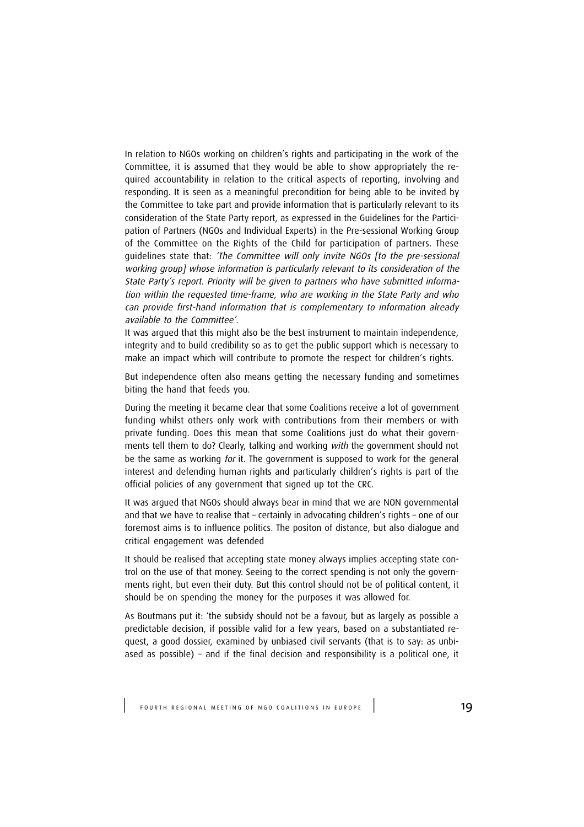In relation to NGOs working on children's rights and participating in the work of the Committee, it is assumed that they would be able to show appropriately the required accountability in relation to the critical aspects of reporting, involving and responding. It is seen as a meaningful precondition for being able to be invited by the Committee to take part and provide information that is particularly relevant to its consideration of the State Party report, as expressed in the Guidelines for the Participation of Partners (NGOs and Individual Experts) in the Pre-sessional Working Group of the Committee on the Rights of the Child for participation of partners. These guidelines state that: 'The Committee will only invite NGOs [to the pre-sessional working group] whose information is particularly relevant to its consideration of the State Party's report. Priority will be given to partners who have submitted information within the requested time-frame, who are working in the State Party and who can provide first-hand information that is complementary to information already available to the Committee'.

It was argued that this might also be the best instrument to maintain independence, integrity and to build credibility so as to get the public support which is necessary to make an impact which will contribute to promote the respect for children's rights.

But independence often also means getting the necessary funding and sometimes biting the hand that feeds you.

During the meeting it became clear that some Coalitions receive a lot of government funding whilst others only work with contributions from their members or with private funding. Does this mean that some Coalitions just do what their governments tell them to do? Clearly, talking and working with the government should not be the same as working for it. The government is supposed to work for the general interest and defending human rights and particularly children's rights is part of the official policies of any government that signed up tot the CRC.

It was argued that NGOs should always bear in mind that we are NON governmental and that we have to realise that – certainly in advocating children's rights – one of our foremost aims is to influence politics. The positon of distance, but also dialogue and critical engagement was defended

It should be realised that accepting state money always implies accepting state control on the use of that money. Seeing to the correct spending is not only the governments right, but even their duty. But this control should not be of political content, it should be on spending the money for the purposes it was allowed for.

As Boutmans put it: 'the subsidy should not be a favour, but as largely as possible a predictable decision, if possible valid for a few years, based on a substantiated request, a good dossier, examined by unbiased civil servants (that is to say: as unbiased as possible) – and if the final decision and responsibility is a political one, it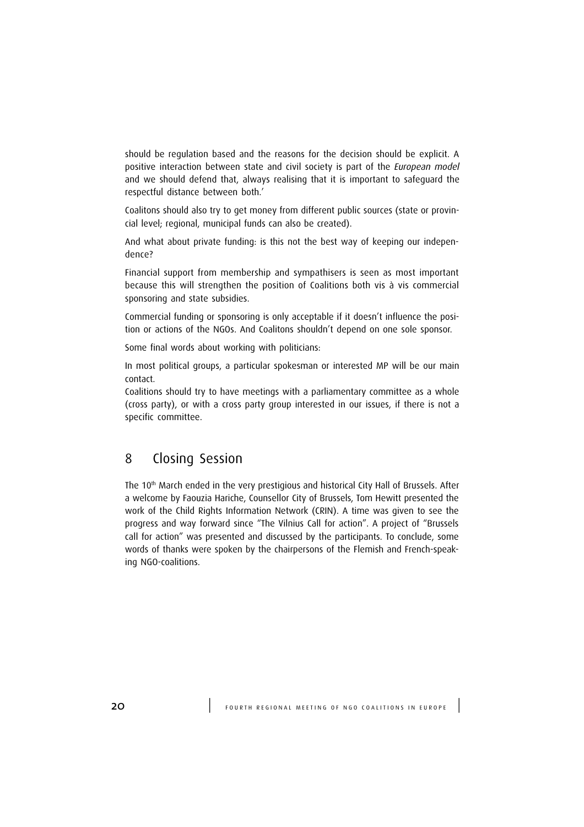should be regulation based and the reasons for the decision should be explicit. A positive interaction between state and civil society is part of the European model and we should defend that, always realising that it is important to safeguard the respectful distance between both.'

Coalitons should also try to get money from different public sources (state or provincial level; regional, municipal funds can also be created).

And what about private funding: is this not the best way of keeping our independence?

Financial support from membership and sympathisers is seen as most important because this will strengthen the position of Coalitions both vis à vis commercial sponsoring and state subsidies.

Commercial funding or sponsoring is only acceptable if it doesn't influence the position or actions of the NGOs. And Coalitons shouldn't depend on one sole sponsor.

Some final words about working with politicians:

In most political groups, a particular spokesman or interested MP will be our main contact.

Coalitions should try to have meetings with a parliamentary committee as a whole (cross party), or with a cross party group interested in our issues, if there is not a specific committee.

### 8 Closing Session

The 10<sup>th</sup> March ended in the very prestigious and historical City Hall of Brussels. After a welcome by Faouzia Hariche, Counsellor City of Brussels, Tom Hewitt presented the work of the Child Rights Information Network (CRIN). A time was given to see the progress and way forward since "The Vilnius Call for action". A project of "Brussels call for action" was presented and discussed by the participants. To conclude, some words of thanks were spoken by the chairpersons of the Flemish and French-speaking NGO-coalitions.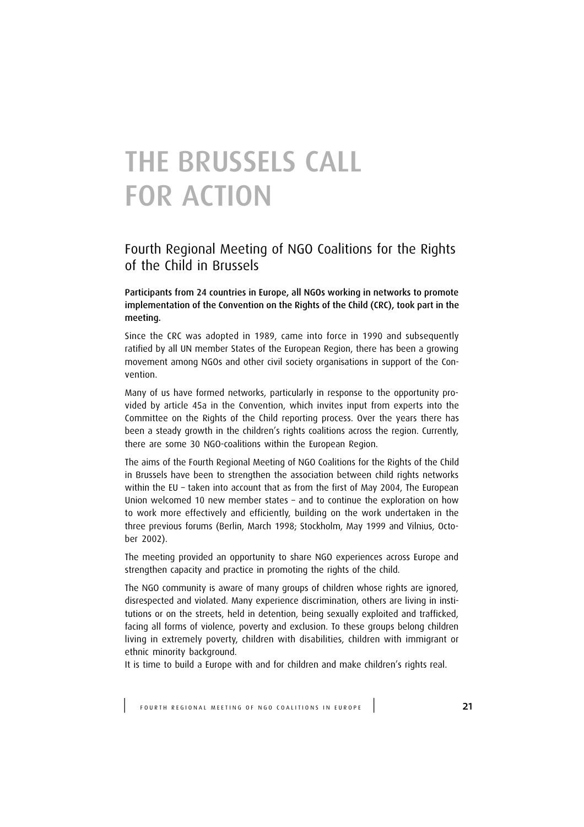# THE BRUSSELS CALL FOR ACTION

## Fourth Regional Meeting of NGO Coalitions for the Rights of the Child in Brussels

Participants from 24 countries in Europe, all NGOs working in networks to promote implementation of the Convention on the Rights of the Child (CRC), took part in the meeting.

Since the CRC was adopted in 1989, came into force in 1990 and subsequently ratified by all UN member States of the European Region, there has been a growing movement among NGOs and other civil society organisations in support of the Convention.

Many of us have formed networks, particularly in response to the opportunity provided by article 45a in the Convention, which invites input from experts into the Committee on the Rights of the Child reporting process. Over the years there has been a steady growth in the children's rights coalitions across the region. Currently, there are some 30 NGO-coalitions within the European Region.

The aims of the Fourth Regional Meeting of NGO Coalitions for the Rights of the Child in Brussels have been to strengthen the association between child rights networks within the EU – taken into account that as from the first of May 2004, The European Union welcomed 10 new member states – and to continue the exploration on how to work more effectively and efficiently, building on the work undertaken in the three previous forums (Berlin, March 1998; Stockholm, May 1999 and Vilnius, October 2002).

The meeting provided an opportunity to share NGO experiences across Europe and strengthen capacity and practice in promoting the rights of the child.

The NGO community is aware of many groups of children whose rights are ignored, disrespected and violated. Many experience discrimination, others are living in institutions or on the streets, held in detention, being sexually exploited and trafficked, facing all forms of violence, poverty and exclusion. To these groups belong children living in extremely poverty, children with disabilities, children with immigrant or ethnic minority background.

It is time to build a Europe with and for children and make children's rights real.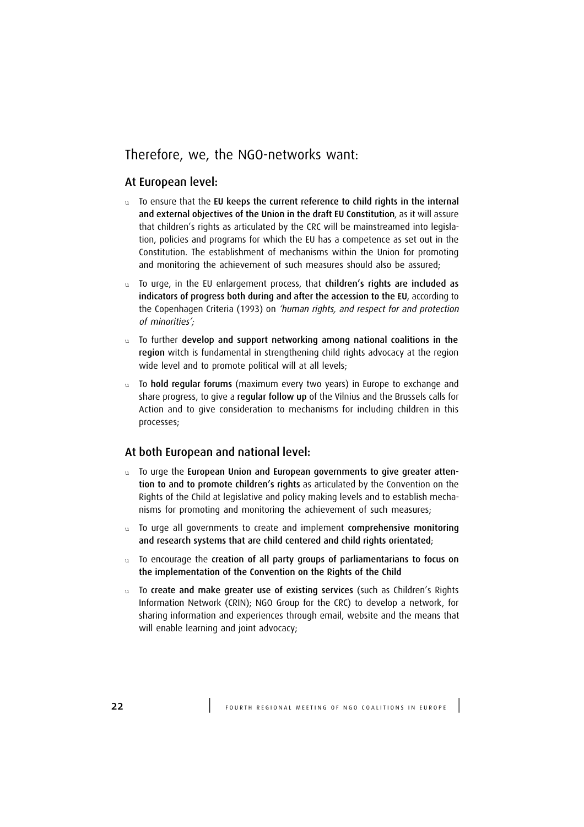## Therefore, we, the NGO-networks want:

#### At European level:

- $u$  To ensure that the EU keeps the current reference to child rights in the internal and external objectives of the Union in the draft EU Constitution, as it will assure that children's rights as articulated by the CRC will be mainstreamed into legislation, policies and programs for which the EU has a competence as set out in the Constitution. The establishment of mechanisms within the Union for promoting and monitoring the achievement of such measures should also be assured;
- u To urge, in the EU enlargement process, that children's rights are included as indicators of progress both during and after the accession to the EU, according to the Copenhagen Criteria (1993) on 'human rights, and respect for and protection of minorities';
- u To further develop and support networking among national coalitions in the region witch is fundamental in strengthening child rights advocacy at the region wide level and to promote political will at all levels;
- u To hold regular forums (maximum every two years) in Europe to exchange and share progress, to give a regular follow up of the Vilnius and the Brussels calls for Action and to give consideration to mechanisms for including children in this processes;

#### At both European and national level:

- u To urge the European Union and European governments to give greater attention to and to promote children's rights as articulated by the Convention on the Rights of the Child at legislative and policy making levels and to establish mechanisms for promoting and monitoring the achievement of such measures;
- u To urge all governments to create and implement comprehensive monitoring and research systems that are child centered and child rights orientated;
- $u$  To encourage the creation of all party groups of parliamentarians to focus on the implementation of the Convention on the Rights of the Child
- u To create and make greater use of existing services (such as Children's Rights Information Network (CRIN); NGO Group for the CRC) to develop a network, for sharing information and experiences through email, website and the means that will enable learning and joint advocacy;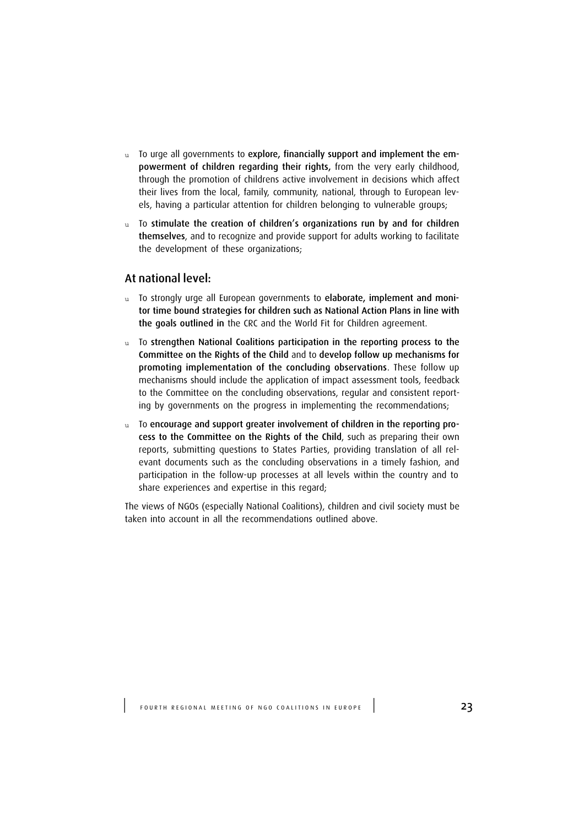- u To urge all governments to explore, financially support and implement the empowerment of children regarding their rights, from the very early childhood, through the promotion of childrens active involvement in decisions which affect their lives from the local, family, community, national, through to European levels, having a particular attention for children belonging to vulnerable groups;
- u To stimulate the creation of children's organizations run by and for children themselves, and to recognize and provide support for adults working to facilitate the development of these organizations;

#### At national level:

- u To strongly urge all European governments to elaborate, implement and monitor time bound strategies for children such as National Action Plans in line with the goals outlined in the CRC and the World Fit for Children agreement.
- u To strengthen National Coalitions participation in the reporting process to the Committee on the Rights of the Child and to develop follow up mechanisms for promoting implementation of the concluding observations. These follow up mechanisms should include the application of impact assessment tools, feedback to the Committee on the concluding observations, regular and consistent reporting by governments on the progress in implementing the recommendations;
- u To encourage and support greater involvement of children in the reporting process to the Committee on the Rights of the Child, such as preparing their own reports, submitting questions to States Parties, providing translation of all relevant documents such as the concluding observations in a timely fashion, and participation in the follow-up processes at all levels within the country and to share experiences and expertise in this regard;

The views of NGOs (especially National Coalitions), children and civil society must be taken into account in all the recommendations outlined above.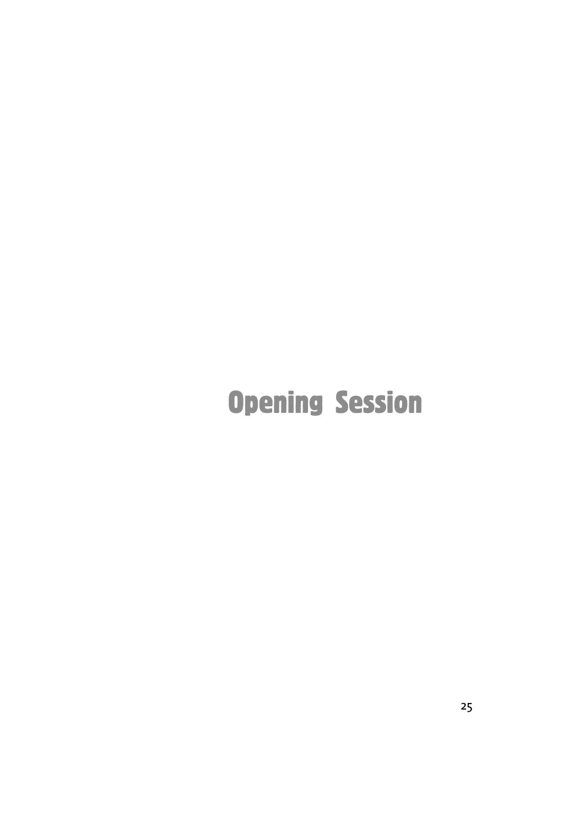# Opening Session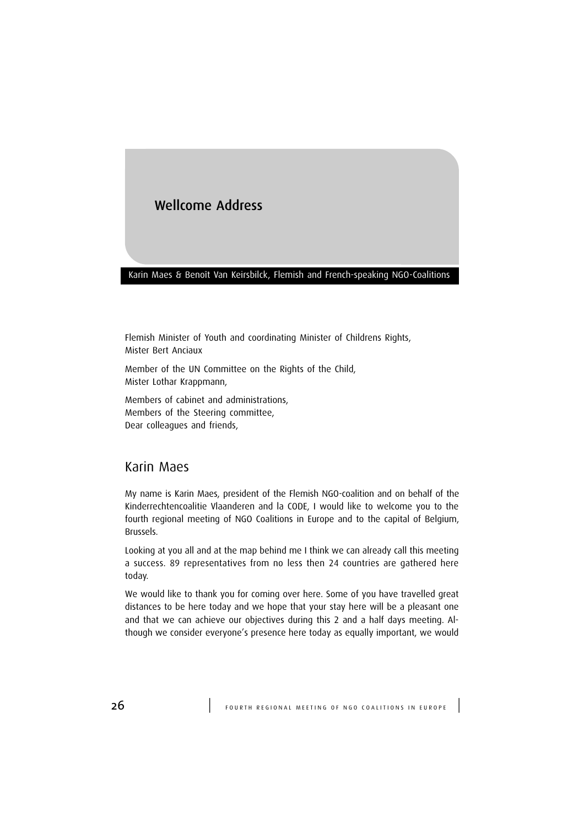## Wellcome Address

#### Karin Maes & Benoît Van Keirsbilck, Flemish and French-speaking NGO-Coalitions

Flemish Minister of Youth and coordinating Minister of Childrens Rights, Mister Bert Anciaux

Member of the UN Committee on the Rights of the Child, Mister Lothar Krappmann,

Members of cabinet and administrations, Members of the Steering committee, Dear colleagues and friends,

#### Karin Maes

My name is Karin Maes, president of the Flemish NGO-coalition and on behalf of the Kinderrechtencoalitie Vlaanderen and la CODE, I would like to welcome you to the fourth regional meeting of NGO Coalitions in Europe and to the capital of Belgium, Brussels.

Looking at you all and at the map behind me I think we can already call this meeting a success. 89 representatives from no less then 24 countries are gathered here today.

We would like to thank you for coming over here. Some of you have travelled great distances to be here today and we hope that your stay here will be a pleasant one and that we can achieve our objectives during this 2 and a half days meeting. Although we consider everyone's presence here today as equally important, we would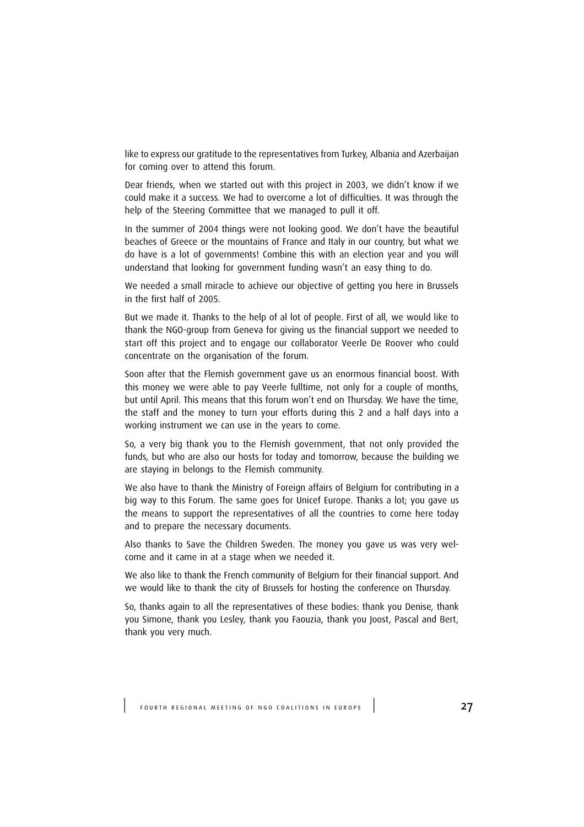like to express our gratitude to the representatives from Turkey, Albania and Azerbaijan for coming over to attend this forum.

Dear friends, when we started out with this project in 2003, we didn't know if we could make it a success. We had to overcome a lot of difficulties. It was through the help of the Steering Committee that we managed to pull it off.

In the summer of 2004 things were not looking good. We don't have the beautiful beaches of Greece or the mountains of France and Italy in our country, but what we do have is a lot of governments! Combine this with an election year and you will understand that looking for government funding wasn't an easy thing to do.

We needed a small miracle to achieve our objective of getting you here in Brussels in the first half of 2005.

But we made it. Thanks to the help of al lot of people. First of all, we would like to thank the NGO-group from Geneva for giving us the financial support we needed to start off this project and to engage our collaborator Veerle De Roover who could concentrate on the organisation of the forum.

Soon after that the Flemish government gave us an enormous financial boost. With this money we were able to pay Veerle fulltime, not only for a couple of months, but until April. This means that this forum won't end on Thursday. We have the time, the staff and the money to turn your efforts during this 2 and a half days into a working instrument we can use in the years to come.

So, a very big thank you to the Flemish government, that not only provided the funds, but who are also our hosts for today and tomorrow, because the building we are staying in belongs to the Flemish community.

We also have to thank the Ministry of Foreign affairs of Belgium for contributing in a big way to this Forum. The same goes for Unicef Europe. Thanks a lot; you gave us the means to support the representatives of all the countries to come here today and to prepare the necessary documents.

Also thanks to Save the Children Sweden. The money you gave us was very welcome and it came in at a stage when we needed it.

We also like to thank the French community of Belgium for their financial support. And we would like to thank the city of Brussels for hosting the conference on Thursday.

So, thanks again to all the representatives of these bodies: thank you Denise, thank you Simone, thank you Lesley, thank you Faouzia, thank you Joost, Pascal and Bert, thank you very much.

FOURTH REGIONAL MEETING OF NGO COALITIONS IN EUROPE | 27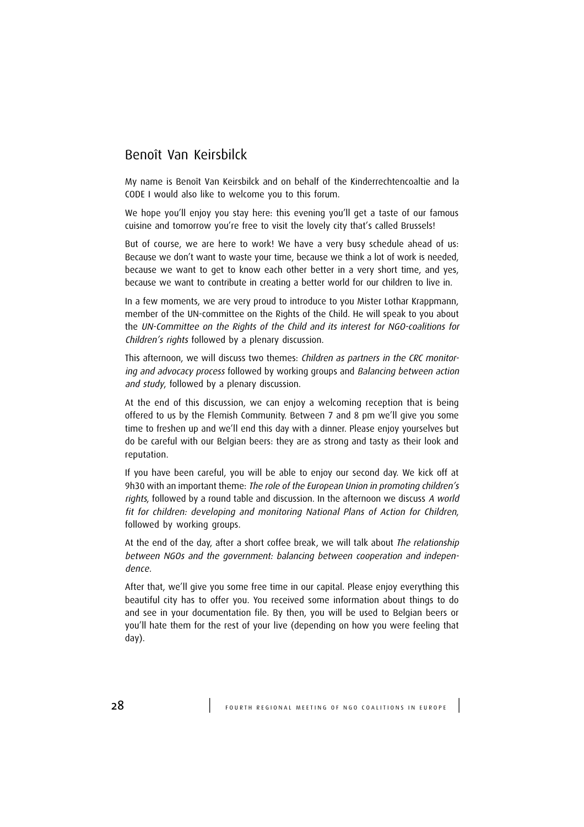### Benoît Van Keirsbilck

My name is Benoît Van Keirsbilck and on behalf of the Kinderrechtencoaltie and la CODE I would also like to welcome you to this forum.

We hope you'll enjoy you stay here: this evening you'll get a taste of our famous cuisine and tomorrow you're free to visit the lovely city that's called Brussels!

But of course, we are here to work! We have a very busy schedule ahead of us: Because we don't want to waste your time, because we think a lot of work is needed, because we want to get to know each other better in a very short time, and yes, because we want to contribute in creating a better world for our children to live in.

In a few moments, we are very proud to introduce to you Mister Lothar Krappmann, member of the UN-committee on the Rights of the Child. He will speak to you about the UN-Committee on the Rights of the Child and its interest for NGO-coalitions for Children's rights followed by a plenary discussion.

This afternoon, we will discuss two themes: Children as partners in the CRC monitoring and advocacy process followed by working groups and Balancing between action and study, followed by a plenary discussion.

At the end of this discussion, we can enjoy a welcoming reception that is being offered to us by the Flemish Community. Between 7 and 8 pm we'll give you some time to freshen up and we'll end this day with a dinner. Please enjoy yourselves but do be careful with our Belgian beers: they are as strong and tasty as their look and reputation.

If you have been careful, you will be able to enjoy our second day. We kick off at 9h30 with an important theme: The role of the European Union in promoting children's rights, followed by a round table and discussion. In the afternoon we discuss A world fit for children: developing and monitoring National Plans of Action for Children, followed by working groups.

At the end of the day, after a short coffee break, we will talk about The relationship between NGOs and the government: balancing between cooperation and independence.

After that, we'll give you some free time in our capital. Please enjoy everything this beautiful city has to offer you. You received some information about things to do and see in your documentation file. By then, you will be used to Belgian beers or you'll hate them for the rest of your live (depending on how you were feeling that day).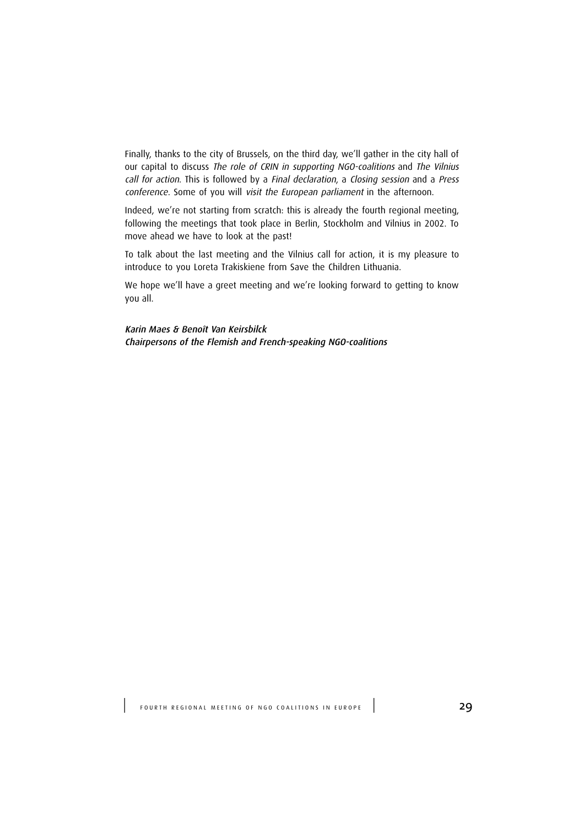Finally, thanks to the city of Brussels, on the third day, we'll gather in the city hall of our capital to discuss The role of CRIN in supporting NGO-coalitions and The Vilnius call for action. This is followed by a Final declaration, a Closing session and a Press conference. Some of you will visit the European parliament in the afternoon.

Indeed, we're not starting from scratch: this is already the fourth regional meeting, following the meetings that took place in Berlin, Stockholm and Vilnius in 2002. To move ahead we have to look at the past!

To talk about the last meeting and the Vilnius call for action, it is my pleasure to introduce to you Loreta Trakiskiene from Save the Children Lithuania.

We hope we'll have a greet meeting and we're looking forward to getting to know you all.

Karin Maes & Benoît Van Keirsbilck Chairpersons of the Flemish and French-speaking NGO-coalitions

FOURTH REGIONAL MEETING OF NGO COALITIONS IN EUROPE<sup>1</sup>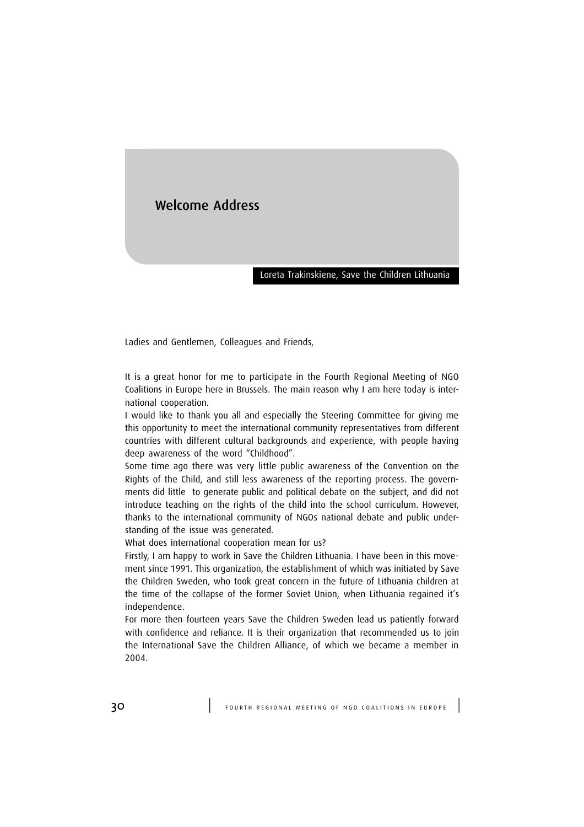## Welcome Address

#### Loreta Trakinskiene, Save the Children Lithuania

Ladies and Gentlemen, Colleagues and Friends,

It is a great honor for me to participate in the Fourth Regional Meeting of NGO Coalitions in Europe here in Brussels. The main reason why I am here today is international cooperation.

I would like to thank you all and especially the Steering Committee for giving me this opportunity to meet the international community representatives from different countries with different cultural backgrounds and experience, with people having deep awareness of the word "Childhood".

Some time ago there was very little public awareness of the Convention on the Rights of the Child, and still less awareness of the reporting process. The governments did little to generate public and political debate on the subject, and did not introduce teaching on the rights of the child into the school curriculum. However, thanks to the international community of NGOs national debate and public understanding of the issue was generated.

What does international cooperation mean for us?

Firstly, I am happy to work in Save the Children Lithuania. I have been in this movement since 1991. This organization, the establishment of which was initiated by Save the Children Sweden, who took great concern in the future of Lithuania children at the time of the collapse of the former Soviet Union, when Lithuania regained it's independence.

For more then fourteen years Save the Children Sweden lead us patiently forward with confidence and reliance. It is their organization that recommended us to join the International Save the Children Alliance, of which we became a member in 2004.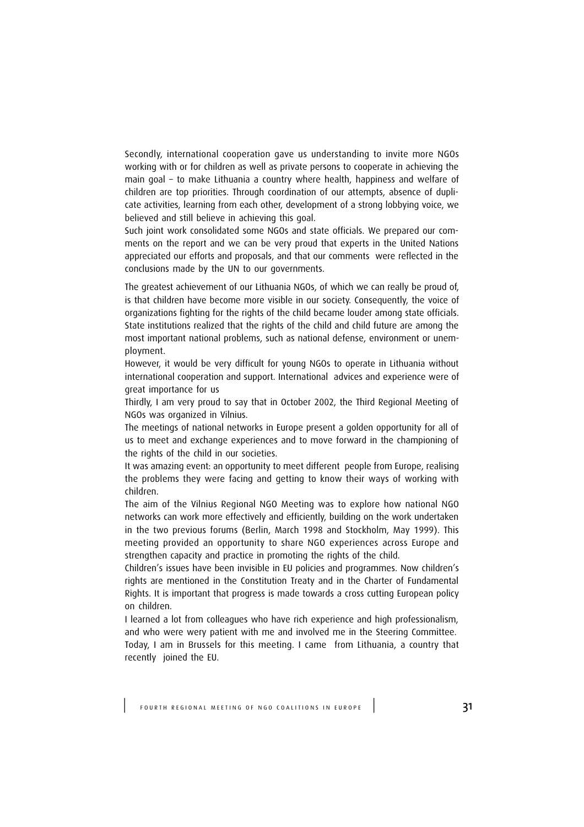Secondly, international cooperation gave us understanding to invite more NGOs working with or for children as well as private persons to cooperate in achieving the main goal – to make Lithuania a country where health, happiness and welfare of children are top priorities. Through coordination of our attempts, absence of duplicate activities, learning from each other, development of a strong lobbying voice, we believed and still believe in achieving this goal.

Such joint work consolidated some NGOs and state officials. We prepared our comments on the report and we can be very proud that experts in the United Nations appreciated our efforts and proposals, and that our comments were reflected in the conclusions made by the UN to our governments.

The greatest achievement of our Lithuania NGOs, of which we can really be proud of, is that children have become more visible in our society. Consequently, the voice of organizations fighting for the rights of the child became louder among state officials. State institutions realized that the rights of the child and child future are among the most important national problems, such as national defense, environment or unemployment.

However, it would be very difficult for young NGOs to operate in Lithuania without international cooperation and support. International advices and experience were of great importance for us

Thirdly, I am very proud to say that in October 2002, the Third Regional Meeting of NGOs was organized in Vilnius.

The meetings of national networks in Europe present a golden opportunity for all of us to meet and exchange experiences and to move forward in the championing of the rights of the child in our societies.

It was amazing event: an opportunity to meet different people from Europe, realising the problems they were facing and getting to know their ways of working with children.

The aim of the Vilnius Regional NGO Meeting was to explore how national NGO networks can work more effectively and efficiently, building on the work undertaken in the two previous forums (Berlin, March 1998 and Stockholm, May 1999). This meeting provided an opportunity to share NGO experiences across Europe and strengthen capacity and practice in promoting the rights of the child.

Children's issues have been invisible in EU policies and programmes. Now children's rights are mentioned in the Constitution Treaty and in the Charter of Fundamental Rights. It is important that progress is made towards a cross cutting European policy on children.

I learned a lot from colleagues who have rich experience and high professionalism, and who were wery patient with me and involved me in the Steering Committee. Today, I am in Brussels for this meeting. I came from Lithuania, a country that recently joined the EU.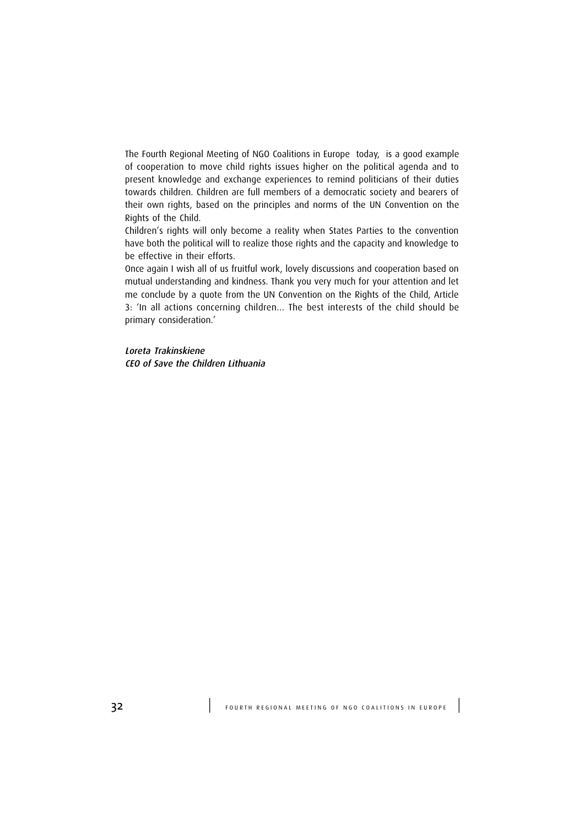The Fourth Regional Meeting of NGO Coalitions in Europe today, is a good example of cooperation to move child rights issues higher on the political agenda and to present knowledge and exchange experiences to remind politicians of their duties towards children. Children are full members of a democratic society and bearers of their own rights, based on the principles and norms of the UN Convention on the Rights of the Child.

Children's rights will only become a reality when States Parties to the convention have both the political will to realize those rights and the capacity and knowledge to be effective in their efforts.

Once again I wish all of us fruitful work, lovely discussions and cooperation based on mutual understanding and kindness. Thank you very much for your attention and let me conclude by a quote from the UN Convention on the Rights of the Child, Article 3: 'In all actions concerning children… The best interests of the child should be primary consideration.'

Loreta Trakinskiene CEO of Save the Children Lithuania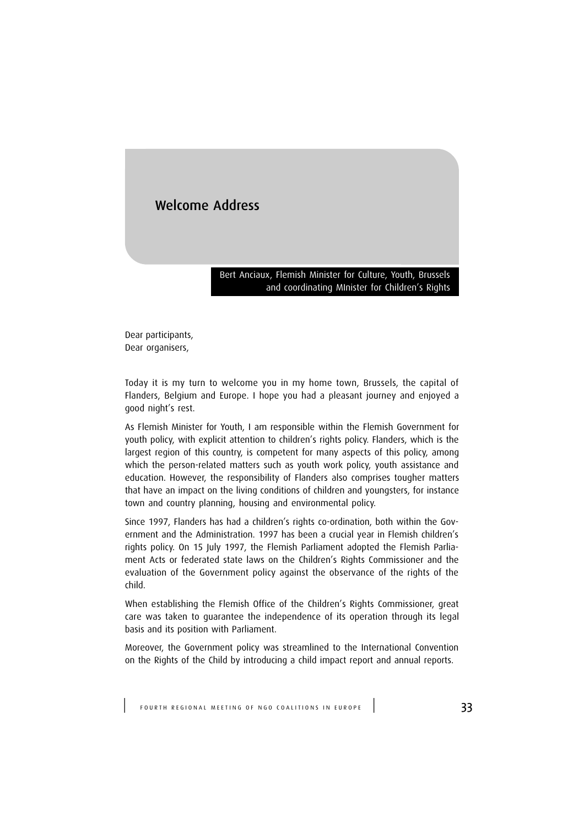## Welcome Address

Bert Anciaux, Flemish Minister for Culture, Youth, Brussels and coordinating MInister for Children's Rights

Dear participants, Dear organisers,

Today it is my turn to welcome you in my home town, Brussels, the capital of Flanders, Belgium and Europe. I hope you had a pleasant journey and enjoyed a good night's rest.

As Flemish Minister for Youth, I am responsible within the Flemish Government for youth policy, with explicit attention to children's rights policy. Flanders, which is the largest region of this country, is competent for many aspects of this policy, among which the person-related matters such as youth work policy, youth assistance and education. However, the responsibility of Flanders also comprises tougher matters that have an impact on the living conditions of children and youngsters, for instance town and country planning, housing and environmental policy.

Since 1997, Flanders has had a children's rights co-ordination, both within the Government and the Administration. 1997 has been a crucial year in Flemish children's rights policy. On 15 July 1997, the Flemish Parliament adopted the Flemish Parliament Acts or federated state laws on the Children's Rights Commissioner and the evaluation of the Government policy against the observance of the rights of the child.

When establishing the Flemish Office of the Children's Rights Commissioner, great care was taken to guarantee the independence of its operation through its legal basis and its position with Parliament.

Moreover, the Government policy was streamlined to the International Convention on the Rights of the Child by introducing a child impact report and annual reports.

FOURTH REGIONAL MEETING OF NGO COALITIONS IN EUROPE  $\vert$  33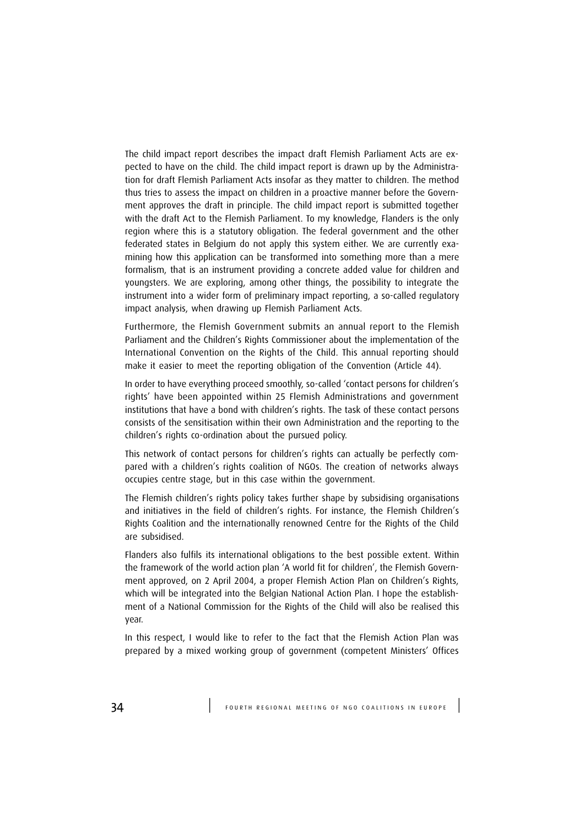The child impact report describes the impact draft Flemish Parliament Acts are expected to have on the child. The child impact report is drawn up by the Administration for draft Flemish Parliament Acts insofar as they matter to children. The method thus tries to assess the impact on children in a proactive manner before the Government approves the draft in principle. The child impact report is submitted together with the draft Act to the Flemish Parliament. To my knowledge, Flanders is the only region where this is a statutory obligation. The federal government and the other federated states in Belgium do not apply this system either. We are currently examining how this application can be transformed into something more than a mere formalism, that is an instrument providing a concrete added value for children and youngsters. We are exploring, among other things, the possibility to integrate the instrument into a wider form of preliminary impact reporting, a so-called regulatory impact analysis, when drawing up Flemish Parliament Acts.

Furthermore, the Flemish Government submits an annual report to the Flemish Parliament and the Children's Rights Commissioner about the implementation of the International Convention on the Rights of the Child. This annual reporting should make it easier to meet the reporting obligation of the Convention (Article 44).

In order to have everything proceed smoothly, so-called 'contact persons for children's rights' have been appointed within 25 Flemish Administrations and government institutions that have a bond with children's rights. The task of these contact persons consists of the sensitisation within their own Administration and the reporting to the children's rights co-ordination about the pursued policy.

This network of contact persons for children's rights can actually be perfectly compared with a children's rights coalition of NGOs. The creation of networks always occupies centre stage, but in this case within the government.

The Flemish children's rights policy takes further shape by subsidising organisations and initiatives in the field of children's rights. For instance, the Flemish Children's Rights Coalition and the internationally renowned Centre for the Rights of the Child are subsidised.

Flanders also fulfils its international obligations to the best possible extent. Within the framework of the world action plan 'A world fit for children', the Flemish Government approved, on 2 April 2004, a proper Flemish Action Plan on Children's Rights, which will be integrated into the Belgian National Action Plan. I hope the establishment of a National Commission for the Rights of the Child will also be realised this year.

In this respect, I would like to refer to the fact that the Flemish Action Plan was prepared by a mixed working group of government (competent Ministers' Offices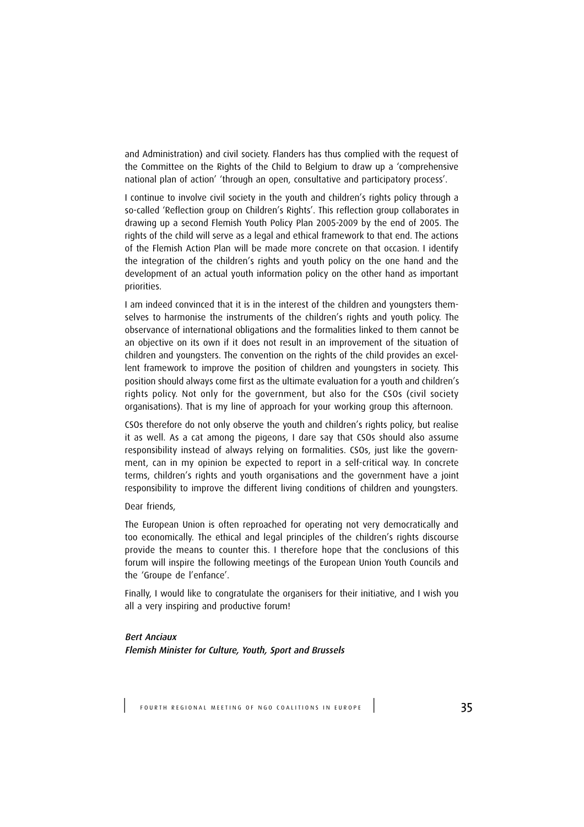and Administration) and civil society. Flanders has thus complied with the request of the Committee on the Rights of the Child to Belgium to draw up a 'comprehensive national plan of action' 'through an open, consultative and participatory process'.

I continue to involve civil society in the youth and children's rights policy through a so-called 'Reflection group on Children's Rights'. This reflection group collaborates in drawing up a second Flemish Youth Policy Plan 2005-2009 by the end of 2005. The rights of the child will serve as a legal and ethical framework to that end. The actions of the Flemish Action Plan will be made more concrete on that occasion. I identify the integration of the children's rights and youth policy on the one hand and the development of an actual youth information policy on the other hand as important priorities.

I am indeed convinced that it is in the interest of the children and youngsters themselves to harmonise the instruments of the children's rights and youth policy. The observance of international obligations and the formalities linked to them cannot be an objective on its own if it does not result in an improvement of the situation of children and youngsters. The convention on the rights of the child provides an excellent framework to improve the position of children and youngsters in society. This position should always come first as the ultimate evaluation for a youth and children's rights policy. Not only for the government, but also for the CSOs (civil society organisations). That is my line of approach for your working group this afternoon.

CSOs therefore do not only observe the youth and children's rights policy, but realise it as well. As a cat among the pigeons, I dare say that CSOs should also assume responsibility instead of always relying on formalities. CSOs, just like the government, can in my opinion be expected to report in a self-critical way. In concrete terms, children's rights and youth organisations and the government have a joint responsibility to improve the different living conditions of children and youngsters.

#### Dear friends,

The European Union is often reproached for operating not very democratically and too economically. The ethical and legal principles of the children's rights discourse provide the means to counter this. I therefore hope that the conclusions of this forum will inspire the following meetings of the European Union Youth Councils and the 'Groupe de l'enfance'.

Finally, I would like to congratulate the organisers for their initiative, and I wish you all a very inspiring and productive forum!

#### Bert Anciaux

Flemish Minister for Culture, Youth, Sport and Brussels

FOURTH REGIONAL MEETING OF NGO COALITIONS IN EUROPE | 35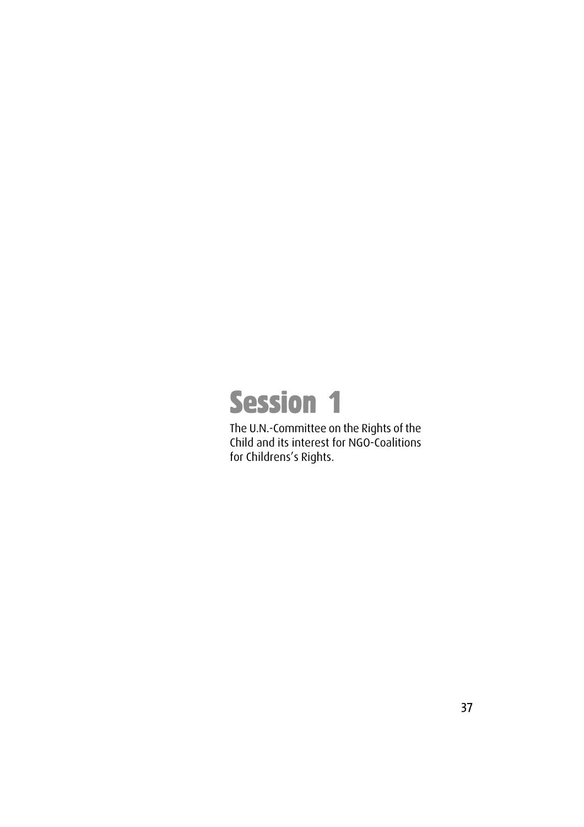# Session 1

The U.N.-Committee on the Rights of the Child and its interest for NGO-Coalitions for Childrens's Rights.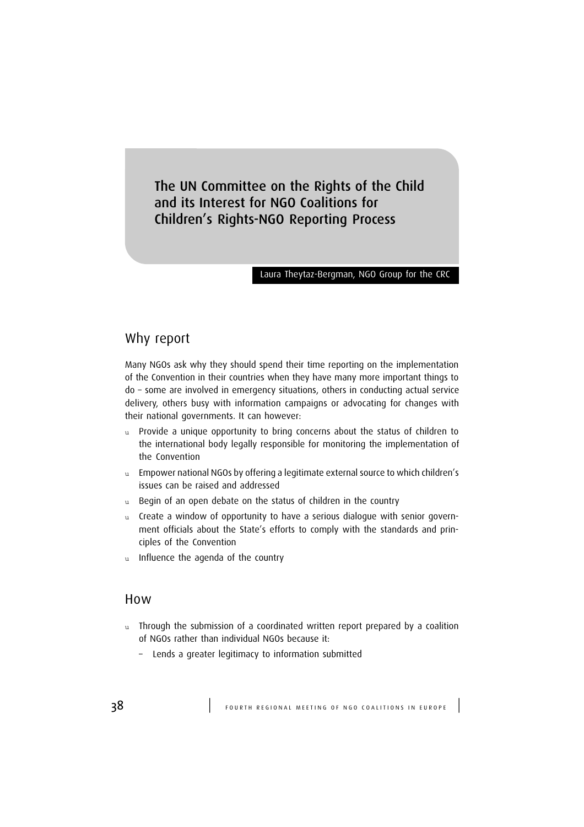The UN Committee on the Rights of the Child and its Interest for NGO Coalitions for Children's Rights-NGO Reporting Process

#### Laura Theytaz-Bergman, NGO Group for the CRC

## Why report

Many NGOs ask why they should spend their time reporting on the implementation of the Convention in their countries when they have many more important things to do – some are involved in emergency situations, others in conducting actual service delivery, others busy with information campaigns or advocating for changes with their national governments. It can however:

- u Provide a unique opportunity to bring concerns about the status of children to the international body legally responsible for monitoring the implementation of the Convention
- u Empower national NGOs by offering a legitimate external source to which children's issues can be raised and addressed
- u Begin of an open debate on the status of children in the country
- u Create a window of opportunity to have a serious dialogue with senior government officials about the State's efforts to comply with the standards and principles of the Convention
- u Influence the agenda of the country

### How

- u Through the submission of a coordinated written report prepared by a coalition of NGOs rather than individual NGOs because it:
	- Lends a greater legitimacy to information submitted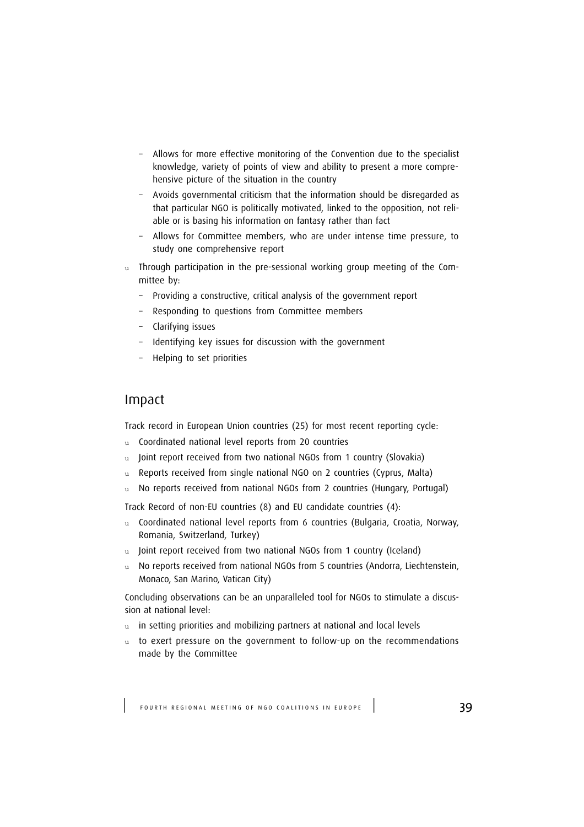- Allows for more effective monitoring of the Convention due to the specialist knowledge, variety of points of view and ability to present a more comprehensive picture of the situation in the country
- Avoids governmental criticism that the information should be disregarded as that particular NGO is politically motivated, linked to the opposition, not reliable or is basing his information on fantasy rather than fact
- Allows for Committee members, who are under intense time pressure, to study one comprehensive report
- u Through participation in the pre-sessional working group meeting of the Committee by:
	- Providing a constructive, critical analysis of the government report
	- Responding to questions from Committee members
	- Clarifying issues
	- Identifying key issues for discussion with the government
	- Helping to set priorities

## Impact

Track record in European Union countries (25) for most recent reporting cycle:

- u Coordinated national level reports from 20 countries
- u Joint report received from two national NGOs from 1 country (Slovakia)
- u Reports received from single national NGO on 2 countries (Cyprus, Malta)
- u No reports received from national NGOs from 2 countries (Hungary, Portugal)

Track Record of non-EU countries (8) and EU candidate countries (4):

- u Coordinated national level reports from 6 countries (Bulgaria, Croatia, Norway, Romania, Switzerland, Turkey)
- Joint report received from two national NGOs from 1 country (Iceland)
- u No reports received from national NGOs from 5 countries (Andorra, Liechtenstein, Monaco, San Marino, Vatican City)

Concluding observations can be an unparalleled tool for NGOs to stimulate a discussion at national level:

- u in setting priorities and mobilizing partners at national and local levels
- u to exert pressure on the government to follow-up on the recommendations made by the Committee

FOURTH REGIONAL MEETING OF NGO COALITIONS IN EUROPE | 39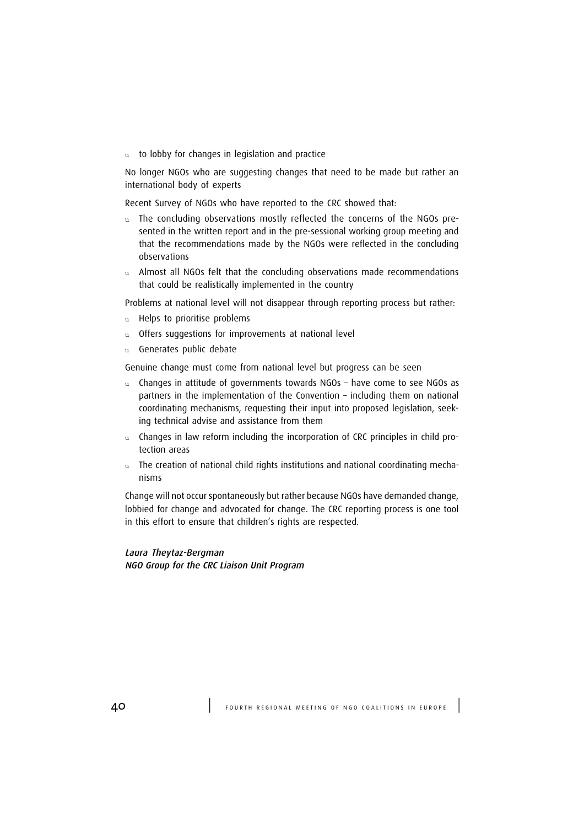u to lobby for changes in legislation and practice

No longer NGOs who are suggesting changes that need to be made but rather an international body of experts

Recent Survey of NGOs who have reported to the CRC showed that:

- u The concluding observations mostly reflected the concerns of the NGOs presented in the written report and in the pre-sessional working group meeting and that the recommendations made by the NGOs were reflected in the concluding observations
- u Almost all NGOs felt that the concluding observations made recommendations that could be realistically implemented in the country

Problems at national level will not disappear through reporting process but rather:

- u Helps to prioritise problems
- u Offers suggestions for improvements at national level
- u Generates public debate

Genuine change must come from national level but progress can be seen

- u Changes in attitude of governments towards NGOs have come to see NGOs as partners in the implementation of the Convention – including them on national coordinating mechanisms, requesting their input into proposed legislation, seeking technical advise and assistance from them
- u Changes in law reform including the incorporation of CRC principles in child protection areas
- u The creation of national child rights institutions and national coordinating mechanisms

Change will not occur spontaneously but rather because NGOs have demanded change, lobbied for change and advocated for change. The CRC reporting process is one tool in this effort to ensure that children's rights are respected.

Laura Theytaz-Bergman NGO Group for the CRC Liaison Unit Program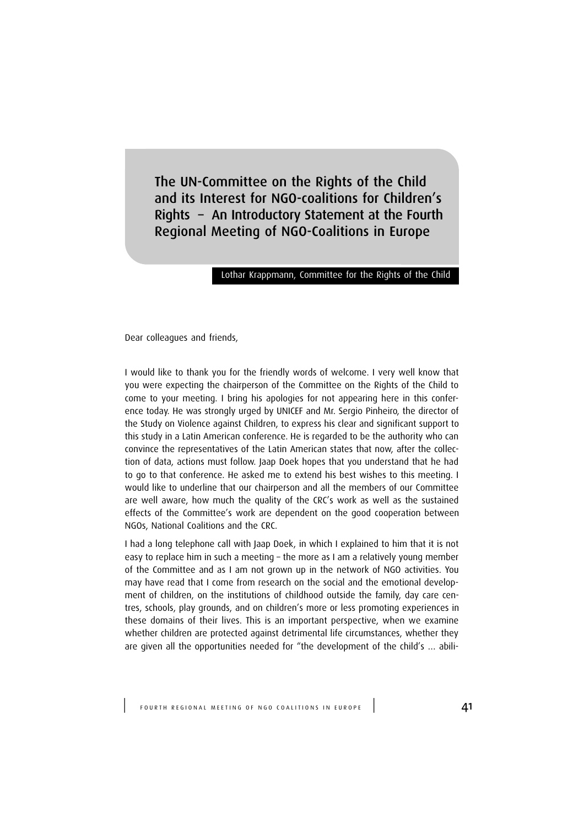The UN-Committee on the Rights of the Child and its Interest for NGO-coalitions for Children's Rights – An Introductory Statement at the Fourth Regional Meeting of NGO-Coalitions in Europe

#### Lothar Krappmann, Committee for the Rights of the Child

Dear colleagues and friends,

I would like to thank you for the friendly words of welcome. I very well know that you were expecting the chairperson of the Committee on the Rights of the Child to come to your meeting. I bring his apologies for not appearing here in this conference today. He was strongly urged by UNICEF and Mr. Sergio Pinheiro, the director of the Study on Violence against Children, to express his clear and significant support to this study in a Latin American conference. He is regarded to be the authority who can convince the representatives of the Latin American states that now, after the collection of data, actions must follow. Jaap Doek hopes that you understand that he had to go to that conference. He asked me to extend his best wishes to this meeting. I would like to underline that our chairperson and all the members of our Committee are well aware, how much the quality of the CRC's work as well as the sustained effects of the Committee's work are dependent on the good cooperation between NGOs, National Coalitions and the CRC.

I had a long telephone call with Jaap Doek, in which I explained to him that it is not easy to replace him in such a meeting – the more as I am a relatively young member of the Committee and as I am not grown up in the network of NGO activities. You may have read that I come from research on the social and the emotional development of children, on the institutions of childhood outside the family, day care centres, schools, play grounds, and on children's more or less promoting experiences in these domains of their lives. This is an important perspective, when we examine whether children are protected against detrimental life circumstances, whether they are given all the opportunities needed for "the development of the child's … abili-

FOURTH REGIONAL MEETING OF NGO COALITIONS IN EUROPE | 41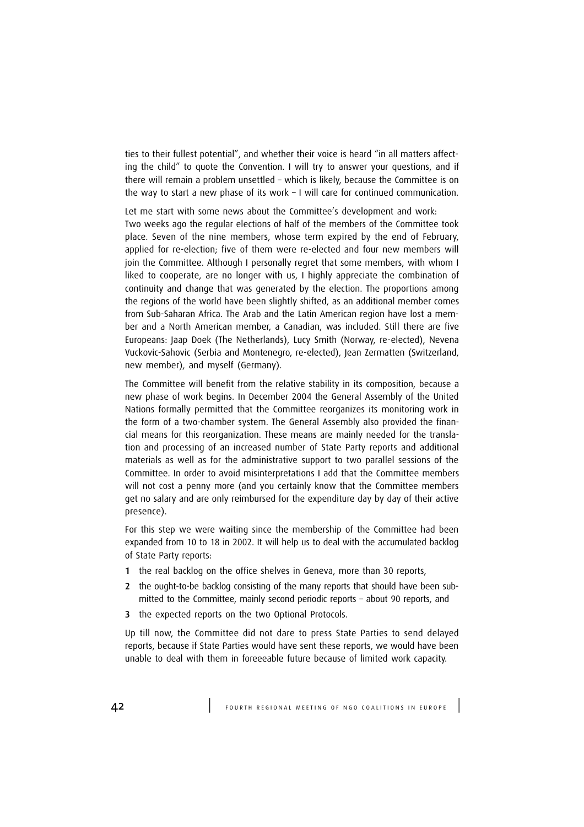ties to their fullest potential", and whether their voice is heard "in all matters affecting the child" to quote the Convention. I will try to answer your questions, and if there will remain a problem unsettled – which is likely, because the Committee is on the way to start a new phase of its work – I will care for continued communication.

Let me start with some news about the Committee's development and work: Two weeks ago the regular elections of half of the members of the Committee took place. Seven of the nine members, whose term expired by the end of February, applied for re-election; five of them were re-elected and four new members will join the Committee. Although I personally regret that some members, with whom I liked to cooperate, are no longer with us, I highly appreciate the combination of continuity and change that was generated by the election. The proportions among the regions of the world have been slightly shifted, as an additional member comes from Sub-Saharan Africa. The Arab and the Latin American region have lost a member and a North American member, a Canadian, was included. Still there are five Europeans: Jaap Doek (The Netherlands), Lucy Smith (Norway, re-elected), Nevena Vuckovic-Sahovic (Serbia and Montenegro, re-elected), Jean Zermatten (Switzerland, new member), and myself (Germany).

The Committee will benefit from the relative stability in its composition, because a new phase of work begins. In December 2004 the General Assembly of the United Nations formally permitted that the Committee reorganizes its monitoring work in the form of a two-chamber system. The General Assembly also provided the financial means for this reorganization. These means are mainly needed for the translation and processing of an increased number of State Party reports and additional materials as well as for the administrative support to two parallel sessions of the Committee. In order to avoid misinterpretations I add that the Committee members will not cost a penny more (and you certainly know that the Committee members get no salary and are only reimbursed for the expenditure day by day of their active presence).

For this step we were waiting since the membership of the Committee had been expanded from 10 to 18 in 2002. It will help us to deal with the accumulated backlog of State Party reports:

- 1 the real backlog on the office shelves in Geneva, more than 30 reports,
- 2 the ought-to-be backlog consisting of the many reports that should have been submitted to the Committee, mainly second periodic reports – about 90 reports, and
- 3 the expected reports on the two Optional Protocols.

Up till now, the Committee did not dare to press State Parties to send delayed reports, because if State Parties would have sent these reports, we would have been unable to deal with them in foreeeable future because of limited work capacity.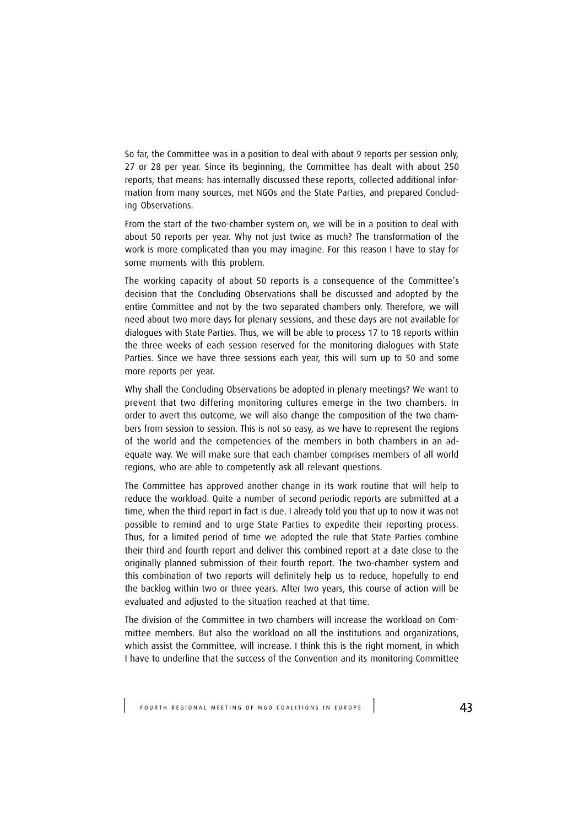So far, the Committee was in a position to deal with about 9 reports per session only, 27 or 28 per year. Since its beginning, the Committee has dealt with about 250 reports, that means: has internally discussed these reports, collected additional information from many sources, met NGOs and the State Parties, and prepared Concluding Observations.

From the start of the two-chamber system on, we will be in a position to deal with about 50 reports per year. Why not just twice as much? The transformation of the work is more complicated than you may imagine. For this reason I have to stay for some moments with this problem.

The working capacity of about 50 reports is a consequence of the Committee's decision that the Concluding Observations shall be discussed and adopted by the entire Committee and not by the two separated chambers only. Therefore, we will need about two more days for plenary sessions, and these days are not available for dialogues with State Parties. Thus, we will be able to process 17 to 18 reports within the three weeks of each session reserved for the monitoring dialogues with State Parties. Since we have three sessions each year, this will sum up to 50 and some more reports per year.

Why shall the Concluding Observations be adopted in plenary meetings? We want to prevent that two differing monitoring cultures emerge in the two chambers. In order to avert this outcome, we will also change the composition of the two chambers from session to session. This is not so easy, as we have to represent the regions of the world and the competencies of the members in both chambers in an adequate way. We will make sure that each chamber comprises members of all world regions, who are able to competently ask all relevant questions.

The Committee has approved another change in its work routine that will help to reduce the workload. Quite a number of second periodic reports are submitted at a time, when the third report in fact is due. I already told you that up to now it was not possible to remind and to urge State Parties to expedite their reporting process. Thus, for a limited period of time we adopted the rule that State Parties combine their third and fourth report and deliver this combined report at a date close to the originally planned submission of their fourth report. The two-chamber system and this combination of two reports will definitely help us to reduce, hopefully to end the backlog within two or three years. After two years, this course of action will be evaluated and adjusted to the situation reached at that time.

The division of the Committee in two chambers will increase the workload on Committee members. But also the workload on all the institutions and organizations, which assist the Committee, will increase. I think this is the right moment, in which I have to underline that the success of the Convention and its monitoring Committee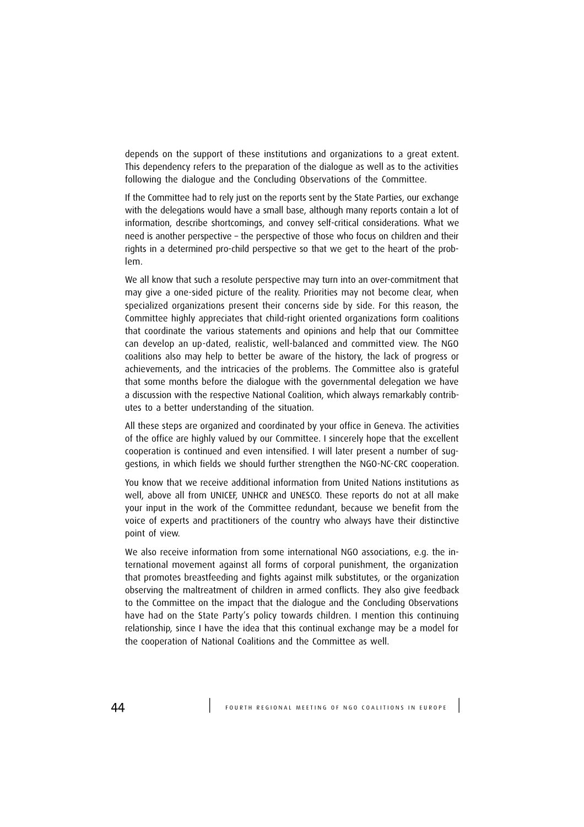depends on the support of these institutions and organizations to a great extent. This dependency refers to the preparation of the dialogue as well as to the activities following the dialogue and the Concluding Observations of the Committee.

If the Committee had to rely just on the reports sent by the State Parties, our exchange with the delegations would have a small base, although many reports contain a lot of information, describe shortcomings, and convey self-critical considerations. What we need is another perspective – the perspective of those who focus on children and their rights in a determined pro-child perspective so that we get to the heart of the problem.

We all know that such a resolute perspective may turn into an over-commitment that may give a one-sided picture of the reality. Priorities may not become clear, when specialized organizations present their concerns side by side. For this reason, the Committee highly appreciates that child-right oriented organizations form coalitions that coordinate the various statements and opinions and help that our Committee can develop an up-dated, realistic, well-balanced and committed view. The NGO coalitions also may help to better be aware of the history, the lack of progress or achievements, and the intricacies of the problems. The Committee also is grateful that some months before the dialogue with the governmental delegation we have a discussion with the respective National Coalition, which always remarkably contributes to a better understanding of the situation.

All these steps are organized and coordinated by your office in Geneva. The activities of the office are highly valued by our Committee. I sincerely hope that the excellent cooperation is continued and even intensified. I will later present a number of suggestions, in which fields we should further strengthen the NGO-NC-CRC cooperation.

You know that we receive additional information from United Nations institutions as well, above all from UNICEF, UNHCR and UNESCO. These reports do not at all make your input in the work of the Committee redundant, because we benefit from the voice of experts and practitioners of the country who always have their distinctive point of view.

We also receive information from some international NGO associations, e.g. the international movement against all forms of corporal punishment, the organization that promotes breastfeeding and fights against milk substitutes, or the organization observing the maltreatment of children in armed conflicts. They also give feedback to the Committee on the impact that the dialogue and the Concluding Observations have had on the State Party's policy towards children. I mention this continuing relationship, since I have the idea that this continual exchange may be a model for the cooperation of National Coalitions and the Committee as well.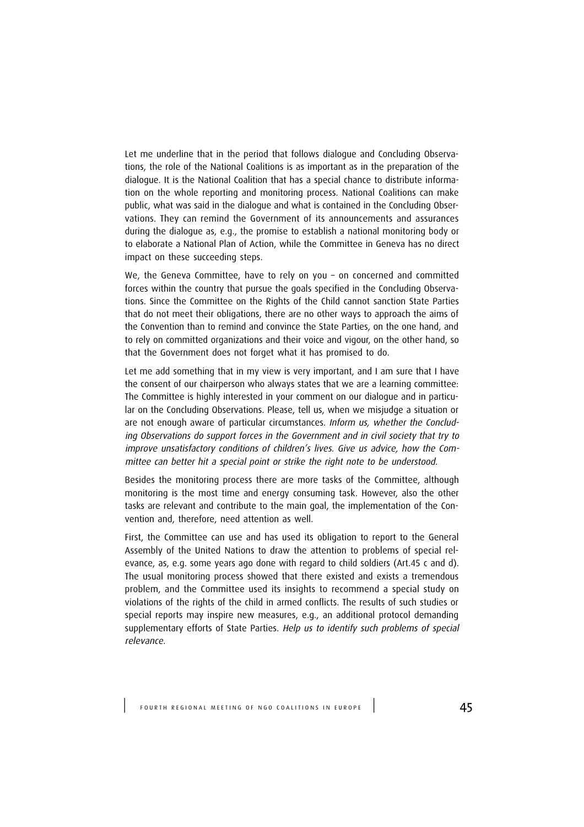Let me underline that in the period that follows dialogue and Concluding Observations, the role of the National Coalitions is as important as in the preparation of the dialogue. It is the National Coalition that has a special chance to distribute information on the whole reporting and monitoring process. National Coalitions can make public, what was said in the dialogue and what is contained in the Concluding Observations. They can remind the Government of its announcements and assurances during the dialogue as, e.g., the promise to establish a national monitoring body or to elaborate a National Plan of Action, while the Committee in Geneva has no direct impact on these succeeding steps.

We, the Geneva Committee, have to rely on you – on concerned and committed forces within the country that pursue the goals specified in the Concluding Observations. Since the Committee on the Rights of the Child cannot sanction State Parties that do not meet their obligations, there are no other ways to approach the aims of the Convention than to remind and convince the State Parties, on the one hand, and to rely on committed organizations and their voice and vigour, on the other hand, so that the Government does not forget what it has promised to do.

Let me add something that in my view is very important, and I am sure that I have the consent of our chairperson who always states that we are a learning committee: The Committee is highly interested in your comment on our dialogue and in particular on the Concluding Observations. Please, tell us, when we misjudge a situation or are not enough aware of particular circumstances. Inform us, whether the Concluding Observations do support forces in the Government and in civil society that try to improve unsatisfactory conditions of children's lives. Give us advice, how the Committee can better hit a special point or strike the right note to be understood.

Besides the monitoring process there are more tasks of the Committee, although monitoring is the most time and energy consuming task. However, also the other tasks are relevant and contribute to the main goal, the implementation of the Convention and, therefore, need attention as well.

First, the Committee can use and has used its obligation to report to the General Assembly of the United Nations to draw the attention to problems of special relevance, as, e.g. some years ago done with regard to child soldiers (Art.45 c and d). The usual monitoring process showed that there existed and exists a tremendous problem, and the Committee used its insights to recommend a special study on violations of the rights of the child in armed conflicts. The results of such studies or special reports may inspire new measures, e.g., an additional protocol demanding supplementary efforts of State Parties. Help us to identify such problems of special relevance.

FOURTH REGIONAL MEETING OF NGO COALITIONS IN EUROPE | 45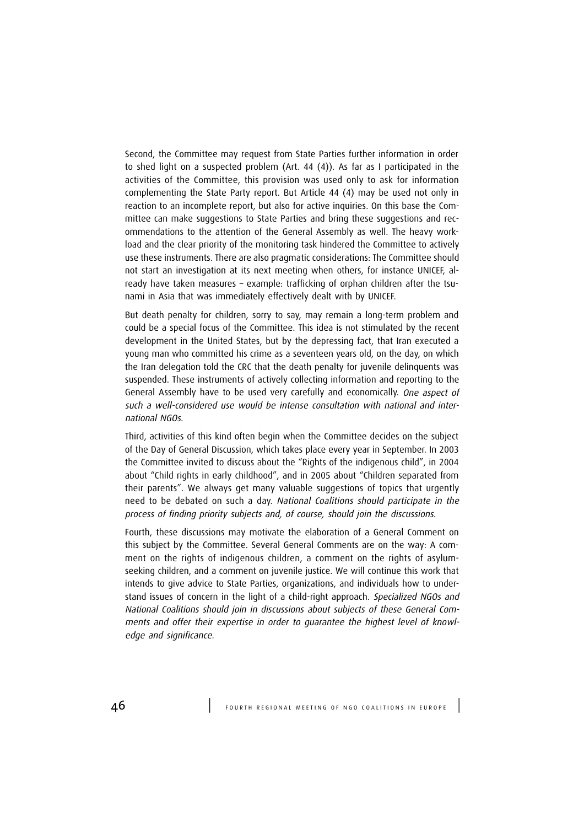Second, the Committee may request from State Parties further information in order to shed light on a suspected problem (Art. 44 (4)). As far as I participated in the activities of the Committee, this provision was used only to ask for information complementing the State Party report. But Article 44 (4) may be used not only in reaction to an incomplete report, but also for active inquiries. On this base the Committee can make suggestions to State Parties and bring these suggestions and recommendations to the attention of the General Assembly as well. The heavy workload and the clear priority of the monitoring task hindered the Committee to actively use these instruments. There are also pragmatic considerations: The Committee should not start an investigation at its next meeting when others, for instance UNICEF, already have taken measures – example: trafficking of orphan children after the tsunami in Asia that was immediately effectively dealt with by UNICEF.

But death penalty for children, sorry to say, may remain a long-term problem and could be a special focus of the Committee. This idea is not stimulated by the recent development in the United States, but by the depressing fact, that Iran executed a young man who committed his crime as a seventeen years old, on the day, on which the Iran delegation told the CRC that the death penalty for juvenile delinquents was suspended. These instruments of actively collecting information and reporting to the General Assembly have to be used very carefully and economically. One aspect of such a well-considered use would be intense consultation with national and international NGOs.

Third, activities of this kind often begin when the Committee decides on the subject of the Day of General Discussion, which takes place every year in September. In 2003 the Committee invited to discuss about the "Rights of the indigenous child", in 2004 about "Child rights in early childhood", and in 2005 about "Children separated from their parents". We always get many valuable suggestions of topics that urgently need to be debated on such a day. National Coalitions should participate in the process of finding priority subjects and, of course, should join the discussions.

Fourth, these discussions may motivate the elaboration of a General Comment on this subject by the Committee. Several General Comments are on the way: A comment on the rights of indigenous children, a comment on the rights of asylumseeking children, and a comment on juvenile justice. We will continue this work that intends to give advice to State Parties, organizations, and individuals how to understand issues of concern in the light of a child-right approach. Specialized NGOs and National Coalitions should join in discussions about subjects of these General Comments and offer their expertise in order to guarantee the highest level of knowledge and significance.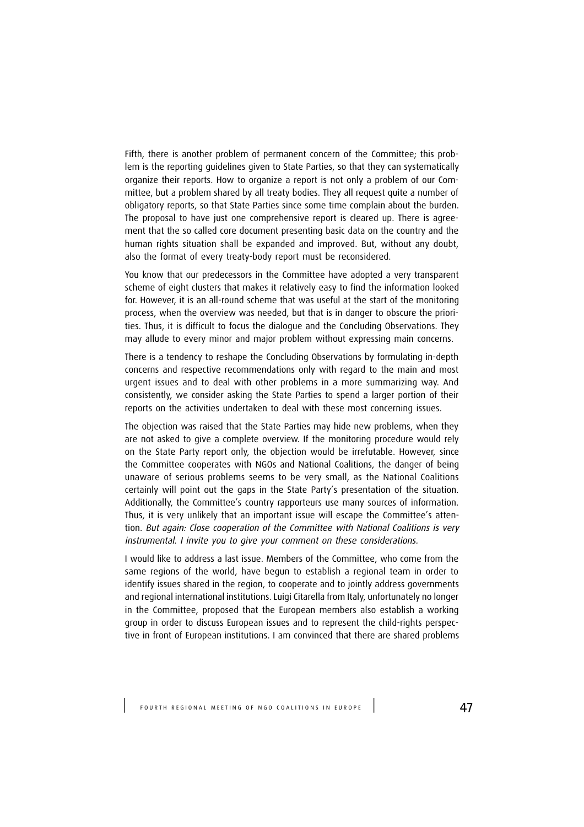Fifth, there is another problem of permanent concern of the Committee; this problem is the reporting guidelines given to State Parties, so that they can systematically organize their reports. How to organize a report is not only a problem of our Committee, but a problem shared by all treaty bodies. They all request quite a number of obligatory reports, so that State Parties since some time complain about the burden. The proposal to have just one comprehensive report is cleared up. There is agreement that the so called core document presenting basic data on the country and the human rights situation shall be expanded and improved. But, without any doubt, also the format of every treaty-body report must be reconsidered.

You know that our predecessors in the Committee have adopted a very transparent scheme of eight clusters that makes it relatively easy to find the information looked for. However, it is an all-round scheme that was useful at the start of the monitoring process, when the overview was needed, but that is in danger to obscure the priorities. Thus, it is difficult to focus the dialogue and the Concluding Observations. They may allude to every minor and major problem without expressing main concerns.

There is a tendency to reshape the Concluding Observations by formulating in-depth concerns and respective recommendations only with regard to the main and most urgent issues and to deal with other problems in a more summarizing way. And consistently, we consider asking the State Parties to spend a larger portion of their reports on the activities undertaken to deal with these most concerning issues.

The objection was raised that the State Parties may hide new problems, when they are not asked to give a complete overview. If the monitoring procedure would rely on the State Party report only, the objection would be irrefutable. However, since the Committee cooperates with NGOs and National Coalitions, the danger of being unaware of serious problems seems to be very small, as the National Coalitions certainly will point out the gaps in the State Party's presentation of the situation. Additionally, the Committee's country rapporteurs use many sources of information. Thus, it is very unlikely that an important issue will escape the Committee's attention. But again: Close cooperation of the Committee with National Coalitions is very instrumental. I invite you to give your comment on these considerations.

I would like to address a last issue. Members of the Committee, who come from the same regions of the world, have begun to establish a regional team in order to identify issues shared in the region, to cooperate and to jointly address governments and regional international institutions. Luigi Citarella from Italy, unfortunately no longer in the Committee, proposed that the European members also establish a working group in order to discuss European issues and to represent the child-rights perspective in front of European institutions. I am convinced that there are shared problems

FOURTH REGIONAL MEETING OF NGO COALITIONS IN EUROPE  $\vert$  47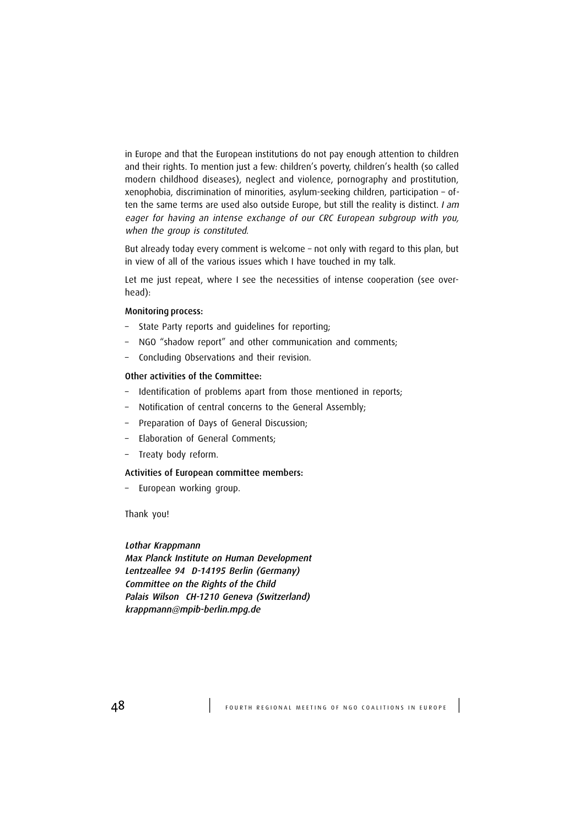in Europe and that the European institutions do not pay enough attention to children and their rights. To mention just a few: children's poverty, children's health (so called modern childhood diseases), neglect and violence, pornography and prostitution, xenophobia, discrimination of minorities, asylum-seeking children, participation – often the same terms are used also outside Europe, but still the reality is distinct. I am eager for having an intense exchange of our CRC European subgroup with you, when the group is constituted.

But already today every comment is welcome – not only with regard to this plan, but in view of all of the various issues which I have touched in my talk.

Let me just repeat, where I see the necessities of intense cooperation (see overhead):

#### Monitoring process:

- State Party reports and guidelines for reporting;
- NGO "shadow report" and other communication and comments;
- Concluding Observations and their revision.

#### Other activities of the Committee:

- Identification of problems apart from those mentioned in reports;
- Notification of central concerns to the General Assembly;
- Preparation of Days of General Discussion;
- Elaboration of General Comments;
- Treaty body reform.

#### Activities of European committee members:

– European working group.

Thank you!

#### Lothar Krappmann

Max Planck Institute on Human Development Lentzeallee 94 D-14195 Berlin (Germany) Committee on the Rights of the Child Palais Wilson CH-1210 Geneva (Switzerland) krappmann@mpib-berlin.mpg.de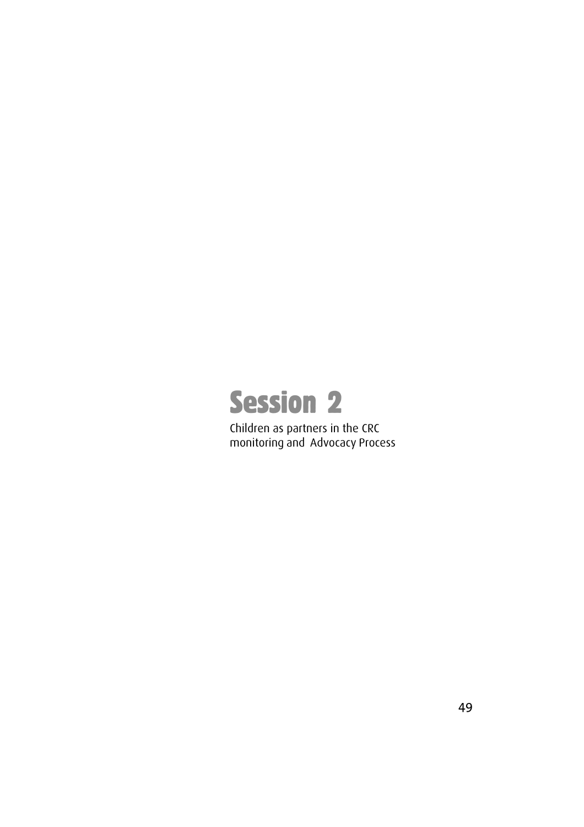

Children as partners in the CRC monitoring and Advocacy Process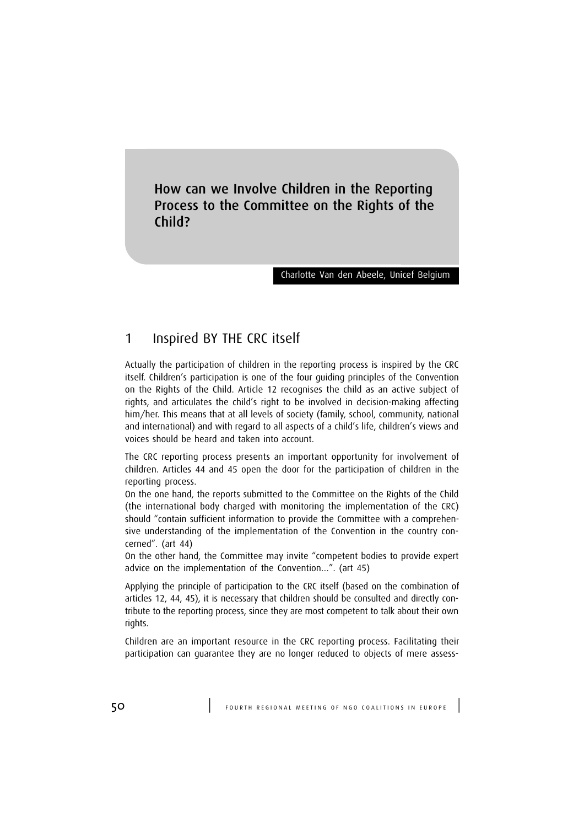How can we Involve Children in the Reporting Process to the Committee on the Rights of the Child?

#### Charlotte Van den Abeele, Unicef Belgium

## 1 Inspired BY THE CRC itself

Actually the participation of children in the reporting process is inspired by the CRC itself. Children's participation is one of the four guiding principles of the Convention on the Rights of the Child. Article 12 recognises the child as an active subject of rights, and articulates the child's right to be involved in decision-making affecting him/her. This means that at all levels of society (family, school, community, national and international) and with regard to all aspects of a child's life, children's views and voices should be heard and taken into account.

The CRC reporting process presents an important opportunity for involvement of children. Articles 44 and 45 open the door for the participation of children in the reporting process.

On the one hand, the reports submitted to the Committee on the Rights of the Child (the international body charged with monitoring the implementation of the CRC) should "contain sufficient information to provide the Committee with a comprehensive understanding of the implementation of the Convention in the country concerned". (art 44)

On the other hand, the Committee may invite "competent bodies to provide expert advice on the implementation of the Convention…". (art 45)

Applying the principle of participation to the CRC itself (based on the combination of articles 12, 44, 45), it is necessary that children should be consulted and directly contribute to the reporting process, since they are most competent to talk about their own rights.

Children are an important resource in the CRC reporting process. Facilitating their participation can guarantee they are no longer reduced to objects of mere assess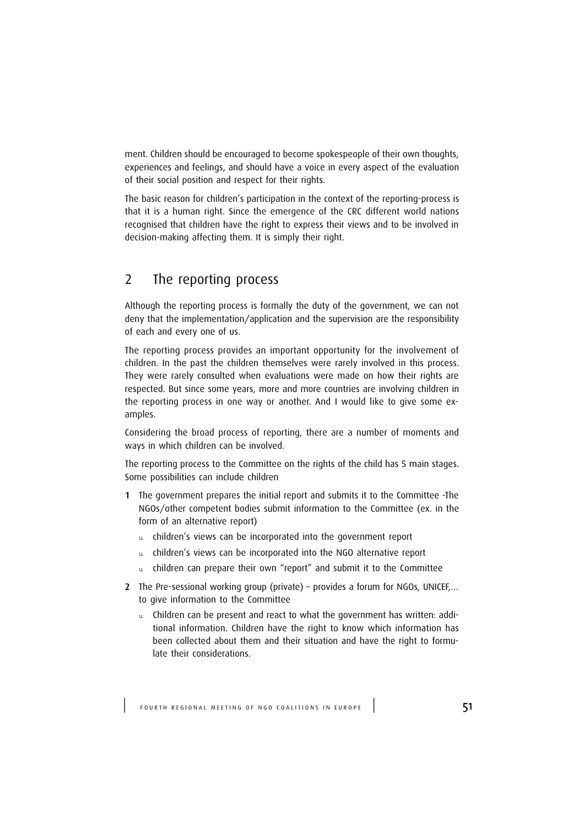ment. Children should be encouraged to become spokespeople of their own thoughts, experiences and feelings, and should have a voice in every aspect of the evaluation of their social position and respect for their rights.

The basic reason for children's participation in the context of the reporting-process is that it is a human right. Since the emergence of the CRC different world nations recognised that children have the right to express their views and to be involved in decision-making affecting them. It is simply their right.

# 2 The reporting process

Although the reporting process is formally the duty of the government, we can not deny that the implementation/application and the supervision are the responsibility of each and every one of us.

The reporting process provides an important opportunity for the involvement of children. In the past the children themselves were rarely involved in this process. They were rarely consulted when evaluations were made on how their rights are respected. But since some years, more and more countries are involving children in the reporting process in one way or another. And I would like to give some examples.

Considering the broad process of reporting, there are a number of moments and ways in which children can be involved.

The reporting process to the Committee on the rights of the child has 5 main stages. Some possibilities can include children

- 1 The government prepares the initial report and submits it to the Committee -The NGOs/other competent bodies submit information to the Committee (ex. in the form of an alternative report)
	- u children's views can be incorporated into the government report
	- u children's views can be incorporated into the NGO alternative report
	- u children can prepare their own "report" and submit it to the Committee
- 2 The Pre-sessional working group (private) provides a forum for NGOs, UNICEF.... to give information to the Committee
	- u Children can be present and react to what the government has written: additional information. Children have the right to know which information has been collected about them and their situation and have the right to formulate their considerations.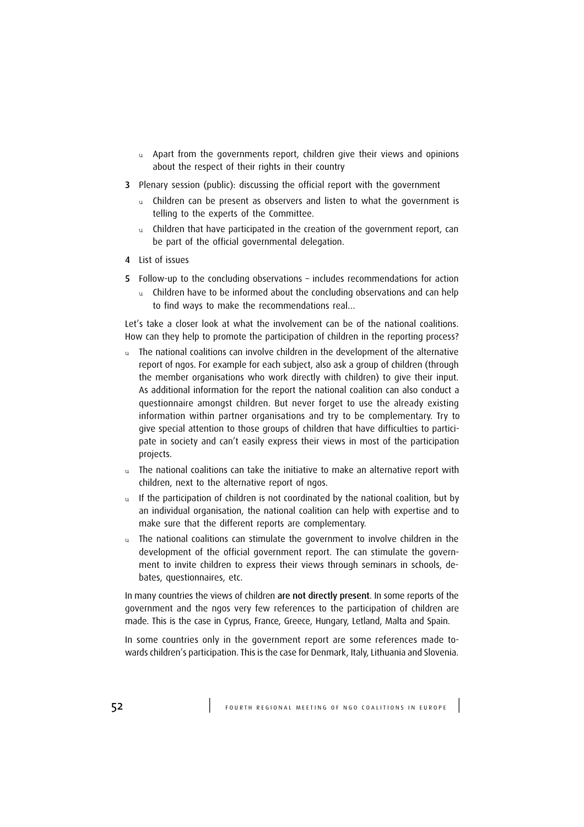- $u$  Apart from the governments report, children give their views and opinions about the respect of their rights in their country
- 3 Plenary session (public): discussing the official report with the government
	- u Children can be present as observers and listen to what the government is telling to the experts of the Committee.
	- u Children that have participated in the creation of the government report, can be part of the official governmental delegation.
- 4 List of issues
- 5 Follow-up to the concluding observations includes recommendations for action
	- u Children have to be informed about the concluding observations and can help to find ways to make the recommendations real…

Let's take a closer look at what the involvement can be of the national coalitions. How can they help to promote the participation of children in the reporting process?

- u The national coalitions can involve children in the development of the alternative report of ngos. For example for each subject, also ask a group of children (through the member organisations who work directly with children) to give their input. As additional information for the report the national coalition can also conduct a questionnaire amongst children. But never forget to use the already existing information within partner organisations and try to be complementary. Try to give special attention to those groups of children that have difficulties to participate in society and can't easily express their views in most of the participation projects.
- u The national coalitions can take the initiative to make an alternative report with children, next to the alternative report of ngos.
- u If the participation of children is not coordinated by the national coalition, but by an individual organisation, the national coalition can help with expertise and to make sure that the different reports are complementary.
- The national coalitions can stimulate the government to involve children in the development of the official government report. The can stimulate the government to invite children to express their views through seminars in schools, debates, questionnaires, etc.

In many countries the views of children are not directly present. In some reports of the government and the ngos very few references to the participation of children are made. This is the case in Cyprus, France, Greece, Hungary, Letland, Malta and Spain.

In some countries only in the government report are some references made towards children's participation. This is the case for Denmark, Italy, Lithuania and Slovenia.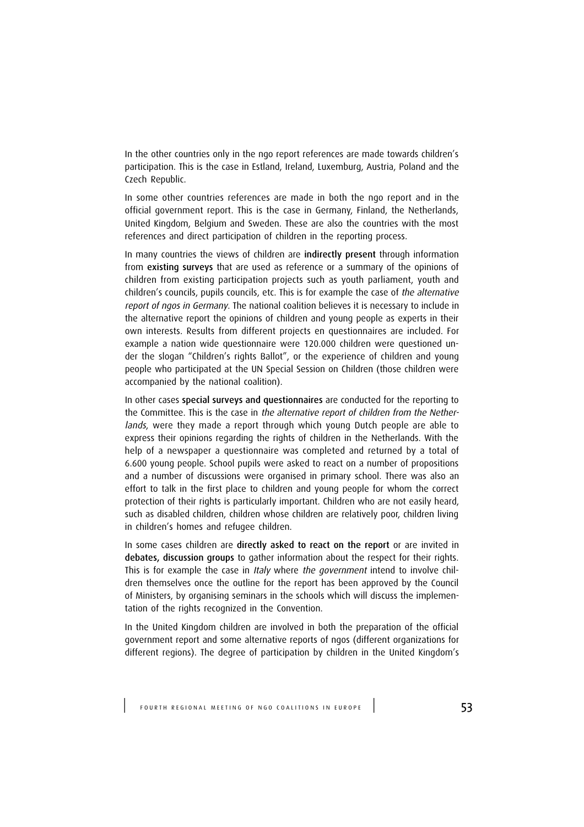In the other countries only in the ngo report references are made towards children's participation. This is the case in Estland, Ireland, Luxemburg, Austria, Poland and the Czech Republic.

In some other countries references are made in both the ngo report and in the official government report. This is the case in Germany, Finland, the Netherlands, United Kingdom, Belgium and Sweden. These are also the countries with the most references and direct participation of children in the reporting process.

In many countries the views of children are indirectly present through information from existing surveys that are used as reference or a summary of the opinions of children from existing participation projects such as youth parliament, youth and children's councils, pupils councils, etc. This is for example the case of the alternative report of ngos in Germany. The national coalition believes it is necessary to include in the alternative report the opinions of children and young people as experts in their own interests. Results from different projects en questionnaires are included. For example a nation wide questionnaire were 120.000 children were questioned under the slogan "Children's rights Ballot", or the experience of children and young people who participated at the UN Special Session on Children (those children were accompanied by the national coalition).

In other cases special surveys and questionnaires are conducted for the reporting to the Committee. This is the case in the alternative report of children from the Netherlands, were they made a report through which young Dutch people are able to express their opinions regarding the rights of children in the Netherlands. With the help of a newspaper a questionnaire was completed and returned by a total of 6.600 young people. School pupils were asked to react on a number of propositions and a number of discussions were organised in primary school. There was also an effort to talk in the first place to children and young people for whom the correct protection of their rights is particularly important. Children who are not easily heard, such as disabled children, children whose children are relatively poor, children living in children's homes and refugee children.

In some cases children are directly asked to react on the report or are invited in debates, discussion groups to gather information about the respect for their rights. This is for example the case in Italy where the government intend to involve children themselves once the outline for the report has been approved by the Council of Ministers, by organising seminars in the schools which will discuss the implementation of the rights recognized in the Convention.

In the United Kingdom children are involved in both the preparation of the official government report and some alternative reports of ngos (different organizations for different regions). The degree of participation by children in the United Kingdom's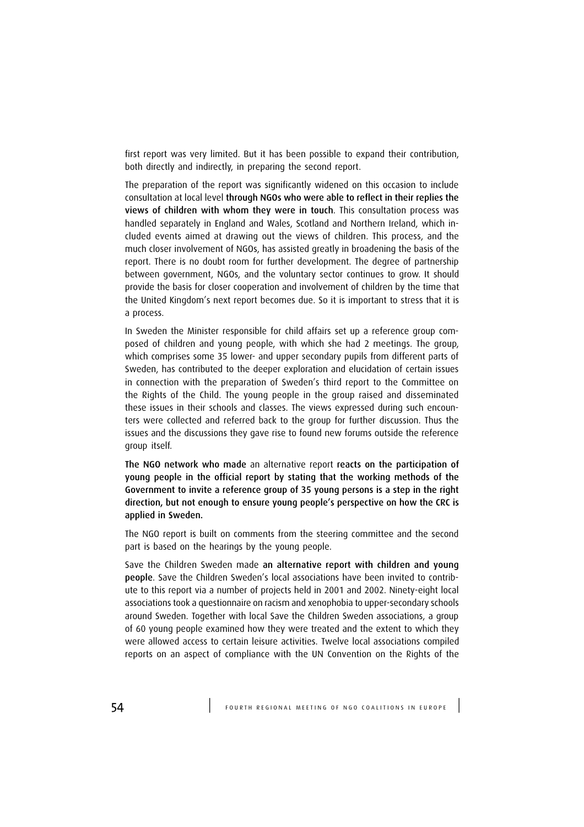first report was very limited. But it has been possible to expand their contribution, both directly and indirectly, in preparing the second report.

The preparation of the report was significantly widened on this occasion to include consultation at local level through NGOs who were able to reflect in their replies the views of children with whom they were in touch. This consultation process was handled separately in England and Wales, Scotland and Northern Ireland, which included events aimed at drawing out the views of children. This process, and the much closer involvement of NGOs, has assisted greatly in broadening the basis of the report. There is no doubt room for further development. The degree of partnership between government, NGOs, and the voluntary sector continues to grow. It should provide the basis for closer cooperation and involvement of children by the time that the United Kingdom's next report becomes due. So it is important to stress that it is a process.

In Sweden the Minister responsible for child affairs set up a reference group composed of children and young people, with which she had 2 meetings. The group, which comprises some 35 lower- and upper secondary pupils from different parts of Sweden, has contributed to the deeper exploration and elucidation of certain issues in connection with the preparation of Sweden's third report to the Committee on the Rights of the Child. The young people in the group raised and disseminated these issues in their schools and classes. The views expressed during such encounters were collected and referred back to the group for further discussion. Thus the issues and the discussions they gave rise to found new forums outside the reference group itself.

The NGO network who made an alternative report reacts on the participation of young people in the official report by stating that the working methods of the Government to invite a reference group of 35 young persons is a step in the right direction, but not enough to ensure young people's perspective on how the CRC is applied in Sweden.

The NGO report is built on comments from the steering committee and the second part is based on the hearings by the young people.

Save the Children Sweden made an alternative report with children and young people. Save the Children Sweden's local associations have been invited to contribute to this report via a number of projects held in 2001 and 2002. Ninety-eight local associations took a questionnaire on racism and xenophobia to upper-secondary schools around Sweden. Together with local Save the Children Sweden associations, a group of 60 young people examined how they were treated and the extent to which they were allowed access to certain leisure activities. Twelve local associations compiled reports on an aspect of compliance with the UN Convention on the Rights of the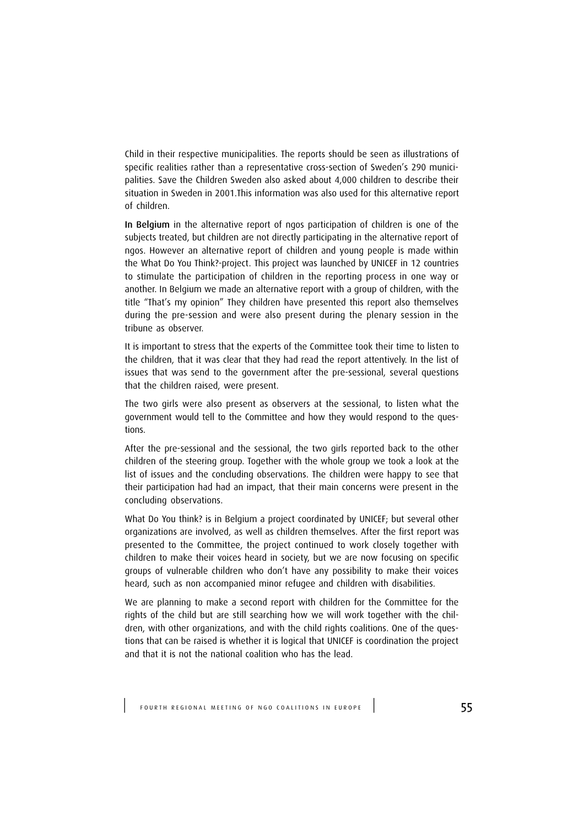Child in their respective municipalities. The reports should be seen as illustrations of specific realities rather than a representative cross-section of Sweden's 290 municipalities. Save the Children Sweden also asked about 4,000 children to describe their situation in Sweden in 2001.This information was also used for this alternative report of children.

In Belgium in the alternative report of ngos participation of children is one of the subjects treated, but children are not directly participating in the alternative report of ngos. However an alternative report of children and young people is made within the What Do You Think?-project. This project was launched by UNICEF in 12 countries to stimulate the participation of children in the reporting process in one way or another. In Belgium we made an alternative report with a group of children, with the title "That's my opinion" They children have presented this report also themselves during the pre-session and were also present during the plenary session in the tribune as observer.

It is important to stress that the experts of the Committee took their time to listen to the children, that it was clear that they had read the report attentively. In the list of issues that was send to the government after the pre-sessional, several questions that the children raised, were present.

The two girls were also present as observers at the sessional, to listen what the government would tell to the Committee and how they would respond to the questions.

After the pre-sessional and the sessional, the two girls reported back to the other children of the steering group. Together with the whole group we took a look at the list of issues and the concluding observations. The children were happy to see that their participation had had an impact, that their main concerns were present in the concluding observations.

What Do You think? is in Belgium a project coordinated by UNICEF; but several other organizations are involved, as well as children themselves. After the first report was presented to the Committee, the project continued to work closely together with children to make their voices heard in society, but we are now focusing on specific groups of vulnerable children who don't have any possibility to make their voices heard, such as non accompanied minor refugee and children with disabilities.

We are planning to make a second report with children for the Committee for the rights of the child but are still searching how we will work together with the children, with other organizations, and with the child rights coalitions. One of the questions that can be raised is whether it is logical that UNICEF is coordination the project and that it is not the national coalition who has the lead.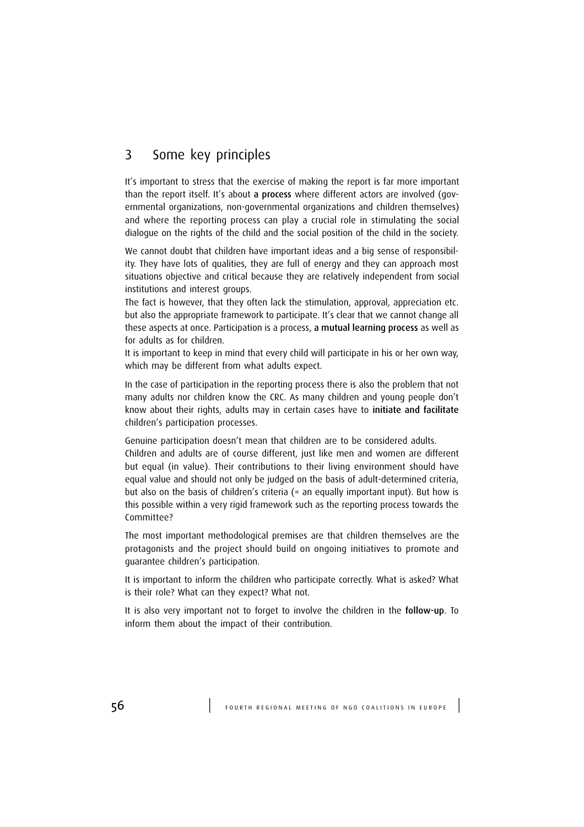## 3 Some key principles

It's important to stress that the exercise of making the report is far more important than the report itself. It's about a process where different actors are involved (governmental organizations, non-governmental organizations and children themselves) and where the reporting process can play a crucial role in stimulating the social dialogue on the rights of the child and the social position of the child in the society.

We cannot doubt that children have important ideas and a big sense of responsibility. They have lots of qualities, they are full of energy and they can approach most situations objective and critical because they are relatively independent from social institutions and interest groups.

The fact is however, that they often lack the stimulation, approval, appreciation etc. but also the appropriate framework to participate. It's clear that we cannot change all these aspects at once. Participation is a process, a mutual learning process as well as for adults as for children.

It is important to keep in mind that every child will participate in his or her own way, which may be different from what adults expect.

In the case of participation in the reporting process there is also the problem that not many adults nor children know the CRC. As many children and young people don't know about their rights, adults may in certain cases have to initiate and facilitate children's participation processes.

Genuine participation doesn't mean that children are to be considered adults. Children and adults are of course different, just like men and women are different but equal (in value). Their contributions to their living environment should have equal value and should not only be judged on the basis of adult-determined criteria, but also on the basis of children's criteria (= an equally important input). But how is this possible within a very rigid framework such as the reporting process towards the Committee?

The most important methodological premises are that children themselves are the protagonists and the project should build on ongoing initiatives to promote and guarantee children's participation.

It is important to inform the children who participate correctly. What is asked? What is their role? What can they expect? What not.

It is also very important not to forget to involve the children in the follow-up. To inform them about the impact of their contribution.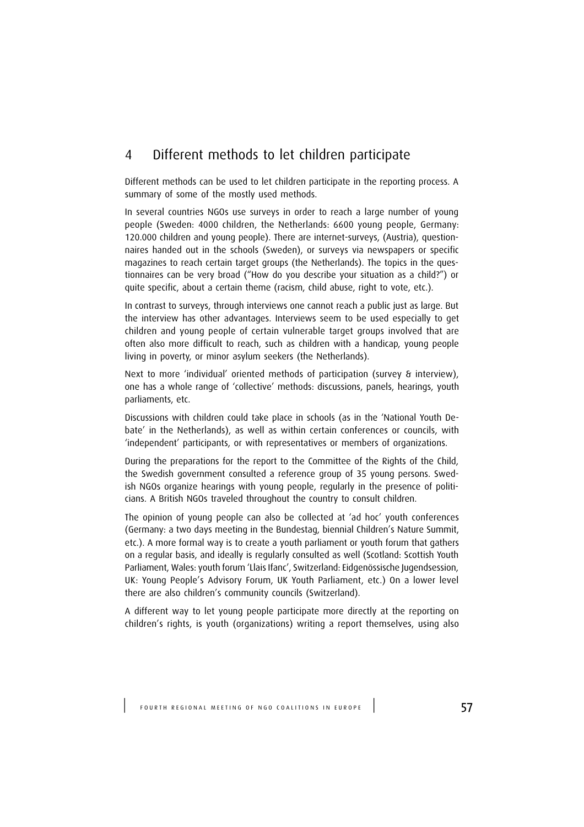## 4 Different methods to let children participate

Different methods can be used to let children participate in the reporting process. A summary of some of the mostly used methods.

In several countries NGOs use surveys in order to reach a large number of young people (Sweden: 4000 children, the Netherlands: 6600 young people, Germany: 120.000 children and young people). There are internet-surveys, (Austria), questionnaires handed out in the schools (Sweden), or surveys via newspapers or specific magazines to reach certain target groups (the Netherlands). The topics in the questionnaires can be very broad ("How do you describe your situation as a child?") or quite specific, about a certain theme (racism, child abuse, right to vote, etc.).

In contrast to surveys, through interviews one cannot reach a public just as large. But the interview has other advantages. Interviews seem to be used especially to get children and young people of certain vulnerable target groups involved that are often also more difficult to reach, such as children with a handicap, young people living in poverty, or minor asylum seekers (the Netherlands).

Next to more 'individual' oriented methods of participation (survey & interview), one has a whole range of 'collective' methods: discussions, panels, hearings, youth parliaments, etc.

Discussions with children could take place in schools (as in the 'National Youth Debate' in the Netherlands), as well as within certain conferences or councils, with 'independent' participants, or with representatives or members of organizations.

During the preparations for the report to the Committee of the Rights of the Child, the Swedish government consulted a reference group of 35 young persons. Swedish NGOs organize hearings with young people, regularly in the presence of politicians. A British NGOs traveled throughout the country to consult children.

The opinion of young people can also be collected at 'ad hoc' youth conferences (Germany: a two days meeting in the Bundestag, biennial Children's Nature Summit, etc.). A more formal way is to create a youth parliament or youth forum that gathers on a regular basis, and ideally is regularly consulted as well (Scotland: Scottish Youth Parliament, Wales: youth forum 'Llais Ifanc', Switzerland: Eidgenössische Jugendsession, UK: Young People's Advisory Forum, UK Youth Parliament, etc.) On a lower level there are also children's community councils (Switzerland).

A different way to let young people participate more directly at the reporting on children's rights, is youth (organizations) writing a report themselves, using also

FOURTH REGIONAL MEETING OF NGO COALITIONS IN EUROPE | 57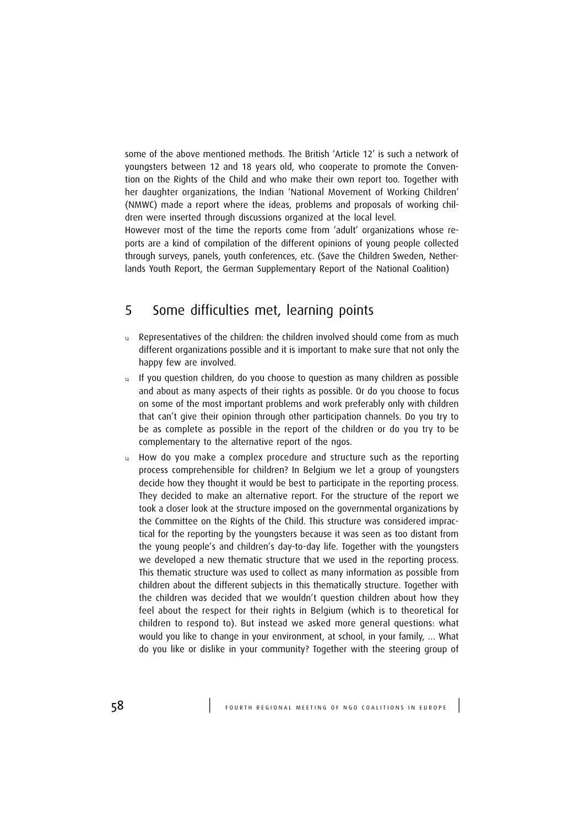some of the above mentioned methods. The British 'Article 12' is such a network of youngsters between 12 and 18 years old, who cooperate to promote the Convention on the Rights of the Child and who make their own report too. Together with her daughter organizations, the Indian 'National Movement of Working Children' (NMWC) made a report where the ideas, problems and proposals of working children were inserted through discussions organized at the local level.

However most of the time the reports come from 'adult' organizations whose reports are a kind of compilation of the different opinions of young people collected through surveys, panels, youth conferences, etc. (Save the Children Sweden, Netherlands Youth Report, the German Supplementary Report of the National Coalition)

# 5 Some difficulties met, learning points

- $u$  Representatives of the children: the children involved should come from as much different organizations possible and it is important to make sure that not only the happy few are involved.
- u If you question children, do you choose to question as many children as possible and about as many aspects of their rights as possible. Or do you choose to focus on some of the most important problems and work preferably only with children that can't give their opinion through other participation channels. Do you try to be as complete as possible in the report of the children or do you try to be complementary to the alternative report of the ngos.
- u How do you make a complex procedure and structure such as the reporting process comprehensible for children? In Belgium we let a group of youngsters decide how they thought it would be best to participate in the reporting process. They decided to make an alternative report. For the structure of the report we took a closer look at the structure imposed on the governmental organizations by the Committee on the Rights of the Child. This structure was considered impractical for the reporting by the youngsters because it was seen as too distant from the young people's and children's day-to-day life. Together with the youngsters we developed a new thematic structure that we used in the reporting process. This thematic structure was used to collect as many information as possible from children about the different subjects in this thematically structure. Together with the children was decided that we wouldn't question children about how they feel about the respect for their rights in Belgium (which is to theoretical for children to respond to). But instead we asked more general questions: what would you like to change in your environment, at school, in your family, … What do you like or dislike in your community? Together with the steering group of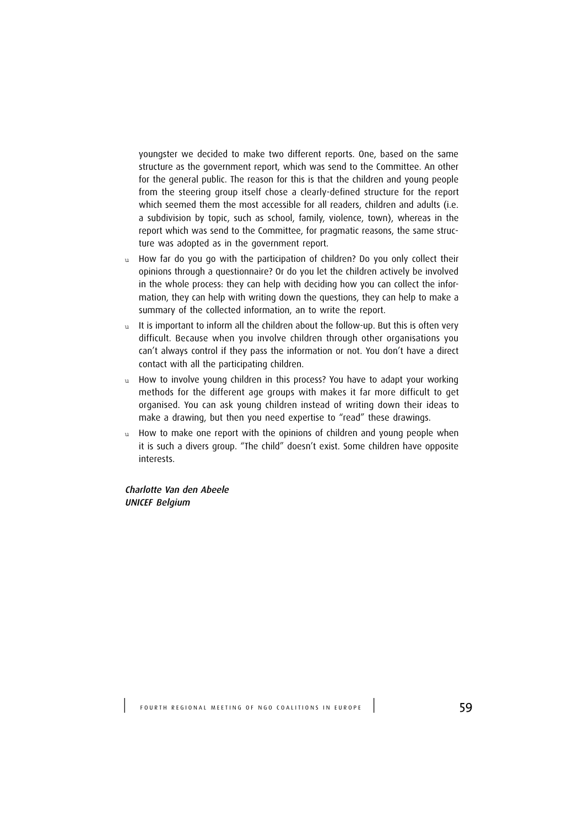youngster we decided to make two different reports. One, based on the same structure as the government report, which was send to the Committee. An other for the general public. The reason for this is that the children and young people from the steering group itself chose a clearly-defined structure for the report which seemed them the most accessible for all readers, children and adults (i.e. a subdivision by topic, such as school, family, violence, town), whereas in the report which was send to the Committee, for pragmatic reasons, the same structure was adopted as in the government report.

- u How far do you go with the participation of children? Do you only collect their opinions through a questionnaire? Or do you let the children actively be involved in the whole process: they can help with deciding how you can collect the information, they can help with writing down the questions, they can help to make a summary of the collected information, an to write the report.
- $u$  It is important to inform all the children about the follow-up. But this is often very difficult. Because when you involve children through other organisations you can't always control if they pass the information or not. You don't have a direct contact with all the participating children.
- u How to involve young children in this process? You have to adapt your working methods for the different age groups with makes it far more difficult to get organised. You can ask young children instead of writing down their ideas to make a drawing, but then you need expertise to "read" these drawings.
- u How to make one report with the opinions of children and young people when it is such a divers group. "The child" doesn't exist. Some children have opposite interests.

Charlotte Van den Abeele UNICEF Belgium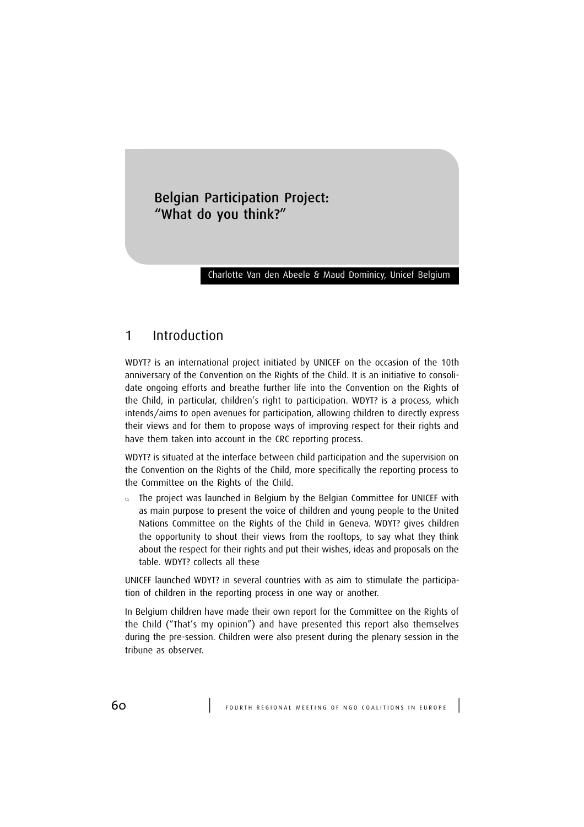## Belgian Participation Project: "What do you think?"

#### Charlotte Van den Abeele & Maud Dominicy, Unicef Belgium

## 1 Introduction

WDYT? is an international project initiated by UNICEF on the occasion of the 10th anniversary of the Convention on the Rights of the Child. It is an initiative to consolidate ongoing efforts and breathe further life into the Convention on the Rights of the Child, in particular, children's right to participation. WDYT? is a process, which intends/aims to open avenues for participation, allowing children to directly express their views and for them to propose ways of improving respect for their rights and have them taken into account in the CRC reporting process.

WDYT? is situated at the interface between child participation and the supervision on the Convention on the Rights of the Child, more specifically the reporting process to the Committee on the Rights of the Child.

u The project was launched in Belgium by the Belgian Committee for UNICEF with as main purpose to present the voice of children and young people to the United Nations Committee on the Rights of the Child in Geneva. WDYT? gives children the opportunity to shout their views from the rooftops, to say what they think about the respect for their rights and put their wishes, ideas and proposals on the table. WDYT? collects all these

UNICEF launched WDYT? in several countries with as aim to stimulate the participation of children in the reporting process in one way or another.

In Belgium children have made their own report for the Committee on the Rights of the Child ("That's my opinion") and have presented this report also themselves during the pre-session. Children were also present during the plenary session in the tribune as observer.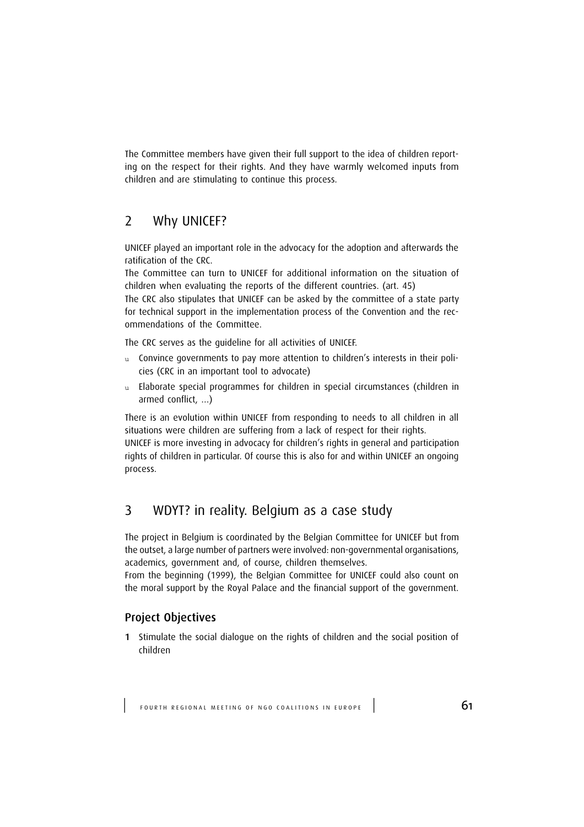The Committee members have given their full support to the idea of children reporting on the respect for their rights. And they have warmly welcomed inputs from children and are stimulating to continue this process.

## 2 Why UNICEF?

UNICEF played an important role in the advocacy for the adoption and afterwards the ratification of the CRC.

The Committee can turn to UNICEF for additional information on the situation of children when evaluating the reports of the different countries. (art. 45)

The CRC also stipulates that UNICEF can be asked by the committee of a state party for technical support in the implementation process of the Convention and the recommendations of the Committee.

The CRC serves as the guideline for all activities of UNICEF.

- u Convince governments to pay more attention to children's interests in their policies (CRC in an important tool to advocate)
- u Elaborate special programmes for children in special circumstances (children in armed conflict, …)

There is an evolution within UNICEF from responding to needs to all children in all situations were children are suffering from a lack of respect for their rights.

UNICEF is more investing in advocacy for children's rights in general and participation rights of children in particular. Of course this is also for and within UNICEF an ongoing process.

## 3 WDYT? in reality. Belgium as a case study

The project in Belgium is coordinated by the Belgian Committee for UNICEF but from the outset, a large number of partners were involved: non-governmental organisations, academics, government and, of course, children themselves.

From the beginning (1999), the Belgian Committee for UNICEF could also count on the moral support by the Royal Palace and the financial support of the government.

#### Project Objectives

1 Stimulate the social dialogue on the rights of children and the social position of children

FOURTH REGIONAL MEETING OF NGO COALITIONS IN EUROPE  $\vert$  61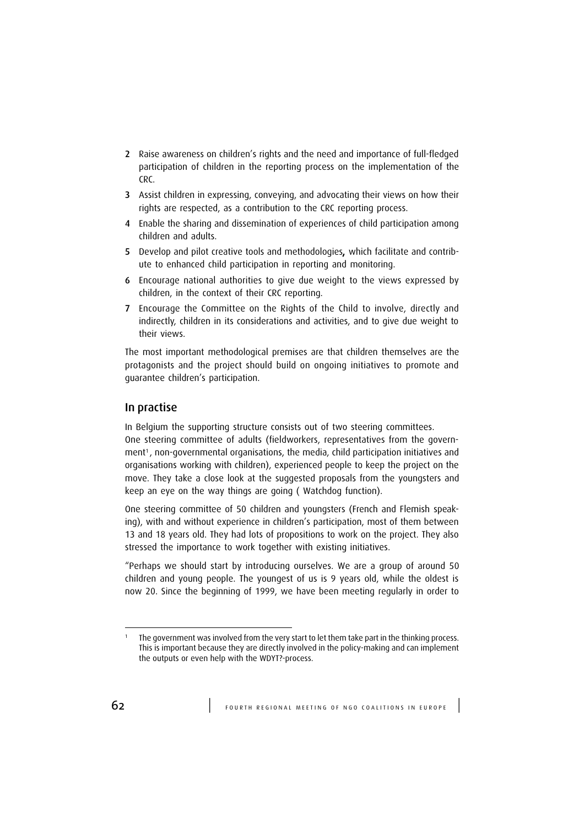- 2 Raise awareness on children's rights and the need and importance of full-fledged participation of children in the reporting process on the implementation of the CRC.
- 3 Assist children in expressing, conveying, and advocating their views on how their rights are respected, as a contribution to the CRC reporting process.
- 4 Enable the sharing and dissemination of experiences of child participation among children and adults.
- 5 Develop and pilot creative tools and methodologies, which facilitate and contribute to enhanced child participation in reporting and monitoring.
- 6 Encourage national authorities to give due weight to the views expressed by children, in the context of their CRC reporting.
- 7 Encourage the Committee on the Rights of the Child to involve, directly and indirectly, children in its considerations and activities, and to give due weight to their views.

The most important methodological premises are that children themselves are the protagonists and the project should build on ongoing initiatives to promote and guarantee children's participation.

#### In practise

In Belgium the supporting structure consists out of two steering committees.

One steering committee of adults (fieldworkers, representatives from the government<sup>1</sup>, non-governmental organisations, the media, child participation initiatives and organisations working with children), experienced people to keep the project on the move. They take a close look at the suggested proposals from the youngsters and keep an eye on the way things are going ( Watchdog function).

One steering committee of 50 children and youngsters (French and Flemish speaking), with and without experience in children's participation, most of them between 13 and 18 years old. They had lots of propositions to work on the project. They also stressed the importance to work together with existing initiatives.

"Perhaps we should start by introducing ourselves. We are a group of around 50 children and young people. The youngest of us is 9 years old, while the oldest is now 20. Since the beginning of 1999, we have been meeting regularly in order to

<sup>1</sup> The government was involved from the very start to let them take part in the thinking process. This is important because they are directly involved in the policy-making and can implement the outputs or even help with the WDYT?-process.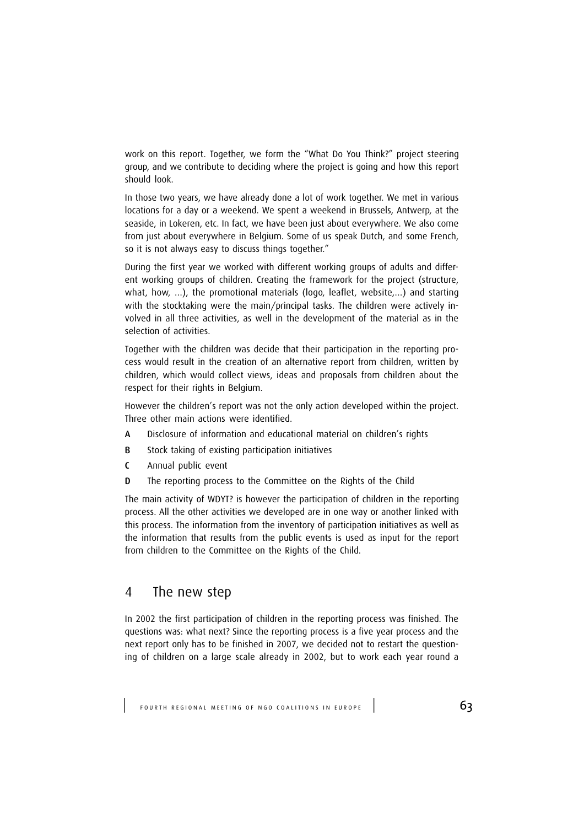work on this report. Together, we form the "What Do You Think?" project steering group, and we contribute to deciding where the project is going and how this report should look.

In those two years, we have already done a lot of work together. We met in various locations for a day or a weekend. We spent a weekend in Brussels, Antwerp, at the seaside, in Lokeren, etc. In fact, we have been just about everywhere. We also come from just about everywhere in Belgium. Some of us speak Dutch, and some French, so it is not always easy to discuss things together."

During the first year we worked with different working groups of adults and different working groups of children. Creating the framework for the project (structure, what, how, …), the promotional materials (logo, leaflet, website,…) and starting with the stocktaking were the main/principal tasks. The children were actively involved in all three activities, as well in the development of the material as in the selection of activities.

Together with the children was decide that their participation in the reporting process would result in the creation of an alternative report from children, written by children, which would collect views, ideas and proposals from children about the respect for their rights in Belgium.

However the children's report was not the only action developed within the project. Three other main actions were identified.

- A Disclosure of information and educational material on children's rights
- B Stock taking of existing participation initiatives
- C Annual public event
- D The reporting process to the Committee on the Rights of the Child

The main activity of WDYT? is however the participation of children in the reporting process. All the other activities we developed are in one way or another linked with this process. The information from the inventory of participation initiatives as well as the information that results from the public events is used as input for the report from children to the Committee on the Rights of the Child.

### 4 The new step

In 2002 the first participation of children in the reporting process was finished. The questions was: what next? Since the reporting process is a five year process and the next report only has to be finished in 2007, we decided not to restart the questioning of children on a large scale already in 2002, but to work each year round a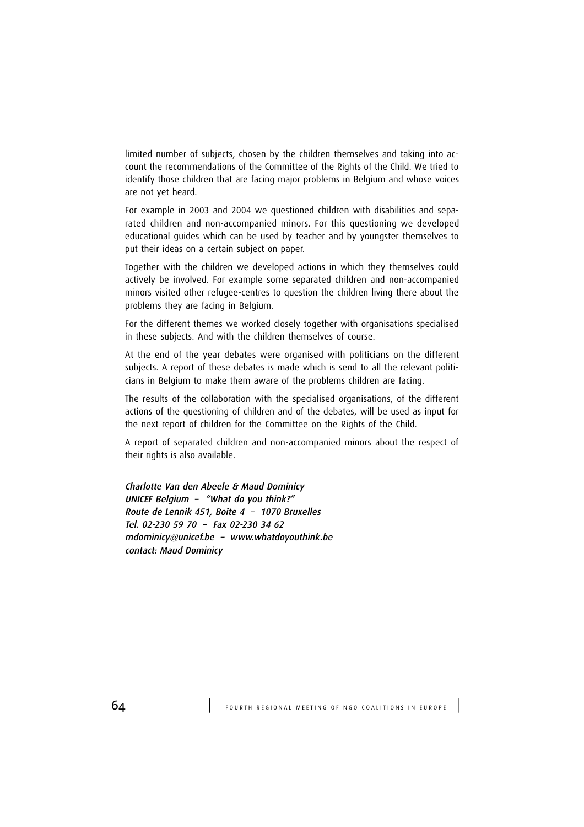limited number of subjects, chosen by the children themselves and taking into account the recommendations of the Committee of the Rights of the Child. We tried to identify those children that are facing major problems in Belgium and whose voices are not yet heard.

For example in 2003 and 2004 we questioned children with disabilities and separated children and non-accompanied minors. For this questioning we developed educational guides which can be used by teacher and by youngster themselves to put their ideas on a certain subject on paper.

Together with the children we developed actions in which they themselves could actively be involved. For example some separated children and non-accompanied minors visited other refugee-centres to question the children living there about the problems they are facing in Belgium.

For the different themes we worked closely together with organisations specialised in these subjects. And with the children themselves of course.

At the end of the year debates were organised with politicians on the different subjects. A report of these debates is made which is send to all the relevant politicians in Belgium to make them aware of the problems children are facing.

The results of the collaboration with the specialised organisations, of the different actions of the questioning of children and of the debates, will be used as input for the next report of children for the Committee on the Rights of the Child.

A report of separated children and non-accompanied minors about the respect of their rights is also available.

Charlotte Van den Abeele & Maud Dominicy UNICEF Belgium – "What do you think?" Route de Lennik 451, Boîte 4 – 1070 Bruxelles Tel. 02-230 59 70 – Fax 02-230 34 62 mdominicy@unicef.be – www.whatdoyouthink.be contact: Maud Dominicy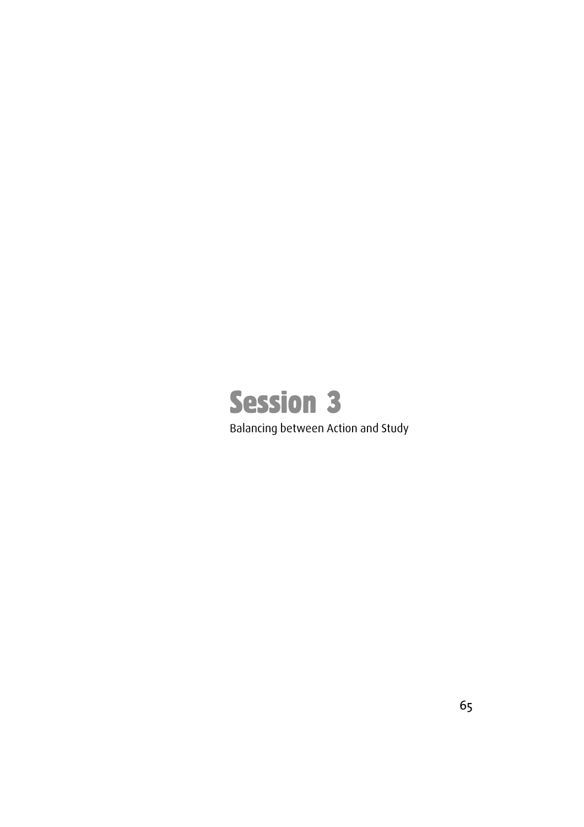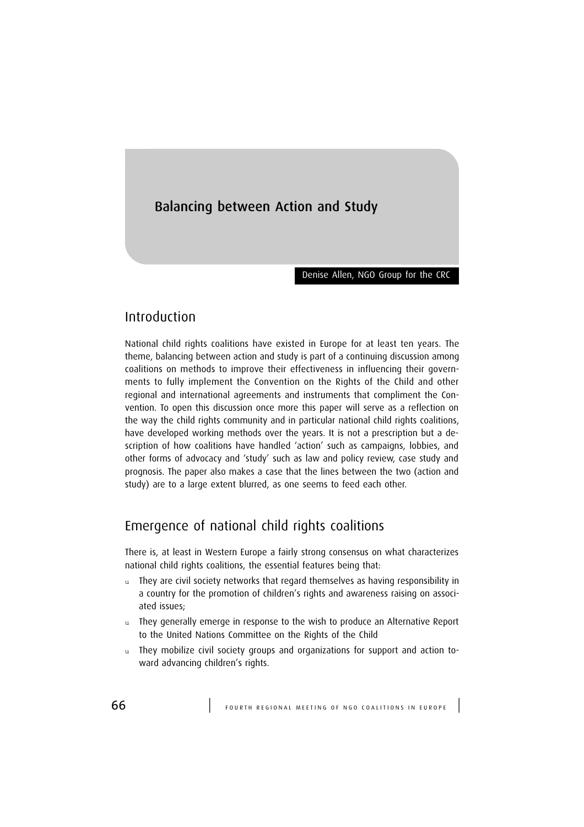# Balancing between Action and Study

Denise Allen, NGO Group for the CRC

# Introduction

National child rights coalitions have existed in Europe for at least ten years. The theme, balancing between action and study is part of a continuing discussion among coalitions on methods to improve their effectiveness in influencing their governments to fully implement the Convention on the Rights of the Child and other regional and international agreements and instruments that compliment the Convention. To open this discussion once more this paper will serve as a reflection on the way the child rights community and in particular national child rights coalitions, have developed working methods over the years. It is not a prescription but a description of how coalitions have handled 'action' such as campaigns, lobbies, and other forms of advocacy and 'study' such as law and policy review, case study and prognosis. The paper also makes a case that the lines between the two (action and study) are to a large extent blurred, as one seems to feed each other.

# Emergence of national child rights coalitions

There is, at least in Western Europe a fairly strong consensus on what characterizes national child rights coalitions, the essential features being that:

- u They are civil society networks that regard themselves as having responsibility in a country for the promotion of children's rights and awareness raising on associated issues;
- u They generally emerge in response to the wish to produce an Alternative Report to the United Nations Committee on the Rights of the Child
- u They mobilize civil society groups and organizations for support and action toward advancing children's rights.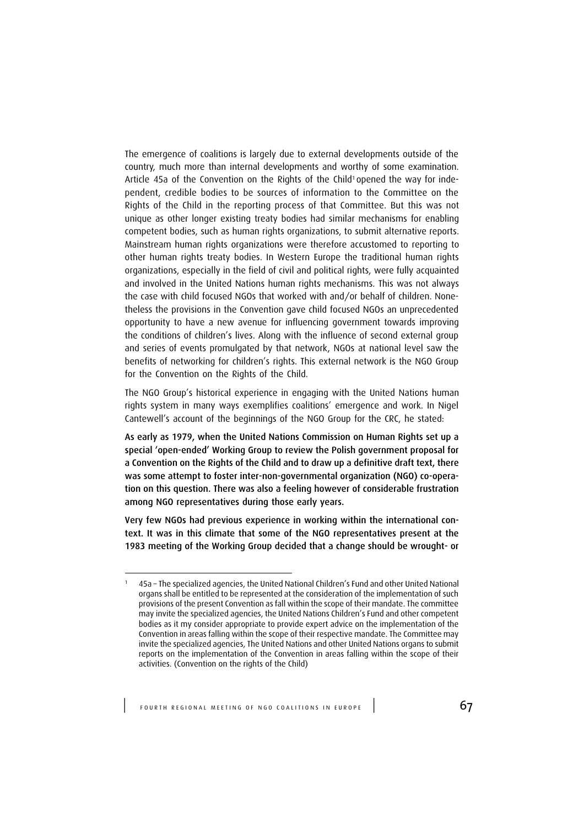The emergence of coalitions is largely due to external developments outside of the country, much more than internal developments and worthy of some examination. Article 45a of the Convention on the Rights of the Child<sup>1</sup> opened the way for independent, credible bodies to be sources of information to the Committee on the Rights of the Child in the reporting process of that Committee. But this was not unique as other longer existing treaty bodies had similar mechanisms for enabling competent bodies, such as human rights organizations, to submit alternative reports. Mainstream human rights organizations were therefore accustomed to reporting to other human rights treaty bodies. In Western Europe the traditional human rights organizations, especially in the field of civil and political rights, were fully acquainted and involved in the United Nations human rights mechanisms. This was not always the case with child focused NGOs that worked with and/or behalf of children. Nonetheless the provisions in the Convention gave child focused NGOs an unprecedented opportunity to have a new avenue for influencing government towards improving the conditions of children's lives. Along with the influence of second external group and series of events promulgated by that network, NGOs at national level saw the benefits of networking for children's rights. This external network is the NGO Group for the Convention on the Rights of the Child.

The NGO Group's historical experience in engaging with the United Nations human rights system in many ways exemplifies coalitions' emergence and work. In Nigel Cantewell's account of the beginnings of the NGO Group for the CRC, he stated:

As early as 1979, when the United Nations Commission on Human Rights set up a special 'open-ended' Working Group to review the Polish government proposal for a Convention on the Rights of the Child and to draw up a definitive draft text, there was some attempt to foster inter-non-governmental organization (NGO) co-operation on this question. There was also a feeling however of considerable frustration among NGO representatives during those early years.

Very few NGOs had previous experience in working within the international context. It was in this climate that some of the NGO representatives present at the 1983 meeting of the Working Group decided that a change should be wrought- or

<sup>1</sup> 45a – The specialized agencies, the United National Children's Fund and other United National organs shall be entitled to be represented at the consideration of the implementation of such provisions of the present Convention as fall within the scope of their mandate. The committee may invite the specialized agencies, the United Nations Children's Fund and other competent bodies as it my consider appropriate to provide expert advice on the implementation of the Convention in areas falling within the scope of their respective mandate. The Committee may invite the specialized agencies, The United Nations and other United Nations organs to submit reports on the implementation of the Convention in areas falling within the scope of their activities. (Convention on the rights of the Child)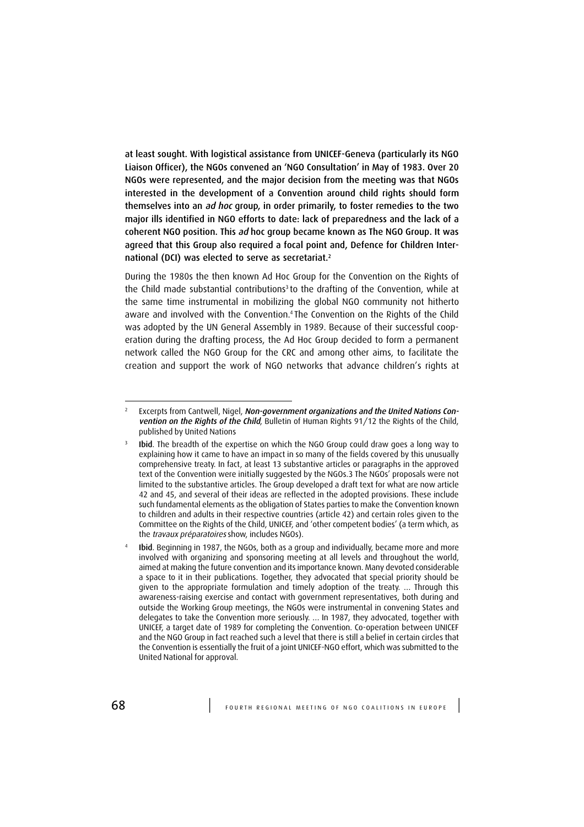at least sought. With logistical assistance from UNICEF-Geneva (particularly its NGO Liaison Officer), the NGOs convened an 'NGO Consultation' in May of 1983. Over 20 NGOs were represented, and the major decision from the meeting was that NGOs interested in the development of a Convention around child rights should form themselves into an ad hoc group, in order primarily, to foster remedies to the two major ills identified in NGO efforts to date: lack of preparedness and the lack of a coherent NGO position. This ad hoc group became known as The NGO Group. It was agreed that this Group also required a focal point and, Defence for Children International (DCI) was elected to serve as secretariat.<sup>2</sup>

During the 1980s the then known Ad Hoc Group for the Convention on the Rights of the Child made substantial contributions<sup>3</sup> to the drafting of the Convention, while at the same time instrumental in mobilizing the global NGO community not hitherto aware and involved with the Convention.<sup>4</sup> The Convention on the Rights of the Child was adopted by the UN General Assembly in 1989. Because of their successful cooperation during the drafting process, the Ad Hoc Group decided to form a permanent network called the NGO Group for the CRC and among other aims, to facilitate the creation and support the work of NGO networks that advance children's rights at

4

 $\overline{2}$ Excerpts from Cantwell, Nigel, Non-government organizations and the United Nations Convention on the Rights of the Child, Bulletin of Human Rights 91/12 the Rights of the Child, published by United Nations

<sup>3</sup> Ibid. The breadth of the expertise on which the NGO Group could draw goes a long way to explaining how it came to have an impact in so many of the fields covered by this unusually comprehensive treaty. In fact, at least 13 substantive articles or paragraphs in the approved text of the Convention were initially suggested by the NGOs.3 The NGOs' proposals were not limited to the substantive articles. The Group developed a draft text for what are now article 42 and 45, and several of their ideas are reflected in the adopted provisions. These include such fundamental elements as the obligation of States parties to make the Convention known to children and adults in their respective countries (article 42) and certain roles given to the Committee on the Rights of the Child, UNICEF, and 'other competent bodies' (a term which, as the travaux préparatoires show, includes NGOs).

Ibid. Beginning in 1987, the NGOs, both as a group and individually, became more and more involved with organizing and sponsoring meeting at all levels and throughout the world, aimed at making the future convention and its importance known. Many devoted considerable a space to it in their publications. Together, they advocated that special priority should be given to the appropriate formulation and timely adoption of the treaty. … Through this awareness-raising exercise and contact with government representatives, both during and outside the Working Group meetings, the NGOs were instrumental in convening States and delegates to take the Convention more seriously. … In 1987, they advocated, together with UNICEF, a target date of 1989 for completing the Convention. Co-operation between UNICEF and the NGO Group in fact reached such a level that there is still a belief in certain circles that the Convention is essentially the fruit of a joint UNICEF-NGO effort, which was submitted to the United National for approval.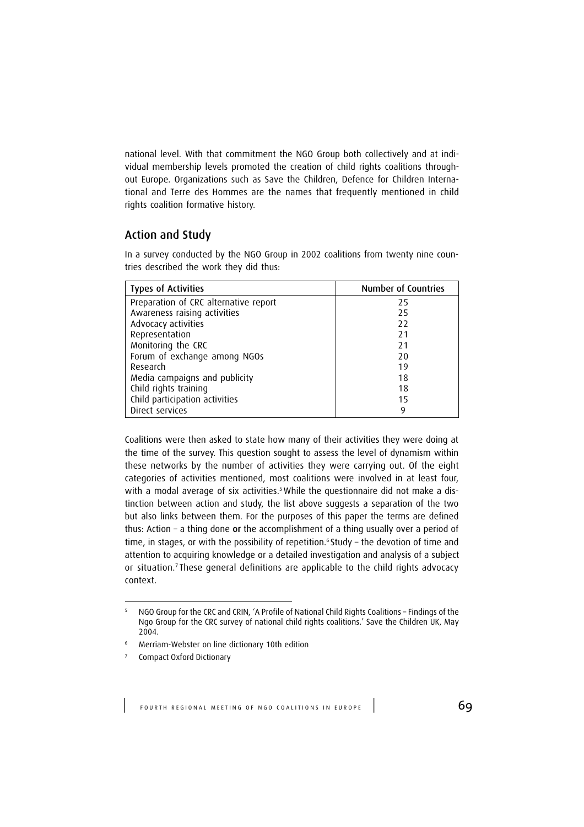national level. With that commitment the NGO Group both collectively and at individual membership levels promoted the creation of child rights coalitions throughout Europe. Organizations such as Save the Children, Defence for Children International and Terre des Hommes are the names that frequently mentioned in child rights coalition formative history.

#### Action and Study

In a survey conducted by the NGO Group in 2002 coalitions from twenty nine countries described the work they did thus:

| <b>Types of Activities</b>            | <b>Number of Countries</b> |
|---------------------------------------|----------------------------|
| Preparation of CRC alternative report | 25                         |
| Awareness raising activities          | 25                         |
| Advocacy activities                   | 22                         |
| Representation                        | 21                         |
| Monitoring the CRC                    | 21                         |
| Forum of exchange among NGOs          | 20                         |
| Research                              | 19                         |
| Media campaigns and publicity         | 18                         |
| Child rights training                 | 18                         |
| Child participation activities        | 15                         |
| Direct services                       | 9                          |

Coalitions were then asked to state how many of their activities they were doing at the time of the survey. This question sought to assess the level of dynamism within these networks by the number of activities they were carrying out. Of the eight categories of activities mentioned, most coalitions were involved in at least four, with a modal average of six activities.<sup>5</sup> While the questionnaire did not make a distinction between action and study, the list above suggests a separation of the two but also links between them. For the purposes of this paper the terms are defined thus: Action – a thing done or the accomplishment of a thing usually over a period of time, in stages, or with the possibility of repetition.<sup>6</sup> Study - the devotion of time and attention to acquiring knowledge or a detailed investigation and analysis of a subject or situation.<sup>7</sup> These general definitions are applicable to the child rights advocacy context.

<sup>5</sup> NGO Group for the CRC and CRIN, 'A Profile of National Child Rights Coalitions – Findings of the Ngo Group for the CRC survey of national child rights coalitions.' Save the Children UK, May 2004.

<sup>6</sup> Merriam-Webster on line dictionary 10th edition

<sup>7</sup> Compact Oxford Dictionary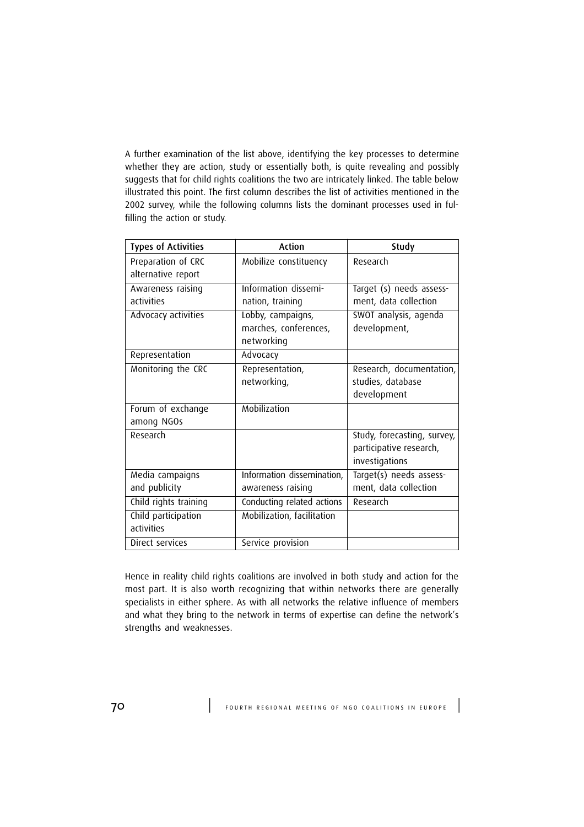A further examination of the list above, identifying the key processes to determine whether they are action, study or essentially both, is quite revealing and possibly suggests that for child rights coalitions the two are intricately linked. The table below illustrated this point. The first column describes the list of activities mentioned in the 2002 survey, while the following columns lists the dominant processes used in fulfilling the action or study.

| <b>Types of Activities</b> | Action                     | Study                       |
|----------------------------|----------------------------|-----------------------------|
| Preparation of CRC         | Mobilize constituency      | Research                    |
| alternative report         |                            |                             |
| Awareness raising          | Information dissemi-       | Target (s) needs assess-    |
| activities                 | nation, training           | ment, data collection       |
| Advocacy activities        | Lobby, campaigns,          | SWOT analysis, agenda       |
|                            | marches, conferences,      | development,                |
|                            | networking                 |                             |
| Representation             | Advocacy                   |                             |
| Monitoring the CRC         | Representation,            | Research, documentation,    |
|                            | networking,                | studies, database           |
|                            |                            | development                 |
| Forum of exchange          | Mobilization               |                             |
| among NGOs                 |                            |                             |
| Research                   |                            | Study, forecasting, survey, |
|                            |                            | participative research,     |
|                            |                            | investigations              |
| Media campaigns            | Information dissemination, | Target(s) needs assess-     |
| and publicity              | awareness raising          | ment, data collection       |
| Child rights training      | Conducting related actions | Research                    |
| Child participation        | Mobilization, facilitation |                             |
| activities                 |                            |                             |
| Direct services            | Service provision          |                             |

Hence in reality child rights coalitions are involved in both study and action for the most part. It is also worth recognizing that within networks there are generally specialists in either sphere. As with all networks the relative influence of members and what they bring to the network in terms of expertise can define the network's strengths and weaknesses.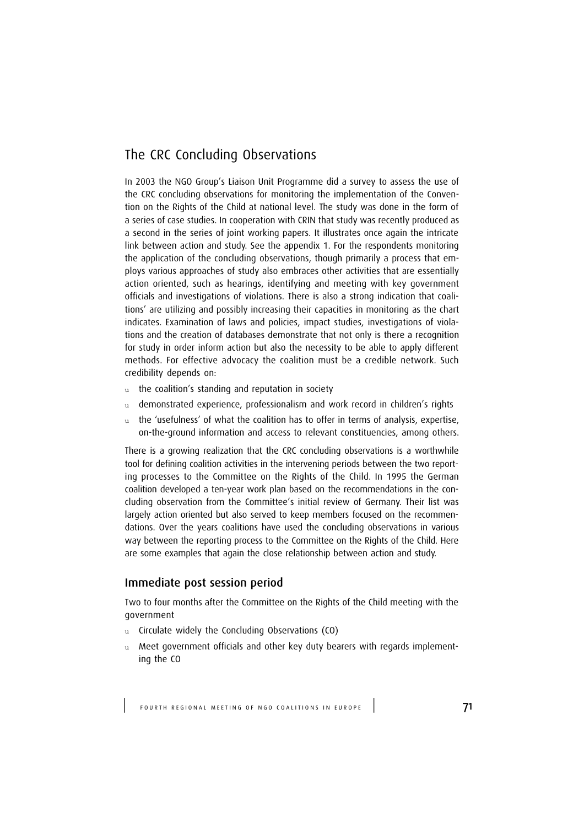# The CRC Concluding Observations

In 2003 the NGO Group's Liaison Unit Programme did a survey to assess the use of the CRC concluding observations for monitoring the implementation of the Convention on the Rights of the Child at national level. The study was done in the form of a series of case studies. In cooperation with CRIN that study was recently produced as a second in the series of joint working papers. It illustrates once again the intricate link between action and study. See the appendix 1. For the respondents monitoring the application of the concluding observations, though primarily a process that employs various approaches of study also embraces other activities that are essentially action oriented, such as hearings, identifying and meeting with key government officials and investigations of violations. There is also a strong indication that coalitions' are utilizing and possibly increasing their capacities in monitoring as the chart indicates. Examination of laws and policies, impact studies, investigations of violations and the creation of databases demonstrate that not only is there a recognition for study in order inform action but also the necessity to be able to apply different methods. For effective advocacy the coalition must be a credible network. Such credibility depends on:

- u the coalition's standing and reputation in society
- u demonstrated experience, professionalism and work record in children's rights
- u the 'usefulness' of what the coalition has to offer in terms of analysis, expertise, on-the-ground information and access to relevant constituencies, among others.

There is a growing realization that the CRC concluding observations is a worthwhile tool for defining coalition activities in the intervening periods between the two reporting processes to the Committee on the Rights of the Child. In 1995 the German coalition developed a ten-year work plan based on the recommendations in the concluding observation from the Committee's initial review of Germany. Their list was largely action oriented but also served to keep members focused on the recommendations. Over the years coalitions have used the concluding observations in various way between the reporting process to the Committee on the Rights of the Child. Here are some examples that again the close relationship between action and study.

### Immediate post session period

Two to four months after the Committee on the Rights of the Child meeting with the government

- u Circulate widely the Concluding Observations (CO)
- u Meet government officials and other key duty bearers with regards implementing the CO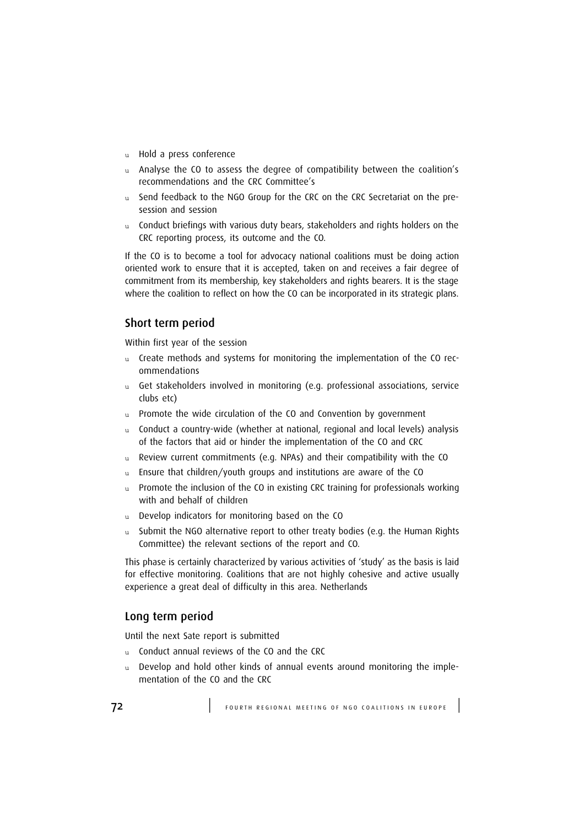- u Hold a press conference
- u Analyse the CO to assess the degree of compatibility between the coalition's recommendations and the CRC Committee's
- u Send feedback to the NGO Group for the CRC on the CRC Secretariat on the presession and session
- u Conduct briefings with various duty bears, stakeholders and rights holders on the CRC reporting process, its outcome and the CO.

If the CO is to become a tool for advocacy national coalitions must be doing action oriented work to ensure that it is accepted, taken on and receives a fair degree of commitment from its membership, key stakeholders and rights bearers. It is the stage where the coalition to reflect on how the CO can be incorporated in its strategic plans.

## Short term period

Within first year of the session

- u Create methods and systems for monitoring the implementation of the CO recommendations
- u Get stakeholders involved in monitoring (e.g. professional associations, service clubs etc)
- u Promote the wide circulation of the CO and Convention by government
- Conduct a country-wide (whether at national, regional and local levels) analysis of the factors that aid or hinder the implementation of the CO and CRC
- u Review current commitments (e.g. NPAs) and their compatibility with the CO
- u Ensure that children/youth groups and institutions are aware of the CO
- u Promote the inclusion of the CO in existing CRC training for professionals working with and behalf of children
- u Develop indicators for monitoring based on the CO
- Submit the NGO alternative report to other treaty bodies (e.g. the Human Rights Committee) the relevant sections of the report and CO.

This phase is certainly characterized by various activities of 'study' as the basis is laid for effective monitoring. Coalitions that are not highly cohesive and active usually experience a great deal of difficulty in this area. Netherlands

### Long term period

Until the next Sate report is submitted

- u Conduct annual reviews of the CO and the CRC
- u Develop and hold other kinds of annual events around monitoring the implementation of the CO and the CRC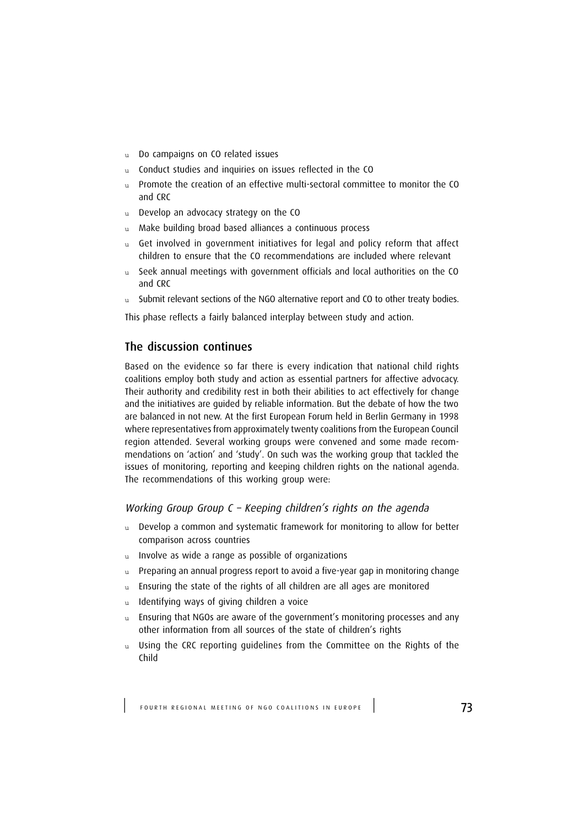- u Do campaigns on CO related issues
- u Conduct studies and inquiries on issues reflected in the CO
- u Promote the creation of an effective multi-sectoral committee to monitor the CO and CRC
- u Develop an advocacy strategy on the CO
- Make building broad based alliances a continuous process
- u Get involved in government initiatives for legal and policy reform that affect children to ensure that the CO recommendations are included where relevant
- u Seek annual meetings with government officials and local authorities on the CO and CRC
- u Submit relevant sections of the NGO alternative report and CO to other treaty bodies.

This phase reflects a fairly balanced interplay between study and action.

### The discussion continues

Based on the evidence so far there is every indication that national child rights coalitions employ both study and action as essential partners for affective advocacy. Their authority and credibility rest in both their abilities to act effectively for change and the initiatives are guided by reliable information. But the debate of how the two are balanced in not new. At the first European Forum held in Berlin Germany in 1998 where representatives from approximately twenty coalitions from the European Council region attended. Several working groups were convened and some made recommendations on 'action' and 'study'. On such was the working group that tackled the issues of monitoring, reporting and keeping children rights on the national agenda. The recommendations of this working group were:

### Working Group Group C – Keeping children's rights on the agenda

- u Develop a common and systematic framework for monitoring to allow for better comparison across countries
- u Involve as wide a range as possible of organizations
- u Preparing an annual progress report to avoid a five-year gap in monitoring change
- u Ensuring the state of the rights of all children are all ages are monitored
- u Identifying ways of giving children a voice
- u Ensuring that NGOs are aware of the government's monitoring processes and any other information from all sources of the state of children's rights
- u Using the CRC reporting guidelines from the Committee on the Rights of the Child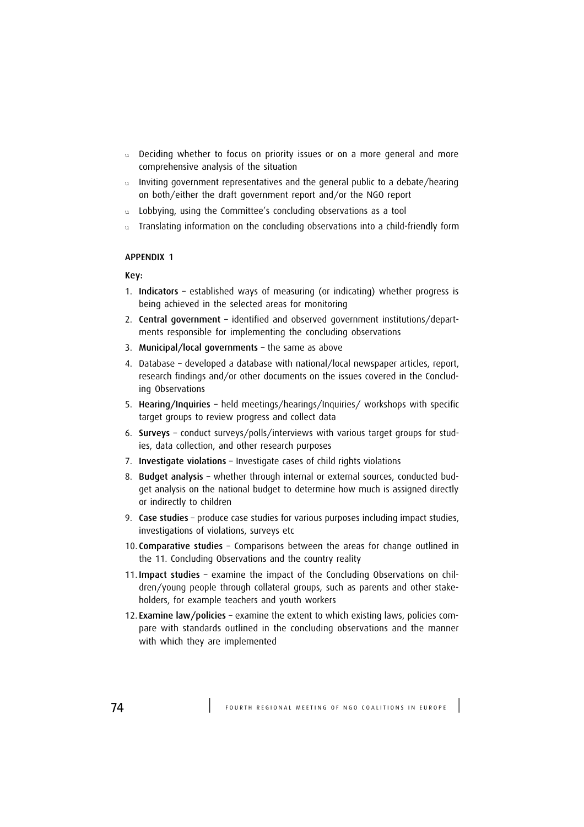- u Deciding whether to focus on priority issues or on a more general and more comprehensive analysis of the situation
- u Inviting government representatives and the general public to a debate/hearing on both/either the draft government report and/or the NGO report
- u Lobbying, using the Committee's concluding observations as a tool
- u Translating information on the concluding observations into a child-friendly form

### APPENDIX 1

#### Key:

- 1. Indicators established ways of measuring (or indicating) whether progress is being achieved in the selected areas for monitoring
- 2. Central government identified and observed government institutions/departments responsible for implementing the concluding observations
- 3. Municipal/local governments the same as above
- 4. Database developed a database with national/local newspaper articles, report, research findings and/or other documents on the issues covered in the Concluding Observations
- 5. Hearing/Inquiries held meetings/hearings/Inquiries/ workshops with specific target groups to review progress and collect data
- 6. Surveys conduct surveys/polls/interviews with various target groups for studies, data collection, and other research purposes
- 7. Investigate violations Investigate cases of child rights violations
- 8. Budget analysis whether through internal or external sources, conducted budget analysis on the national budget to determine how much is assigned directly or indirectly to children
- 9. Case studies produce case studies for various purposes including impact studies, investigations of violations, surveys etc
- 10. Comparative studies Comparisons between the areas for change outlined in the 11. Concluding Observations and the country reality
- 11. Impact studies examine the impact of the Concluding Observations on children/young people through collateral groups, such as parents and other stakeholders, for example teachers and youth workers
- 12. Examine law/policies examine the extent to which existing laws, policies compare with standards outlined in the concluding observations and the manner with which they are implemented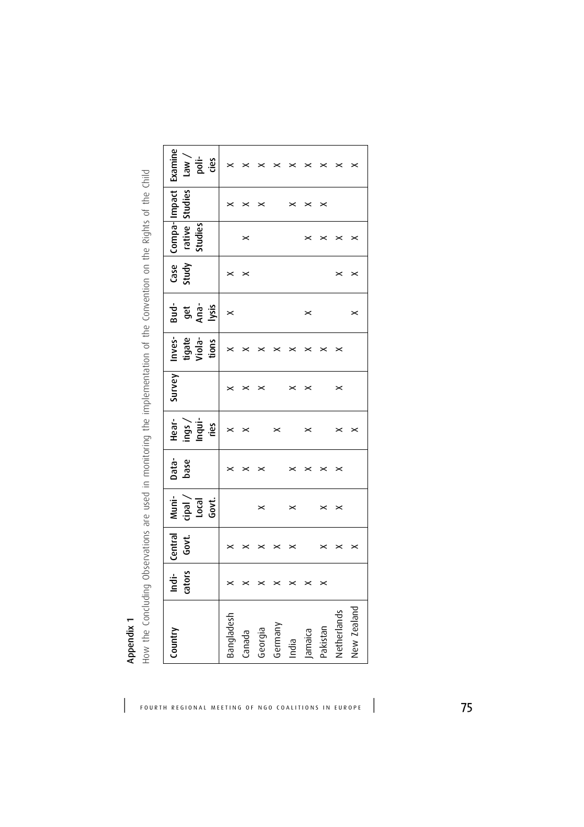| j<br>Ì                                                                        |
|-------------------------------------------------------------------------------|
|                                                                               |
|                                                                               |
|                                                                               |
|                                                                               |
|                                                                               |
| ś<br>١                                                                        |
|                                                                               |
|                                                                               |
|                                                                               |
| I<br>¢<br>5                                                                   |
| ă                                                                             |
|                                                                               |
| j                                                                             |
| n van                                                                         |
| ֧֧֧֧֪֧֧֪֧֡֓֓֓֓֓֓֓֓֓֓֓֓֓֓֓֓֓֓֓֓֬֓֓֓֬֓֓֓֬֓֓֬֓֓֝֬֓֓֝֬֓֓֓֬֓֓֝֬֓֓֬֓֓֬֝֬֓<br>¢<br>) |
|                                                                               |
| $\frac{1}{2}$<br>-nu                                                          |
|                                                                               |
| ١                                                                             |
|                                                                               |
| $\breve{}$<br>$\frac{1}{2}$                                                   |
| rentat                                                                        |
|                                                                               |
| Î                                                                             |
| j<br>j<br>$\overline{\phantom{a}}$                                            |
| imni<br>i                                                                     |
|                                                                               |
| .<br>C                                                                        |
|                                                                               |
| ١<br>Ó                                                                        |
|                                                                               |
| ï                                                                             |
| ć                                                                             |
| $\{$                                                                          |
| $\mathbf{c}$                                                                  |
|                                                                               |
| りりり                                                                           |
| N<br>N<br>N<br>N                                                              |
| d                                                                             |
| 등                                                                             |
| Ċ                                                                             |
|                                                                               |
| ∪<br>ज                                                                        |
| j<br>Ó                                                                        |
| י<br>כ                                                                        |
|                                                                               |
| ¢<br>֡֡֡֡                                                                     |
| Ó<br>ip<br>To                                                                 |
|                                                                               |
| ī                                                                             |
| Ó                                                                             |
| $\ddot{\phantom{0}}$<br>i                                                     |
|                                                                               |
|                                                                               |
| Ê                                                                             |
| Цoм.<br>$\frac{1}{2}$                                                         |

| $\overline{\phantom{0}}$                     |   |
|----------------------------------------------|---|
| Í                                            |   |
|                                              |   |
|                                              |   |
|                                              |   |
| $\frac{1}{4}$                                |   |
|                                              |   |
|                                              |   |
| <b>Dictional</b><br>$\overline{\phantom{a}}$ |   |
|                                              |   |
| j<br>;                                       | ١ |
|                                              |   |
| $+50$                                        |   |
| $\frac{1}{2}$                                |   |
|                                              |   |
| 5                                            |   |
|                                              |   |
|                                              |   |
|                                              |   |
|                                              |   |
|                                              |   |
|                                              |   |
|                                              |   |
| JUNEDION C<br>the Co<br>3                    |   |
|                                              |   |
|                                              |   |
|                                              |   |
|                                              |   |
|                                              |   |
| tation                                       |   |
|                                              |   |
|                                              |   |
|                                              |   |
|                                              |   |
|                                              |   |
| mani<br>١<br>ĵ                               |   |
|                                              |   |
|                                              |   |
|                                              |   |
|                                              |   |
|                                              |   |
|                                              |   |
|                                              |   |
|                                              |   |
|                                              | ١ |
| and the impor-                               |   |
|                                              |   |
| $\mathbf{r}$                                 |   |
| $\frac{1}{2}$<br>¢                           |   |
| $\frac{1}{2}$                                |   |
| $\{$                                         |   |
|                                              |   |
|                                              |   |
|                                              |   |
| ă                                            |   |
| ur poin<br>りりり                               |   |
| j                                            |   |
|                                              |   |
| ium<br>Cic<br>;                              |   |
|                                              |   |
| nc<br>C                                      |   |
| נ<br>ק                                       |   |
|                                              |   |
|                                              |   |
|                                              |   |
| )<br>)<br>)                                  |   |
| Nhcorvati                                    |   |
|                                              |   |
| ¢<br>j                                       | ١ |
| )                                            |   |
| )                                            |   |
|                                              |   |
| ì                                            |   |
| $\frac{1}{2}$<br>$\tilde{c}$                 |   |
| conditions.                                  |   |
| .<br>با<br>l                                 |   |
| j<br>ׇׇ֦֡                                    |   |
|                                              |   |
|                                              |   |
| $\frac{1}{2}$                                |   |

| Country     | cators<br>Ė           | Central<br>Govt.      | Nuni-<br>Local<br>Govt.<br>cipal | Data-<br>base         | Inqui-<br>Hear-<br>ings<br>ries | Survey                | Inves-<br>tigate<br>Viola-<br>tions | Bud-<br>Ana-<br>lysis<br>get | Study<br>Case         | Compa-Impact<br>rative Studies<br>Studies |                       |
|-------------|-----------------------|-----------------------|----------------------------------|-----------------------|---------------------------------|-----------------------|-------------------------------------|------------------------------|-----------------------|-------------------------------------------|-----------------------|
| Bangladesh  | ×                     | ×                     |                                  | $\,$                  | $\boldsymbol{\times}$           | $\boldsymbol{\times}$ | ×                                   | ×                            | $\, \times \,$        |                                           | ×                     |
| Canada      | ×                     | $\boldsymbol{\times}$ |                                  | $\boldsymbol{\times}$ | $\boldsymbol{\times}$           | $\pmb{\times}$        | $\,$                                |                              | $\boldsymbol{\times}$ | $\boldsymbol{\times}$                     | $\boldsymbol{\times}$ |
| Georgia     | ×                     | ×                     | $\boldsymbol{\times}$            | ×                     |                                 | $\boldsymbol{\times}$ | ×                                   |                              |                       |                                           | ×                     |
| Germany     | ×                     | ×                     |                                  |                       | $\boldsymbol{\times}$           |                       | ×                                   |                              |                       |                                           |                       |
| India       | $\boldsymbol{\times}$ | ×                     | ×                                | ×                     |                                 | $\times$              | $\,$                                |                              |                       |                                           | $\boldsymbol{\times}$ |
| Jamaica     | $\boldsymbol{\times}$ |                       |                                  | ×                     | $\boldsymbol{\times}$           | $\boldsymbol{\times}$ | ×                                   | ×                            |                       | ×                                         | ×                     |
| Pakistan    | $\boldsymbol{\times}$ | ×                     | ×                                | ×                     |                                 |                       | ×                                   |                              |                       | ×                                         | ×                     |
| Netherlands |                       | $\boldsymbol{\times}$ | $\boldsymbol{\times}$            | $\boldsymbol{\times}$ | $\boldsymbol{\times}$           | $\boldsymbol{\times}$ | ×                                   |                              | $\pmb{\times}$        | $\, \times \,$                            |                       |
| New Zealand |                       | $\boldsymbol{\times}$ |                                  |                       | ×                               |                       |                                     | ×                            | $\boldsymbol{\times}$ | ×                                         |                       |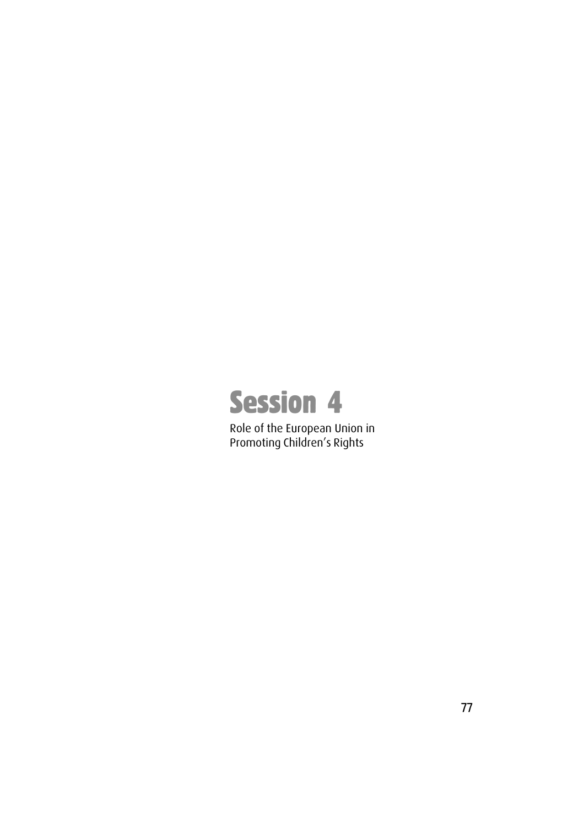

Role of the European Union in Promoting Children's Rights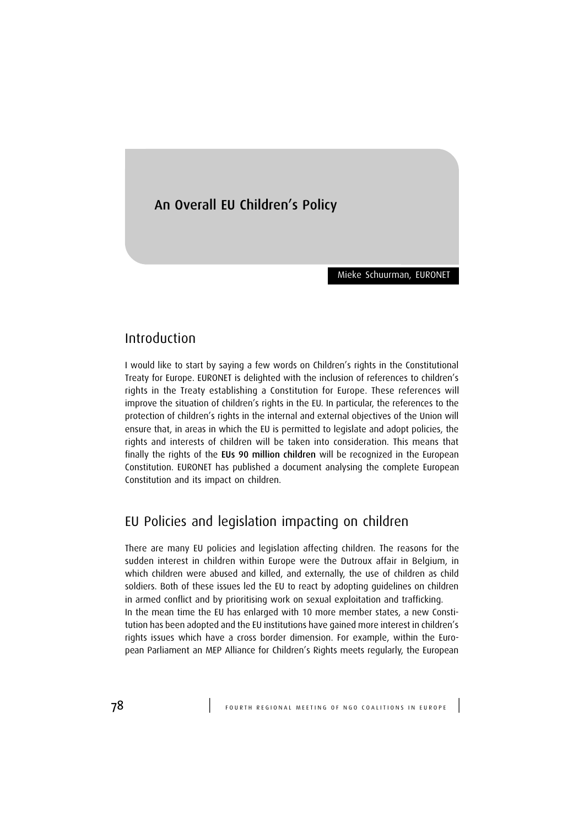# An Overall EU Children's Policy

Mieke Schuurman, EURONET

## Introduction

I would like to start by saying a few words on Children's rights in the Constitutional Treaty for Europe. EURONET is delighted with the inclusion of references to children's rights in the Treaty establishing a Constitution for Europe. These references will improve the situation of children's rights in the EU. In particular, the references to the protection of children's rights in the internal and external objectives of the Union will ensure that, in areas in which the EU is permitted to legislate and adopt policies, the rights and interests of children will be taken into consideration. This means that finally the rights of the EUs 90 million children will be recognized in the European Constitution. EURONET has published a document analysing the complete European Constitution and its impact on children.

# EU Policies and legislation impacting on children

There are many EU policies and legislation affecting children. The reasons for the sudden interest in children within Europe were the Dutroux affair in Belgium, in which children were abused and killed, and externally, the use of children as child soldiers. Both of these issues led the EU to react by adopting guidelines on children in armed conflict and by prioritising work on sexual exploitation and trafficking. In the mean time the EU has enlarged with 10 more member states, a new Constitution has been adopted and the EU institutions have gained more interest in children's rights issues which have a cross border dimension. For example, within the European Parliament an MEP Alliance for Children's Rights meets regularly, the European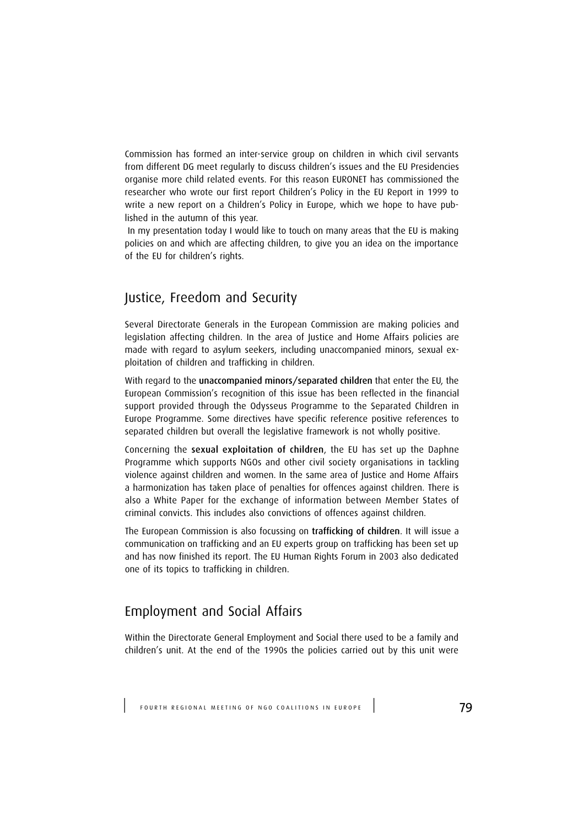Commission has formed an inter-service group on children in which civil servants from different DG meet regularly to discuss children's issues and the EU Presidencies organise more child related events. For this reason EURONET has commissioned the researcher who wrote our first report Children's Policy in the EU Report in 1999 to write a new report on a Children's Policy in Europe, which we hope to have published in the autumn of this year.

 In my presentation today I would like to touch on many areas that the EU is making policies on and which are affecting children, to give you an idea on the importance of the EU for children's rights.

# Justice, Freedom and Security

Several Directorate Generals in the European Commission are making policies and legislation affecting children. In the area of Justice and Home Affairs policies are made with regard to asylum seekers, including unaccompanied minors, sexual exploitation of children and trafficking in children.

With regard to the unaccompanied minors/separated children that enter the EU, the European Commission's recognition of this issue has been reflected in the financial support provided through the Odysseus Programme to the Separated Children in Europe Programme. Some directives have specific reference positive references to separated children but overall the legislative framework is not wholly positive.

Concerning the sexual exploitation of children, the EU has set up the Daphne Programme which supports NGOs and other civil society organisations in tackling violence against children and women. In the same area of Justice and Home Affairs a harmonization has taken place of penalties for offences against children. There is also a White Paper for the exchange of information between Member States of criminal convicts. This includes also convictions of offences against children.

The European Commission is also focussing on trafficking of children. It will issue a communication on trafficking and an EU experts group on trafficking has been set up and has now finished its report. The EU Human Rights Forum in 2003 also dedicated one of its topics to trafficking in children.

# Employment and Social Affairs

Within the Directorate General Employment and Social there used to be a family and children's unit. At the end of the 1990s the policies carried out by this unit were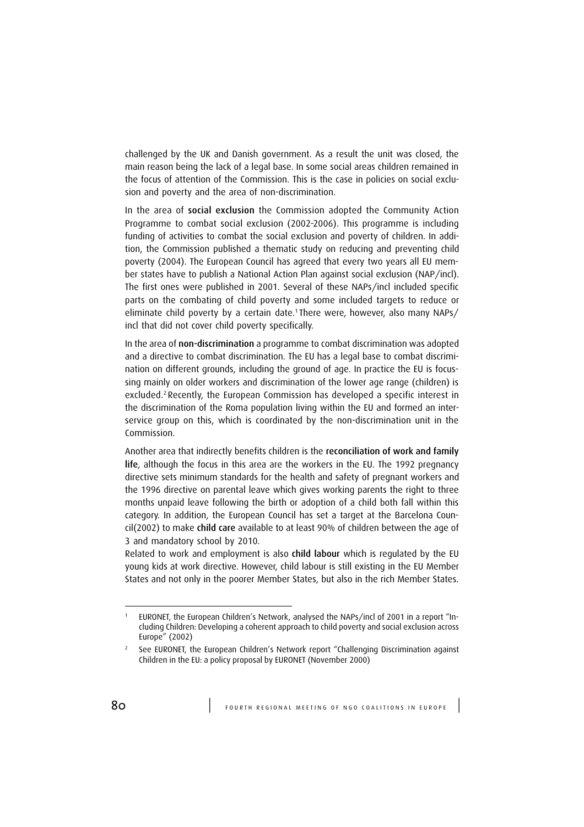challenged by the UK and Danish government. As a result the unit was closed, the main reason being the lack of a legal base. In some social areas children remained in the focus of attention of the Commission. This is the case in policies on social exclusion and poverty and the area of non-discrimination.

In the area of social exclusion the Commission adopted the Community Action Programme to combat social exclusion (2002-2006). This programme is including funding of activities to combat the social exclusion and poverty of children. In addition, the Commission published a thematic study on reducing and preventing child poverty (2004). The European Council has agreed that every two years all EU member states have to publish a National Action Plan against social exclusion (NAP/incl). The first ones were published in 2001. Several of these NAPs/incl included specific parts on the combating of child poverty and some included targets to reduce or eliminate child poverty by a certain date.<sup>1</sup> There were, however, also many NAPs/ incl that did not cover child poverty specifically.

In the area of non-discrimination a programme to combat discrimination was adopted and a directive to combat discrimination. The EU has a legal base to combat discrimination on different grounds, including the ground of age. In practice the EU is focussing mainly on older workers and discrimination of the lower age range (children) is excluded.<sup>2</sup> Recently, the European Commission has developed a specific interest in the discrimination of the Roma population living within the EU and formed an interservice group on this, which is coordinated by the non-discrimination unit in the Commission.

Another area that indirectly benefits children is the reconciliation of work and family life, although the focus in this area are the workers in the EU. The 1992 pregnancy directive sets minimum standards for the health and safety of pregnant workers and the 1996 directive on parental leave which gives working parents the right to three months unpaid leave following the birth or adoption of a child both fall within this category. In addition, the European Council has set a target at the Barcelona Council(2002) to make child care available to at least 90% of children between the age of 3 and mandatory school by 2010.

Related to work and employment is also child labour which is regulated by the EU young kids at work directive. However, child labour is still existing in the EU Member States and not only in the poorer Member States, but also in the rich Member States.

EURONET, the European Children's Network, analysed the NAPs/incl of 2001 in a report "Including Children: Developing a coherent approach to child poverty and social exclusion across Europe" (2002)

<sup>2</sup> See EURONET, the European Children's Network report "Challenging Discrimination against Children in the EU: a policy proposal by EURONET (November 2000)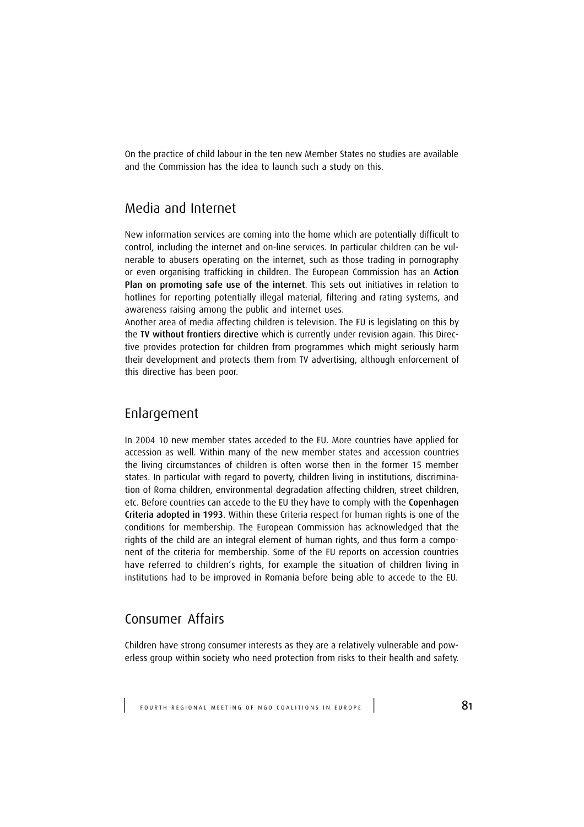On the practice of child labour in the ten new Member States no studies are available and the Commission has the idea to launch such a study on this.

# Media and Internet

New information services are coming into the home which are potentially difficult to control, including the internet and on-line services. In particular children can be vulnerable to abusers operating on the internet, such as those trading in pornography or even organising trafficking in children. The European Commission has an Action Plan on promoting safe use of the internet. This sets out initiatives in relation to hotlines for reporting potentially illegal material, filtering and rating systems, and awareness raising among the public and internet uses.

Another area of media affecting children is television. The EU is legislating on this by the TV without frontiers directive which is currently under revision again. This Directive provides protection for children from programmes which might seriously harm their development and protects them from TV advertising, although enforcement of this directive has been poor.

## Enlargement

In 2004 10 new member states acceded to the EU. More countries have applied for accession as well. Within many of the new member states and accession countries the living circumstances of children is often worse then in the former 15 member states. In particular with regard to poverty, children living in institutions, discrimination of Roma children, environmental degradation affecting children, street children, etc. Before countries can accede to the EU they have to comply with the Copenhagen Criteria adopted in 1993. Within these Criteria respect for human rights is one of the conditions for membership. The European Commission has acknowledged that the rights of the child are an integral element of human rights, and thus form a component of the criteria for membership. Some of the EU reports on accession countries have referred to children's rights, for example the situation of children living in institutions had to be improved in Romania before being able to accede to the EU.

# Consumer Affairs

Children have strong consumer interests as they are a relatively vulnerable and powerless group within society who need protection from risks to their health and safety.

| F O U R T H R E G I O N A L M E E T I N G O F N G O C O A L I T I O N S I N E U R O P E | 81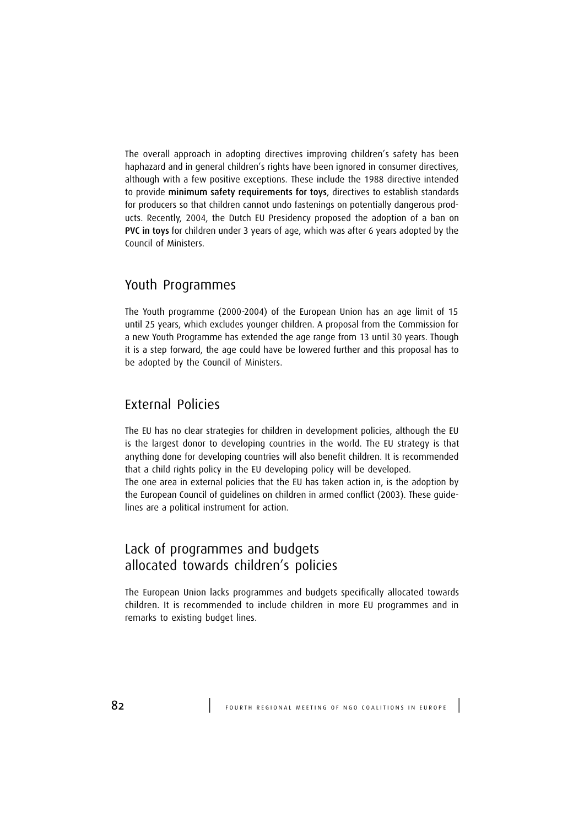The overall approach in adopting directives improving children's safety has been haphazard and in general children's rights have been ignored in consumer directives, although with a few positive exceptions. These include the 1988 directive intended to provide minimum safety requirements for toys, directives to establish standards for producers so that children cannot undo fastenings on potentially dangerous products. Recently, 2004, the Dutch EU Presidency proposed the adoption of a ban on PVC in toys for children under 3 years of age, which was after 6 years adopted by the Council of Ministers.

## Youth Programmes

The Youth programme (2000-2004) of the European Union has an age limit of 15 until 25 years, which excludes younger children. A proposal from the Commission for a new Youth Programme has extended the age range from 13 until 30 years. Though it is a step forward, the age could have be lowered further and this proposal has to be adopted by the Council of Ministers.

# External Policies

The EU has no clear strategies for children in development policies, although the EU is the largest donor to developing countries in the world. The EU strategy is that anything done for developing countries will also benefit children. It is recommended that a child rights policy in the EU developing policy will be developed. The one area in external policies that the EU has taken action in, is the adoption by the European Council of guidelines on children in armed conflict (2003). These guidelines are a political instrument for action.

# Lack of programmes and budgets allocated towards children's policies

The European Union lacks programmes and budgets specifically allocated towards children. It is recommended to include children in more EU programmes and in remarks to existing budget lines.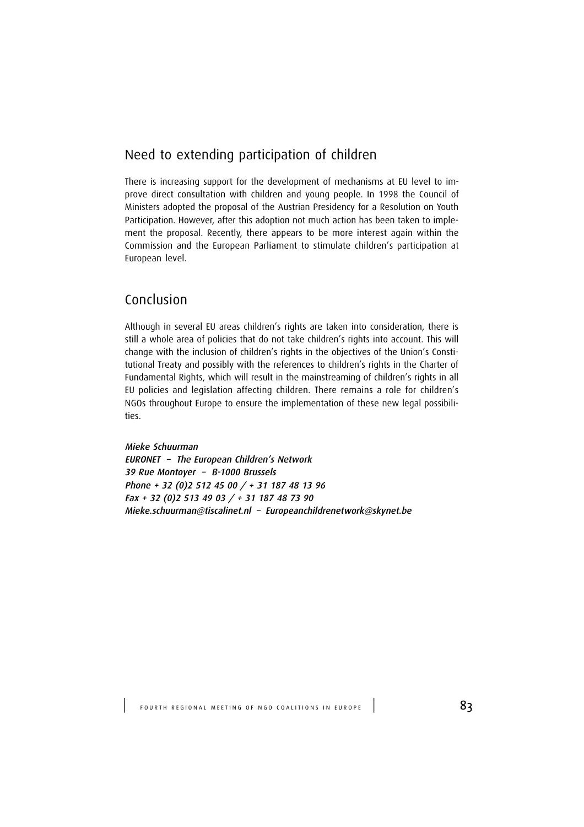# Need to extending participation of children

There is increasing support for the development of mechanisms at EU level to improve direct consultation with children and young people. In 1998 the Council of Ministers adopted the proposal of the Austrian Presidency for a Resolution on Youth Participation. However, after this adoption not much action has been taken to implement the proposal. Recently, there appears to be more interest again within the Commission and the European Parliament to stimulate children's participation at European level.

# Conclusion

Although in several EU areas children's rights are taken into consideration, there is still a whole area of policies that do not take children's rights into account. This will change with the inclusion of children's rights in the objectives of the Union's Constitutional Treaty and possibly with the references to children's rights in the Charter of Fundamental Rights, which will result in the mainstreaming of children's rights in all EU policies and legislation affecting children. There remains a role for children's NGOs throughout Europe to ensure the implementation of these new legal possibilities.

Mieke Schuurman EURONET – The European Children's Network 39 Rue Montoyer – B-1000 Brussels Phone + 32 (0)2 512 45 00 / + 31 187 48 13 96 Fax + 32 (0)2 513 49 03 / + 31 187 48 73 90 Mieke.schuurman@tiscalinet.nl – Europeanchildrenetwork@skynet.be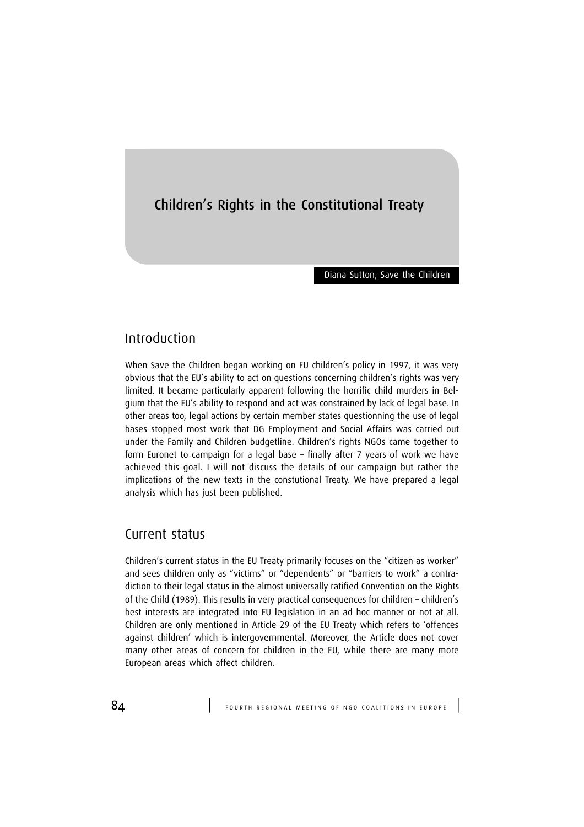# Children's Rights in the Constitutional Treaty

Diana Sutton, Save the Children

## Introduction

When Save the Children began working on EU children's policy in 1997, it was very obvious that the EU's ability to act on questions concerning children's rights was very limited. It became particularly apparent following the horrific child murders in Belgium that the EU's ability to respond and act was constrained by lack of legal base. In other areas too, legal actions by certain member states questionning the use of legal bases stopped most work that DG Employment and Social Affairs was carried out under the Family and Children budgetline. Children's rights NGOs came together to form Euronet to campaign for a legal base – finally after 7 years of work we have achieved this goal. I will not discuss the details of our campaign but rather the implications of the new texts in the constutional Treaty. We have prepared a legal analysis which has just been published.

## Current status

Children's current status in the EU Treaty primarily focuses on the "citizen as worker" and sees children only as "victims" or "dependents" or "barriers to work" a contradiction to their legal status in the almost universally ratified Convention on the Rights of the Child (1989). This results in very practical consequences for children – children's best interests are integrated into EU legislation in an ad hoc manner or not at all. Children are only mentioned in Article 29 of the EU Treaty which refers to 'offences against children' which is intergovernmental. Moreover, the Article does not cover many other areas of concern for children in the EU, while there are many more European areas which affect children.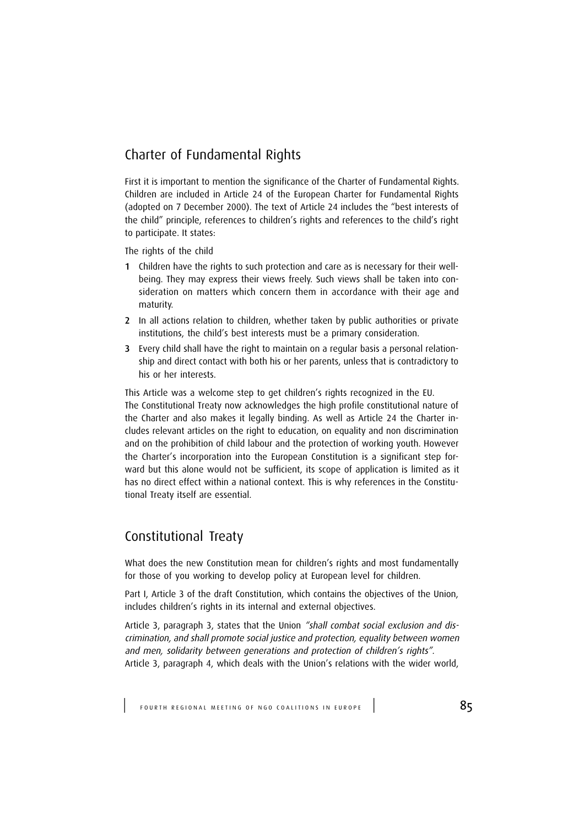# Charter of Fundamental Rights

First it is important to mention the significance of the Charter of Fundamental Rights. Children are included in Article 24 of the European Charter for Fundamental Rights (adopted on 7 December 2000). The text of Article 24 includes the "best interests of the child" principle, references to children's rights and references to the child's right to participate. It states:

The rights of the child

- 1 Children have the rights to such protection and care as is necessary for their wellbeing. They may express their views freely. Such views shall be taken into consideration on matters which concern them in accordance with their age and maturity.
- 2 In all actions relation to children, whether taken by public authorities or private institutions, the child's best interests must be a primary consideration.
- 3 Every child shall have the right to maintain on a regular basis a personal relationship and direct contact with both his or her parents, unless that is contradictory to his or her interests.

This Article was a welcome step to get children's rights recognized in the EU. The Constitutional Treaty now acknowledges the high profile constitutional nature of the Charter and also makes it legally binding. As well as Article 24 the Charter includes relevant articles on the right to education, on equality and non discrimination and on the prohibition of child labour and the protection of working youth. However the Charter's incorporation into the European Constitution is a significant step forward but this alone would not be sufficient, its scope of application is limited as it has no direct effect within a national context. This is why references in the Constitutional Treaty itself are essential.

# Constitutional Treaty

What does the new Constitution mean for children's rights and most fundamentally for those of you working to develop policy at European level for children.

Part I, Article 3 of the draft Constitution, which contains the objectives of the Union, includes children's rights in its internal and external objectives.

Article 3, paragraph 3, states that the Union "shall combat social exclusion and discrimination, and shall promote social justice and protection, equality between women and men, solidarity between generations and protection of children's rights". Article 3, paragraph 4, which deals with the Union's relations with the wider world,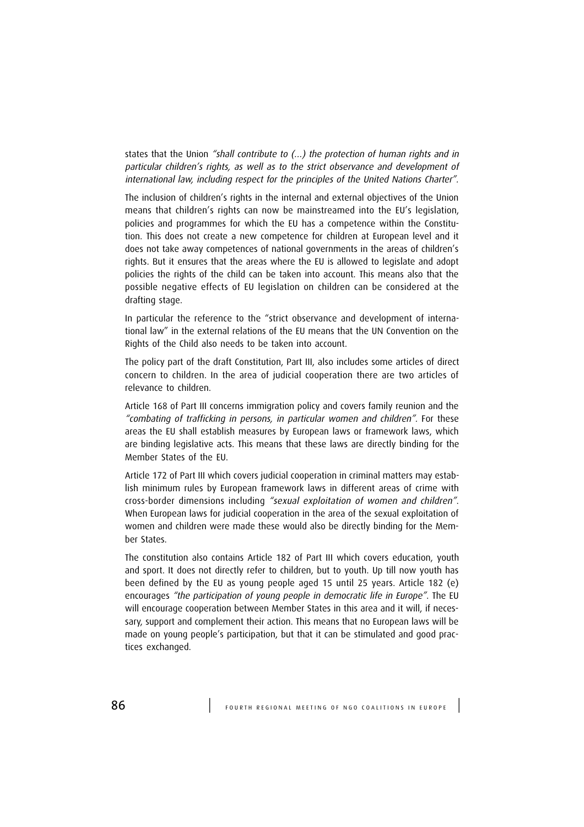states that the Union "shall contribute to (…) the protection of human rights and in particular children's rights, as well as to the strict observance and development of international law, including respect for the principles of the United Nations Charter".

The inclusion of children's rights in the internal and external objectives of the Union means that children's rights can now be mainstreamed into the EU's legislation, policies and programmes for which the EU has a competence within the Constitution. This does not create a new competence for children at European level and it does not take away competences of national governments in the areas of children's rights. But it ensures that the areas where the EU is allowed to legislate and adopt policies the rights of the child can be taken into account. This means also that the possible negative effects of EU legislation on children can be considered at the drafting stage.

In particular the reference to the "strict observance and development of international law" in the external relations of the EU means that the UN Convention on the Rights of the Child also needs to be taken into account.

The policy part of the draft Constitution, Part III, also includes some articles of direct concern to children. In the area of judicial cooperation there are two articles of relevance to children.

Article 168 of Part III concerns immigration policy and covers family reunion and the "combating of trafficking in persons, in particular women and children". For these areas the EU shall establish measures by European laws or framework laws, which are binding legislative acts. This means that these laws are directly binding for the Member States of the EU.

Article 172 of Part III which covers judicial cooperation in criminal matters may establish minimum rules by European framework laws in different areas of crime with cross-border dimensions including "sexual exploitation of women and children". When European laws for judicial cooperation in the area of the sexual exploitation of women and children were made these would also be directly binding for the Member States.

The constitution also contains Article 182 of Part III which covers education, youth and sport. It does not directly refer to children, but to youth. Up till now youth has been defined by the EU as young people aged 15 until 25 years. Article 182 (e) encourages "the participation of young people in democratic life in Europe". The EU will encourage cooperation between Member States in this area and it will, if necessary, support and complement their action. This means that no European laws will be made on young people's participation, but that it can be stimulated and good practices exchanged.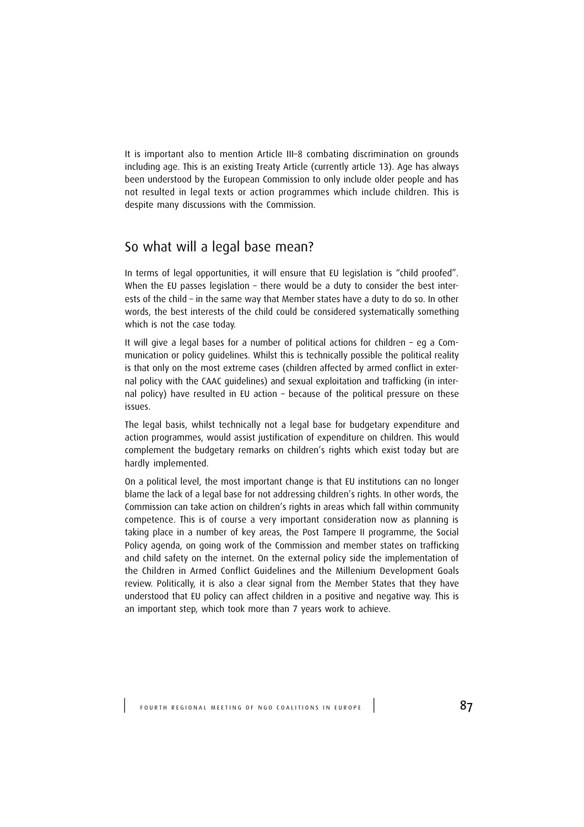It is important also to mention Article III–8 combating discrimination on grounds including age. This is an existing Treaty Article (currently article 13). Age has always been understood by the European Commission to only include older people and has not resulted in legal texts or action programmes which include children. This is despite many discussions with the Commission.

# So what will a legal base mean?

In terms of legal opportunities, it will ensure that EU legislation is "child proofed". When the EU passes legislation – there would be a duty to consider the best interests of the child – in the same way that Member states have a duty to do so. In other words, the best interests of the child could be considered systematically something which is not the case today.

It will give a legal bases for a number of political actions for children – eg a Communication or policy guidelines. Whilst this is technically possible the political reality is that only on the most extreme cases (children affected by armed conflict in external policy with the CAAC guidelines) and sexual exploitation and trafficking (in internal policy) have resulted in EU action – because of the political pressure on these issues.

The legal basis, whilst technically not a legal base for budgetary expenditure and action programmes, would assist justification of expenditure on children. This would complement the budgetary remarks on children's rights which exist today but are hardly implemented.

On a political level, the most important change is that EU institutions can no longer blame the lack of a legal base for not addressing children's rights. In other words, the Commission can take action on children's rights in areas which fall within community competence. This is of course a very important consideration now as planning is taking place in a number of key areas, the Post Tampere II programme, the Social Policy agenda, on going work of the Commission and member states on trafficking and child safety on the internet. On the external policy side the implementation of the Children in Armed Conflict Guidelines and the Millenium Development Goals review. Politically, it is also a clear signal from the Member States that they have understood that EU policy can affect children in a positive and negative way. This is an important step, which took more than 7 years work to achieve.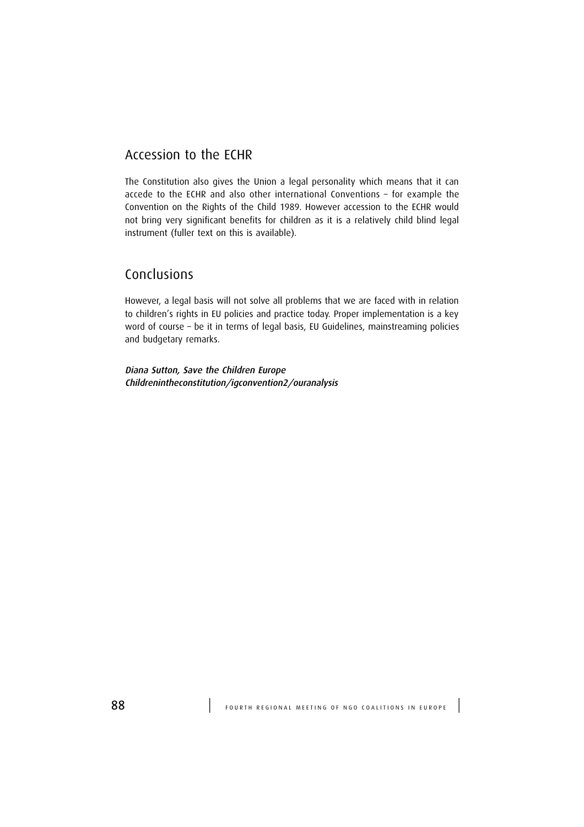# Accession to the ECHR

The Constitution also gives the Union a legal personality which means that it can accede to the ECHR and also other international Conventions – for example the Convention on the Rights of the Child 1989. However accession to the ECHR would not bring very significant benefits for children as it is a relatively child blind legal instrument (fuller text on this is available).

# Conclusions

However, a legal basis will not solve all problems that we are faced with in relation to children's rights in EU policies and practice today. Proper implementation is a key word of course – be it in terms of legal basis, EU Guidelines, mainstreaming policies and budgetary remarks.

Diana Sutton, Save the Children Europe Childrenintheconstitution/igconvention2/ouranalysis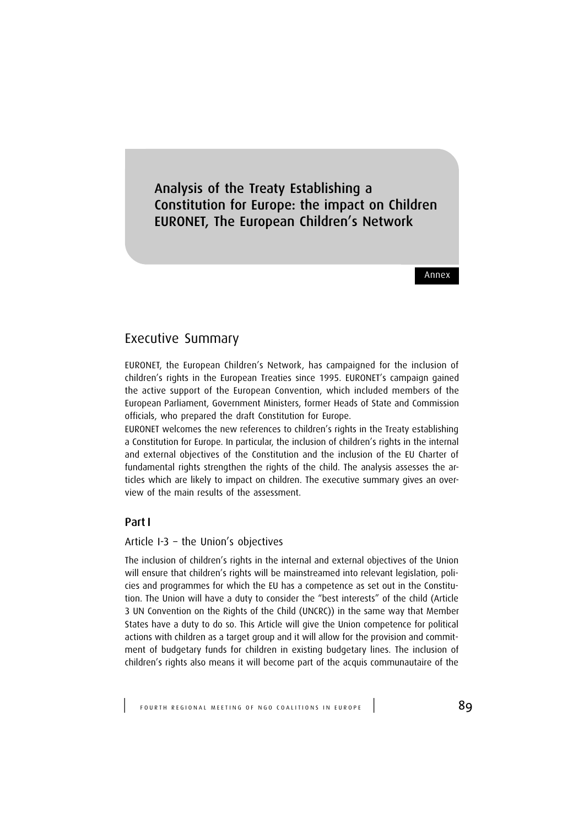Analysis of the Treaty Establishing a Constitution for Europe: the impact on Children EURONET, The European Children's Network

Annex

## Executive Summary

EURONET, the European Children's Network, has campaigned for the inclusion of children's rights in the European Treaties since 1995. EURONET's campaign gained the active support of the European Convention, which included members of the European Parliament, Government Ministers, former Heads of State and Commission officials, who prepared the draft Constitution for Europe.

EURONET welcomes the new references to children's rights in the Treaty establishing a Constitution for Europe. In particular, the inclusion of children's rights in the internal and external objectives of the Constitution and the inclusion of the EU Charter of fundamental rights strengthen the rights of the child. The analysis assesses the articles which are likely to impact on children. The executive summary gives an overview of the main results of the assessment.

### Part I

### Article I-3 – the Union's objectives

The inclusion of children's rights in the internal and external objectives of the Union will ensure that children's rights will be mainstreamed into relevant legislation, policies and programmes for which the EU has a competence as set out in the Constitution. The Union will have a duty to consider the "best interests" of the child (Article 3 UN Convention on the Rights of the Child (UNCRC)) in the same way that Member States have a duty to do so. This Article will give the Union competence for political actions with children as a target group and it will allow for the provision and commitment of budgetary funds for children in existing budgetary lines. The inclusion of children's rights also means it will become part of the acquis communautaire of the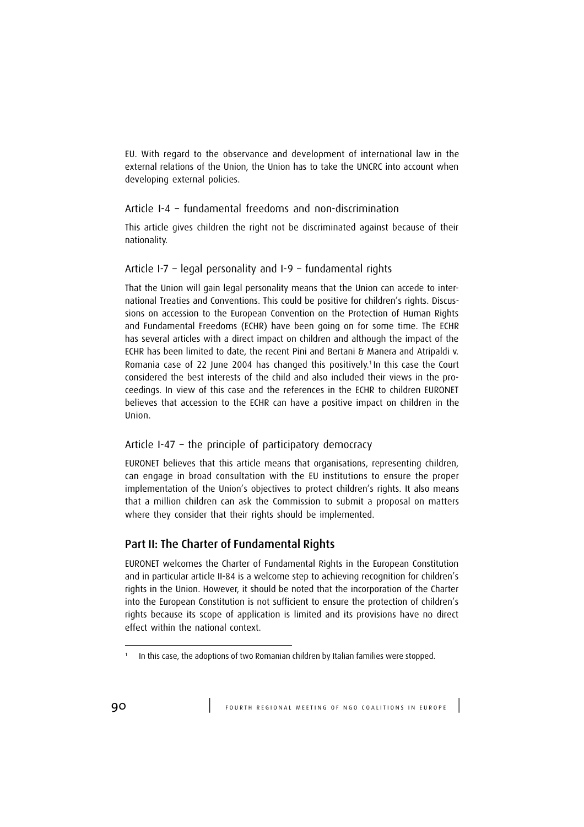EU. With regard to the observance and development of international law in the external relations of the Union, the Union has to take the UNCRC into account when developing external policies.

### Article I-4 – fundamental freedoms and non-discrimination

This article gives children the right not be discriminated against because of their nationality.

### Article I-7 – legal personality and I-9 – fundamental rights

That the Union will gain legal personality means that the Union can accede to international Treaties and Conventions. This could be positive for children's rights. Discussions on accession to the European Convention on the Protection of Human Rights and Fundamental Freedoms (ECHR) have been going on for some time. The ECHR has several articles with a direct impact on children and although the impact of the ECHR has been limited to date, the recent Pini and Bertani & Manera and Atripaldi v. Romania case of 22 June 2004 has changed this positively.<sup>1</sup> In this case the Court considered the best interests of the child and also included their views in the proceedings. In view of this case and the references in the ECHR to children EURONET believes that accession to the ECHR can have a positive impact on children in the Union.

### Article I-47 – the principle of participatory democracy

EURONET believes that this article means that organisations, representing children, can engage in broad consultation with the EU institutions to ensure the proper implementation of the Union's objectives to protect children's rights. It also means that a million children can ask the Commission to submit a proposal on matters where they consider that their rights should be implemented.

## Part II: The Charter of Fundamental Rights

EURONET welcomes the Charter of Fundamental Rights in the European Constitution and in particular article II-84 is a welcome step to achieving recognition for children's rights in the Union. However, it should be noted that the incorporation of the Charter into the European Constitution is not sufficient to ensure the protection of children's rights because its scope of application is limited and its provisions have no direct effect within the national context.

<sup>1</sup> In this case, the adoptions of two Romanian children by Italian families were stopped.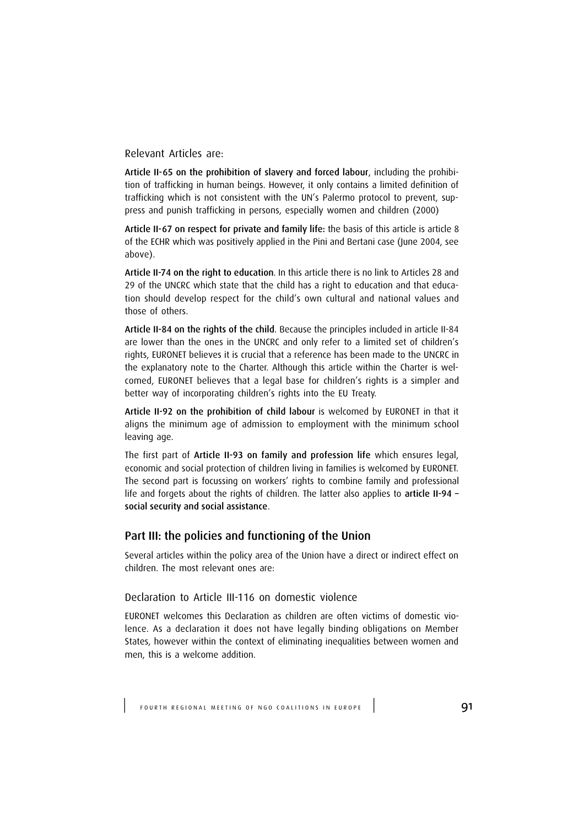Relevant Articles are:

Article II-65 on the prohibition of slavery and forced labour, including the prohibition of trafficking in human beings. However, it only contains a limited definition of trafficking which is not consistent with the UN's Palermo protocol to prevent, suppress and punish trafficking in persons, especially women and children (2000)

Article II-67 on respect for private and family life: the basis of this article is article 8 of the ECHR which was positively applied in the Pini and Bertani case (June 2004, see above).

Article II-74 on the right to education. In this article there is no link to Articles 28 and 29 of the UNCRC which state that the child has a right to education and that education should develop respect for the child's own cultural and national values and those of others.

Article II-84 on the rights of the child. Because the principles included in article II-84 are lower than the ones in the UNCRC and only refer to a limited set of children's rights, EURONET believes it is crucial that a reference has been made to the UNCRC in the explanatory note to the Charter. Although this article within the Charter is welcomed, EURONET believes that a legal base for children's rights is a simpler and better way of incorporating children's rights into the EU Treaty.

Article II-92 on the prohibition of child labour is welcomed by EURONET in that it aligns the minimum age of admission to employment with the minimum school leaving age.

The first part of Article II-93 on family and profession life which ensures legal, economic and social protection of children living in families is welcomed by EURONET. The second part is focussing on workers' rights to combine family and professional life and forgets about the rights of children. The latter also applies to article II-94 social security and social assistance.

### Part III: the policies and functioning of the Union

Several articles within the policy area of the Union have a direct or indirect effect on children. The most relevant ones are:

### Declaration to Article III-116 on domestic violence

EURONET welcomes this Declaration as children are often victims of domestic violence. As a declaration it does not have legally binding obligations on Member States, however within the context of eliminating inequalities between women and men, this is a welcome addition.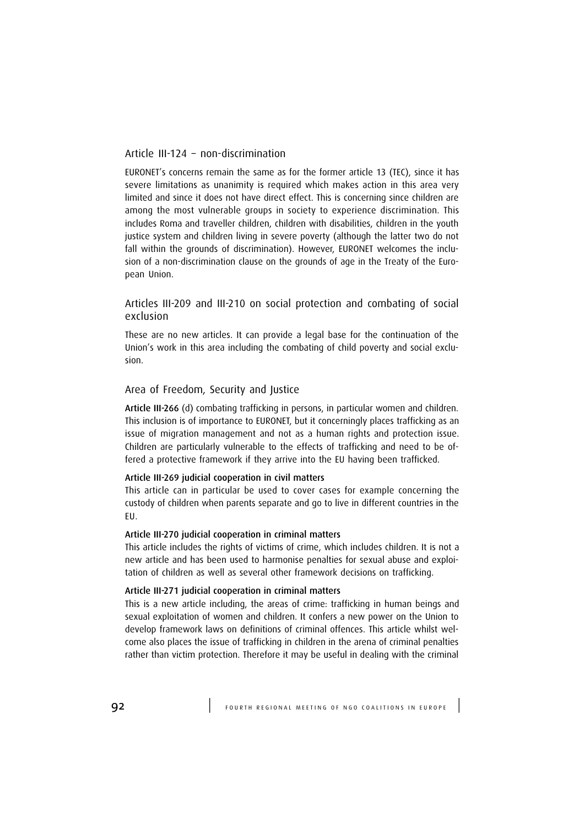### Article III-124 – non-discrimination

EURONET's concerns remain the same as for the former article 13 (TEC), since it has severe limitations as unanimity is required which makes action in this area very limited and since it does not have direct effect. This is concerning since children are among the most vulnerable groups in society to experience discrimination. This includes Roma and traveller children, children with disabilities, children in the youth justice system and children living in severe poverty (although the latter two do not fall within the grounds of discrimination). However, EURONET welcomes the inclusion of a non-discrimination clause on the grounds of age in the Treaty of the European Union.

### Articles III-209 and III-210 on social protection and combating of social exclusion

These are no new articles. It can provide a legal base for the continuation of the Union's work in this area including the combating of child poverty and social exclusion.

#### Area of Freedom, Security and Justice

Article III-266 (d) combating trafficking in persons, in particular women and children. This inclusion is of importance to EURONET, but it concerningly places trafficking as an issue of migration management and not as a human rights and protection issue. Children are particularly vulnerable to the effects of trafficking and need to be offered a protective framework if they arrive into the EU having been trafficked.

### Article III-269 judicial cooperation in civil matters

This article can in particular be used to cover cases for example concerning the custody of children when parents separate and go to live in different countries in the EU.

#### Article III-270 judicial cooperation in criminal matters

This article includes the rights of victims of crime, which includes children. It is not a new article and has been used to harmonise penalties for sexual abuse and exploitation of children as well as several other framework decisions on trafficking.

#### Article III-271 judicial cooperation in criminal matters

This is a new article including, the areas of crime: trafficking in human beings and sexual exploitation of women and children. It confers a new power on the Union to develop framework laws on definitions of criminal offences. This article whilst welcome also places the issue of trafficking in children in the arena of criminal penalties rather than victim protection. Therefore it may be useful in dealing with the criminal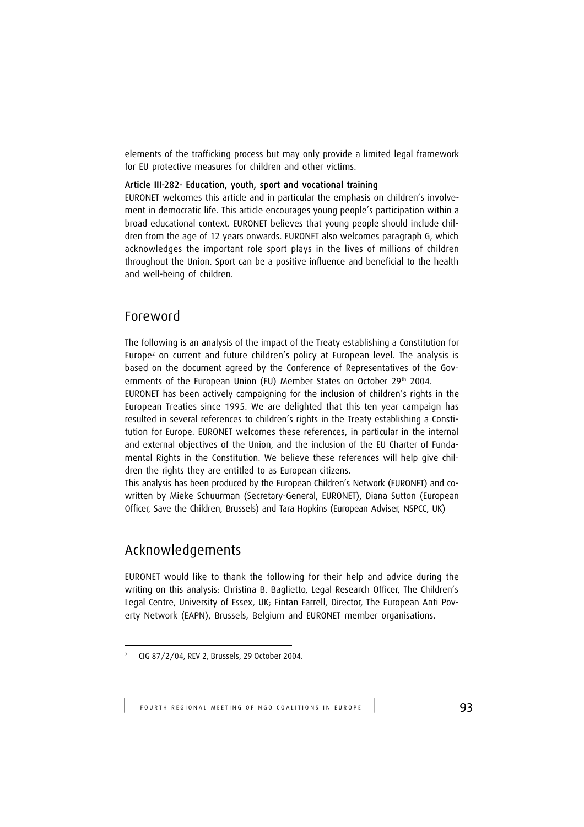elements of the trafficking process but may only provide a limited legal framework for EU protective measures for children and other victims.

#### Article III-282- Education, youth, sport and vocational training

EURONET welcomes this article and in particular the emphasis on children's involvement in democratic life. This article encourages young people's participation within a broad educational context. EURONET believes that young people should include children from the age of 12 years onwards. EURONET also welcomes paragraph G, which acknowledges the important role sport plays in the lives of millions of children throughout the Union. Sport can be a positive influence and beneficial to the health and well-being of children.

## Foreword

The following is an analysis of the impact of the Treaty establishing a Constitution for Europe<sup>2</sup> on current and future children's policy at European level. The analysis is based on the document agreed by the Conference of Representatives of the Governments of the European Union (EU) Member States on October 29<sup>th</sup> 2004.

EURONET has been actively campaigning for the inclusion of children's rights in the European Treaties since 1995. We are delighted that this ten year campaign has resulted in several references to children's rights in the Treaty establishing a Constitution for Europe. EURONET welcomes these references, in particular in the internal and external objectives of the Union, and the inclusion of the EU Charter of Fundamental Rights in the Constitution. We believe these references will help give children the rights they are entitled to as European citizens.

This analysis has been produced by the European Children's Network (EURONET) and cowritten by Mieke Schuurman (Secretary-General, EURONET), Diana Sutton (European Officer, Save the Children, Brussels) and Tara Hopkins (European Adviser, NSPCC, UK)

# Acknowledgements

EURONET would like to thank the following for their help and advice during the writing on this analysis: Christina B. Baglietto, Legal Research Officer, The Children's Legal Centre, University of Essex, UK; Fintan Farrell, Director, The European Anti Poverty Network (EAPN), Brussels, Belgium and EURONET member organisations.

<sup>2</sup> CIG 87/2/04, REV 2, Brussels, 29 October 2004.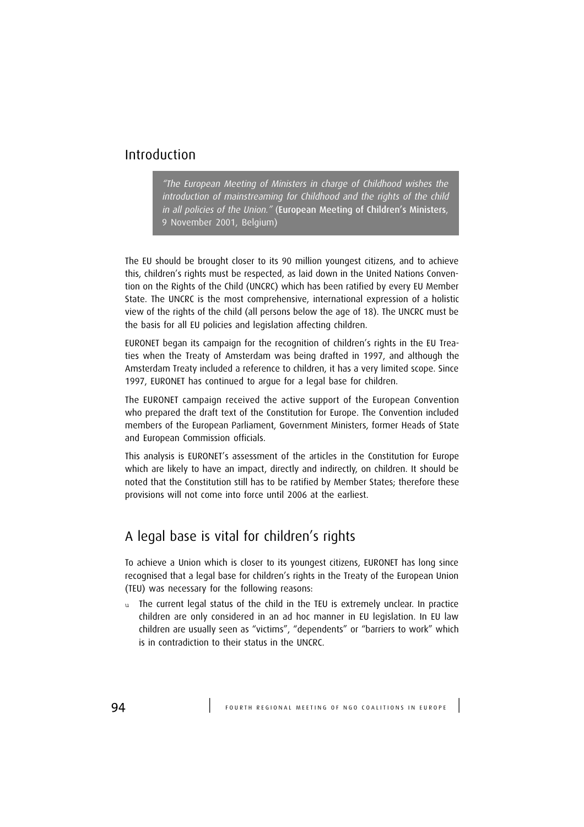# Introduction

"The European Meeting of Ministers in charge of Childhood wishes the introduction of mainstreaming for Childhood and the rights of the child in all policies of the Union." (European Meeting of Children's Ministers, 9 November 2001, Belgium)

The EU should be brought closer to its 90 million youngest citizens, and to achieve this, children's rights must be respected, as laid down in the United Nations Convention on the Rights of the Child (UNCRC) which has been ratified by every EU Member State. The UNCRC is the most comprehensive, international expression of a holistic view of the rights of the child (all persons below the age of 18). The UNCRC must be the basis for all EU policies and legislation affecting children.

EURONET began its campaign for the recognition of children's rights in the EU Treaties when the Treaty of Amsterdam was being drafted in 1997, and although the Amsterdam Treaty included a reference to children, it has a very limited scope. Since 1997, EURONET has continued to argue for a legal base for children.

The EURONET campaign received the active support of the European Convention who prepared the draft text of the Constitution for Europe. The Convention included members of the European Parliament, Government Ministers, former Heads of State and European Commission officials.

This analysis is EURONET's assessment of the articles in the Constitution for Europe which are likely to have an impact, directly and indirectly, on children. It should be noted that the Constitution still has to be ratified by Member States; therefore these provisions will not come into force until 2006 at the earliest.

# A legal base is vital for children's rights

To achieve a Union which is closer to its youngest citizens, EURONET has long since recognised that a legal base for children's rights in the Treaty of the European Union (TEU) was necessary for the following reasons:

u The current legal status of the child in the TEU is extremely unclear. In practice children are only considered in an ad hoc manner in EU legislation. In EU law children are usually seen as "victims", "dependents" or "barriers to work" which is in contradiction to their status in the UNCRC.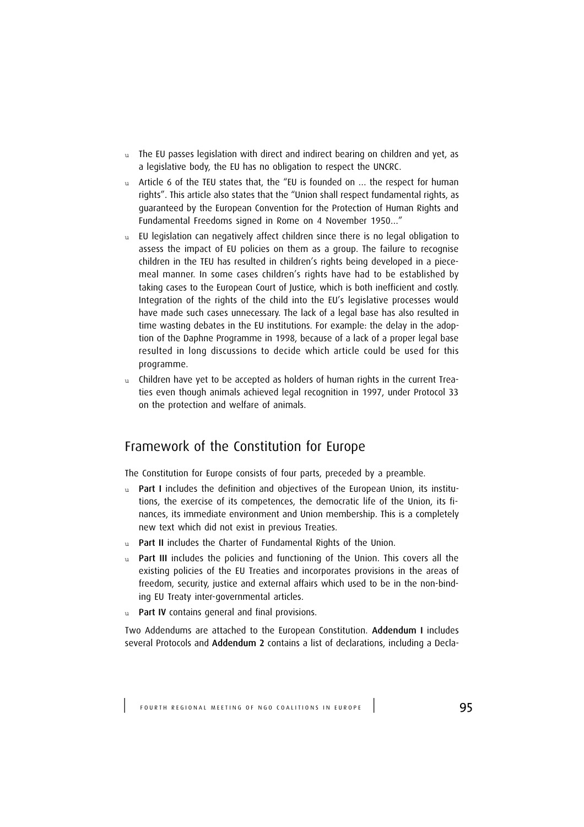- $u$  The EU passes legislation with direct and indirect bearing on children and yet, as a legislative body, the EU has no obligation to respect the UNCRC.
- u Article 6 of the TEU states that, the "EU is founded on ... the respect for human rights". This article also states that the "Union shall respect fundamental rights, as guaranteed by the European Convention for the Protection of Human Rights and Fundamental Freedoms signed in Rome on 4 November 1950…"
- $u$  EU legislation can negatively affect children since there is no legal obligation to assess the impact of EU policies on them as a group. The failure to recognise children in the TEU has resulted in children's rights being developed in a piecemeal manner. In some cases children's rights have had to be established by taking cases to the European Court of Justice, which is both inefficient and costly. Integration of the rights of the child into the EU's legislative processes would have made such cases unnecessary. The lack of a legal base has also resulted in time wasting debates in the EU institutions. For example: the delay in the adoption of the Daphne Programme in 1998, because of a lack of a proper legal base resulted in long discussions to decide which article could be used for this programme.
- u Children have yet to be accepted as holders of human rights in the current Treaties even though animals achieved legal recognition in 1997, under Protocol 33 on the protection and welfare of animals.

# Framework of the Constitution for Europe

The Constitution for Europe consists of four parts, preceded by a preamble.

- u Part I includes the definition and objectives of the European Union, its institutions, the exercise of its competences, the democratic life of the Union, its finances, its immediate environment and Union membership. This is a completely new text which did not exist in previous Treaties.
- u Part II includes the Charter of Fundamental Rights of the Union.
- Part III includes the policies and functioning of the Union. This covers all the existing policies of the EU Treaties and incorporates provisions in the areas of freedom, security, justice and external affairs which used to be in the non-binding EU Treaty inter-governmental articles.
- u Part IV contains general and final provisions.

Two Addendums are attached to the European Constitution. Addendum I includes several Protocols and Addendum 2 contains a list of declarations, including a Decla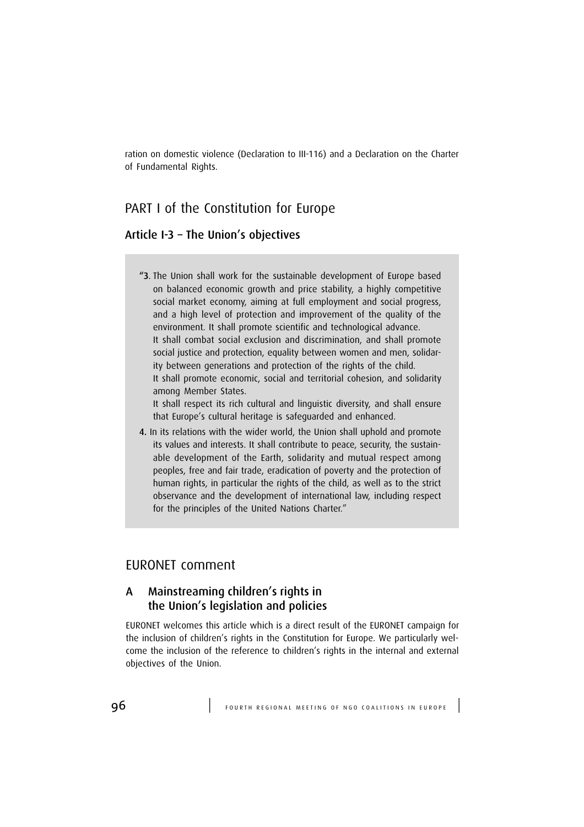ration on domestic violence (Declaration to III-116) and a Declaration on the Charter of Fundamental Rights.

# PART I of the Constitution for Europe

### Article I-3 – The Union's objectives

"3. The Union shall work for the sustainable development of Europe based on balanced economic growth and price stability, a highly competitive social market economy, aiming at full employment and social progress, and a high level of protection and improvement of the quality of the environment. It shall promote scientific and technological advance. It shall combat social exclusion and discrimination, and shall promote social justice and protection, equality between women and men, solidarity between generations and protection of the rights of the child. It shall promote economic, social and territorial cohesion, and solidarity among Member States. It shall respect its rich cultural and linguistic diversity, and shall ensure

that Europe's cultural heritage is safeguarded and enhanced.

4. In its relations with the wider world, the Union shall uphold and promote its values and interests. It shall contribute to peace, security, the sustainable development of the Earth, solidarity and mutual respect among peoples, free and fair trade, eradication of poverty and the protection of human rights, in particular the rights of the child, as well as to the strict observance and the development of international law, including respect for the principles of the United Nations Charter."

## EURONET comment

## A Mainstreaming children's rights in the Union's legislation and policies

EURONET welcomes this article which is a direct result of the EURONET campaign for the inclusion of children's rights in the Constitution for Europe. We particularly welcome the inclusion of the reference to children's rights in the internal and external objectives of the Union.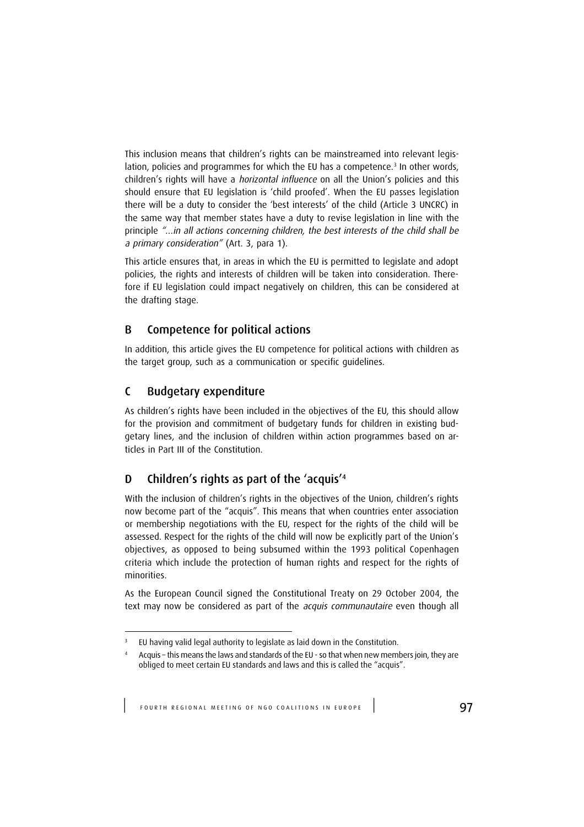This inclusion means that children's rights can be mainstreamed into relevant legislation, policies and programmes for which the EU has a competence.<sup>3</sup> In other words, children's rights will have a *horizontal influence* on all the Union's policies and this should ensure that EU legislation is 'child proofed'. When the EU passes legislation there will be a duty to consider the 'best interests' of the child (Article 3 UNCRC) in the same way that member states have a duty to revise legislation in line with the principle "…in all actions concerning children, the best interests of the child shall be a primary consideration" (Art. 3, para 1).

This article ensures that, in areas in which the EU is permitted to legislate and adopt policies, the rights and interests of children will be taken into consideration. Therefore if EU legislation could impact negatively on children, this can be considered at the drafting stage.

## B Competence for political actions

In addition, this article gives the EU competence for political actions with children as the target group, such as a communication or specific guidelines.

## C Budgetary expenditure

As children's rights have been included in the objectives of the EU, this should allow for the provision and commitment of budgetary funds for children in existing budgetary lines, and the inclusion of children within action programmes based on articles in Part III of the Constitution.

# D Children's rights as part of the 'acquis'<sup>4</sup>

With the inclusion of children's rights in the objectives of the Union, children's rights now become part of the "acquis". This means that when countries enter association or membership negotiations with the EU, respect for the rights of the child will be assessed. Respect for the rights of the child will now be explicitly part of the Union's objectives, as opposed to being subsumed within the 1993 political Copenhagen criteria which include the protection of human rights and respect for the rights of minorities.

As the European Council signed the Constitutional Treaty on 29 October 2004, the text may now be considered as part of the acquis communautaire even though all

<sup>3</sup> EU having valid legal authority to legislate as laid down in the Constitution.

<sup>4</sup> Acquis – this means the laws and standards of the EU - so that when new members join, they are obliged to meet certain EU standards and laws and this is called the "acquis".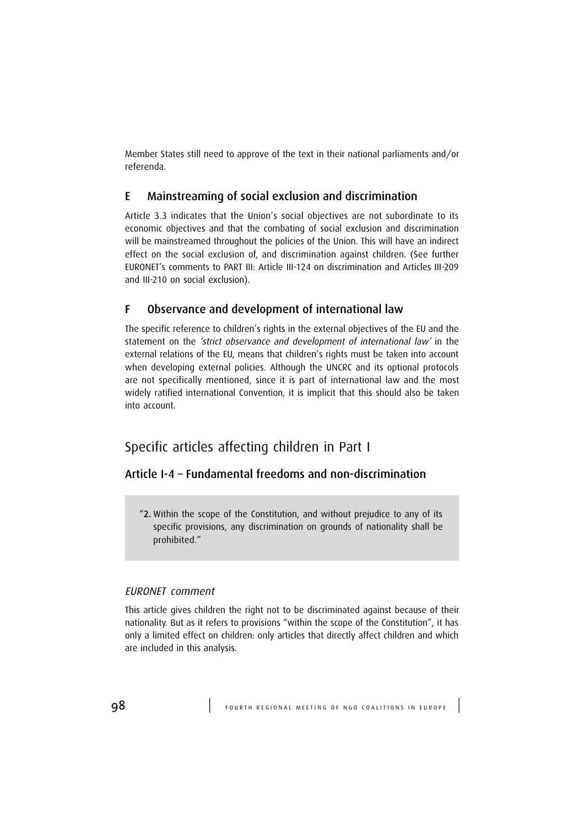Member States still need to approve of the text in their national parliaments and/or referenda.

## E Mainstreaming of social exclusion and discrimination

Article 3.3 indicates that the Union's social objectives are not subordinate to its economic objectives and that the combating of social exclusion and discrimination will be mainstreamed throughout the policies of the Union. This will have an indirect effect on the social exclusion of, and discrimination against children. (See further EURONET's comments to PART III: Article III-124 on discrimination and Articles III-209 and III-210 on social exclusion).

## F Observance and development of international law

The specific reference to children's rights in the external objectives of the EU and the statement on the *'strict observance and development of international law'* in the external relations of the EU, means that children's rights must be taken into account when developing external policies. Although the UNCRC and its optional protocols are not specifically mentioned, since it is part of international law and the most widely ratified international Convention, it is implicit that this should also be taken into account.

# Specific articles affecting children in Part I

## Article I-4 – Fundamental freedoms and non-discrimination

"2. Within the scope of the Constitution, and without prejudice to any of its specific provisions, any discrimination on grounds of nationality shall be prohibited."

### EURONET comment

This article gives children the right not to be discriminated against because of their nationality. But as it refers to provisions "within the scope of the Constitution", it has only a limited effect on children: only articles that directly affect children and which are included in this analysis.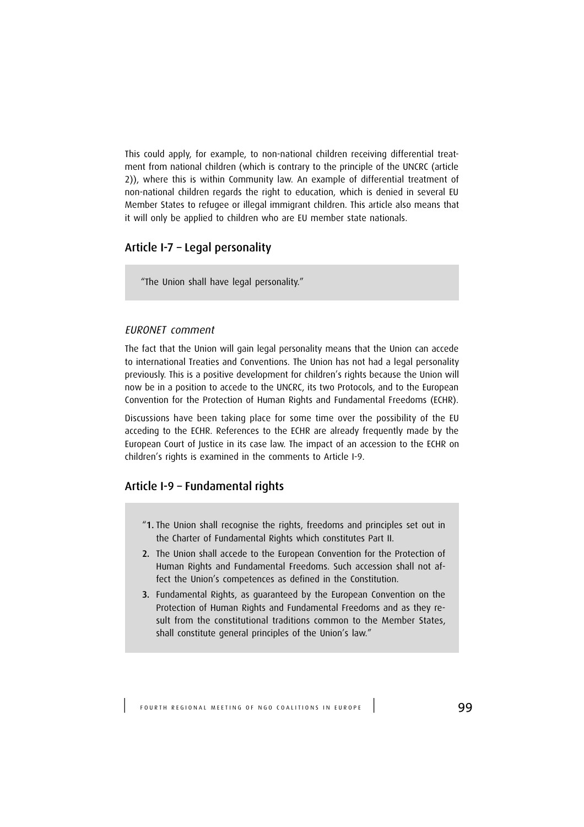This could apply, for example, to non-national children receiving differential treatment from national children (which is contrary to the principle of the UNCRC (article 2)), where this is within Community law. An example of differential treatment of non-national children regards the right to education, which is denied in several EU Member States to refugee or illegal immigrant children. This article also means that it will only be applied to children who are EU member state nationals.

## Article I-7 – Legal personality

"The Union shall have legal personality."

### EURONET comment

The fact that the Union will gain legal personality means that the Union can accede to international Treaties and Conventions. The Union has not had a legal personality previously. This is a positive development for children's rights because the Union will now be in a position to accede to the UNCRC, its two Protocols, and to the European Convention for the Protection of Human Rights and Fundamental Freedoms (ECHR).

Discussions have been taking place for some time over the possibility of the EU acceding to the ECHR. References to the ECHR are already frequently made by the European Court of Justice in its case law. The impact of an accession to the ECHR on children's rights is examined in the comments to Article I-9.

## Article I-9 – Fundamental rights

- "1. The Union shall recognise the rights, freedoms and principles set out in the Charter of Fundamental Rights which constitutes Part II.
- 2. The Union shall accede to the European Convention for the Protection of Human Rights and Fundamental Freedoms. Such accession shall not affect the Union's competences as defined in the Constitution.
- 3. Fundamental Rights, as guaranteed by the European Convention on the Protection of Human Rights and Fundamental Freedoms and as they result from the constitutional traditions common to the Member States, shall constitute general principles of the Union's law."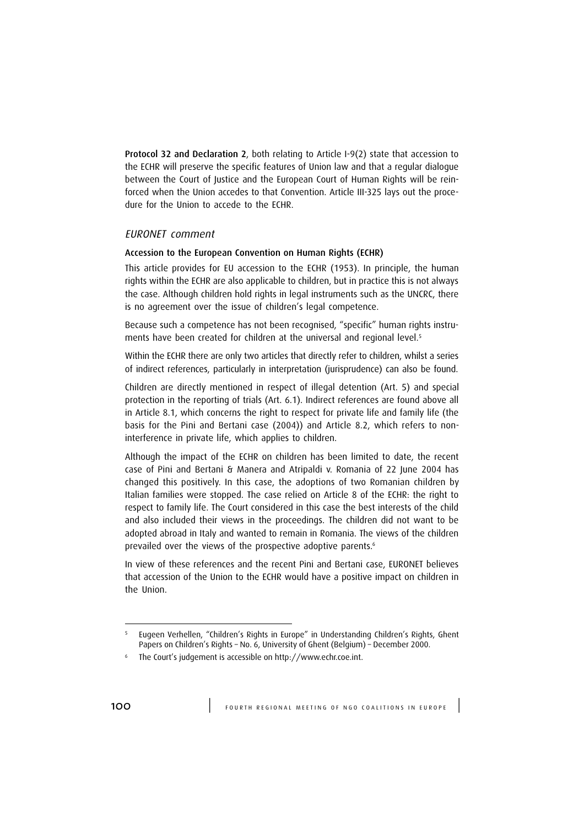Protocol 32 and Declaration 2, both relating to Article I-9(2) state that accession to the ECHR will preserve the specific features of Union law and that a regular dialogue between the Court of Justice and the European Court of Human Rights will be reinforced when the Union accedes to that Convention. Article III-325 lays out the procedure for the Union to accede to the ECHR.

### EURONET comment

### Accession to the European Convention on Human Rights (ECHR)

This article provides for EU accession to the ECHR (1953). In principle, the human rights within the ECHR are also applicable to children, but in practice this is not always the case. Although children hold rights in legal instruments such as the UNCRC, there is no agreement over the issue of children's legal competence.

Because such a competence has not been recognised, "specific" human rights instruments have been created for children at the universal and regional level.<sup>5</sup>

Within the ECHR there are only two articles that directly refer to children, whilst a series of indirect references, particularly in interpretation (jurisprudence) can also be found.

Children are directly mentioned in respect of illegal detention (Art. 5) and special protection in the reporting of trials (Art. 6.1). Indirect references are found above all in Article 8.1, which concerns the right to respect for private life and family life (the basis for the Pini and Bertani case (2004)) and Article 8.2, which refers to noninterference in private life, which applies to children.

Although the impact of the ECHR on children has been limited to date, the recent case of Pini and Bertani & Manera and Atripaldi v. Romania of 22 June 2004 has changed this positively. In this case, the adoptions of two Romanian children by Italian families were stopped. The case relied on Article 8 of the ECHR: the right to respect to family life. The Court considered in this case the best interests of the child and also included their views in the proceedings. The children did not want to be adopted abroad in Italy and wanted to remain in Romania. The views of the children prevailed over the views of the prospective adoptive parents.<sup>6</sup>

In view of these references and the recent Pini and Bertani case, EURONET believes that accession of the Union to the ECHR would have a positive impact on children in the Union.

<sup>5</sup> Eugeen Verhellen, "Children's Rights in Europe" in Understanding Children's Rights, Ghent Papers on Children's Rights – No. 6, University of Ghent (Belgium) – December 2000.

<sup>6</sup> The Court's judgement is accessible on http://www.echr.coe.int.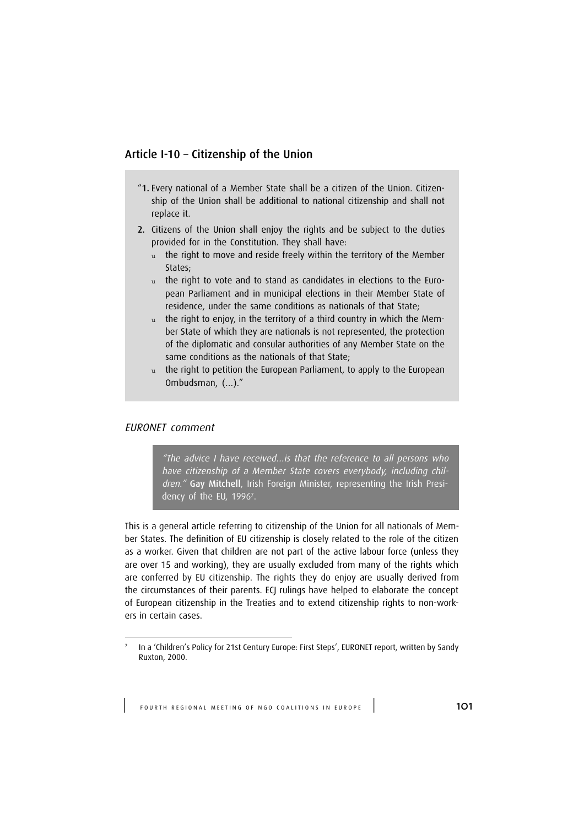## Article I-10 – Citizenship of the Union

- "1. Every national of a Member State shall be a citizen of the Union. Citizenship of the Union shall be additional to national citizenship and shall not replace it.
- 2. Citizens of the Union shall enjoy the rights and be subject to the duties provided for in the Constitution. They shall have:
	- u the right to move and reside freely within the territory of the Member States;
	- u the right to vote and to stand as candidates in elections to the European Parliament and in municipal elections in their Member State of residence, under the same conditions as nationals of that State;
	- u the right to enjoy, in the territory of a third country in which the Member State of which they are nationals is not represented, the protection of the diplomatic and consular authorities of any Member State on the same conditions as the nationals of that State;
	- u the right to petition the European Parliament, to apply to the European Ombudsman, (…)."

### EURONET comment

"The advice I have received…is that the reference to all persons who have citizenship of a Member State covers everybody, including children." Gay Mitchell, Irish Foreign Minister, representing the Irish Presidency of the EU, 1996<sup>7</sup> .

This is a general article referring to citizenship of the Union for all nationals of Member States. The definition of EU citizenship is closely related to the role of the citizen as a worker. Given that children are not part of the active labour force (unless they are over 15 and working), they are usually excluded from many of the rights which are conferred by EU citizenship. The rights they do enjoy are usually derived from the circumstances of their parents. ECJ rulings have helped to elaborate the concept of European citizenship in the Treaties and to extend citizenship rights to non-workers in certain cases.

<sup>7</sup> In a 'Children's Policy for 21st Century Europe: First Steps', EURONET report, written by Sandy Ruxton, 2000.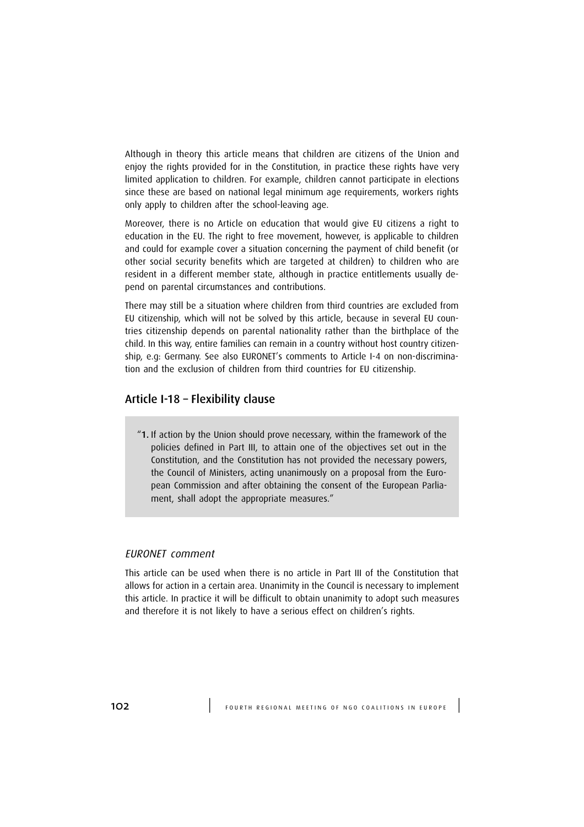Although in theory this article means that children are citizens of the Union and enjoy the rights provided for in the Constitution, in practice these rights have very limited application to children. For example, children cannot participate in elections since these are based on national legal minimum age requirements, workers rights only apply to children after the school-leaving age.

Moreover, there is no Article on education that would give EU citizens a right to education in the EU. The right to free movement, however, is applicable to children and could for example cover a situation concerning the payment of child benefit (or other social security benefits which are targeted at children) to children who are resident in a different member state, although in practice entitlements usually depend on parental circumstances and contributions.

There may still be a situation where children from third countries are excluded from EU citizenship, which will not be solved by this article, because in several EU countries citizenship depends on parental nationality rather than the birthplace of the child. In this way, entire families can remain in a country without host country citizenship, e.g: Germany. See also EURONET's comments to Article I-4 on non-discrimination and the exclusion of children from third countries for EU citizenship.

### Article I-18 – Flexibility clause

"1. If action by the Union should prove necessary, within the framework of the policies defined in Part III, to attain one of the objectives set out in the Constitution, and the Constitution has not provided the necessary powers, the Council of Ministers, acting unanimously on a proposal from the European Commission and after obtaining the consent of the European Parliament, shall adopt the appropriate measures."

### EURONET comment

This article can be used when there is no article in Part III of the Constitution that allows for action in a certain area. Unanimity in the Council is necessary to implement this article. In practice it will be difficult to obtain unanimity to adopt such measures and therefore it is not likely to have a serious effect on children's rights.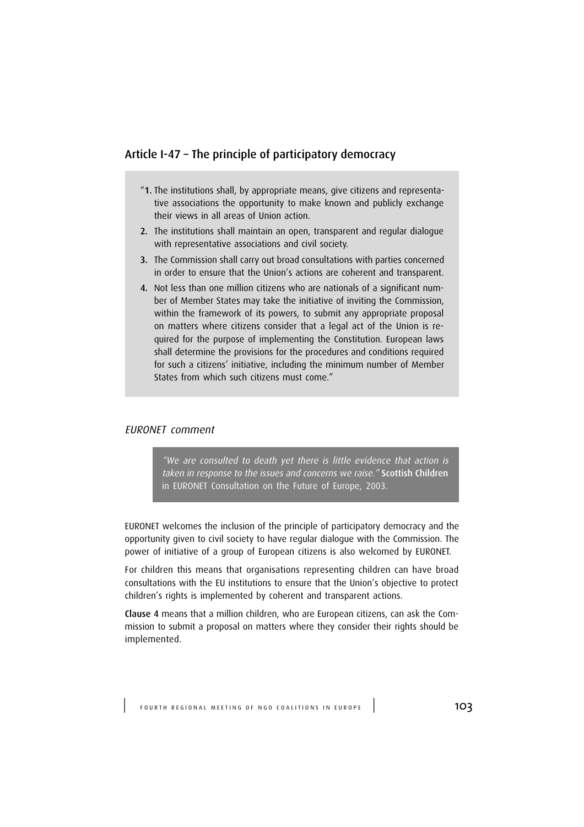## Article I-47 – The principle of participatory democracy

- "1. The institutions shall, by appropriate means, give citizens and representative associations the opportunity to make known and publicly exchange their views in all areas of Union action.
- 2. The institutions shall maintain an open, transparent and regular dialogue with representative associations and civil society.
- 3. The Commission shall carry out broad consultations with parties concerned in order to ensure that the Union's actions are coherent and transparent.
- 4. Not less than one million citizens who are nationals of a significant number of Member States may take the initiative of inviting the Commission, within the framework of its powers, to submit any appropriate proposal on matters where citizens consider that a legal act of the Union is required for the purpose of implementing the Constitution. European laws shall determine the provisions for the procedures and conditions required for such a citizens' initiative, including the minimum number of Member States from which such citizens must come."

### EURONET comment

"We are consulted to death yet there is little evidence that action is taken in response to the issues and concerns we raise." Scottish Children in EURONET Consultation on the Future of Europe, 2003.

EURONET welcomes the inclusion of the principle of participatory democracy and the opportunity given to civil society to have regular dialogue with the Commission. The power of initiative of a group of European citizens is also welcomed by EURONET.

For children this means that organisations representing children can have broad consultations with the EU institutions to ensure that the Union's objective to protect children's rights is implemented by coherent and transparent actions.

Clause 4 means that a million children, who are European citizens, can ask the Commission to submit a proposal on matters where they consider their rights should be implemented.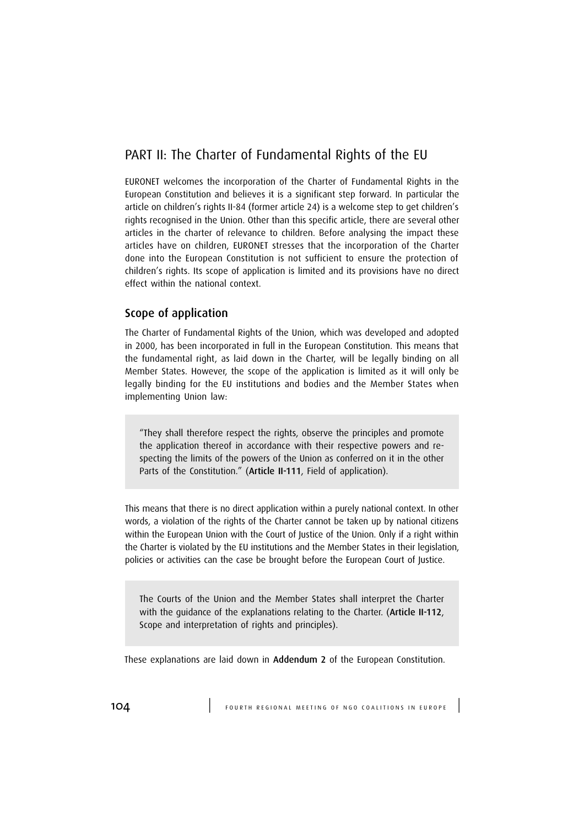# PART II: The Charter of Fundamental Rights of the EU

EURONET welcomes the incorporation of the Charter of Fundamental Rights in the European Constitution and believes it is a significant step forward. In particular the article on children's rights II-84 (former article 24) is a welcome step to get children's rights recognised in the Union. Other than this specific article, there are several other articles in the charter of relevance to children. Before analysing the impact these articles have on children, EURONET stresses that the incorporation of the Charter done into the European Constitution is not sufficient to ensure the protection of children's rights. Its scope of application is limited and its provisions have no direct effect within the national context.

## Scope of application

The Charter of Fundamental Rights of the Union, which was developed and adopted in 2000, has been incorporated in full in the European Constitution. This means that the fundamental right, as laid down in the Charter, will be legally binding on all Member States. However, the scope of the application is limited as it will only be legally binding for the EU institutions and bodies and the Member States when implementing Union law:

"They shall therefore respect the rights, observe the principles and promote the application thereof in accordance with their respective powers and respecting the limits of the powers of the Union as conferred on it in the other Parts of the Constitution." (Article II-111, Field of application).

This means that there is no direct application within a purely national context. In other words, a violation of the rights of the Charter cannot be taken up by national citizens within the European Union with the Court of Justice of the Union. Only if a right within the Charter is violated by the EU institutions and the Member States in their legislation, policies or activities can the case be brought before the European Court of Justice.

The Courts of the Union and the Member States shall interpret the Charter with the quidance of the explanations relating to the Charter. (Article II-112, Scope and interpretation of rights and principles).

These explanations are laid down in Addendum 2 of the European Constitution.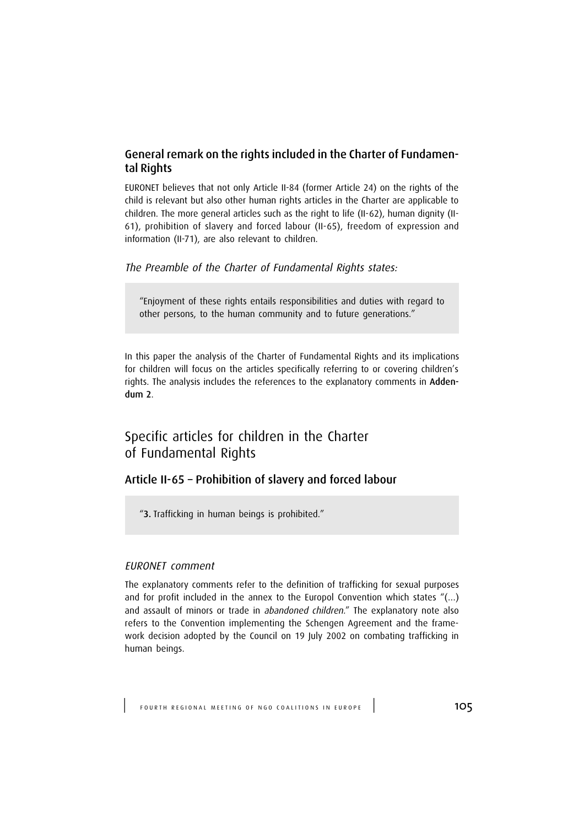## General remark on the rights included in the Charter of Fundamental Rights

EURONET believes that not only Article II-84 (former Article 24) on the rights of the child is relevant but also other human rights articles in the Charter are applicable to children. The more general articles such as the right to life (II-62), human dignity (II-61), prohibition of slavery and forced labour (II-65), freedom of expression and information (II-71), are also relevant to children.

The Preamble of the Charter of Fundamental Rights states:

"Enjoyment of these rights entails responsibilities and duties with regard to other persons, to the human community and to future generations."

In this paper the analysis of the Charter of Fundamental Rights and its implications for children will focus on the articles specifically referring to or covering children's rights. The analysis includes the references to the explanatory comments in Addendum 2.

# Specific articles for children in the Charter of Fundamental Rights

## Article II-65 – Prohibition of slavery and forced labour

"3. Trafficking in human beings is prohibited."

### EURONET comment

The explanatory comments refer to the definition of trafficking for sexual purposes and for profit included in the annex to the Europol Convention which states "(…) and assault of minors or trade in abandoned children." The explanatory note also refers to the Convention implementing the Schengen Agreement and the framework decision adopted by the Council on 19 July 2002 on combating trafficking in human beings.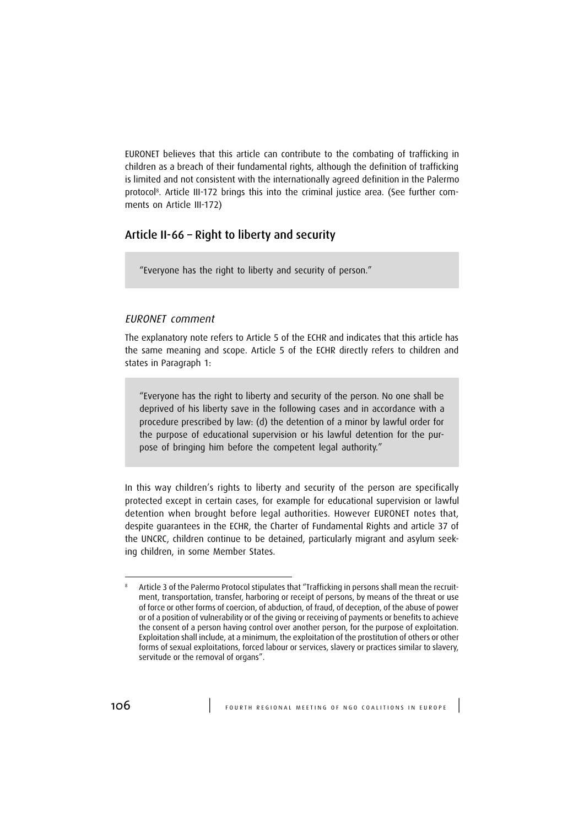EURONET believes that this article can contribute to the combating of trafficking in children as a breach of their fundamental rights, although the definition of trafficking is limited and not consistent with the internationally agreed definition in the Palermo protocol<sup>8</sup> . Article III-172 brings this into the criminal justice area. (See further comments on Article III-172)

## Article II-66 – Right to liberty and security

"Everyone has the right to liberty and security of person."

### EURONET comment

The explanatory note refers to Article 5 of the ECHR and indicates that this article has the same meaning and scope. Article 5 of the ECHR directly refers to children and states in Paragraph 1:

"Everyone has the right to liberty and security of the person. No one shall be deprived of his liberty save in the following cases and in accordance with a procedure prescribed by law: (d) the detention of a minor by lawful order for the purpose of educational supervision or his lawful detention for the purpose of bringing him before the competent legal authority."

In this way children's rights to liberty and security of the person are specifically protected except in certain cases, for example for educational supervision or lawful detention when brought before legal authorities. However EURONET notes that, despite guarantees in the ECHR, the Charter of Fundamental Rights and article 37 of the UNCRC, children continue to be detained, particularly migrant and asylum seeking children, in some Member States.

<sup>8</sup> Article 3 of the Palermo Protocol stipulates that "Trafficking in persons shall mean the recruitment, transportation, transfer, harboring or receipt of persons, by means of the threat or use of force or other forms of coercion, of abduction, of fraud, of deception, of the abuse of power or of a position of vulnerability or of the giving or receiving of payments or benefits to achieve the consent of a person having control over another person, for the purpose of exploitation. Exploitation shall include, at a minimum, the exploitation of the prostitution of others or other forms of sexual exploitations, forced labour or services, slavery or practices similar to slavery, servitude or the removal of organs".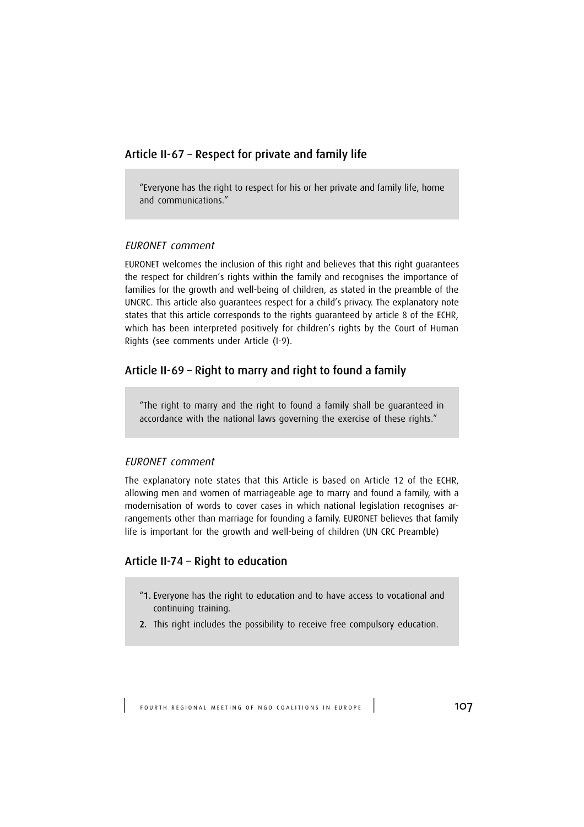## Article II-67 – Respect for private and family life

"Everyone has the right to respect for his or her private and family life, home and communications."

#### EURONET comment

EURONET welcomes the inclusion of this right and believes that this right guarantees the respect for children's rights within the family and recognises the importance of families for the growth and well-being of children, as stated in the preamble of the UNCRC. This article also guarantees respect for a child's privacy. The explanatory note states that this article corresponds to the rights guaranteed by article 8 of the ECHR, which has been interpreted positively for children's rights by the Court of Human Rights (see comments under Article (I-9).

# Article II-69 – Right to marry and right to found a family

"The right to marry and the right to found a family shall be guaranteed in accordance with the national laws governing the exercise of these rights."

## EURONET comment

The explanatory note states that this Article is based on Article 12 of the ECHR, allowing men and women of marriageable age to marry and found a family, with a modernisation of words to cover cases in which national legislation recognises arrangements other than marriage for founding a family. EURONET believes that family life is important for the growth and well-being of children (UN CRC Preamble)

## Article II-74 – Right to education

- "1. Everyone has the right to education and to have access to vocational and continuing training.
- 2. This right includes the possibility to receive free compulsory education.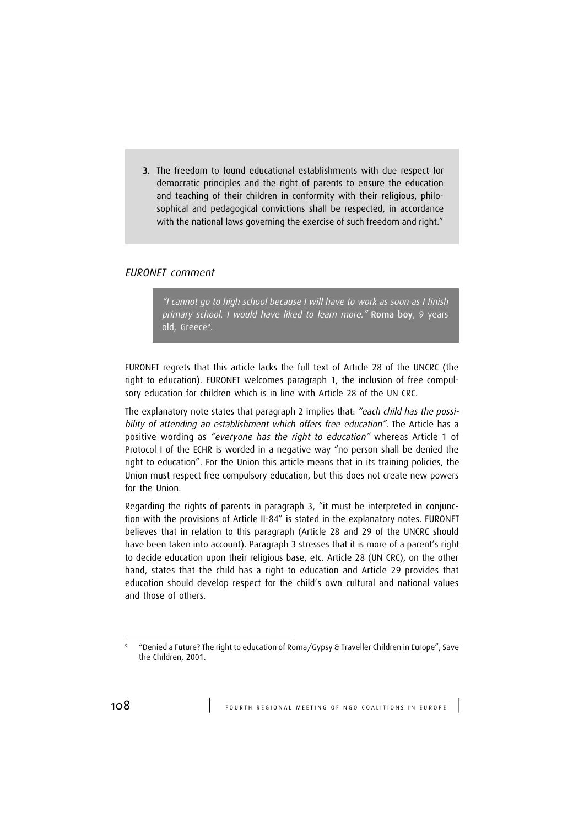3. The freedom to found educational establishments with due respect for democratic principles and the right of parents to ensure the education and teaching of their children in conformity with their religious, philosophical and pedagogical convictions shall be respected, in accordance with the national laws governing the exercise of such freedom and right."

## EURONET comment

"I cannot go to high school because I will have to work as soon as I finish primary school. I would have liked to learn more." Roma boy, 9 years old, Greece<sup>9</sup>.

EURONET regrets that this article lacks the full text of Article 28 of the UNCRC (the right to education). EURONET welcomes paragraph 1, the inclusion of free compulsory education for children which is in line with Article 28 of the UN CRC.

The explanatory note states that paragraph 2 implies that: "each child has the possibility of attending an establishment which offers free education". The Article has a positive wording as "everyone has the right to education" whereas Article 1 of Protocol I of the ECHR is worded in a negative way "no person shall be denied the right to education". For the Union this article means that in its training policies, the Union must respect free compulsory education, but this does not create new powers for the Union.

Regarding the rights of parents in paragraph 3, "it must be interpreted in conjunction with the provisions of Article II-84" is stated in the explanatory notes. EURONET believes that in relation to this paragraph (Article 28 and 29 of the UNCRC should have been taken into account). Paragraph 3 stresses that it is more of a parent's right to decide education upon their religious base, etc. Article 28 (UN CRC), on the other hand, states that the child has a right to education and Article 29 provides that education should develop respect for the child's own cultural and national values and those of others.

<sup>9</sup> "Denied a Future? The right to education of Roma/Gypsy & Traveller Children in Europe", Save the Children, 2001.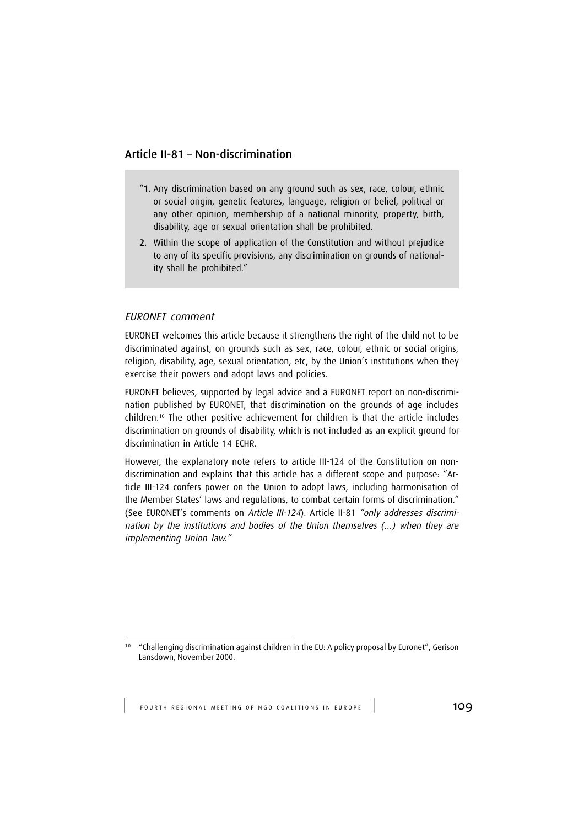## Article II-81 – Non-discrimination

- "1. Any discrimination based on any ground such as sex, race, colour, ethnic or social origin, genetic features, language, religion or belief, political or any other opinion, membership of a national minority, property, birth, disability, age or sexual orientation shall be prohibited.
- 2. Within the scope of application of the Constitution and without prejudice to any of its specific provisions, any discrimination on grounds of nationality shall be prohibited."

## EURONET comment

EURONET welcomes this article because it strengthens the right of the child not to be discriminated against, on grounds such as sex, race, colour, ethnic or social origins, religion, disability, age, sexual orientation, etc, by the Union's institutions when they exercise their powers and adopt laws and policies.

EURONET believes, supported by legal advice and a EURONET report on non-discrimination published by EURONET, that discrimination on the grounds of age includes children.<sup>10</sup> The other positive achievement for children is that the article includes discrimination on grounds of disability, which is not included as an explicit ground for discrimination in Article 14 ECHR.

However, the explanatory note refers to article III-124 of the Constitution on nondiscrimination and explains that this article has a different scope and purpose: "Article III-124 confers power on the Union to adopt laws, including harmonisation of the Member States' laws and regulations, to combat certain forms of discrimination." (See EURONET's comments on Article III-124). Article II-81 "only addresses discrimination by the institutions and bodies of the Union themselves (…) when they are implementing Union law."

<sup>&</sup>lt;sup>10</sup> "Challenging discrimination against children in the EU: A policy proposal by Euronet", Gerison Lansdown, November 2000.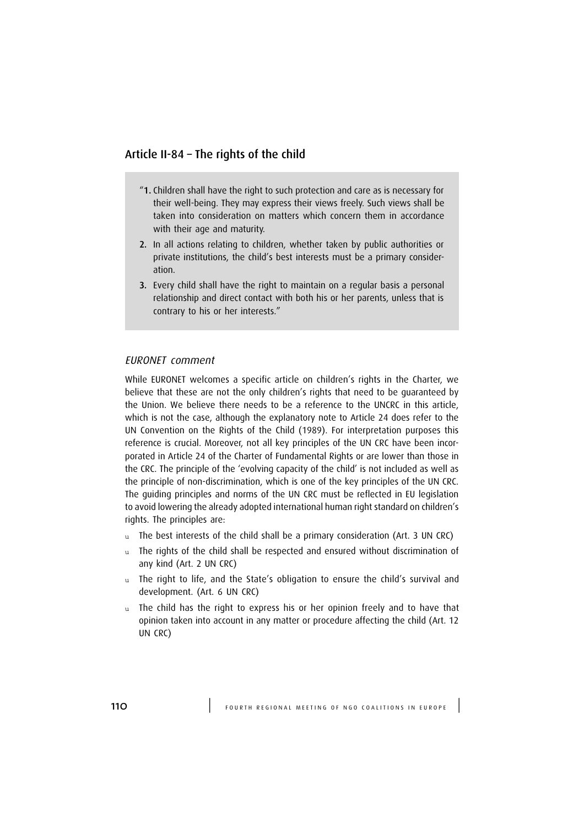## Article II-84 – The rights of the child

- "1. Children shall have the right to such protection and care as is necessary for their well-being. They may express their views freely. Such views shall be taken into consideration on matters which concern them in accordance with their age and maturity.
- 2. In all actions relating to children, whether taken by public authorities or private institutions, the child's best interests must be a primary consideration.
- 3. Every child shall have the right to maintain on a regular basis a personal relationship and direct contact with both his or her parents, unless that is contrary to his or her interests."

#### EURONET comment

While EURONET welcomes a specific article on children's rights in the Charter, we believe that these are not the only children's rights that need to be guaranteed by the Union. We believe there needs to be a reference to the UNCRC in this article, which is not the case, although the explanatory note to Article 24 does refer to the UN Convention on the Rights of the Child (1989). For interpretation purposes this reference is crucial. Moreover, not all key principles of the UN CRC have been incorporated in Article 24 of the Charter of Fundamental Rights or are lower than those in the CRC. The principle of the 'evolving capacity of the child' is not included as well as the principle of non-discrimination, which is one of the key principles of the UN CRC. The guiding principles and norms of the UN CRC must be reflected in EU legislation to avoid lowering the already adopted international human right standard on children's rights. The principles are:

- u The best interests of the child shall be a primary consideration (Art. 3 UN CRC)
- u The rights of the child shall be respected and ensured without discrimination of any kind (Art. 2 UN CRC)
- u The right to life, and the State's obligation to ensure the child's survival and development. (Art. 6 UN CRC)
- u The child has the right to express his or her opinion freely and to have that opinion taken into account in any matter or procedure affecting the child (Art. 12 UN CRC)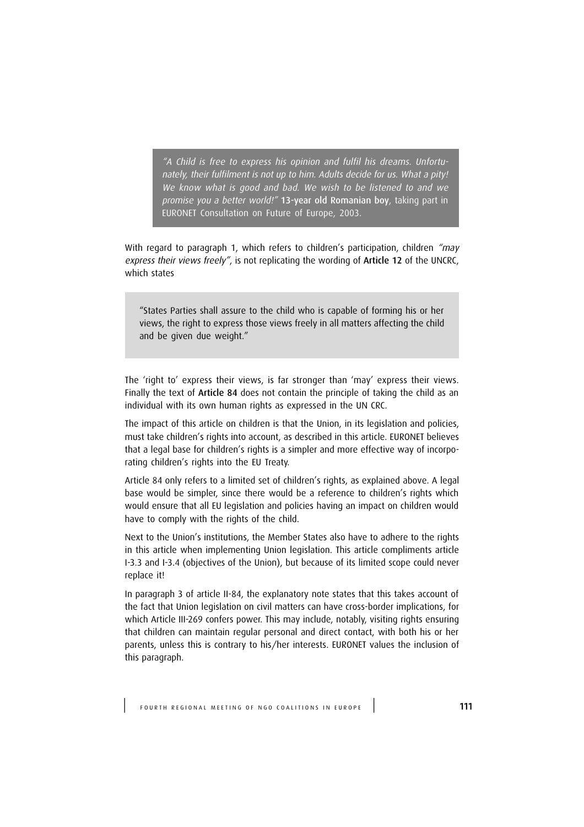"A Child is free to express his opinion and fulfil his dreams. Unfortunately, their fulfilment is not up to him. Adults decide for us. What a pity! We know what is good and bad. We wish to be listened to and we promise you a better world!" 13-year old Romanian boy, taking part in EURONET Consultation on Future of Europe, 2003.

With regard to paragraph 1, which refers to children's participation, children "may express their views freely", is not replicating the wording of Article 12 of the UNCRC, which states

"States Parties shall assure to the child who is capable of forming his or her views, the right to express those views freely in all matters affecting the child and be given due weight."

The 'right to' express their views, is far stronger than 'may' express their views. Finally the text of Article 84 does not contain the principle of taking the child as an individual with its own human rights as expressed in the UN CRC.

The impact of this article on children is that the Union, in its legislation and policies, must take children's rights into account, as described in this article. EURONET believes that a legal base for children's rights is a simpler and more effective way of incorporating children's rights into the EU Treaty.

Article 84 only refers to a limited set of children's rights, as explained above. A legal base would be simpler, since there would be a reference to children's rights which would ensure that all EU legislation and policies having an impact on children would have to comply with the rights of the child.

Next to the Union's institutions, the Member States also have to adhere to the rights in this article when implementing Union legislation. This article compliments article I-3.3 and I-3.4 (objectives of the Union), but because of its limited scope could never replace it!

In paragraph 3 of article II-84, the explanatory note states that this takes account of the fact that Union legislation on civil matters can have cross-border implications, for which Article III-269 confers power. This may include, notably, visiting rights ensuring that children can maintain regular personal and direct contact, with both his or her parents, unless this is contrary to his/her interests. EURONET values the inclusion of this paragraph.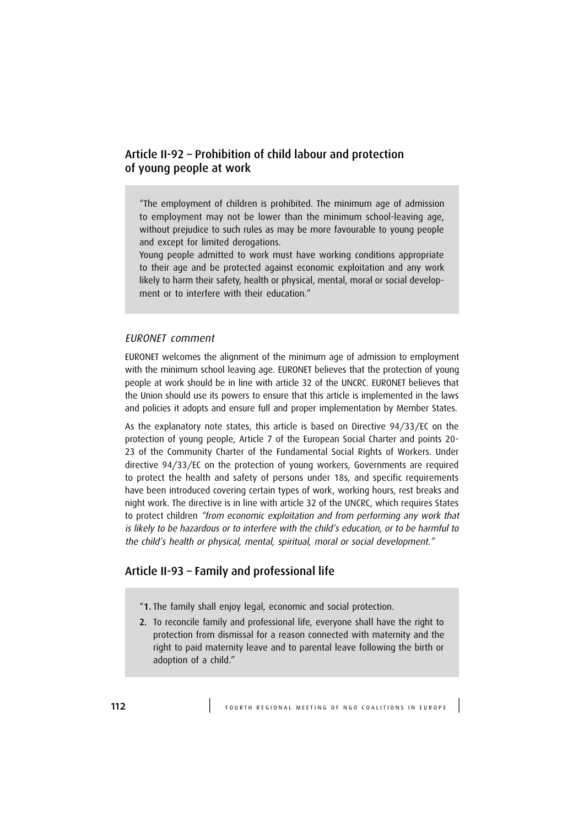## Article II-92 – Prohibition of child labour and protection of young people at work

"The employment of children is prohibited. The minimum age of admission to employment may not be lower than the minimum school-leaving age, without prejudice to such rules as may be more favourable to young people and except for limited derogations.

Young people admitted to work must have working conditions appropriate to their age and be protected against economic exploitation and any work likely to harm their safety, health or physical, mental, moral or social development or to interfere with their education."

### EURONET comment

EURONET welcomes the alignment of the minimum age of admission to employment with the minimum school leaving age. EURONET believes that the protection of young people at work should be in line with article 32 of the UNCRC. EURONET believes that the Union should use its powers to ensure that this article is implemented in the laws and policies it adopts and ensure full and proper implementation by Member States.

As the explanatory note states, this article is based on Directive 94/33/EC on the protection of young people, Article 7 of the European Social Charter and points 20- 23 of the Community Charter of the Fundamental Social Rights of Workers. Under directive 94/33/EC on the protection of young workers, Governments are required to protect the health and safety of persons under 18s, and specific requirements have been introduced covering certain types of work, working hours, rest breaks and night work. The directive is in line with article 32 of the UNCRC, which requires States to protect children "from economic exploitation and from performing any work that is likely to be hazardous or to interfere with the child's education, or to be harmful to the child's health or physical, mental, spiritual, moral or social development."

## Article II-93 – Family and professional life

- "1. The family shall enjoy legal, economic and social protection.
- 2. To reconcile family and professional life, everyone shall have the right to protection from dismissal for a reason connected with maternity and the right to paid maternity leave and to parental leave following the birth or adoption of a child."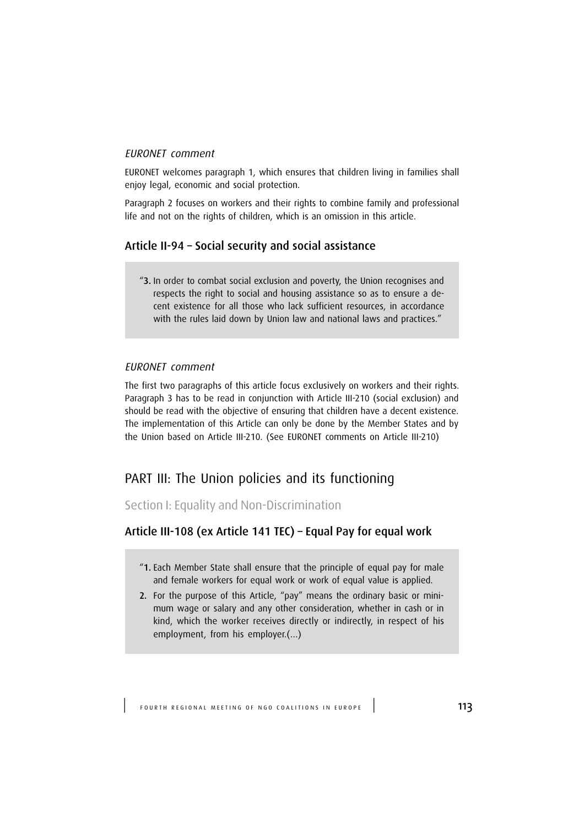## EURONET comment

EURONET welcomes paragraph 1, which ensures that children living in families shall enjoy legal, economic and social protection.

Paragraph 2 focuses on workers and their rights to combine family and professional life and not on the rights of children, which is an omission in this article.

## Article II-94 – Social security and social assistance

"3. In order to combat social exclusion and poverty, the Union recognises and respects the right to social and housing assistance so as to ensure a decent existence for all those who lack sufficient resources, in accordance with the rules laid down by Union law and national laws and practices."

### EURONET comment

The first two paragraphs of this article focus exclusively on workers and their rights. Paragraph 3 has to be read in conjunction with Article III-210 (social exclusion) and should be read with the objective of ensuring that children have a decent existence. The implementation of this Article can only be done by the Member States and by the Union based on Article III-210. (See EURONET comments on Article III-210)

# PART III: The Union policies and its functioning

Section I: Equality and Non-Discrimination

## Article III-108 (ex Article 141 TEC) – Equal Pay for equal work

- "1. Each Member State shall ensure that the principle of equal pay for male and female workers for equal work or work of equal value is applied.
- 2. For the purpose of this Article, "pay" means the ordinary basic or minimum wage or salary and any other consideration, whether in cash or in kind, which the worker receives directly or indirectly, in respect of his employment, from his employer.(…)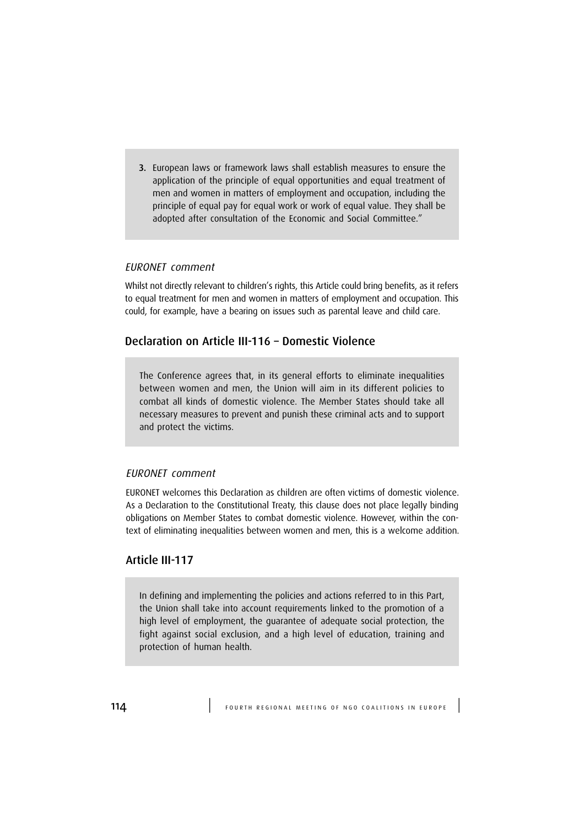3. European laws or framework laws shall establish measures to ensure the application of the principle of equal opportunities and equal treatment of men and women in matters of employment and occupation, including the principle of equal pay for equal work or work of equal value. They shall be adopted after consultation of the Economic and Social Committee."

### EURONET comment

Whilst not directly relevant to children's rights, this Article could bring benefits, as it refers to equal treatment for men and women in matters of employment and occupation. This could, for example, have a bearing on issues such as parental leave and child care.

## Declaration on Article III-116 – Domestic Violence

The Conference agrees that, in its general efforts to eliminate inequalities between women and men, the Union will aim in its different policies to combat all kinds of domestic violence. The Member States should take all necessary measures to prevent and punish these criminal acts and to support and protect the victims.

### EURONET comment

EURONET welcomes this Declaration as children are often victims of domestic violence. As a Declaration to the Constitutional Treaty, this clause does not place legally binding obligations on Member States to combat domestic violence. However, within the context of eliminating inequalities between women and men, this is a welcome addition.

## Article III-117

In defining and implementing the policies and actions referred to in this Part, the Union shall take into account requirements linked to the promotion of a high level of employment, the guarantee of adequate social protection, the fight against social exclusion, and a high level of education, training and protection of human health.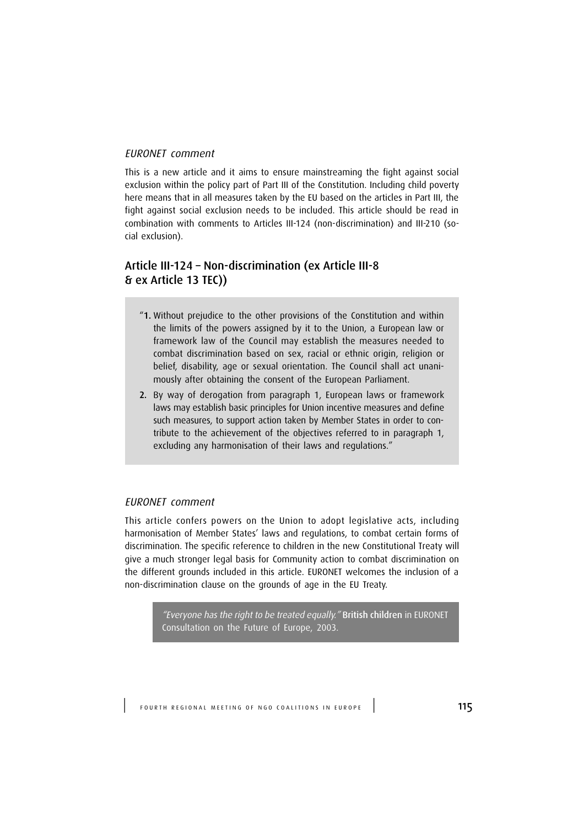### EURONET comment

This is a new article and it aims to ensure mainstreaming the fight against social exclusion within the policy part of Part III of the Constitution. Including child poverty here means that in all measures taken by the EU based on the articles in Part III, the fight against social exclusion needs to be included. This article should be read in combination with comments to Articles III-124 (non-discrimination) and III-210 (social exclusion).

# Article III-124 – Non-discrimination (ex Article III-8 & ex Article 13 TEC))

- "1. Without prejudice to the other provisions of the Constitution and within the limits of the powers assigned by it to the Union, a European law or framework law of the Council may establish the measures needed to combat discrimination based on sex, racial or ethnic origin, religion or belief, disability, age or sexual orientation. The Council shall act unanimously after obtaining the consent of the European Parliament.
- 2. By way of derogation from paragraph 1, European laws or framework laws may establish basic principles for Union incentive measures and define such measures, to support action taken by Member States in order to contribute to the achievement of the objectives referred to in paragraph 1, excluding any harmonisation of their laws and regulations."

## EURONET comment

This article confers powers on the Union to adopt legislative acts, including harmonisation of Member States' laws and regulations, to combat certain forms of discrimination. The specific reference to children in the new Constitutional Treaty will give a much stronger legal basis for Community action to combat discrimination on the different grounds included in this article. EURONET welcomes the inclusion of a non-discrimination clause on the grounds of age in the EU Treaty.

> "Everyone has the right to be treated equally." British children in EURONET Consultation on the Future of Europe, 2003.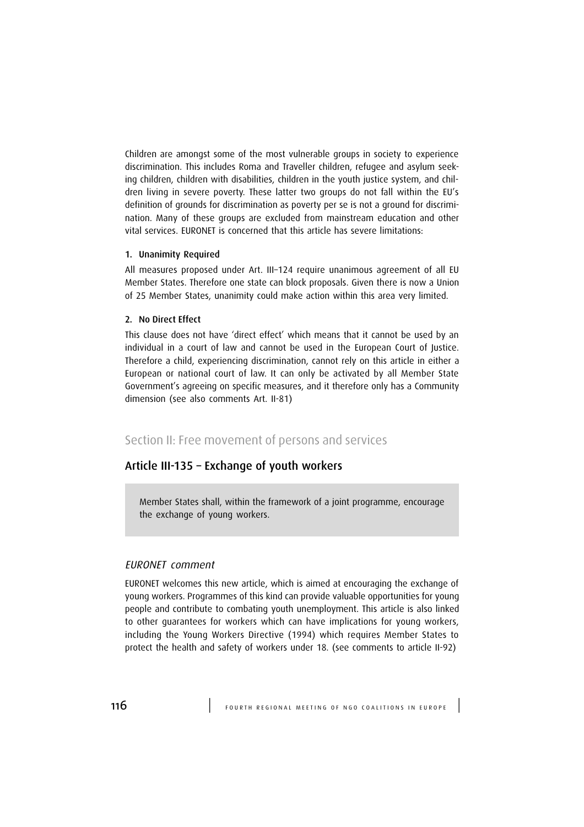Children are amongst some of the most vulnerable groups in society to experience discrimination. This includes Roma and Traveller children, refugee and asylum seeking children, children with disabilities, children in the youth justice system, and children living in severe poverty. These latter two groups do not fall within the EU's definition of grounds for discrimination as poverty per se is not a ground for discrimination. Many of these groups are excluded from mainstream education and other vital services. EURONET is concerned that this article has severe limitations:

#### 1. Unanimity Required

All measures proposed under Art. III–124 require unanimous agreement of all EU Member States. Therefore one state can block proposals. Given there is now a Union of 25 Member States, unanimity could make action within this area very limited.

### 2. No Direct Effect

This clause does not have 'direct effect' which means that it cannot be used by an individual in a court of law and cannot be used in the European Court of Justice. Therefore a child, experiencing discrimination, cannot rely on this article in either a European or national court of law. It can only be activated by all Member State Government's agreeing on specific measures, and it therefore only has a Community dimension (see also comments Art. II-81)

## Section II: Free movement of persons and services

## Article III-135 – Exchange of youth workers

Member States shall, within the framework of a joint programme, encourage the exchange of young workers.

## EURONET comment

EURONET welcomes this new article, which is aimed at encouraging the exchange of young workers. Programmes of this kind can provide valuable opportunities for young people and contribute to combating youth unemployment. This article is also linked to other guarantees for workers which can have implications for young workers, including the Young Workers Directive (1994) which requires Member States to protect the health and safety of workers under 18. (see comments to article II-92)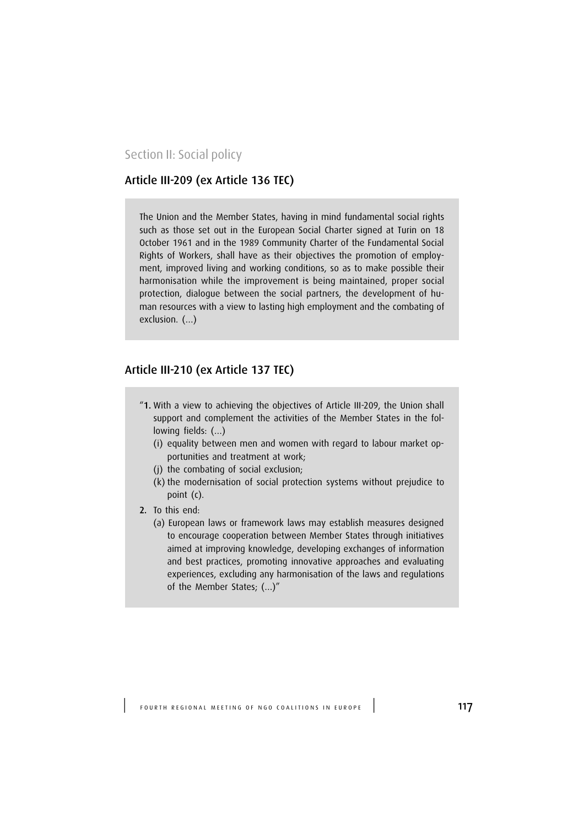Section II: Social policy

# Article III-209 (ex Article 136 TEC)

The Union and the Member States, having in mind fundamental social rights such as those set out in the European Social Charter signed at Turin on 18 October 1961 and in the 1989 Community Charter of the Fundamental Social Rights of Workers, shall have as their objectives the promotion of employment, improved living and working conditions, so as to make possible their harmonisation while the improvement is being maintained, proper social protection, dialogue between the social partners, the development of human resources with a view to lasting high employment and the combating of exclusion. (…)

## Article III-210 (ex Article 137 TEC)

- "1. With a view to achieving the objectives of Article III-209, the Union shall support and complement the activities of the Member States in the following fields: (…)
	- (i) equality between men and women with regard to labour market opportunities and treatment at work;
	- (j) the combating of social exclusion;
	- (k) the modernisation of social protection systems without prejudice to point (c).
- 2. To this end:
	- (a) European laws or framework laws may establish measures designed to encourage cooperation between Member States through initiatives aimed at improving knowledge, developing exchanges of information and best practices, promoting innovative approaches and evaluating experiences, excluding any harmonisation of the laws and regulations of the Member States; (…)"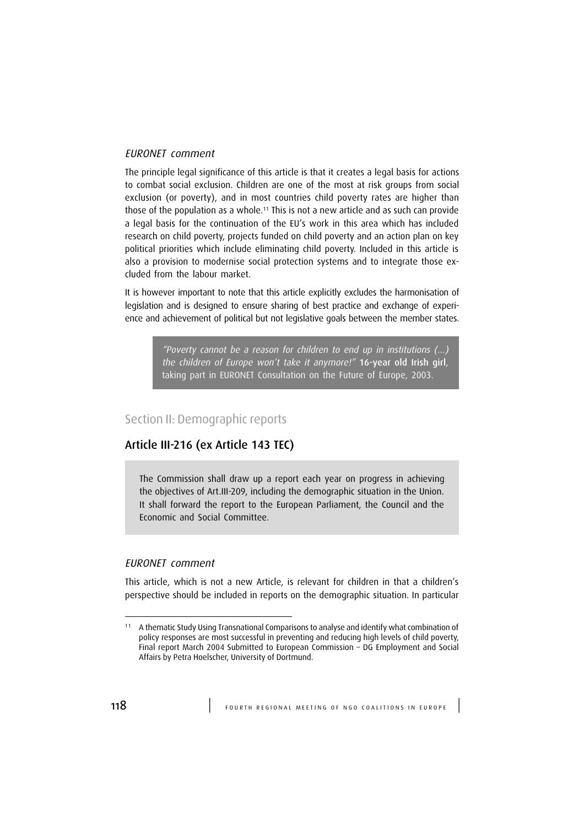#### EURONET comment

The principle legal significance of this article is that it creates a legal basis for actions to combat social exclusion. Children are one of the most at risk groups from social exclusion (or poverty), and in most countries child poverty rates are higher than those of the population as a whole.<sup>11</sup> This is not a new article and as such can provide a legal basis for the continuation of the EU's work in this area which has included research on child poverty, projects funded on child poverty and an action plan on key political priorities which include eliminating child poverty. Included in this article is also a provision to modernise social protection systems and to integrate those excluded from the labour market.

It is however important to note that this article explicitly excludes the harmonisation of legislation and is designed to ensure sharing of best practice and exchange of experience and achievement of political but not legislative goals between the member states.

> "Poverty cannot be a reason for children to end up in institutions  $(...)$ the children of Europe won't take it anymore!" 16-year old Irish girl, taking part in EURONET Consultation on the Future of Europe, 2003.

## Section II: Demographic reports

## Article III-216 (ex Article 143 TEC)

The Commission shall draw up a report each year on progress in achieving the objectives of Art.III-209, including the demographic situation in the Union. It shall forward the report to the European Parliament, the Council and the Economic and Social Committee.

## EURONET comment

This article, which is not a new Article, is relevant for children in that a children's perspective should be included in reports on the demographic situation. In particular

<sup>&</sup>lt;sup>11</sup> A thematic Study Using Transnational Comparisons to analyse and identify what combination of policy responses are most successful in preventing and reducing high levels of child poverty, Final report March 2004 Submitted to European Commission – DG Employment and Social Affairs by Petra Hoelscher, University of Dortmund.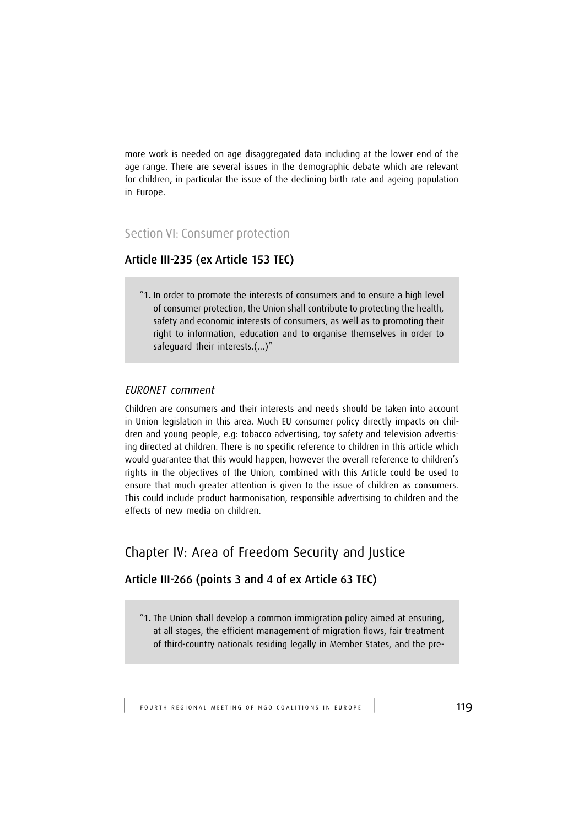more work is needed on age disaggregated data including at the lower end of the age range. There are several issues in the demographic debate which are relevant for children, in particular the issue of the declining birth rate and ageing population in Europe.

# Section VI: Consumer protection

# Article III-235 (ex Article 153 TEC)

"1. In order to promote the interests of consumers and to ensure a high level of consumer protection, the Union shall contribute to protecting the health, safety and economic interests of consumers, as well as to promoting their right to information, education and to organise themselves in order to safeguard their interests.(…)"

### EURONET comment

Children are consumers and their interests and needs should be taken into account in Union legislation in this area. Much EU consumer policy directly impacts on children and young people, e.g: tobacco advertising, toy safety and television advertising directed at children. There is no specific reference to children in this article which would guarantee that this would happen, however the overall reference to children's rights in the objectives of the Union, combined with this Article could be used to ensure that much greater attention is given to the issue of children as consumers. This could include product harmonisation, responsible advertising to children and the effects of new media on children.

# Chapter IV: Area of Freedom Security and Justice

## Article III-266 (points 3 and 4 of ex Article 63 TEC)

"1. The Union shall develop a common immigration policy aimed at ensuring, at all stages, the efficient management of migration flows, fair treatment of third-country nationals residing legally in Member States, and the pre-

FOURTH REGIONAL MEETING OF NGO COALITIONS IN EUROPE<sup>1</sup>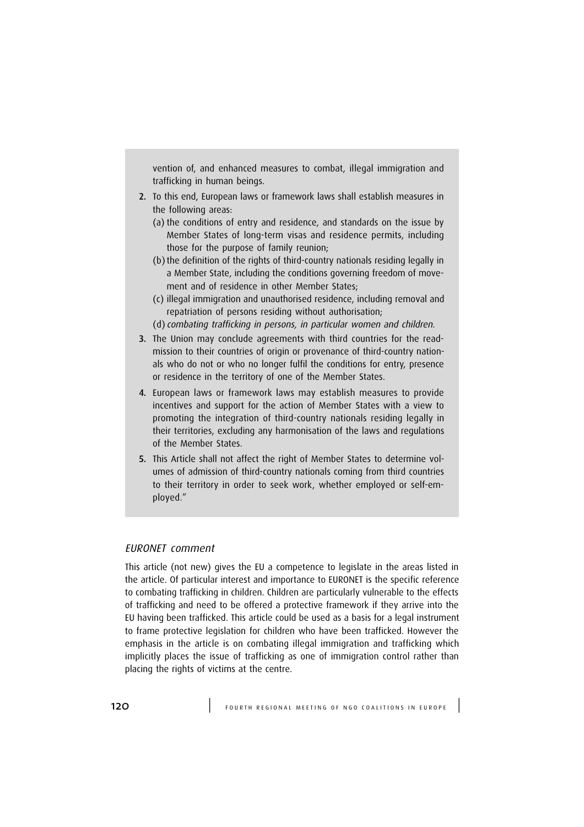vention of, and enhanced measures to combat, illegal immigration and trafficking in human beings.

- 2. To this end, European laws or framework laws shall establish measures in the following areas:
	- (a) the conditions of entry and residence, and standards on the issue by Member States of long-term visas and residence permits, including those for the purpose of family reunion;
	- (b) the definition of the rights of third-country nationals residing legally in a Member State, including the conditions governing freedom of movement and of residence in other Member States;
	- (c) illegal immigration and unauthorised residence, including removal and repatriation of persons residing without authorisation;
	- (d) combating trafficking in persons, in particular women and children.
- 3. The Union may conclude agreements with third countries for the readmission to their countries of origin or provenance of third-country nationals who do not or who no longer fulfil the conditions for entry, presence or residence in the territory of one of the Member States.
- 4. European laws or framework laws may establish measures to provide incentives and support for the action of Member States with a view to promoting the integration of third-country nationals residing legally in their territories, excluding any harmonisation of the laws and regulations of the Member States.
- 5. This Article shall not affect the right of Member States to determine volumes of admission of third-country nationals coming from third countries to their territory in order to seek work, whether employed or self-employed."

#### EURONET comment

This article (not new) gives the EU a competence to legislate in the areas listed in the article. Of particular interest and importance to EURONET is the specific reference to combating trafficking in children. Children are particularly vulnerable to the effects of trafficking and need to be offered a protective framework if they arrive into the EU having been trafficked. This article could be used as a basis for a legal instrument to frame protective legislation for children who have been trafficked. However the emphasis in the article is on combating illegal immigration and trafficking which implicitly places the issue of trafficking as one of immigration control rather than placing the rights of victims at the centre.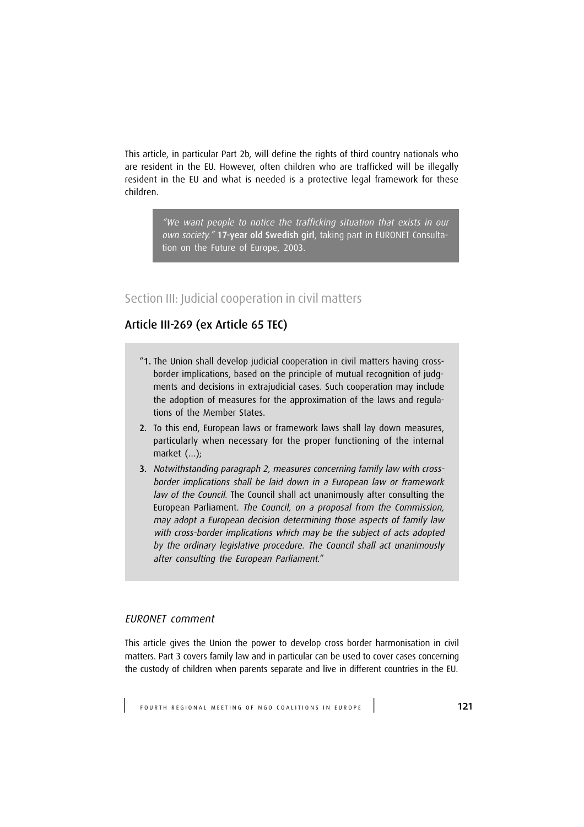This article, in particular Part 2b, will define the rights of third country nationals who are resident in the EU. However, often children who are trafficked will be illegally resident in the EU and what is needed is a protective legal framework for these children.

> "We want people to notice the trafficking situation that exists in our own society." 17-year old Swedish girl, taking part in EURONET Consultation on the Future of Europe, 2003.

# Section III: Judicial cooperation in civil matters

# Article III-269 (ex Article 65 TEC)

- "1. The Union shall develop judicial cooperation in civil matters having crossborder implications, based on the principle of mutual recognition of judgments and decisions in extrajudicial cases. Such cooperation may include the adoption of measures for the approximation of the laws and regulations of the Member States.
- 2. To this end, European laws or framework laws shall lay down measures, particularly when necessary for the proper functioning of the internal market (…);
- 3. Notwithstanding paragraph 2, measures concerning family law with crossborder implications shall be laid down in a European law or framework law of the Council. The Council shall act unanimously after consulting the European Parliament. The Council, on a proposal from the Commission, may adopt a European decision determining those aspects of family law with cross-border implications which may be the subject of acts adopted by the ordinary legislative procedure. The Council shall act unanimously after consulting the European Parliament."

## EURONET comment

This article gives the Union the power to develop cross border harmonisation in civil matters. Part 3 covers family law and in particular can be used to cover cases concerning the custody of children when parents separate and live in different countries in the EU.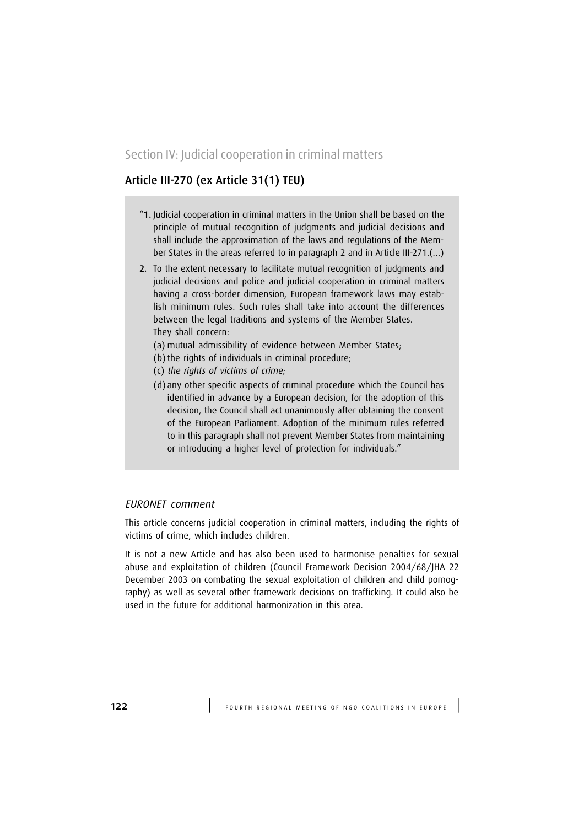## Section IV: Judicial cooperation in criminal matters

# Article III-270 (ex Article 31(1) TEU)

- "1. Judicial cooperation in criminal matters in the Union shall be based on the principle of mutual recognition of judgments and judicial decisions and shall include the approximation of the laws and regulations of the Member States in the areas referred to in paragraph 2 and in Article III-271.(…)
- 2. To the extent necessary to facilitate mutual recognition of judgments and judicial decisions and police and judicial cooperation in criminal matters having a cross-border dimension, European framework laws may establish minimum rules. Such rules shall take into account the differences between the legal traditions and systems of the Member States. They shall concern:
	- (a) mutual admissibility of evidence between Member States;
	- (b) the rights of individuals in criminal procedure;
	- (c) the rights of victims of crime;
	- (d) any other specific aspects of criminal procedure which the Council has identified in advance by a European decision, for the adoption of this decision, the Council shall act unanimously after obtaining the consent of the European Parliament. Adoption of the minimum rules referred to in this paragraph shall not prevent Member States from maintaining or introducing a higher level of protection for individuals."

#### EURONET comment

This article concerns judicial cooperation in criminal matters, including the rights of victims of crime, which includes children.

It is not a new Article and has also been used to harmonise penalties for sexual abuse and exploitation of children (Council Framework Decision 2004/68/JHA 22 December 2003 on combating the sexual exploitation of children and child pornography) as well as several other framework decisions on trafficking. It could also be used in the future for additional harmonization in this area.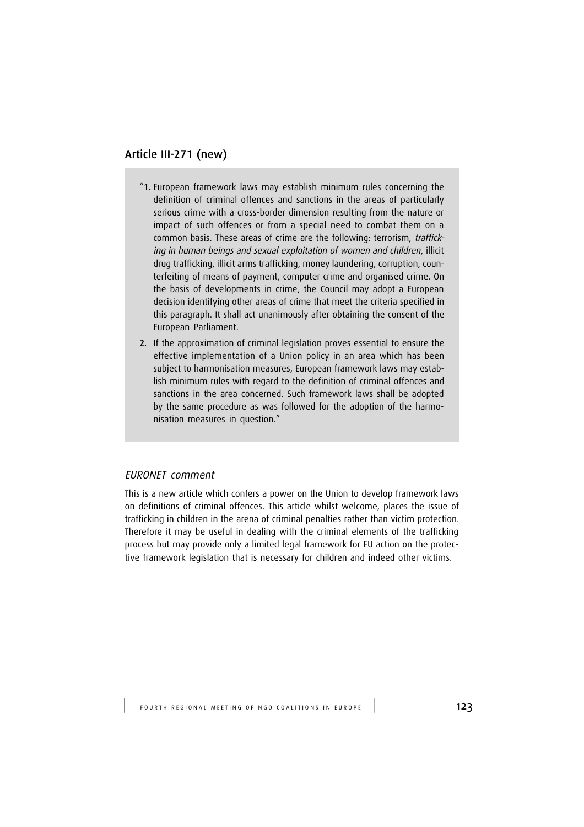# Article III-271 (new)

- "1. European framework laws may establish minimum rules concerning the definition of criminal offences and sanctions in the areas of particularly serious crime with a cross-border dimension resulting from the nature or impact of such offences or from a special need to combat them on a common basis. These areas of crime are the following: terrorism, trafficking in human beings and sexual exploitation of women and children, illicit drug trafficking, illicit arms trafficking, money laundering, corruption, counterfeiting of means of payment, computer crime and organised crime. On the basis of developments in crime, the Council may adopt a European decision identifying other areas of crime that meet the criteria specified in this paragraph. It shall act unanimously after obtaining the consent of the European Parliament.
- 2. If the approximation of criminal legislation proves essential to ensure the effective implementation of a Union policy in an area which has been subject to harmonisation measures, European framework laws may establish minimum rules with regard to the definition of criminal offences and sanctions in the area concerned. Such framework laws shall be adopted by the same procedure as was followed for the adoption of the harmonisation measures in question."

### EURONET comment

This is a new article which confers a power on the Union to develop framework laws on definitions of criminal offences. This article whilst welcome, places the issue of trafficking in children in the arena of criminal penalties rather than victim protection. Therefore it may be useful in dealing with the criminal elements of the trafficking process but may provide only a limited legal framework for EU action on the protective framework legislation that is necessary for children and indeed other victims.

FOURTH REGIONAL MEETING OF NGO COALITIONS IN EUROPE<sup>1</sup>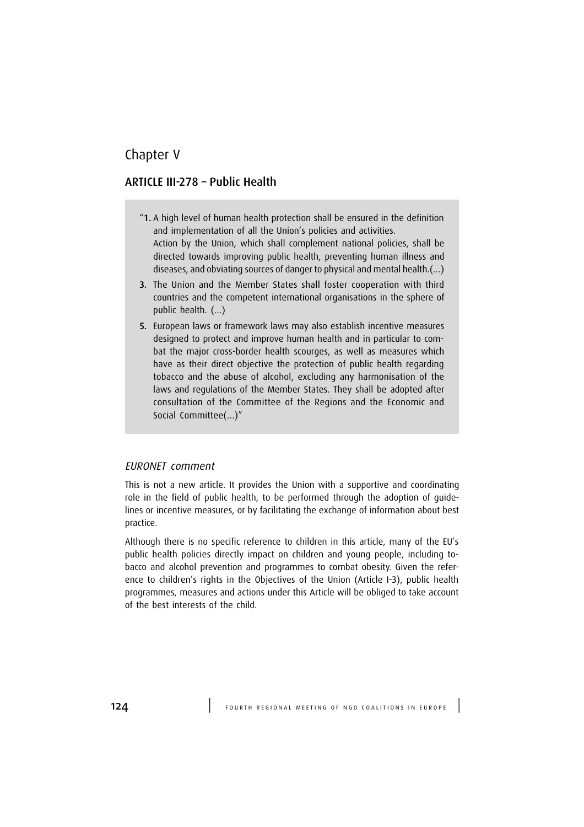# Chapter V

## ARTICLE III-278 – Public Health

- "1. A high level of human health protection shall be ensured in the definition and implementation of all the Union's policies and activities. Action by the Union, which shall complement national policies, shall be directed towards improving public health, preventing human illness and diseases, and obviating sources of danger to physical and mental health.(…)
- 3. The Union and the Member States shall foster cooperation with third countries and the competent international organisations in the sphere of public health. (…)
- 5. European laws or framework laws may also establish incentive measures designed to protect and improve human health and in particular to combat the major cross-border health scourges, as well as measures which have as their direct objective the protection of public health regarding tobacco and the abuse of alcohol, excluding any harmonisation of the laws and regulations of the Member States. They shall be adopted after consultation of the Committee of the Regions and the Economic and Social Committee(…)"

### EURONET comment

This is not a new article. It provides the Union with a supportive and coordinating role in the field of public health, to be performed through the adoption of guidelines or incentive measures, or by facilitating the exchange of information about best practice.

Although there is no specific reference to children in this article, many of the EU's public health policies directly impact on children and young people, including tobacco and alcohol prevention and programmes to combat obesity. Given the reference to children's rights in the Objectives of the Union (Article I-3), public health programmes, measures and actions under this Article will be obliged to take account of the best interests of the child.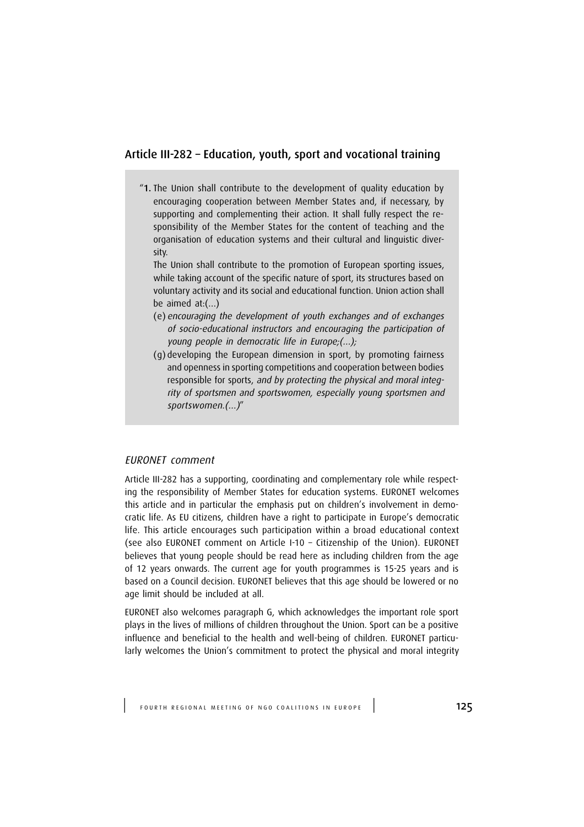## Article III-282 – Education, youth, sport and vocational training

"1. The Union shall contribute to the development of quality education by encouraging cooperation between Member States and, if necessary, by supporting and complementing their action. It shall fully respect the responsibility of the Member States for the content of teaching and the organisation of education systems and their cultural and linguistic diversity.

The Union shall contribute to the promotion of European sporting issues, while taking account of the specific nature of sport, its structures based on voluntary activity and its social and educational function. Union action shall be aimed at:(…)

- (e) encouraging the development of youth exchanges and of exchanges of socio-educational instructors and encouraging the participation of young people in democratic life in Europe;(…);
- (g) developing the European dimension in sport, by promoting fairness and openness in sporting competitions and cooperation between bodies responsible for sports, and by protecting the physical and moral integrity of sportsmen and sportswomen, especially young sportsmen and sportswomen.(…)"

### EURONET comment

Article III-282 has a supporting, coordinating and complementary role while respecting the responsibility of Member States for education systems. EURONET welcomes this article and in particular the emphasis put on children's involvement in democratic life. As EU citizens, children have a right to participate in Europe's democratic life. This article encourages such participation within a broad educational context (see also EURONET comment on Article I-10 – Citizenship of the Union). EURONET believes that young people should be read here as including children from the age of 12 years onwards. The current age for youth programmes is 15-25 years and is based on a Council decision. EURONET believes that this age should be lowered or no age limit should be included at all.

EURONET also welcomes paragraph G, which acknowledges the important role sport plays in the lives of millions of children throughout the Union. Sport can be a positive influence and beneficial to the health and well-being of children. EURONET particularly welcomes the Union's commitment to protect the physical and moral integrity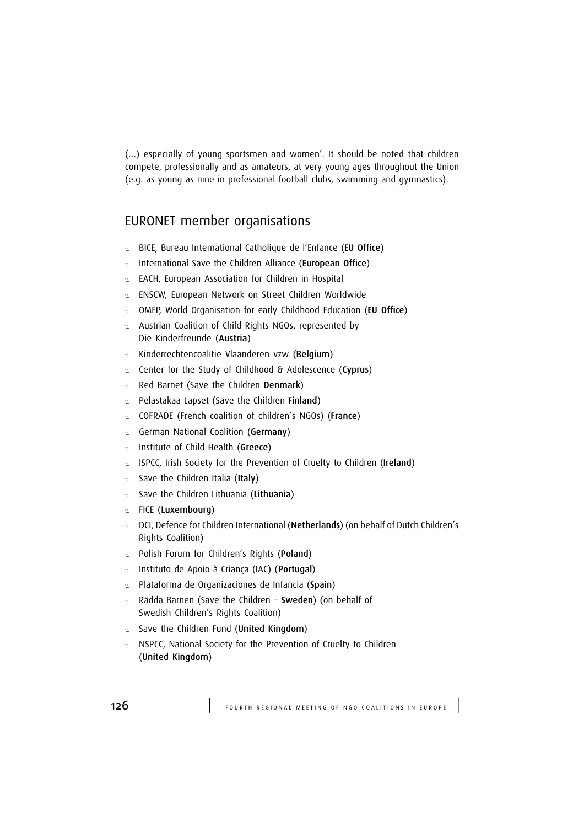(…) especially of young sportsmen and women'. It should be noted that children compete, professionally and as amateurs, at very young ages throughout the Union (e.g. as young as nine in professional football clubs, swimming and gymnastics).

# EURONET member organisations

- u BICE, Bureau International Catholique de l'Enfance (EU Office)
- u International Save the Children Alliance (European Office)
- u EACH, European Association for Children in Hospital
- u ENSCW, European Network on Street Children Worldwide
- u OMEP, World Organisation for early Childhood Education (EU Office)
- u Austrian Coalition of Child Rights NGOs, represented by Die Kinderfreunde (Austria)
- u Kinderrechtencoalitie Vlaanderen vzw (Belgium)
- u Center for the Study of Childhood & Adolescence (Cyprus)
- u Red Barnet (Save the Children Denmark)
- u Pelastakaa Lapset (Save the Children Finland)
- u COFRADE (French coalition of children's NGOs) (France)
- u German National Coalition (Germany)
- u Institute of Child Health (Greece)
- u ISPCC, Irish Society for the Prevention of Cruelty to Children (Ireland)
- u Save the Children Italia (Italy)
- u Save the Children Lithuania (Lithuania)
- u FICE (Luxembourg)
- u DCI, Defence for Children International (Netherlands) (on behalf of Dutch Children's Rights Coalition)
- u Polish Forum for Children's Rights (Poland)
- u Instituto de Apoio à Criança (IAC) (Portugal)
- u Plataforma de Organizaciones de Infancia (Spain)
- u Rädda Barnen (Save the Children Sweden) (on behalf of Swedish Children's Rights Coalition)
- u Save the Children Fund (United Kingdom)
- NSPCC, National Society for the Prevention of Cruelty to Children (United Kingdom)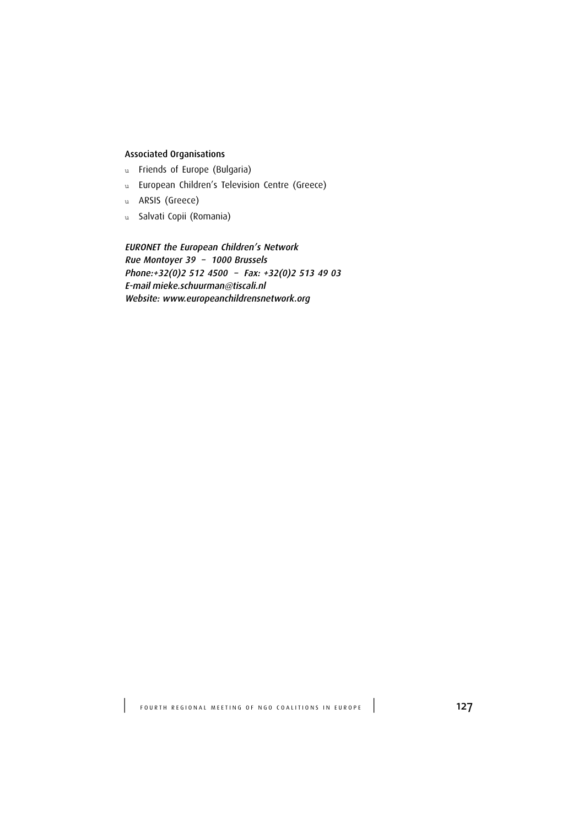# Associated Organisations

- u Friends of Europe (Bulgaria)
- u European Children's Television Centre (Greece)
- u ARSIS (Greece)
- u Salvati Copii (Romania)

EURONET the European Children's Network Rue Montoyer 39 – 1000 Brussels Phone:+32(0)2 512 4500 – Fax: +32(0)2 513 49 03 E-mail mieke.schuurman@tiscali.nl Website: www.europeanchildrensnetwork.org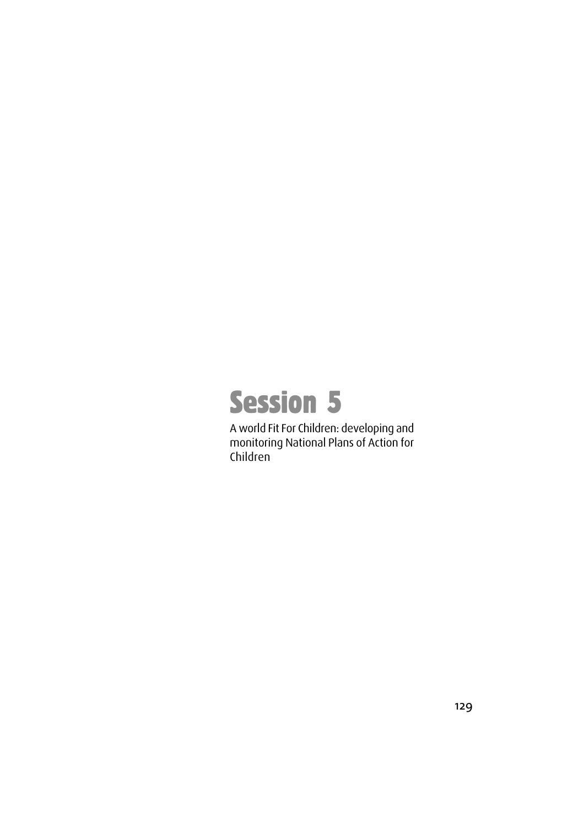

A world Fit For Children: developing and monitoring National Plans of Action for Children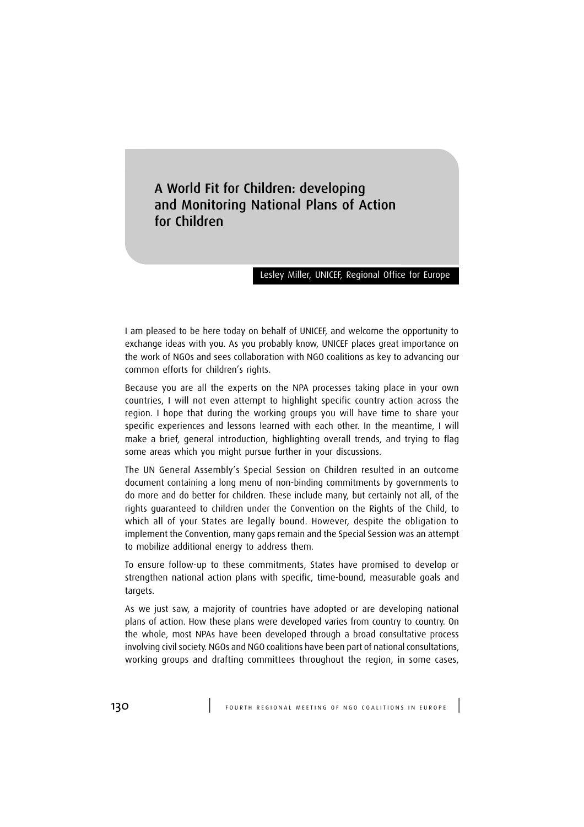A World Fit for Children: developing and Monitoring National Plans of Action for Children

#### Lesley Miller, UNICEF, Regional Office for Europe

I am pleased to be here today on behalf of UNICEF, and welcome the opportunity to exchange ideas with you. As you probably know, UNICEF places great importance on the work of NGOs and sees collaboration with NGO coalitions as key to advancing our common efforts for children's rights.

Because you are all the experts on the NPA processes taking place in your own countries, I will not even attempt to highlight specific country action across the region. I hope that during the working groups you will have time to share your specific experiences and lessons learned with each other. In the meantime, I will make a brief, general introduction, highlighting overall trends, and trying to flag some areas which you might pursue further in your discussions.

The UN General Assembly's Special Session on Children resulted in an outcome document containing a long menu of non-binding commitments by governments to do more and do better for children. These include many, but certainly not all, of the rights guaranteed to children under the Convention on the Rights of the Child, to which all of your States are legally bound. However, despite the obligation to implement the Convention, many gaps remain and the Special Session was an attempt to mobilize additional energy to address them.

To ensure follow-up to these commitments, States have promised to develop or strengthen national action plans with specific, time-bound, measurable goals and targets.

As we just saw, a majority of countries have adopted or are developing national plans of action. How these plans were developed varies from country to country. On the whole, most NPAs have been developed through a broad consultative process involving civil society. NGOs and NGO coalitions have been part of national consultations, working groups and drafting committees throughout the region, in some cases,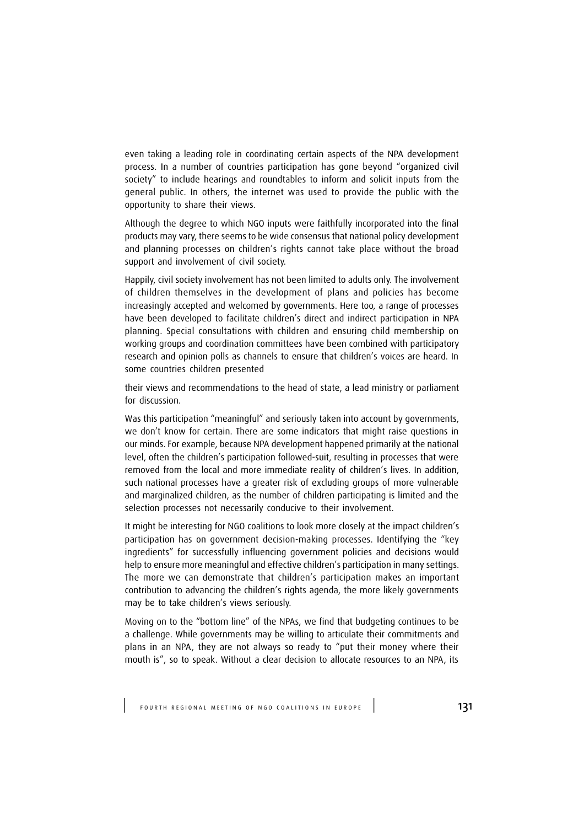even taking a leading role in coordinating certain aspects of the NPA development process. In a number of countries participation has gone beyond "organized civil society" to include hearings and roundtables to inform and solicit inputs from the general public. In others, the internet was used to provide the public with the opportunity to share their views.

Although the degree to which NGO inputs were faithfully incorporated into the final products may vary, there seems to be wide consensus that national policy development and planning processes on children's rights cannot take place without the broad support and involvement of civil society.

Happily, civil society involvement has not been limited to adults only. The involvement of children themselves in the development of plans and policies has become increasingly accepted and welcomed by governments. Here too, a range of processes have been developed to facilitate children's direct and indirect participation in NPA planning. Special consultations with children and ensuring child membership on working groups and coordination committees have been combined with participatory research and opinion polls as channels to ensure that children's voices are heard. In some countries children presented

their views and recommendations to the head of state, a lead ministry or parliament for discussion.

Was this participation "meaningful" and seriously taken into account by governments, we don't know for certain. There are some indicators that might raise questions in our minds. For example, because NPA development happened primarily at the national level, often the children's participation followed-suit, resulting in processes that were removed from the local and more immediate reality of children's lives. In addition, such national processes have a greater risk of excluding groups of more vulnerable and marginalized children, as the number of children participating is limited and the selection processes not necessarily conducive to their involvement.

It might be interesting for NGO coalitions to look more closely at the impact children's participation has on government decision-making processes. Identifying the "key ingredients" for successfully influencing government policies and decisions would help to ensure more meaningful and effective children's participation in many settings. The more we can demonstrate that children's participation makes an important contribution to advancing the children's rights agenda, the more likely governments may be to take children's views seriously.

Moving on to the "bottom line" of the NPAs, we find that budgeting continues to be a challenge. While governments may be willing to articulate their commitments and plans in an NPA, they are not always so ready to "put their money where their mouth is", so to speak. Without a clear decision to allocate resources to an NPA, its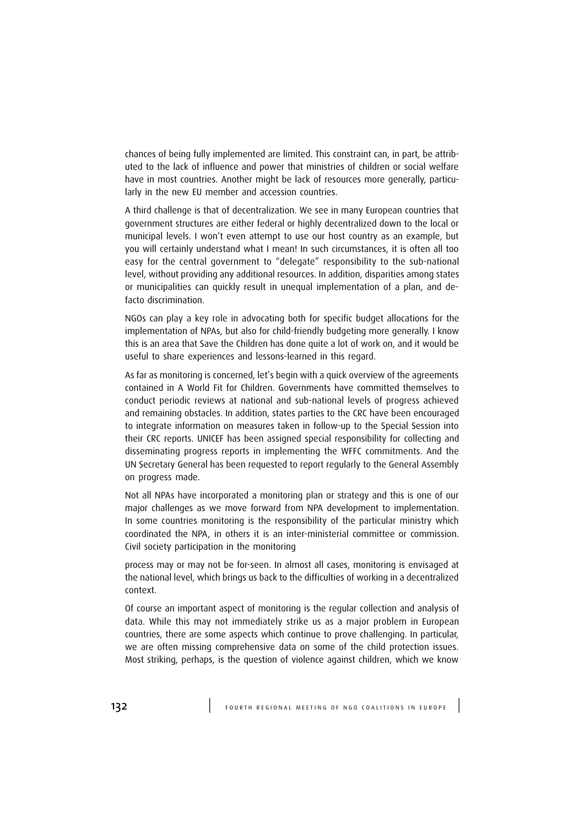chances of being fully implemented are limited. This constraint can, in part, be attributed to the lack of influence and power that ministries of children or social welfare have in most countries. Another might be lack of resources more generally, particularly in the new EU member and accession countries.

A third challenge is that of decentralization. We see in many European countries that government structures are either federal or highly decentralized down to the local or municipal levels. I won't even attempt to use our host country as an example, but you will certainly understand what I mean! In such circumstances, it is often all too easy for the central government to "delegate" responsibility to the sub-national level, without providing any additional resources. In addition, disparities among states or municipalities can quickly result in unequal implementation of a plan, and defacto discrimination.

NGOs can play a key role in advocating both for specific budget allocations for the implementation of NPAs, but also for child-friendly budgeting more generally. I know this is an area that Save the Children has done quite a lot of work on, and it would be useful to share experiences and lessons-learned in this regard.

As far as monitoring is concerned, let's begin with a quick overview of the agreements contained in A World Fit for Children. Governments have committed themselves to conduct periodic reviews at national and sub-national levels of progress achieved and remaining obstacles. In addition, states parties to the CRC have been encouraged to integrate information on measures taken in follow-up to the Special Session into their CRC reports. UNICEF has been assigned special responsibility for collecting and disseminating progress reports in implementing the WFFC commitments. And the UN Secretary General has been requested to report regularly to the General Assembly on progress made.

Not all NPAs have incorporated a monitoring plan or strategy and this is one of our major challenges as we move forward from NPA development to implementation. In some countries monitoring is the responsibility of the particular ministry which coordinated the NPA, in others it is an inter-ministerial committee or commission. Civil society participation in the monitoring

process may or may not be for-seen. In almost all cases, monitoring is envisaged at the national level, which brings us back to the difficulties of working in a decentralized context.

Of course an important aspect of monitoring is the regular collection and analysis of data. While this may not immediately strike us as a major problem in European countries, there are some aspects which continue to prove challenging. In particular, we are often missing comprehensive data on some of the child protection issues. Most striking, perhaps, is the question of violence against children, which we know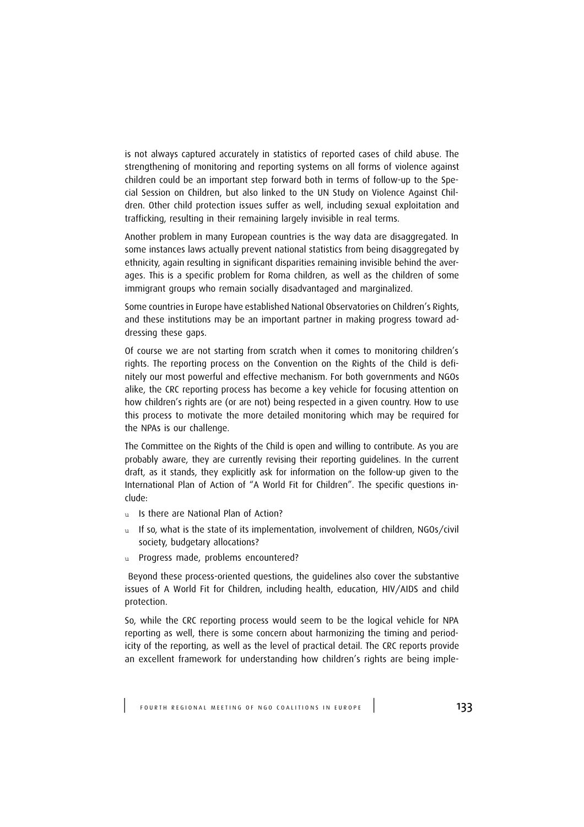is not always captured accurately in statistics of reported cases of child abuse. The strengthening of monitoring and reporting systems on all forms of violence against children could be an important step forward both in terms of follow-up to the Special Session on Children, but also linked to the UN Study on Violence Against Children. Other child protection issues suffer as well, including sexual exploitation and trafficking, resulting in their remaining largely invisible in real terms.

Another problem in many European countries is the way data are disaggregated. In some instances laws actually prevent national statistics from being disaggregated by ethnicity, again resulting in significant disparities remaining invisible behind the averages. This is a specific problem for Roma children, as well as the children of some immigrant groups who remain socially disadvantaged and marginalized.

Some countries in Europe have established National Observatories on Children's Rights, and these institutions may be an important partner in making progress toward addressing these gaps.

Of course we are not starting from scratch when it comes to monitoring children's rights. The reporting process on the Convention on the Rights of the Child is definitely our most powerful and effective mechanism. For both governments and NGOs alike, the CRC reporting process has become a key vehicle for focusing attention on how children's rights are (or are not) being respected in a given country. How to use this process to motivate the more detailed monitoring which may be required for the NPAs is our challenge.

The Committee on the Rights of the Child is open and willing to contribute. As you are probably aware, they are currently revising their reporting guidelines. In the current draft, as it stands, they explicitly ask for information on the follow-up given to the International Plan of Action of "A World Fit for Children". The specific questions include:

- u Is there are National Plan of Action?
- u If so, what is the state of its implementation, involvement of children, NGOs/civil society, budgetary allocations?
- u Progress made, problems encountered?

 Beyond these process-oriented questions, the guidelines also cover the substantive issues of A World Fit for Children, including health, education, HIV/AIDS and child protection.

So, while the CRC reporting process would seem to be the logical vehicle for NPA reporting as well, there is some concern about harmonizing the timing and periodicity of the reporting, as well as the level of practical detail. The CRC reports provide an excellent framework for understanding how children's rights are being imple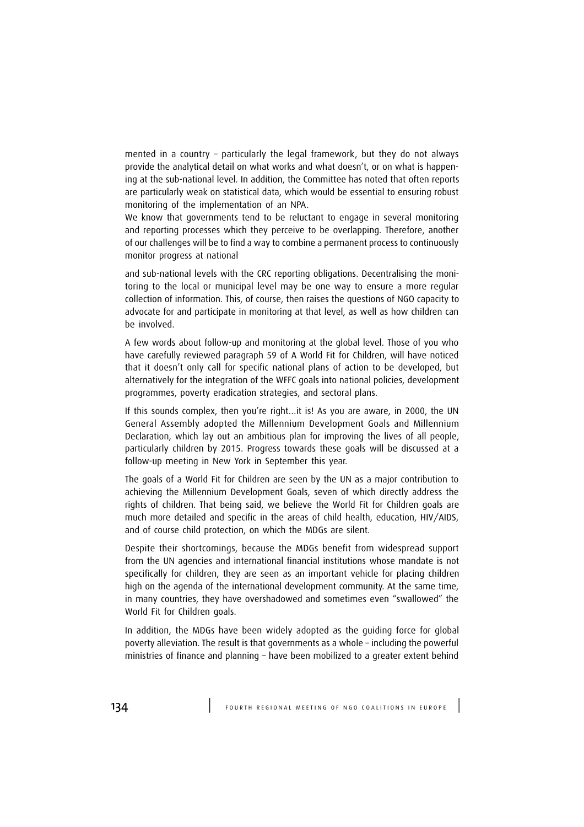mented in a country – particularly the legal framework, but they do not always provide the analytical detail on what works and what doesn't, or on what is happening at the sub-national level. In addition, the Committee has noted that often reports are particularly weak on statistical data, which would be essential to ensuring robust monitoring of the implementation of an NPA.

We know that governments tend to be reluctant to engage in several monitoring and reporting processes which they perceive to be overlapping. Therefore, another of our challenges will be to find a way to combine a permanent process to continuously monitor progress at national

and sub-national levels with the CRC reporting obligations. Decentralising the monitoring to the local or municipal level may be one way to ensure a more regular collection of information. This, of course, then raises the questions of NGO capacity to advocate for and participate in monitoring at that level, as well as how children can be involved.

A few words about follow-up and monitoring at the global level. Those of you who have carefully reviewed paragraph 59 of A World Fit for Children, will have noticed that it doesn't only call for specific national plans of action to be developed, but alternatively for the integration of the WFFC goals into national policies, development programmes, poverty eradication strategies, and sectoral plans.

If this sounds complex, then you're right…it is! As you are aware, in 2000, the UN General Assembly adopted the Millennium Development Goals and Millennium Declaration, which lay out an ambitious plan for improving the lives of all people, particularly children by 2015. Progress towards these goals will be discussed at a follow-up meeting in New York in September this year.

The goals of a World Fit for Children are seen by the UN as a major contribution to achieving the Millennium Development Goals, seven of which directly address the rights of children. That being said, we believe the World Fit for Children goals are much more detailed and specific in the areas of child health, education, HIV/AIDS, and of course child protection, on which the MDGs are silent.

Despite their shortcomings, because the MDGs benefit from widespread support from the UN agencies and international financial institutions whose mandate is not specifically for children, they are seen as an important vehicle for placing children high on the agenda of the international development community. At the same time, in many countries, they have overshadowed and sometimes even "swallowed" the World Fit for Children goals.

In addition, the MDGs have been widely adopted as the guiding force for global poverty alleviation. The result is that governments as a whole – including the powerful ministries of finance and planning – have been mobilized to a greater extent behind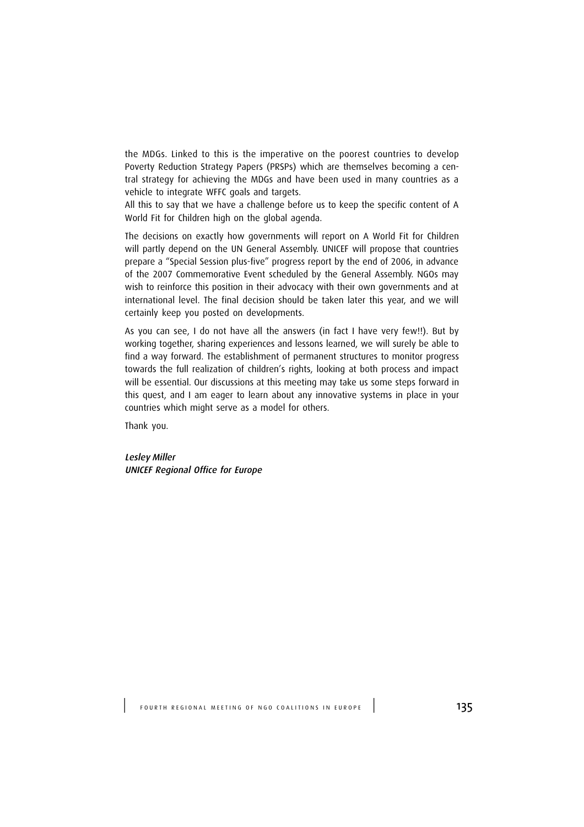the MDGs. Linked to this is the imperative on the poorest countries to develop Poverty Reduction Strategy Papers (PRSPs) which are themselves becoming a central strategy for achieving the MDGs and have been used in many countries as a vehicle to integrate WFFC goals and targets.

All this to say that we have a challenge before us to keep the specific content of A World Fit for Children high on the global agenda.

The decisions on exactly how governments will report on A World Fit for Children will partly depend on the UN General Assembly. UNICEF will propose that countries prepare a "Special Session plus-five" progress report by the end of 2006, in advance of the 2007 Commemorative Event scheduled by the General Assembly. NGOs may wish to reinforce this position in their advocacy with their own governments and at international level. The final decision should be taken later this year, and we will certainly keep you posted on developments.

As you can see, I do not have all the answers (in fact I have very few!!). But by working together, sharing experiences and lessons learned, we will surely be able to find a way forward. The establishment of permanent structures to monitor progress towards the full realization of children's rights, looking at both process and impact will be essential. Our discussions at this meeting may take us some steps forward in this quest, and I am eager to learn about any innovative systems in place in your countries which might serve as a model for others.

Thank you.

Lesley Miller UNICEF Regional Office for Europe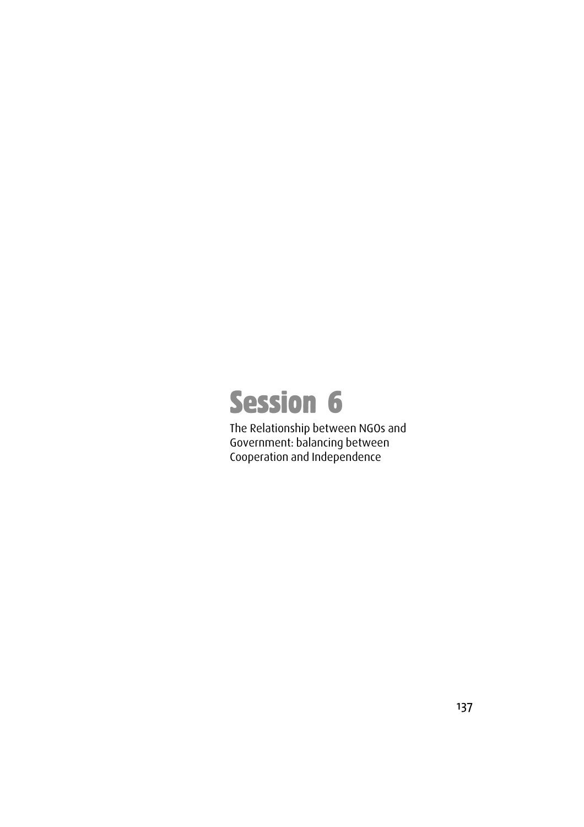

The Relationship between NGOs and Government: balancing between Cooperation and Independence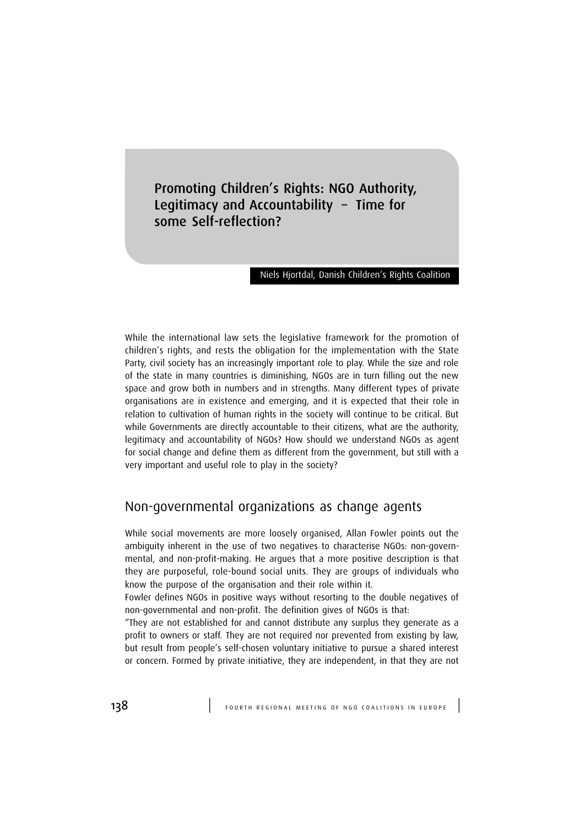Promoting Children's Rights: NGO Authority, Legitimacy and Accountability – Time for some Self-reflection?

#### Niels Hjortdal, Danish Children's Rights Coalition

While the international law sets the legislative framework for the promotion of children's rights, and rests the obligation for the implementation with the State Party, civil society has an increasingly important role to play. While the size and role of the state in many countries is diminishing, NGOs are in turn filling out the new space and grow both in numbers and in strengths. Many different types of private organisations are in existence and emerging, and it is expected that their role in relation to cultivation of human rights in the society will continue to be critical. But while Governments are directly accountable to their citizens, what are the authority, legitimacy and accountability of NGOs? How should we understand NGOs as agent for social change and define them as different from the government, but still with a very important and useful role to play in the society?

# Non-governmental organizations as change agents

While social movements are more loosely organised, Allan Fowler points out the ambiguity inherent in the use of two negatives to characterise NGOs: non-governmental, and non-profit-making. He argues that a more positive description is that they are purposeful, role-bound social units. They are groups of individuals who know the purpose of the organisation and their role within it.

Fowler defines NGOs in positive ways without resorting to the double negatives of non-governmental and non-profit. The definition gives of NGOs is that:

"They are not established for and cannot distribute any surplus they generate as a profit to owners or staff. They are not required nor prevented from existing by law, but result from people's self-chosen voluntary initiative to pursue a shared interest or concern. Formed by private initiative, they are independent, in that they are not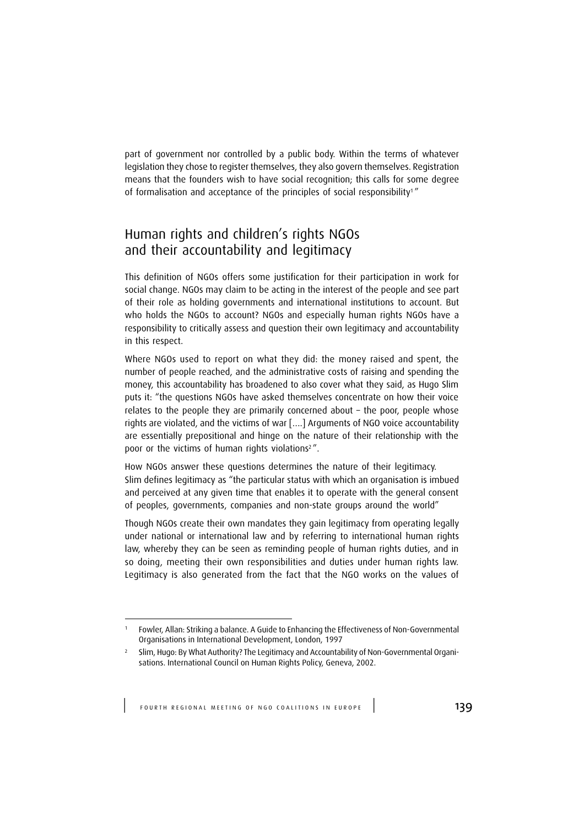part of government nor controlled by a public body. Within the terms of whatever legislation they chose to register themselves, they also govern themselves. Registration means that the founders wish to have social recognition; this calls for some degree of formalisation and acceptance of the principles of social responsibility<sup>1</sup>"

# Human rights and children's rights NGOs and their accountability and legitimacy

This definition of NGOs offers some justification for their participation in work for social change. NGOs may claim to be acting in the interest of the people and see part of their role as holding governments and international institutions to account. But who holds the NGOs to account? NGOs and especially human rights NGOs have a responsibility to critically assess and question their own legitimacy and accountability in this respect.

Where NGOs used to report on what they did: the money raised and spent, the number of people reached, and the administrative costs of raising and spending the money, this accountability has broadened to also cover what they said, as Hugo Slim puts it: "the questions NGOs have asked themselves concentrate on how their voice relates to the people they are primarily concerned about – the poor, people whose rights are violated, and the victims of war [….] Arguments of NGO voice accountability are essentially prepositional and hinge on the nature of their relationship with the poor or the victims of human rights violations<sup>2</sup>".

How NGOs answer these questions determines the nature of their legitimacy. Slim defines legitimacy as "the particular status with which an organisation is imbued and perceived at any given time that enables it to operate with the general consent of peoples, governments, companies and non-state groups around the world"

Though NGOs create their own mandates they gain legitimacy from operating legally under national or international law and by referring to international human rights law, whereby they can be seen as reminding people of human rights duties, and in so doing, meeting their own responsibilities and duties under human rights law. Legitimacy is also generated from the fact that the NGO works on the values of

<sup>1</sup> Fowler, Allan: Striking a balance. A Guide to Enhancing the Effectiveness of Non-Governmental Organisations in International Development, London, 1997

<sup>2</sup> Slim, Hugo: By What Authority? The Legitimacy and Accountability of Non-Governmental Organisations. International Council on Human Rights Policy, Geneva, 2002.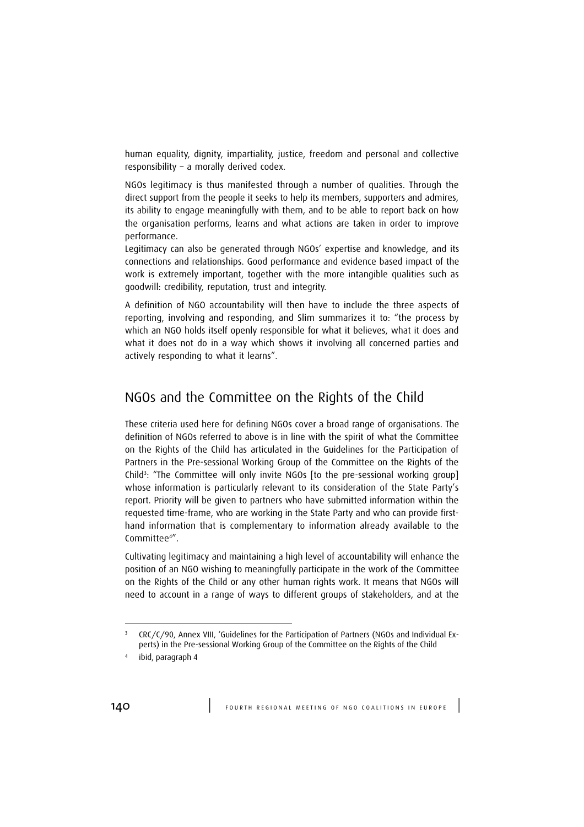human equality, dignity, impartiality, justice, freedom and personal and collective responsibility – a morally derived codex.

NGOs legitimacy is thus manifested through a number of qualities. Through the direct support from the people it seeks to help its members, supporters and admires, its ability to engage meaningfully with them, and to be able to report back on how the organisation performs, learns and what actions are taken in order to improve performance.

Legitimacy can also be generated through NGOs' expertise and knowledge, and its connections and relationships. Good performance and evidence based impact of the work is extremely important, together with the more intangible qualities such as goodwill: credibility, reputation, trust and integrity.

A definition of NGO accountability will then have to include the three aspects of reporting, involving and responding, and Slim summarizes it to: "the process by which an NGO holds itself openly responsible for what it believes, what it does and what it does not do in a way which shows it involving all concerned parties and actively responding to what it learns".

# NGOs and the Committee on the Rights of the Child

These criteria used here for defining NGOs cover a broad range of organisations. The definition of NGOs referred to above is in line with the spirit of what the Committee on the Rights of the Child has articulated in the Guidelines for the Participation of Partners in the Pre-sessional Working Group of the Committee on the Rights of the Child<sup>3</sup>: "The Committee will only invite NGOs [to the pre-sessional working group] whose information is particularly relevant to its consideration of the State Party's report. Priority will be given to partners who have submitted information within the requested time-frame, who are working in the State Party and who can provide firsthand information that is complementary to information already available to the Committee<sup>4</sup>".

Cultivating legitimacy and maintaining a high level of accountability will enhance the position of an NGO wishing to meaningfully participate in the work of the Committee on the Rights of the Child or any other human rights work. It means that NGOs will need to account in a range of ways to different groups of stakeholders, and at the

<sup>&</sup>lt;sup>3</sup> CRC/C/90, Annex VIII, 'Guidelines for the Participation of Partners (NGOs and Individual Experts) in the Pre-sessional Working Group of the Committee on the Rights of the Child

<sup>4</sup> ibid, paragraph 4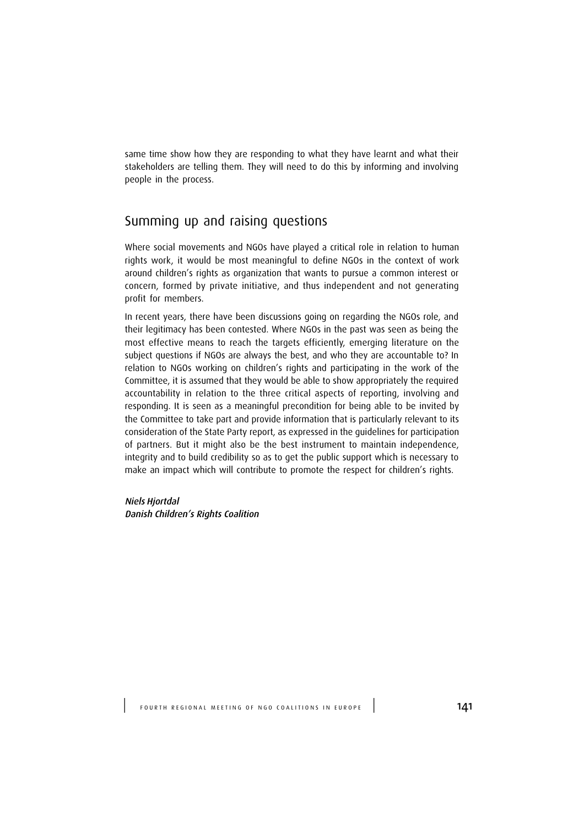same time show how they are responding to what they have learnt and what their stakeholders are telling them. They will need to do this by informing and involving people in the process.

# Summing up and raising questions

Where social movements and NGOs have played a critical role in relation to human rights work, it would be most meaningful to define NGOs in the context of work around children's rights as organization that wants to pursue a common interest or concern, formed by private initiative, and thus independent and not generating profit for members.

In recent years, there have been discussions going on regarding the NGOs role, and their legitimacy has been contested. Where NGOs in the past was seen as being the most effective means to reach the targets efficiently, emerging literature on the subject questions if NGOs are always the best, and who they are accountable to? In relation to NGOs working on children's rights and participating in the work of the Committee, it is assumed that they would be able to show appropriately the required accountability in relation to the three critical aspects of reporting, involving and responding. It is seen as a meaningful precondition for being able to be invited by the Committee to take part and provide information that is particularly relevant to its consideration of the State Party report, as expressed in the guidelines for participation of partners. But it might also be the best instrument to maintain independence, integrity and to build credibility so as to get the public support which is necessary to make an impact which will contribute to promote the respect for children's rights.

Niels Hjortdal Danish Children's Rights Coalition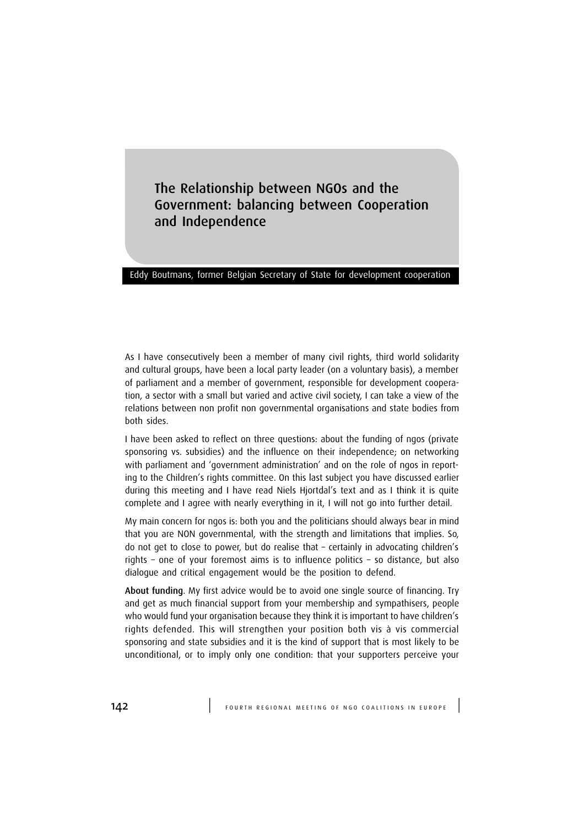The Relationship between NGOs and the Government: balancing between Cooperation and Independence

#### Eddy Boutmans, former Belgian Secretary of State for development cooperation

As I have consecutively been a member of many civil rights, third world solidarity and cultural groups, have been a local party leader (on a voluntary basis), a member of parliament and a member of government, responsible for development cooperation, a sector with a small but varied and active civil society, I can take a view of the relations between non profit non governmental organisations and state bodies from both sides.

I have been asked to reflect on three questions: about the funding of ngos (private sponsoring vs. subsidies) and the influence on their independence; on networking with parliament and 'government administration' and on the role of ngos in reporting to the Children's rights committee. On this last subject you have discussed earlier during this meeting and I have read Niels Hjortdal's text and as I think it is quite complete and I agree with nearly everything in it, I will not go into further detail.

My main concern for ngos is: both you and the politicians should always bear in mind that you are NON governmental, with the strength and limitations that implies. So, do not get to close to power, but do realise that – certainly in advocating children's rights – one of your foremost aims is to influence politics – so distance, but also dialogue and critical engagement would be the position to defend.

About funding. My first advice would be to avoid one single source of financing. Try and get as much financial support from your membership and sympathisers, people who would fund your organisation because they think it is important to have children's rights defended. This will strengthen your position both vis à vis commercial sponsoring and state subsidies and it is the kind of support that is most likely to be unconditional, or to imply only one condition: that your supporters perceive your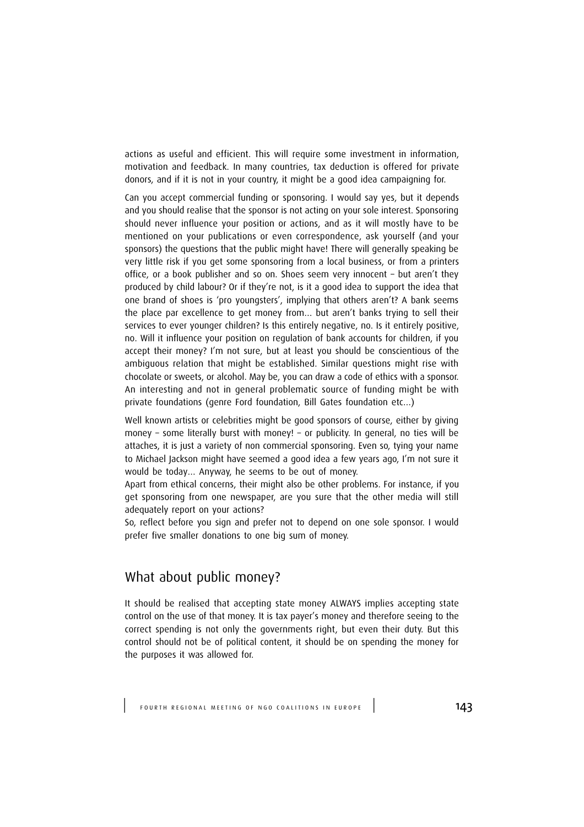actions as useful and efficient. This will require some investment in information, motivation and feedback. In many countries, tax deduction is offered for private donors, and if it is not in your country, it might be a good idea campaigning for.

Can you accept commercial funding or sponsoring. I would say yes, but it depends and you should realise that the sponsor is not acting on your sole interest. Sponsoring should never influence your position or actions, and as it will mostly have to be mentioned on your publications or even correspondence, ask yourself (and your sponsors) the questions that the public might have! There will generally speaking be very little risk if you get some sponsoring from a local business, or from a printers office, or a book publisher and so on. Shoes seem very innocent – but aren't they produced by child labour? Or if they're not, is it a good idea to support the idea that one brand of shoes is 'pro youngsters', implying that others aren't? A bank seems the place par excellence to get money from… but aren't banks trying to sell their services to ever younger children? Is this entirely negative, no. Is it entirely positive, no. Will it influence your position on regulation of bank accounts for children, if you accept their money? I'm not sure, but at least you should be conscientious of the ambiguous relation that might be established. Similar questions might rise with chocolate or sweets, or alcohol. May be, you can draw a code of ethics with a sponsor. An interesting and not in general problematic source of funding might be with private foundations (genre Ford foundation, Bill Gates foundation etc…)

Well known artists or celebrities might be good sponsors of course, either by giving money – some literally burst with money! – or publicity. In general, no ties will be attaches, it is just a variety of non commercial sponsoring. Even so, tying your name to Michael Jackson might have seemed a good idea a few years ago, I'm not sure it would be today… Anyway, he seems to be out of money.

Apart from ethical concerns, their might also be other problems. For instance, if you get sponsoring from one newspaper, are you sure that the other media will still adequately report on your actions?

So, reflect before you sign and prefer not to depend on one sole sponsor. I would prefer five smaller donations to one big sum of money.

## What about public money?

It should be realised that accepting state money ALWAYS implies accepting state control on the use of that money. It is tax payer's money and therefore seeing to the correct spending is not only the governments right, but even their duty. But this control should not be of political content, it should be on spending the money for the purposes it was allowed for.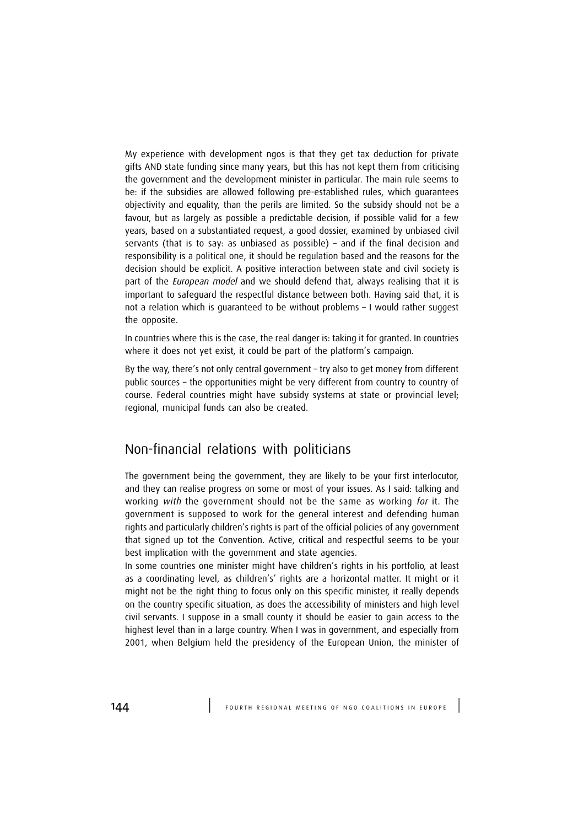My experience with development ngos is that they get tax deduction for private gifts AND state funding since many years, but this has not kept them from criticising the government and the development minister in particular. The main rule seems to be: if the subsidies are allowed following pre-established rules, which guarantees objectivity and equality, than the perils are limited. So the subsidy should not be a favour, but as largely as possible a predictable decision, if possible valid for a few years, based on a substantiated request, a good dossier, examined by unbiased civil servants (that is to say: as unbiased as possible) – and if the final decision and responsibility is a political one, it should be regulation based and the reasons for the decision should be explicit. A positive interaction between state and civil society is part of the *European model* and we should defend that, always realising that it is important to safeguard the respectful distance between both. Having said that, it is not a relation which is guaranteed to be without problems – I would rather suggest the opposite.

In countries where this is the case, the real danger is: taking it for granted. In countries where it does not yet exist, it could be part of the platform's campaign.

By the way, there's not only central government – try also to get money from different public sources – the opportunities might be very different from country to country of course. Federal countries might have subsidy systems at state or provincial level; regional, municipal funds can also be created.

## Non-financial relations with politicians

The government being the government, they are likely to be your first interlocutor, and they can realise progress on some or most of your issues. As I said: talking and working *with* the government should not be the same as working for it. The government is supposed to work for the general interest and defending human rights and particularly children's rights is part of the official policies of any government that signed up tot the Convention. Active, critical and respectful seems to be your best implication with the government and state agencies.

In some countries one minister might have children's rights in his portfolio, at least as a coordinating level, as children's' rights are a horizontal matter. It might or it might not be the right thing to focus only on this specific minister, it really depends on the country specific situation, as does the accessibility of ministers and high level civil servants. I suppose in a small county it should be easier to gain access to the highest level than in a large country. When I was in government, and especially from 2001, when Belgium held the presidency of the European Union, the minister of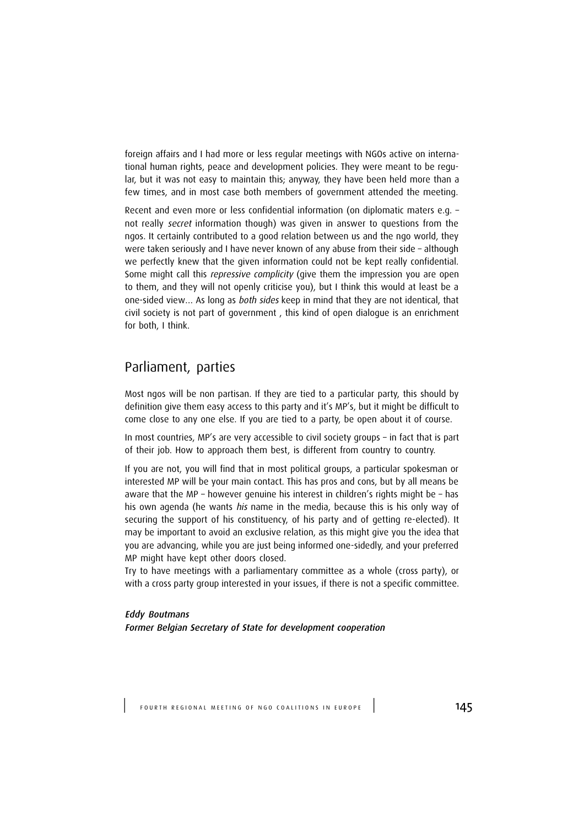foreign affairs and I had more or less regular meetings with NGOs active on international human rights, peace and development policies. They were meant to be regular, but it was not easy to maintain this; anyway, they have been held more than a few times, and in most case both members of government attended the meeting.

Recent and even more or less confidential information (on diplomatic maters e.g. – not really secret information though) was given in answer to questions from the ngos. It certainly contributed to a good relation between us and the ngo world, they were taken seriously and I have never known of any abuse from their side – although we perfectly knew that the given information could not be kept really confidential. Some might call this *repressive complicity* (give them the impression you are open to them, and they will not openly criticise you), but I think this would at least be a one-sided view… As long as both sides keep in mind that they are not identical, that civil society is not part of government , this kind of open dialogue is an enrichment for both, I think.

## Parliament, parties

Most ngos will be non partisan. If they are tied to a particular party, this should by definition give them easy access to this party and it's MP's, but it might be difficult to come close to any one else. If you are tied to a party, be open about it of course.

In most countries, MP's are very accessible to civil society groups – in fact that is part of their job. How to approach them best, is different from country to country.

If you are not, you will find that in most political groups, a particular spokesman or interested MP will be your main contact. This has pros and cons, but by all means be aware that the MP – however genuine his interest in children's rights might be – has his own agenda (he wants his name in the media, because this is his only way of securing the support of his constituency, of his party and of getting re-elected). It may be important to avoid an exclusive relation, as this might give you the idea that you are advancing, while you are just being informed one-sidedly, and your preferred MP might have kept other doors closed.

Try to have meetings with a parliamentary committee as a whole (cross party), or with a cross party group interested in your issues, if there is not a specific committee.

Eddy Boutmans Former Belgian Secretary of State for development cooperation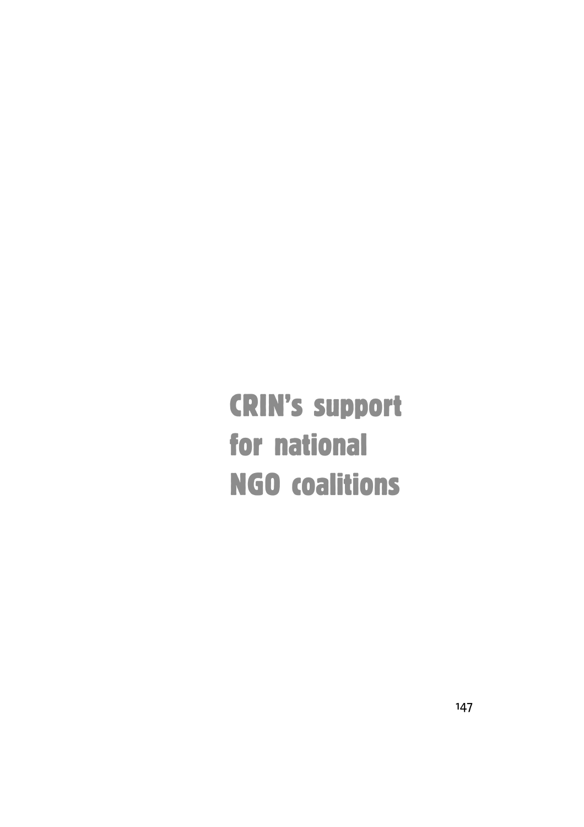CRIN's support for national NGO coalitions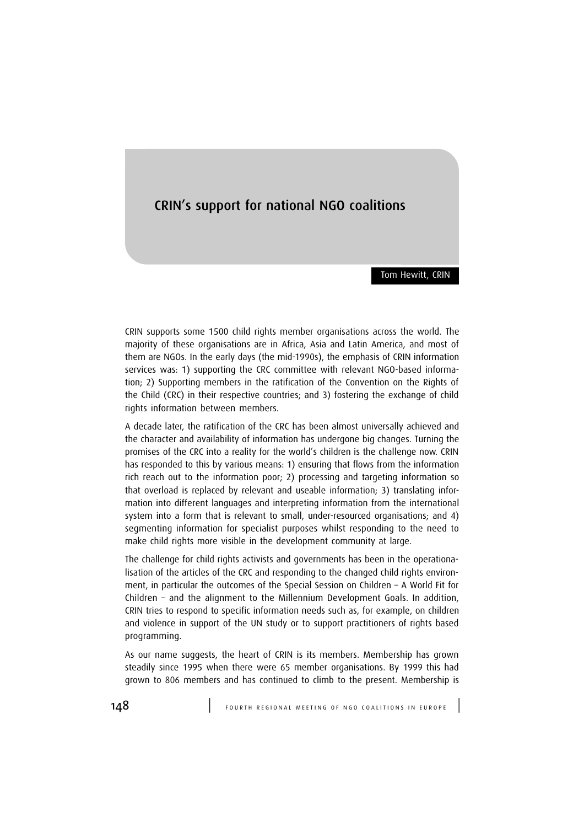# CRIN's support for national NGO coalitions

Tom Hewitt, CRIN

CRIN supports some 1500 child rights member organisations across the world. The majority of these organisations are in Africa, Asia and Latin America, and most of them are NGOs. In the early days (the mid-1990s), the emphasis of CRIN information services was: 1) supporting the CRC committee with relevant NGO-based information; 2) Supporting members in the ratification of the Convention on the Rights of the Child (CRC) in their respective countries; and 3) fostering the exchange of child rights information between members.

A decade later, the ratification of the CRC has been almost universally achieved and the character and availability of information has undergone big changes. Turning the promises of the CRC into a reality for the world's children is the challenge now. CRIN has responded to this by various means: 1) ensuring that flows from the information rich reach out to the information poor; 2) processing and targeting information so that overload is replaced by relevant and useable information; 3) translating information into different languages and interpreting information from the international system into a form that is relevant to small, under-resourced organisations; and 4) segmenting information for specialist purposes whilst responding to the need to make child rights more visible in the development community at large.

The challenge for child rights activists and governments has been in the operationalisation of the articles of the CRC and responding to the changed child rights environment, in particular the outcomes of the Special Session on Children – A World Fit for Children – and the alignment to the Millennium Development Goals. In addition, CRIN tries to respond to specific information needs such as, for example, on children and violence in support of the UN study or to support practitioners of rights based programming.

As our name suggests, the heart of CRIN is its members. Membership has grown steadily since 1995 when there were 65 member organisations. By 1999 this had grown to 806 members and has continued to climb to the present. Membership is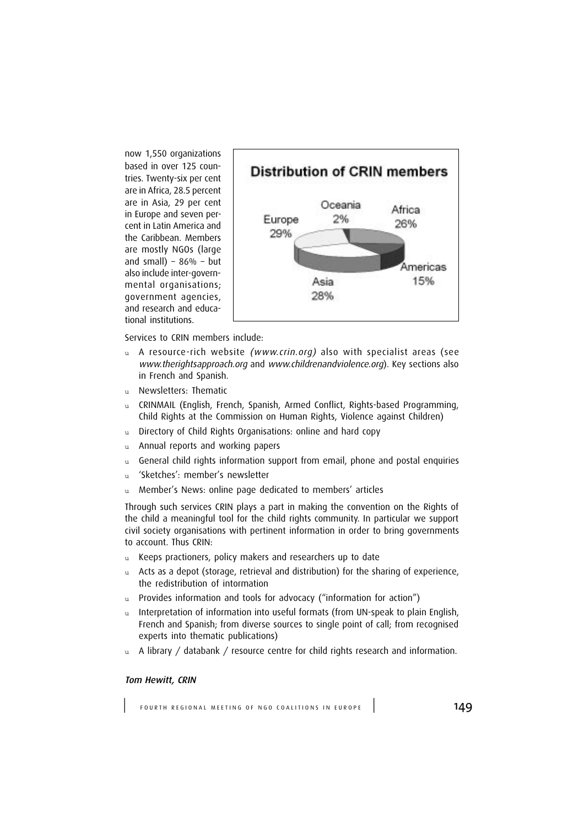now 1,550 organizations based in over 125 countries. Twenty-six per cent are in Africa, 28.5 percent are in Asia, 29 per cent in Europe and seven percent in Latin America and the Caribbean. Members are mostly NGOs (large and small) –  $86%$  – but also include inter-governmental organisations; government agencies, and research and educational institutions.



Services to CRIN members include:

- u A resource-rich website (www.crin.org) also with specialist areas (see www.therightsapproach.org and www.childrenandviolence.org). Key sections also in French and Spanish.
- u Newsletters: Thematic
- u CRINMAIL (English, French, Spanish, Armed Conflict, Rights-based Programming, Child Rights at the Commission on Human Rights, Violence against Children)
- u Directory of Child Rights Organisations: online and hard copy
- u Annual reports and working papers
- $u$  General child rights information support from email, phone and postal enquiries
- u 'Sketches': member's newsletter
- u Member's News: online page dedicated to members' articles

Through such services CRIN plays a part in making the convention on the Rights of the child a meaningful tool for the child rights community. In particular we support civil society organisations with pertinent information in order to bring governments to account. Thus CRIN:

- u Keeps practioners, policy makers and researchers up to date
- u Acts as a depot (storage, retrieval and distribution) for the sharing of experience, the redistribution of intormation
- u Provides information and tools for advocacy ("information for action")
- u Interpretation of information into useful formats (from UN-speak to plain English, French and Spanish; from diverse sources to single point of call; from recognised experts into thematic publications)
- $u$  A library / databank / resource centre for child rights research and information.

#### Tom Hewitt, CRIN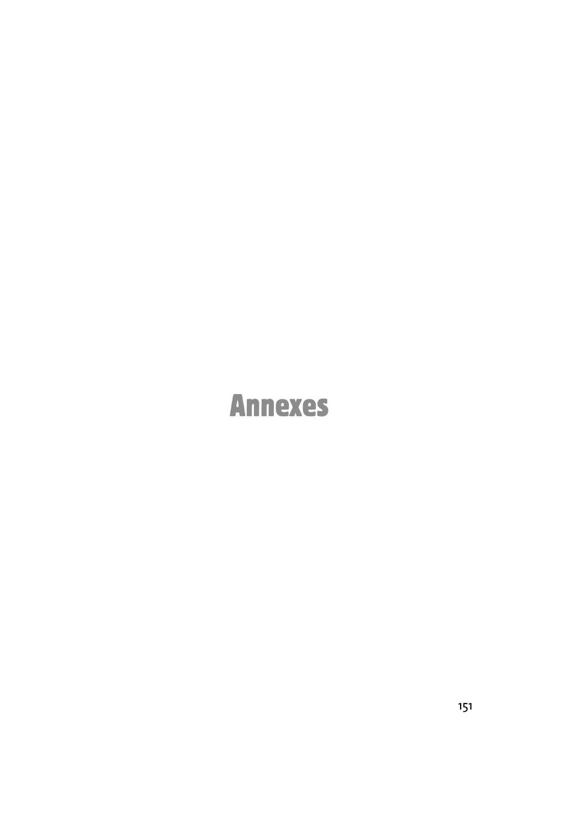# Annexes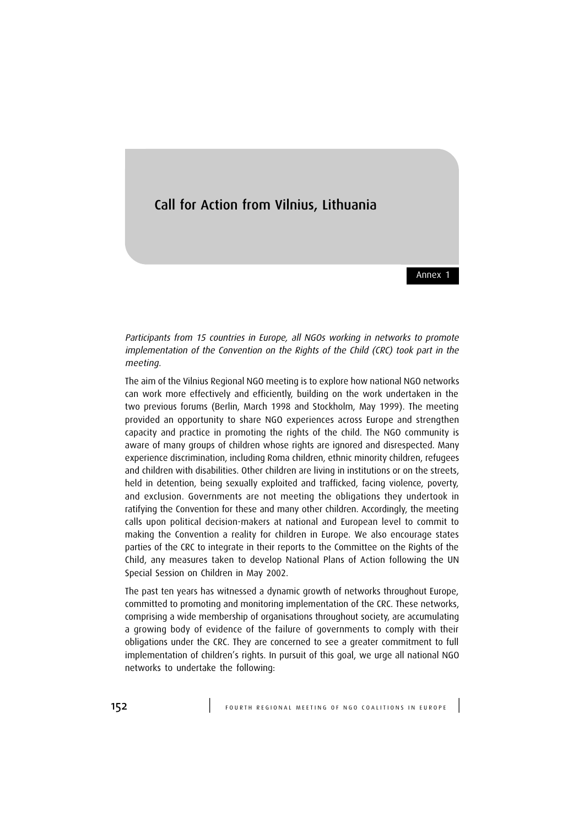## Call for Action from Vilnius, Lithuania

Annex 1

Participants from 15 countries in Europe, all NGOs working in networks to promote implementation of the Convention on the Rights of the Child (CRC) took part in the meeting.

The aim of the Vilnius Regional NGO meeting is to explore how national NGO networks can work more effectively and efficiently, building on the work undertaken in the two previous forums (Berlin, March 1998 and Stockholm, May 1999). The meeting provided an opportunity to share NGO experiences across Europe and strengthen capacity and practice in promoting the rights of the child. The NGO community is aware of many groups of children whose rights are ignored and disrespected. Many experience discrimination, including Roma children, ethnic minority children, refugees and children with disabilities. Other children are living in institutions or on the streets, held in detention, being sexually exploited and trafficked, facing violence, poverty, and exclusion. Governments are not meeting the obligations they undertook in ratifying the Convention for these and many other children. Accordingly, the meeting calls upon political decision-makers at national and European level to commit to making the Convention a reality for children in Europe. We also encourage states parties of the CRC to integrate in their reports to the Committee on the Rights of the Child, any measures taken to develop National Plans of Action following the UN Special Session on Children in May 2002.

The past ten years has witnessed a dynamic growth of networks throughout Europe, committed to promoting and monitoring implementation of the CRC. These networks, comprising a wide membership of organisations throughout society, are accumulating a growing body of evidence of the failure of governments to comply with their obligations under the CRC. They are concerned to see a greater commitment to full implementation of children's rights. In pursuit of this goal, we urge all national NGO networks to undertake the following: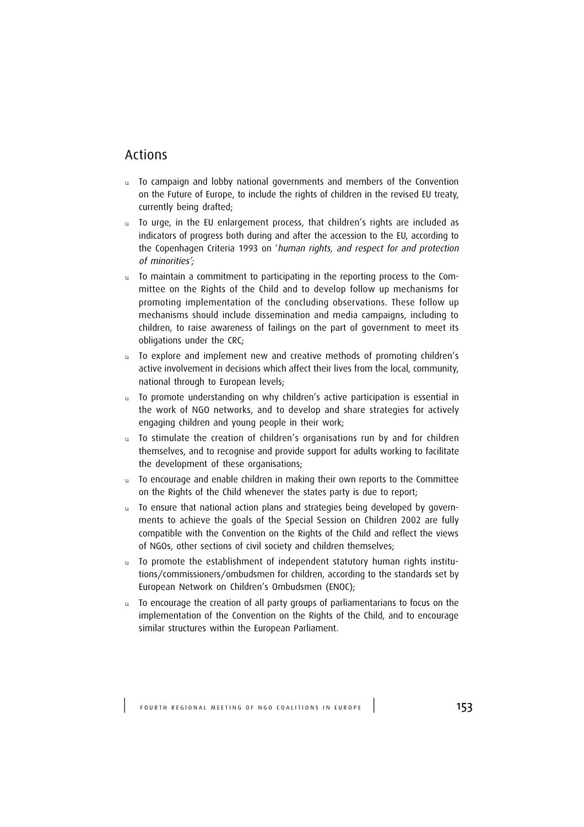# Actions

- u To campaign and lobby national governments and members of the Convention on the Future of Europe, to include the rights of children in the revised EU treaty, currently being drafted;
- u To urge, in the EU enlargement process, that children's rights are included as indicators of progress both during and after the accession to the EU, according to the Copenhagen Criteria 1993 on 'human rights, and respect for and protection of minorities';
- u To maintain a commitment to participating in the reporting process to the Committee on the Rights of the Child and to develop follow up mechanisms for promoting implementation of the concluding observations. These follow up mechanisms should include dissemination and media campaigns, including to children, to raise awareness of failings on the part of government to meet its obligations under the CRC;
- u To explore and implement new and creative methods of promoting children's active involvement in decisions which affect their lives from the local, community, national through to European levels;
- u To promote understanding on why children's active participation is essential in the work of NGO networks, and to develop and share strategies for actively engaging children and young people in their work;
- u To stimulate the creation of children's organisations run by and for children themselves, and to recognise and provide support for adults working to facilitate the development of these organisations;
- $u$  To encourage and enable children in making their own reports to the Committee on the Rights of the Child whenever the states party is due to report;
- u To ensure that national action plans and strategies being developed by governments to achieve the goals of the Special Session on Children 2002 are fully compatible with the Convention on the Rights of the Child and reflect the views of NGOs, other sections of civil society and children themselves;
- u To promote the establishment of independent statutory human rights institutions/commissioners/ombudsmen for children, according to the standards set by European Network on Children's Ombudsmen (ENOC);
- To encourage the creation of all party groups of parliamentarians to focus on the implementation of the Convention on the Rights of the Child, and to encourage similar structures within the European Parliament.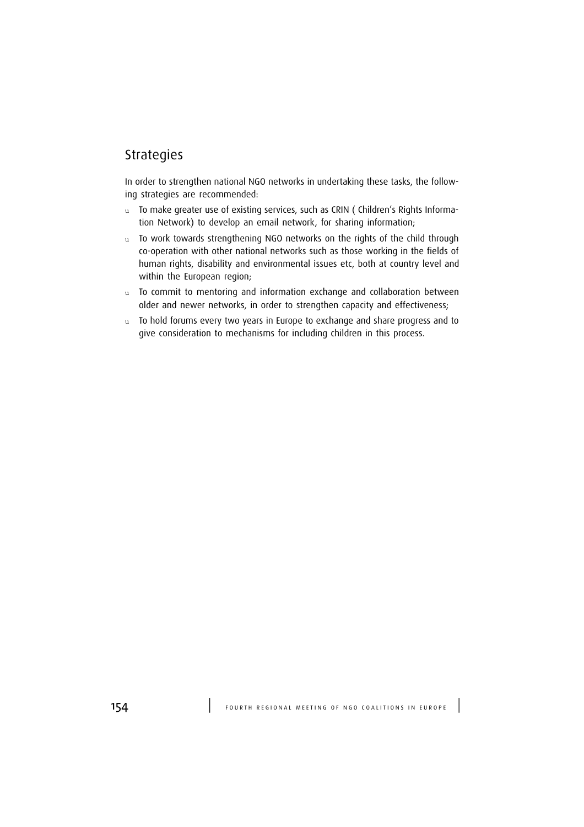# Strategies

In order to strengthen national NGO networks in undertaking these tasks, the following strategies are recommended:

- u To make greater use of existing services, such as CRIN (Children's Rights Information Network) to develop an email network, for sharing information;
- u To work towards strengthening NGO networks on the rights of the child through co-operation with other national networks such as those working in the fields of human rights, disability and environmental issues etc, both at country level and within the European region;
- u To commit to mentoring and information exchange and collaboration between older and newer networks, in order to strengthen capacity and effectiveness;
- u To hold forums every two years in Europe to exchange and share progress and to give consideration to mechanisms for including children in this process.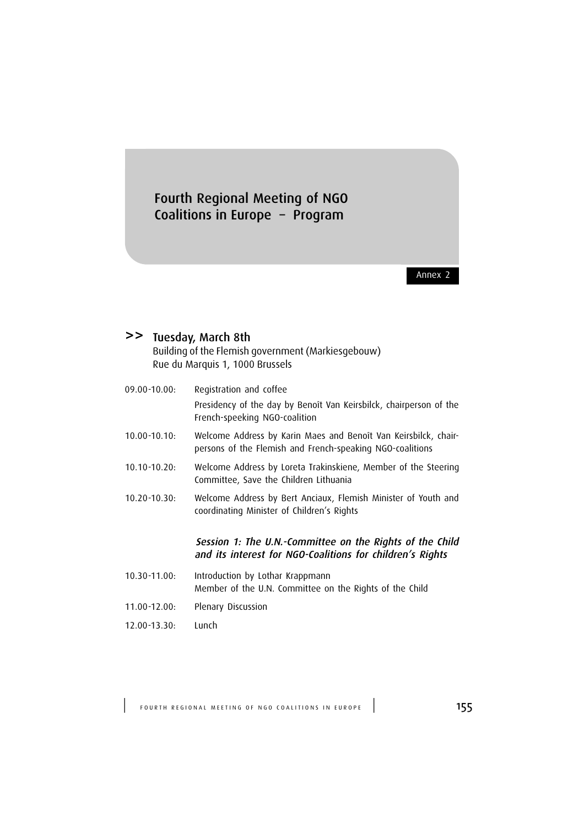# Fourth Regional Meeting of NGO Coalitions in Europe – Program

Annex 2

# >> Tuesday, March 8th

Building of the Flemish government (Markiesgebouw) Rue du Marquis 1, 1000 Brussels

| 09.00-10.00:    | Registration and coffee                                                                                                      |
|-----------------|------------------------------------------------------------------------------------------------------------------------------|
|                 | Presidency of the day by Benoît Van Keirsbilck, chairperson of the<br>French-speeking NGO-coalition                          |
| $10.00 - 10.10$ | Welcome Address by Karin Maes and Benoît Van Keirsbilck, chair-<br>persons of the Flemish and French-speaking NGO-coalitions |
| $10.10 - 10.20$ | Welcome Address by Loreta Trakinskiene, Member of the Steering<br>Committee, Save the Children Lithuania                     |
| $10.20 - 10.30$ | Welcome Address by Bert Anciaux, Flemish Minister of Youth and<br>coordinating Minister of Children's Rights                 |
|                 | Session 1: The U.N.-Committee on the Rights of the Child<br>and its interest for NGO-Coalitions for children's Rights        |
| 10.30-11.00:    | Introduction by Lothar Krappmann<br>Member of the U.N. Committee on the Rights of the Child                                  |
| 11.00-12.00:    | Plenary Discussion                                                                                                           |

12.00-13.30: Lunch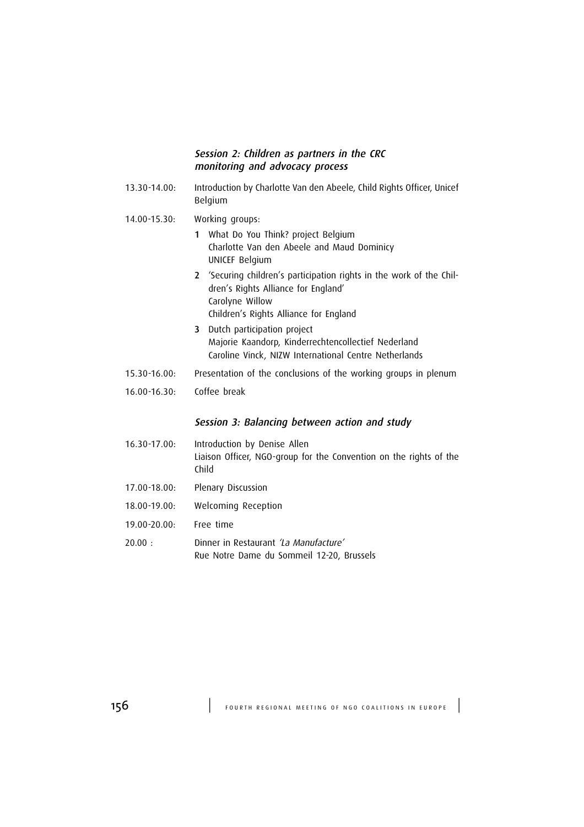#### Session 2: Children as partners in the CRC monitoring and advocacy process

- 13.30-14.00: Introduction by Charlotte Van den Abeele, Child Rights Officer, Unicef Belgium
- 14.00-15.30: Working groups:
	- 1 What Do You Think? project Belgium Charlotte Van den Abeele and Maud Dominicy UNICEF Belgium
	- 2 'Securing children's participation rights in the work of the Children's Rights Alliance for England' Carolyne Willow Children's Rights Alliance for England
	- 3 Dutch participation project Majorie Kaandorp, Kinderrechtencollectief Nederland Caroline Vinck, NIZW International Centre Netherlands
- 15.30-16.00: Presentation of the conclusions of the working groups in plenum
- 16.00-16.30: Coffee break

#### Session 3: Balancing between action and study

- 16.30-17.00: Introduction by Denise Allen Liaison Officer, NGO-group for the Convention on the rights of the Child 17.00-18.00: Plenary Discussion
- 18.00-19.00: Welcoming Reception
- 19.00-20.00: Free time
- 20.00 : Dinner in Restaurant 'La Manufacture' Rue Notre Dame du Sommeil 12-20, Brussels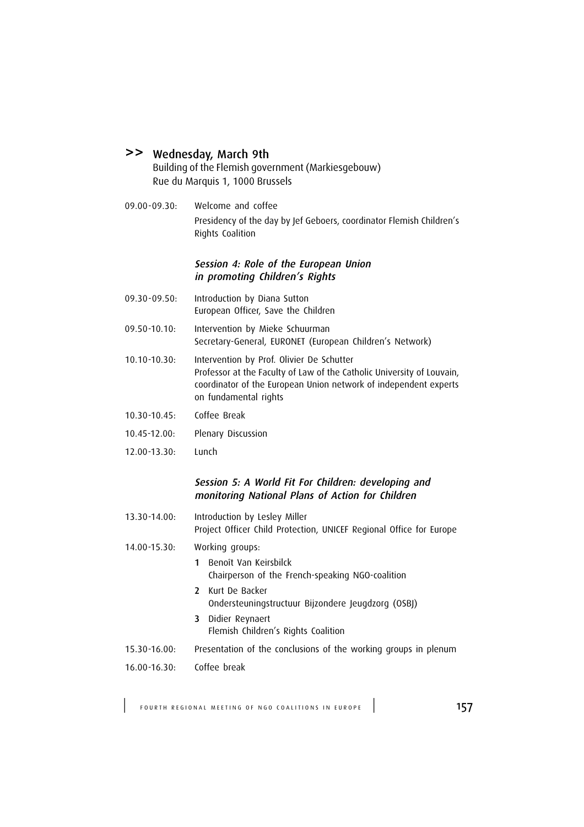#### >> Wednesday, March 9th

Building of the Flemish government (Markiesgebouw) Rue du Marquis 1, 1000 Brussels

09.00-09.30: Welcome and coffee Presidency of the day by Jef Geboers, coordinator Flemish Children's Rights Coalition

#### Session 4: Role of the European Union in promoting Children's Rights

- 09.30-09.50: Introduction by Diana Sutton European Officer, Save the Children
- 09.50-10.10: Intervention by Mieke Schuurman Secretary-General, EURONET (European Children's Network)
- 10.10-10.30: Intervention by Prof. Olivier De Schutter Professor at the Faculty of Law of the Catholic University of Louvain, coordinator of the European Union network of independent experts on fundamental rights
- 10.30-10.45: Coffee Break
- 10.45-12.00: Plenary Discussion
- 12.00-13.30: Lunch

#### Session 5: A World Fit For Children: developing and monitoring National Plans of Action for Children

- 13.30-14.00: Introduction by Lesley Miller Project Officer Child Protection, UNICEF Regional Office for Europe
- 14.00-15.30: Working groups:
	- 1 Benoît Van Keirsbilck Chairperson of the French-speaking NGO-coalition
	- 2 Kurt De Backer Ondersteuningstructuur Bijzondere Jeugdzorg (OSBJ)
	- 3 Didier Reynaert Flemish Children's Rights Coalition
- 15.30-16.00: Presentation of the conclusions of the working groups in plenum
- 16.00-16.30: Coffee break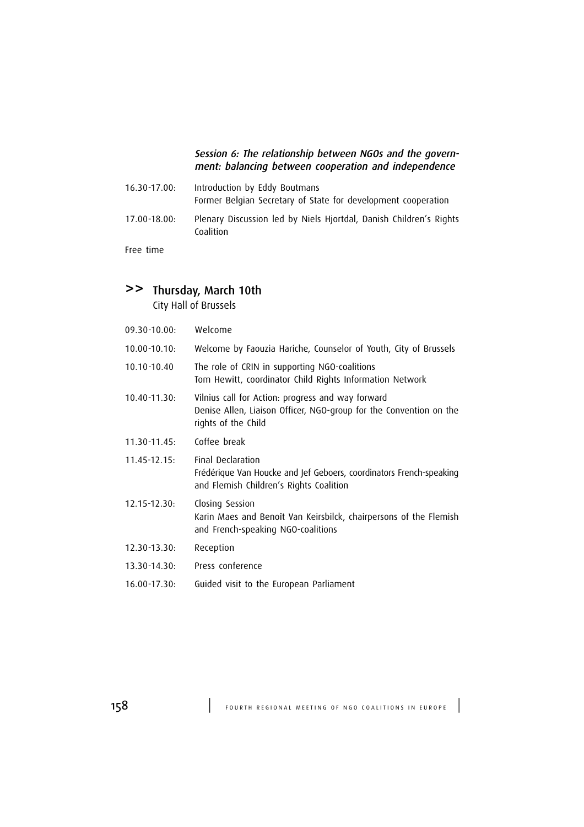#### Session 6: The relationship between NGOs and the government: balancing between cooperation and independence

| $16.30 - 17.00:$ | Introduction by Eddy Boutmans<br>Former Belgian Secretary of State for development cooperation |
|------------------|------------------------------------------------------------------------------------------------|
| $17.00 - 18.00:$ | Plenary Discussion led by Niels Hjortdal, Danish Children's Rights<br>Coalition                |

Free time

# >> Thursday, March 10th

City Hall of Brussels

| 09.30-10.00: | Welcome                                                                                                                                        |
|--------------|------------------------------------------------------------------------------------------------------------------------------------------------|
| 10.00-10.10: | Welcome by Faouzia Hariche, Counselor of Youth, City of Brussels                                                                               |
| 10.10-10.40  | The role of CRIN in supporting NGO-coalitions<br>Tom Hewitt, coordinator Child Rights Information Network                                      |
| 10.40-11.30: | Vilnius call for Action: progress and way forward<br>Denise Allen, Liaison Officer, NGO-group for the Convention on the<br>rights of the Child |
| 11.30-11.45: | Coffee break                                                                                                                                   |
| 11.45-12.15: | Final Declaration<br>Frédérique Van Houcke and Jef Geboers, coordinators French-speaking<br>and Flemish Children's Rights Coalition            |
| 12.15-12.30: | Closing Session<br>Karin Maes and Benoît Van Keirsbilck, chairpersons of the Flemish<br>and French-speaking NGO-coalitions                     |
| 12.30-13.30: | Reception                                                                                                                                      |
| 13.30-14.30: | Press conference                                                                                                                               |
| 16.00-17.30: | Guided visit to the European Parliament                                                                                                        |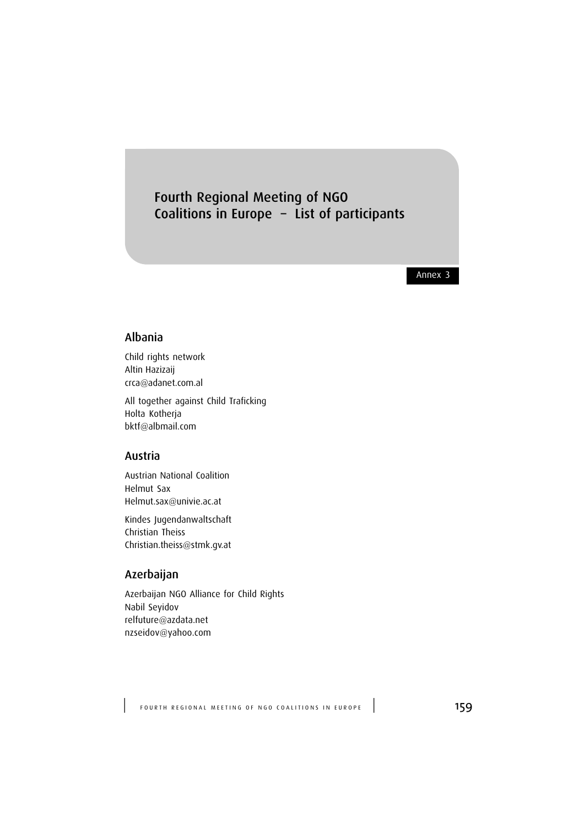# Fourth Regional Meeting of NGO Coalitions in Europe – List of participants

Annex 3

#### Albania

Child rights network Altin Hazizaij crca@adanet.com.al

All together against Child Traficking Holta Kotherja bktf@albmail.com

#### Austria

Austrian National Coalition Helmut Sax Helmut.sax@univie.ac.at

Kindes Jugendanwaltschaft Christian Theiss Christian.theiss@stmk.gv.at

## Azerbaijan

Azerbaijan NGO Alliance for Child Rights Nabil Seyidov relfuture@azdata.net nzseidov@yahoo.com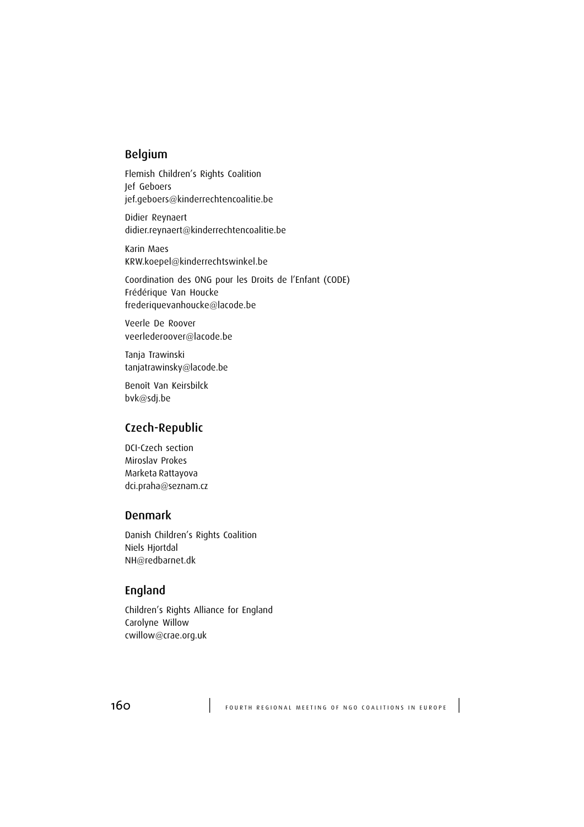#### Belgium

Flemish Children's Rights Coalition Jef Geboers jef.geboers@kinderrechtencoalitie.be

Didier Reynaert didier.reynaert@kinderrechtencoalitie.be

Karin Maes KRW.koepel@kinderrechtswinkel.be

Coordination des ONG pour les Droits de l'Enfant (CODE) Frédérique Van Houcke frederiquevanhoucke@lacode.be

Veerle De Roover veerlederoover@lacode.be

Tanja Trawinski tanjatrawinsky@lacode.be

Benoît Van Keirsbilck bvk@sdj.be

## Czech-Republic

DCI-Czech section Miroslav Prokes Marketa Rattayova dci.praha@seznam.cz

#### Denmark

Danish Children's Rights Coalition Niels Hjortdal NH@redbarnet.dk

#### England

Children's Rights Alliance for England Carolyne Willow cwillow@crae.org.uk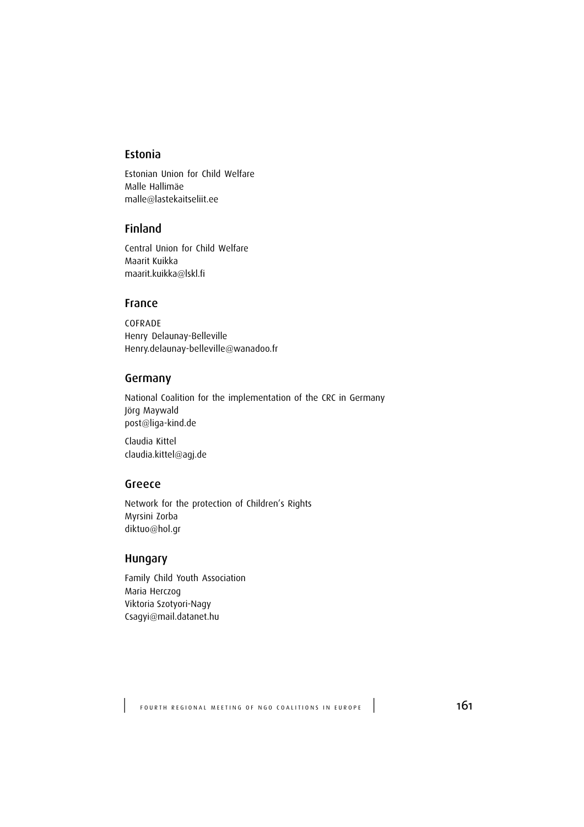#### Estonia

Estonian Union for Child Welfare Malle Hallimäe malle@lastekaitseliit.ee

#### Finland

Central Union for Child Welfare Maarit Kuikka maarit.kuikka@lskl.fi

#### France

COFRADE Henry Delaunay-Belleville Henry.delaunay-belleville@wanadoo.fr

#### Germany

National Coalition for the implementation of the CRC in Germany Jörg Maywald post@liga-kind.de

Claudia Kittel claudia.kittel@agj.de

#### Greece

Network for the protection of Children's Rights Myrsini Zorba diktuo@hol.gr

#### Hungary

Family Child Youth Association Maria Herczog Viktoria Szotyori-Nagy Csagyi@mail.datanet.hu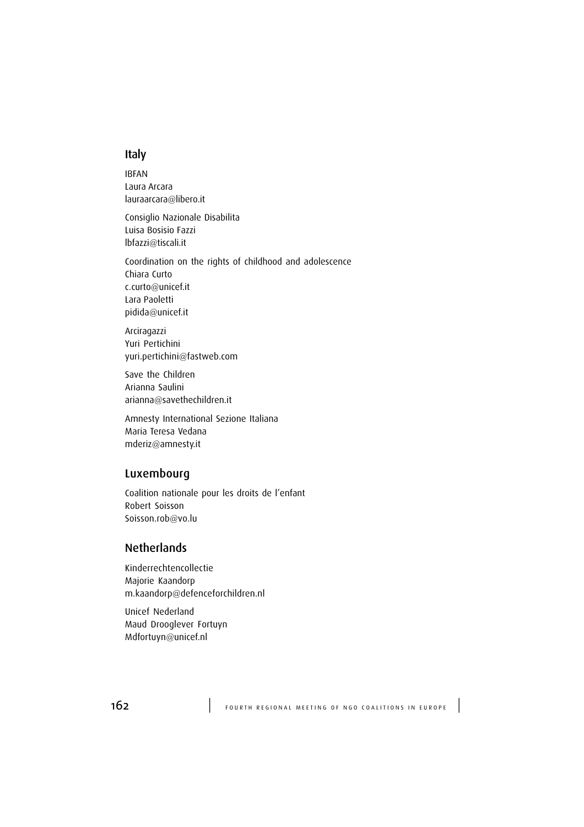#### Italy

IBFAN Laura Arcara lauraarcara@libero.it

Consiglio Nazionale Disabilita Luisa Bosisio Fazzi lbfazzi@tiscali.it

Coordination on the rights of childhood and adolescence Chiara Curto c.curto@unicef.it Lara Paoletti pidida@unicef.it

Arciragazzi Yuri Pertichini yuri.pertichini@fastweb.com

Save the Children Arianna Saulini arianna@savethechildren.it

Amnesty International Sezione Italiana Maria Teresa Vedana mderiz@amnesty.it

#### Luxembourg

Coalition nationale pour les droits de l'enfant Robert Soisson Soisson.rob@vo.lu

## **Netherlands**

Kinderrechtencollectie Majorie Kaandorp m.kaandorp@defenceforchildren.nl

Unicef Nederland Maud Drooglever Fortuyn Mdfortuyn@unicef.nl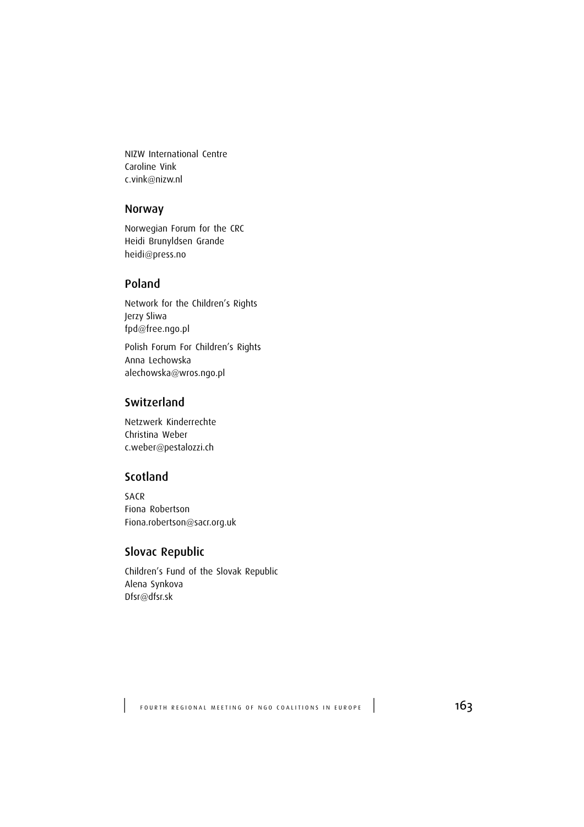NIZW International Centre Caroline Vink c.vink@nizw.nl

#### Norway

Norwegian Forum for the CRC Heidi Brunyldsen Grande heidi@press.no

#### Poland

Network for the Children's Rights Jerzy Sliwa fpd@free.ngo.pl

Polish Forum For Children's Rights Anna Lechowska alechowska@wros.ngo.pl

## **Switzerland**

Netzwerk Kinderrechte Christina Weber c.weber@pestalozzi.ch

## Scotland

SACR Fiona Robertson Fiona.robertson@sacr.org.uk

## Slovac Republic

Children's Fund of the Slovak Republic Alena Synkova Dfsr@dfsr.sk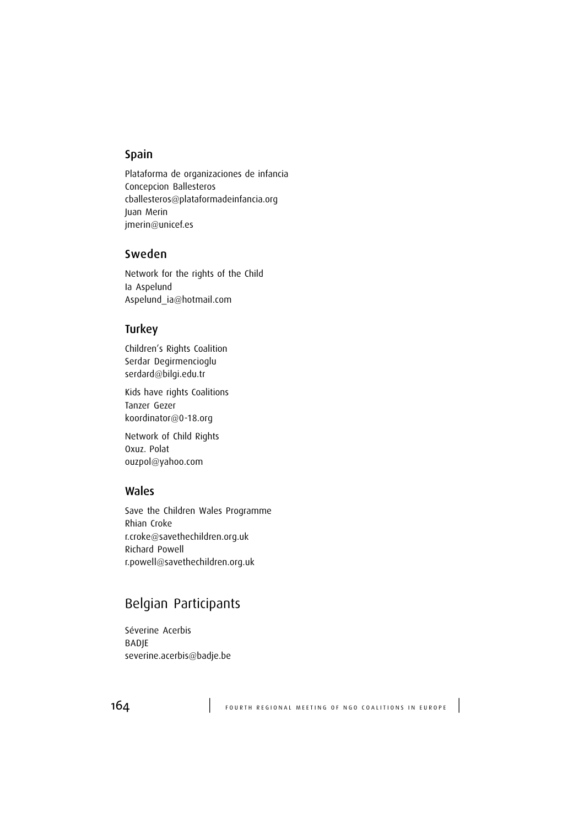#### Spain

Plataforma de organizaciones de infancia Concepcion Ballesteros cballesteros@plataformadeinfancia.org Juan Merin jmerin@unicef.es

#### Sweden

Network for the rights of the Child Ia Aspelund Aspelund\_ia@hotmail.com

#### **Turkey**

Children's Rights Coalition Serdar Degirmencioglu serdard@bilgi.edu.tr

Kids have rights Coalitions Tanzer Gezer koordinator@0-18.org

Network of Child Rights Oxuz. Polat ouzpol@yahoo.com

#### Wales

Save the Children Wales Programme Rhian Croke r.croke@savethechildren.org.uk Richard Powell r.powell@savethechildren.org.uk

# Belgian Participants

Séverine Acerbis BADJE severine.acerbis@badje.be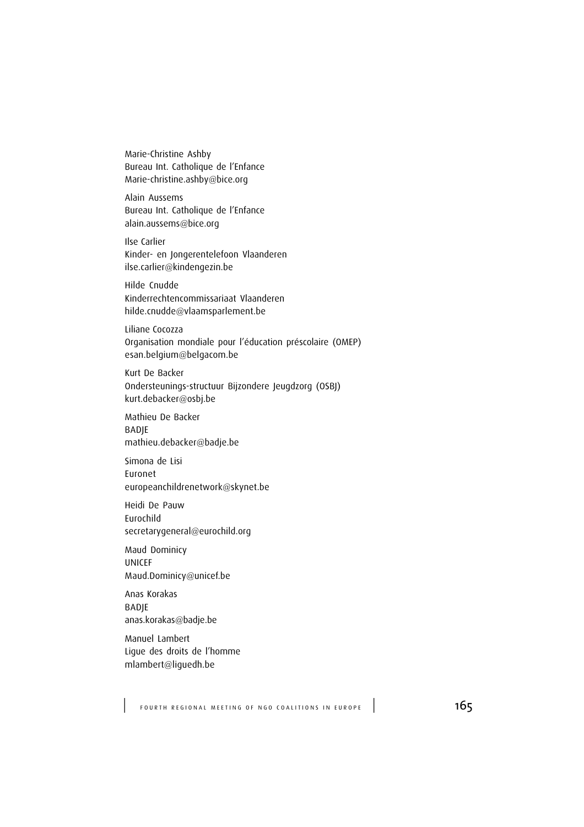Marie-Christine Ashby Bureau Int. Catholique de l'Enfance Marie-christine.ashby@bice.org

Alain Aussems Bureau Int. Catholique de l'Enfance alain.aussems@bice.org

Ilse Carlier Kinder- en Jongerentelefoon Vlaanderen ilse.carlier@kindengezin.be

Hilde Cnudde Kinderrechtencommissariaat Vlaanderen hilde.cnudde@vlaamsparlement.be

Liliane Cocozza Organisation mondiale pour l'éducation préscolaire (OMEP) esan.belgium@belgacom.be

Kurt De Backer Ondersteunings-structuur Bijzondere Jeugdzorg (OSBJ) kurt.debacker@osbj.be

Mathieu De Backer **BADIE** mathieu.debacker@badje.be

Simona de Lisi Euronet europeanchildrenetwork@skynet.be

Heidi De Pauw Eurochild secretarygeneral@eurochild.org

Maud Dominicy UNICEF Maud.Dominicy@unicef.be

Anas Korakas BADJE anas.korakas@badje.be

Manuel Lambert Ligue des droits de l'homme mlambert@liguedh.be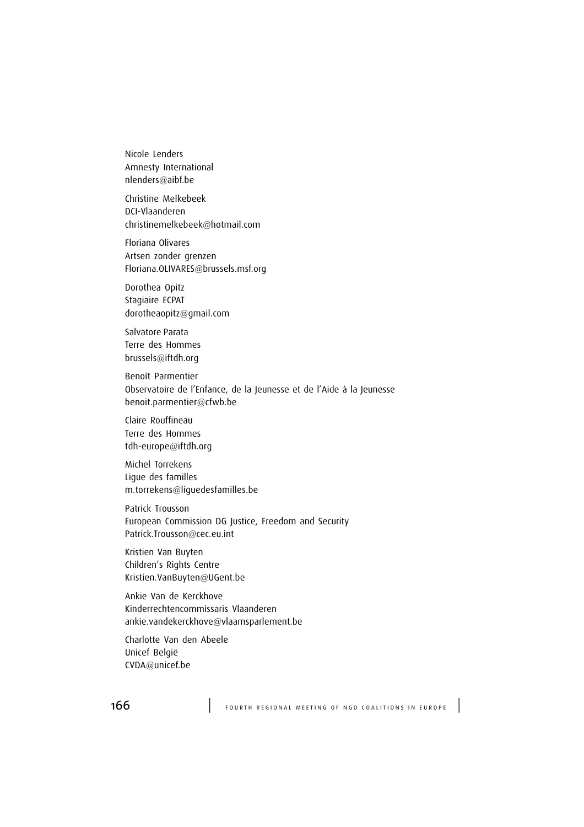Nicole Lenders Amnesty International nlenders@aibf.be

Christine Melkebeek DCI-Vlaanderen christinemelkebeek@hotmail.com

Floriana Olivares Artsen zonder grenzen Floriana.OLIVARES@brussels.msf.org

Dorothea Opitz Stagiaire ECPAT dorotheaopitz@gmail.com

Salvatore Parata Terre des Hommes brussels@iftdh.org

Benoît Parmentier Observatoire de l'Enfance, de la Jeunesse et de l'Aide à la Jeunesse benoit.parmentier@cfwb.be

Claire Rouffineau Terre des Hommes tdh-europe@iftdh.org

Michel Torrekens Ligue des familles m.torrekens@liguedesfamilles.be

Patrick Trousson European Commission DG Justice, Freedom and Security Patrick.Trousson@cec.eu.int

Kristien Van Buyten Children's Rights Centre Kristien.VanBuyten@UGent.be

Ankie Van de Kerckhove Kinderrechtencommissaris Vlaanderen ankie.vandekerckhove@vlaamsparlement.be

Charlotte Van den Abeele Unicef België CVDA@unicef.be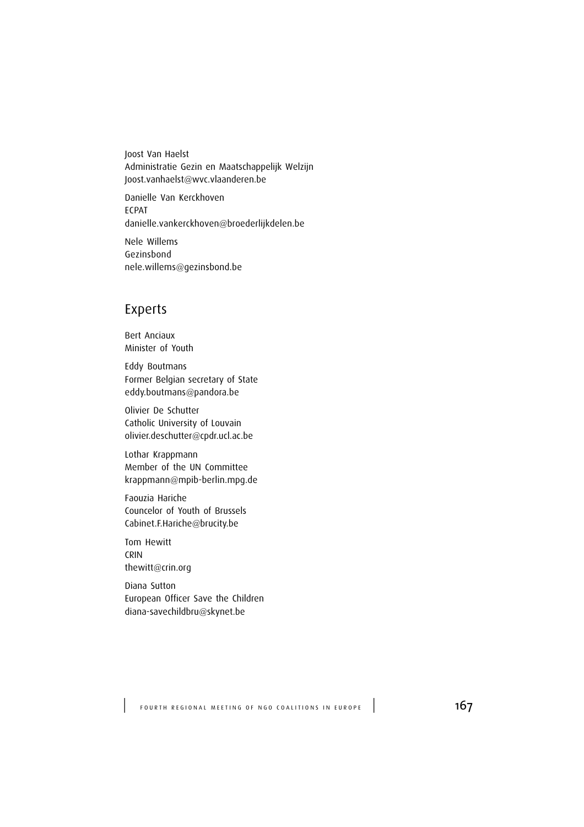Joost Van Haelst Administratie Gezin en Maatschappelijk Welzijn Joost.vanhaelst@wvc.vlaanderen.be

Danielle Van Kerckhoven ECPAT danielle.vankerckhoven@broederlijkdelen.be

Nele Willems Gezinsbond nele.willems@gezinsbond.be

# Experts

Bert Anciaux Minister of Youth

Eddy Boutmans Former Belgian secretary of State eddy.boutmans@pandora.be

Olivier De Schutter Catholic University of Louvain olivier.deschutter@cpdr.ucl.ac.be

Lothar Krappmann Member of the UN Committee krappmann@mpib-berlin.mpg.de

Faouzia Hariche Councelor of Youth of Brussels Cabinet.F.Hariche@brucity.be

Tom Hewitt CRIN thewitt@crin.org

Diana Sutton European Officer Save the Children diana-savechildbru@skynet.be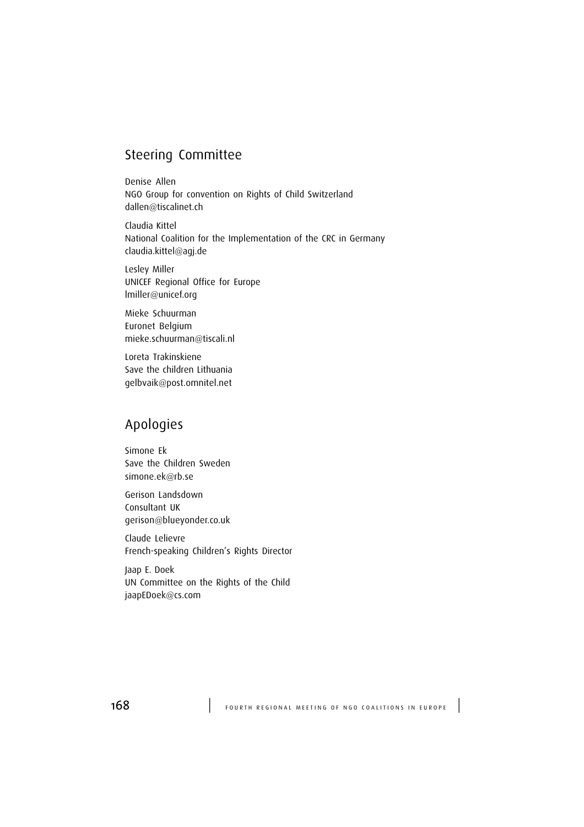# Steering Committee

Denise Allen NGO Group for convention on Rights of Child Switzerland dallen@tiscalinet.ch

Claudia Kittel National Coalition for the Implementation of the CRC in Germany claudia.kittel@agj.de

Lesley Miller UNICEF Regional Office for Europe lmiller@unicef.org

Mieke Schuurman Euronet Belgium mieke.schuurman@tiscali.nl

Loreta Trakinskiene Save the children Lithuania gelbvaik@post.omnitel.net

# Apologies

Simone Ek Save the Children Sweden simone.ek@rb.se

Gerison Landsdown Consultant UK gerison@blueyonder.co.uk

Claude Lelievre French-speaking Children's Rights Director

Jaap E. Doek UN Committee on the Rights of the Child jaapEDoek@cs.com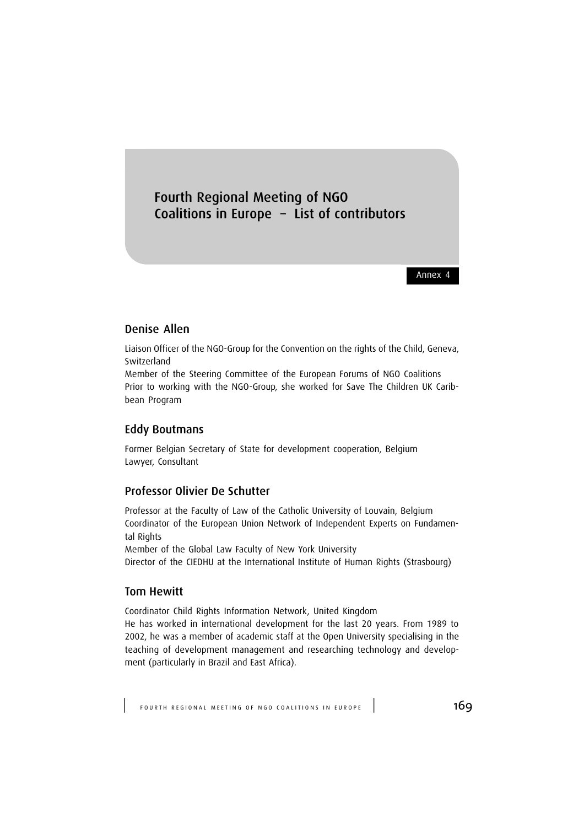# Fourth Regional Meeting of NGO Coalitions in Europe – List of contributors

Annex 4

## Denise Allen

Liaison Officer of the NGO-Group for the Convention on the rights of the Child, Geneva, Switzerland

Member of the Steering Committee of the European Forums of NGO Coalitions Prior to working with the NGO-Group, she worked for Save The Children UK Caribbean Program

#### Eddy Boutmans

Former Belgian Secretary of State for development cooperation, Belgium Lawyer, Consultant

#### Professor Olivier De Schutter

Professor at the Faculty of Law of the Catholic University of Louvain, Belgium Coordinator of the European Union Network of Independent Experts on Fundamental Rights

Member of the Global Law Faculty of New York University

Director of the CIEDHU at the International Institute of Human Rights (Strasbourg)

#### Tom Hewitt

Coordinator Child Rights Information Network, United Kingdom

He has worked in international development for the last 20 years. From 1989 to 2002, he was a member of academic staff at the Open University specialising in the teaching of development management and researching technology and development (particularly in Brazil and East Africa).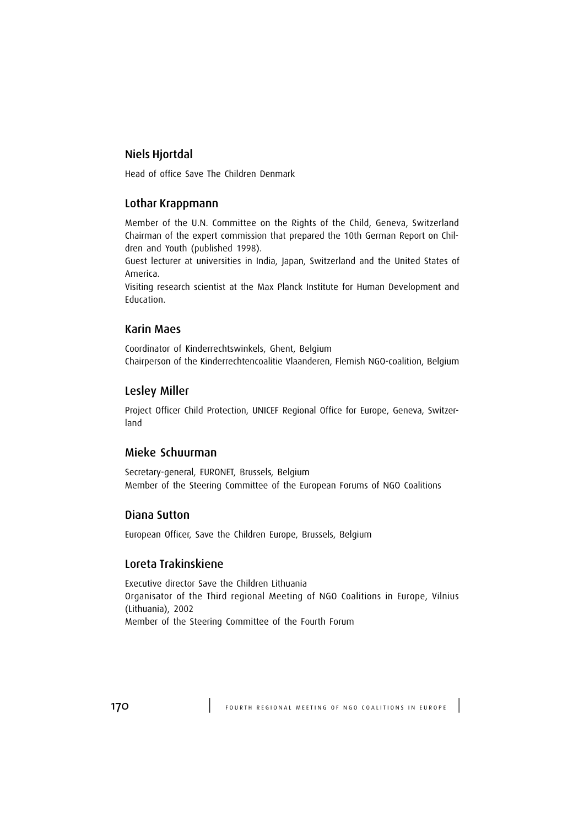## Niels Hjortdal

Head of office Save The Children Denmark

## Lothar Krappmann

Member of the U.N. Committee on the Rights of the Child, Geneva, Switzerland Chairman of the expert commission that prepared the 10th German Report on Children and Youth (published 1998).

Guest lecturer at universities in India, Japan, Switzerland and the United States of America.

Visiting research scientist at the Max Planck Institute for Human Development and Education.

#### Karin Maes

Coordinator of Kinderrechtswinkels, Ghent, Belgium Chairperson of the Kinderrechtencoalitie Vlaanderen, Flemish NGO-coalition, Belgium

#### Lesley Miller

Project Officer Child Protection, UNICEF Regional Office for Europe, Geneva, Switzerland

#### Mieke Schuurman

Secretary-general, EURONET, Brussels, Belgium Member of the Steering Committee of the European Forums of NGO Coalitions

#### Diana Sutton

European Officer, Save the Children Europe, Brussels, Belgium

#### Loreta Trakinskiene

Executive director Save the Children Lithuania Organisator of the Third regional Meeting of NGO Coalitions in Europe, Vilnius (Lithuania), 2002 Member of the Steering Committee of the Fourth Forum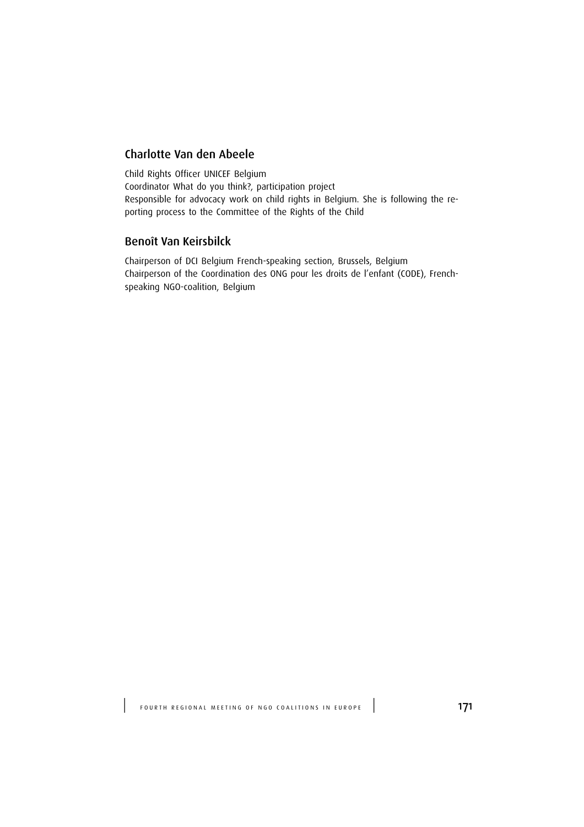## Charlotte Van den Abeele

Child Rights Officer UNICEF Belgium Coordinator What do you think?, participation project Responsible for advocacy work on child rights in Belgium. She is following the reporting process to the Committee of the Rights of the Child

#### Benoît Van Keirsbilck

Chairperson of DCI Belgium French-speaking section, Brussels, Belgium Chairperson of the Coordination des ONG pour les droits de l'enfant (CODE), Frenchspeaking NGO-coalition, Belgium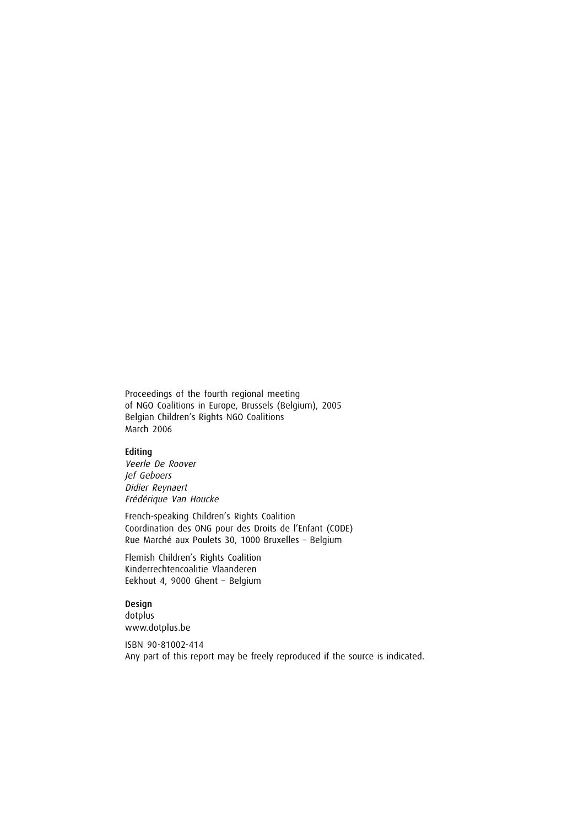Proceedings of the fourth regional meeting of NGO Coalitions in Europe, Brussels (Belgium), 2005 Belgian Children's Rights NGO Coalitions March 2006

#### Editing

Veerle De Roover Jef Geboers Didier Reynaert Frédérique Van Houcke

French-speaking Children's Rights Coalition Coordination des ONG pour des Droits de l'Enfant (CODE) Rue Marché aux Poulets 30, 1000 Bruxelles – Belgium

Flemish Children's Rights Coalition Kinderrechtencoalitie Vlaanderen Eekhout 4, 9000 Ghent – Belgium

Design dotplus www.dotplus.be

ISBN 90-81002-414 Any part of this report may be freely reproduced if the source is indicated.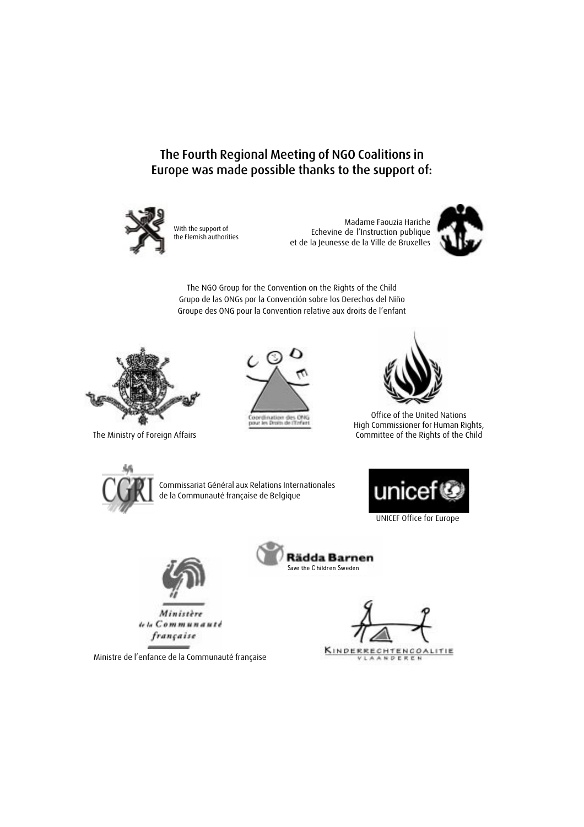The Fourth Regional Meeting of NGO Coalitions in Europe was made possible thanks to the support of:



With the support of the Flemish authorities

Madame Faouzia Hariche Echevine de l'Instruction publique et de la Jeunesse de la Ville de Bruxelles



The NGO Group for the Convention on the Rights of the Child Grupo de las ONGs por la Convención sobre los Derechos del Niño Groupe des ONG pour la Convention relative aux droits de l'enfant



The Ministry of Foreign Affairs





Office of the United Nations High Commissioner for Human Rights, Committee of the Rights of the Child



Commissariat Général aux Relations Internationales de la Communauté française de Belgique



UNICEF Office for Europe



Ministère de la Communauté française

**Rädda Barnen** Save the Children Sweden

KINDER **RECHTENCOALITIE** NDEREN

Ministre de l'enfance de la Communauté française